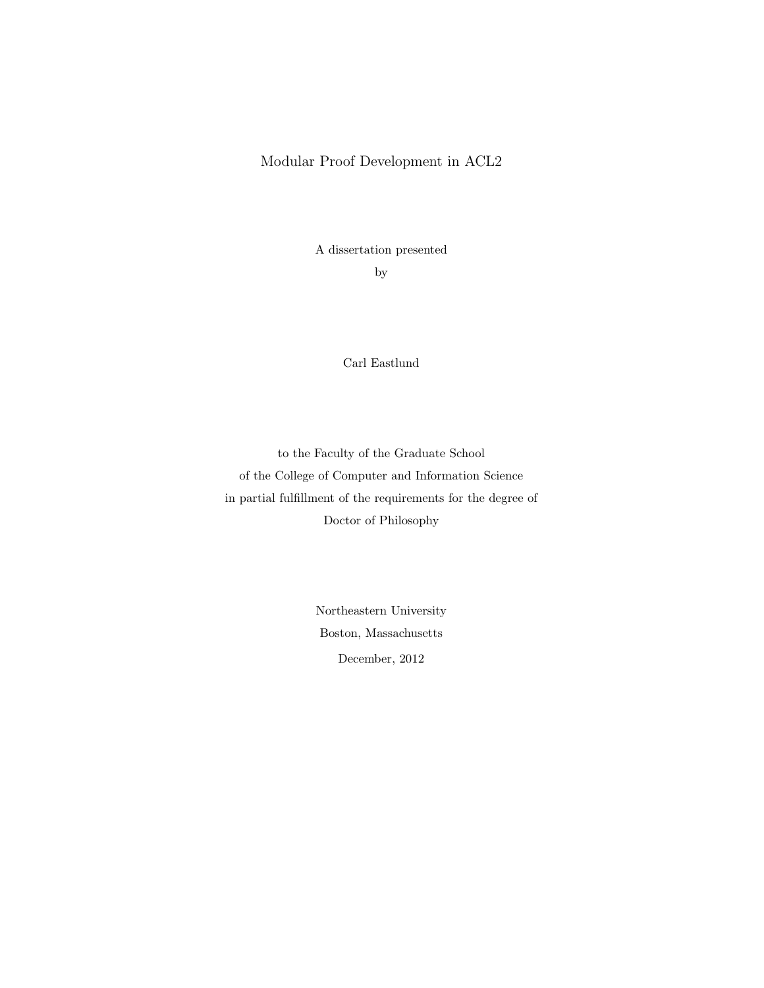## Modular Proof Development in ACL2

A dissertation presented

by

Carl Eastlund

to the Faculty of the Graduate School of the College of Computer and Information Science in partial fulfillment of the requirements for the degree of Doctor of Philosophy

> Northeastern University Boston, Massachusetts December, 2012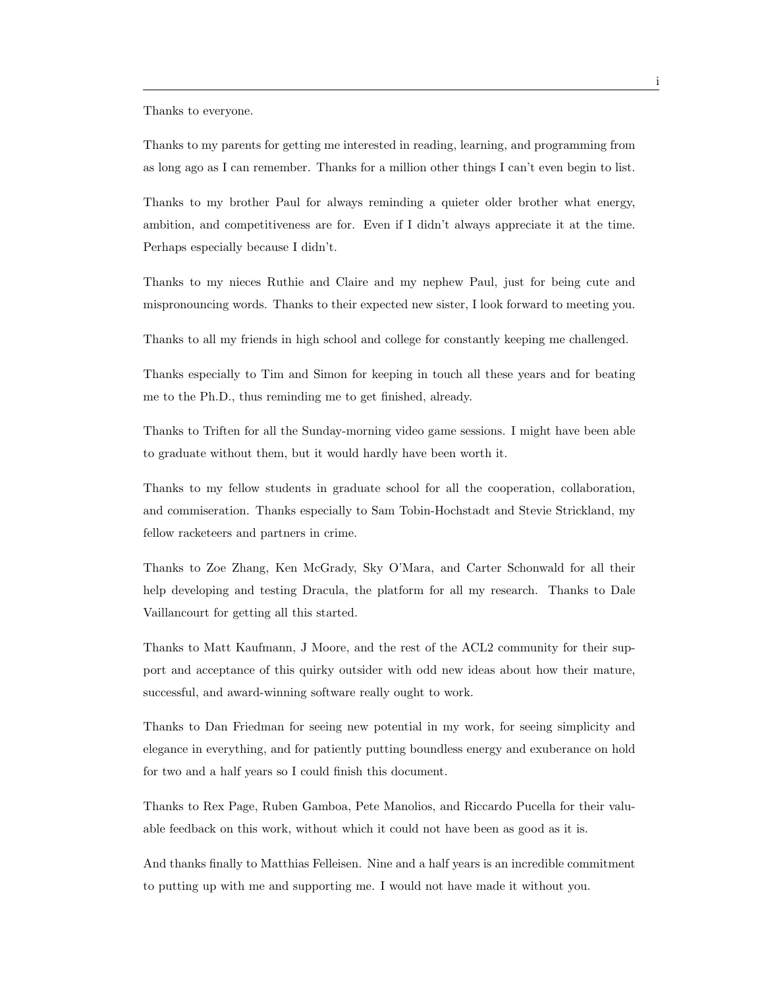Thanks to everyone.

Thanks to my parents for getting me interested in reading, learning, and programming from as long ago as I can remember. Thanks for a million other things I can't even begin to list.

Thanks to my brother Paul for always reminding a quieter older brother what energy, ambition, and competitiveness are for. Even if I didn't always appreciate it at the time. Perhaps especially because I didn't.

Thanks to my nieces Ruthie and Claire and my nephew Paul, just for being cute and mispronouncing words. Thanks to their expected new sister, I look forward to meeting you.

Thanks to all my friends in high school and college for constantly keeping me challenged.

Thanks especially to Tim and Simon for keeping in touch all these years and for beating me to the Ph.D., thus reminding me to get finished, already.

Thanks to Triften for all the Sunday-morning video game sessions. I might have been able to graduate without them, but it would hardly have been worth it.

Thanks to my fellow students in graduate school for all the cooperation, collaboration, and commiseration. Thanks especially to Sam Tobin-Hochstadt and Stevie Strickland, my fellow racketeers and partners in crime.

Thanks to Zoe Zhang, Ken McGrady, Sky O'Mara, and Carter Schonwald for all their help developing and testing Dracula, the platform for all my research. Thanks to Dale Vaillancourt for getting all this started.

Thanks to Matt Kaufmann, J Moore, and the rest of the ACL2 community for their support and acceptance of this quirky outsider with odd new ideas about how their mature, successful, and award-winning software really ought to work.

Thanks to Dan Friedman for seeing new potential in my work, for seeing simplicity and elegance in everything, and for patiently putting boundless energy and exuberance on hold for two and a half years so I could finish this document.

Thanks to Rex Page, Ruben Gamboa, Pete Manolios, and Riccardo Pucella for their valuable feedback on this work, without which it could not have been as good as it is.

And thanks finally to Matthias Felleisen. Nine and a half years is an incredible commitment to putting up with me and supporting me. I would not have made it without you.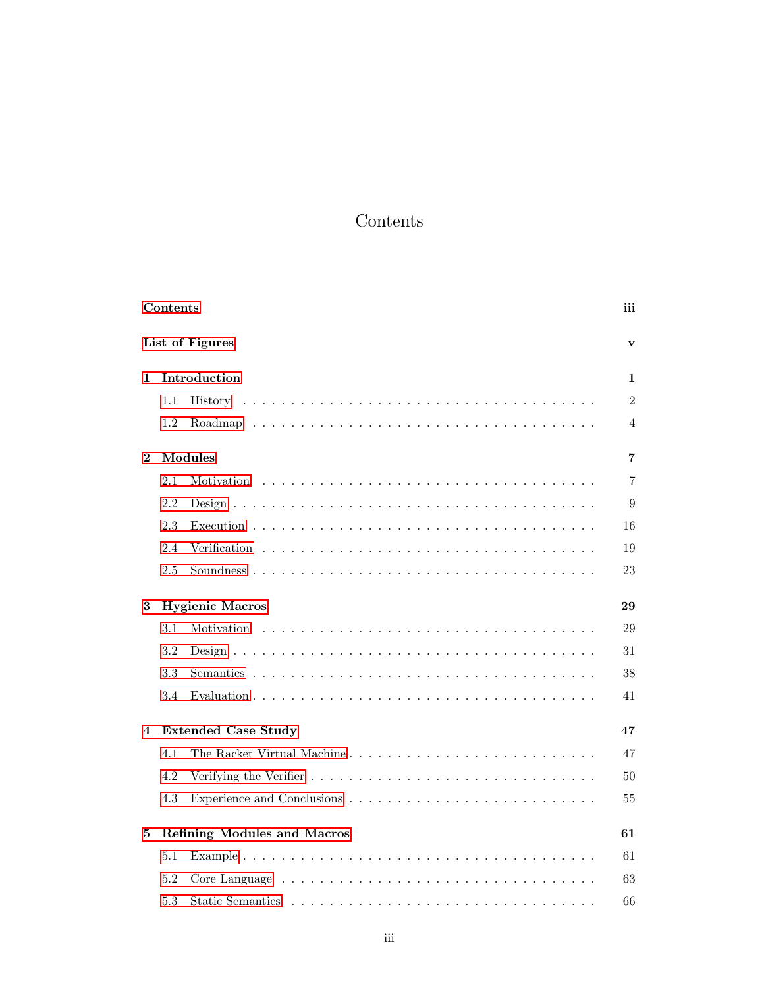## Contents

<span id="page-4-0"></span>

|          | Contents |                                    | iii            |
|----------|----------|------------------------------------|----------------|
|          |          | List of Figures                    | $\mathbf{v}$   |
| 1        |          | Introduction                       | 1              |
|          | $1.1\,$  |                                    | $\overline{2}$ |
|          | 1.2      |                                    | 4              |
| $\bf{2}$ |          | Modules                            | 7              |
|          | 2.1      | Motivation                         | $\overline{7}$ |
|          | 2.2      |                                    | 9              |
|          | 2.3      |                                    | 16             |
|          | 2.4      |                                    | 19             |
|          | 2.5      |                                    | 23             |
| 3        |          | <b>Hygienic Macros</b>             | 29             |
|          | 3.1      |                                    | 29             |
|          | 3.2      |                                    | 31             |
|          | 3.3      |                                    | 38             |
|          | 3.4      |                                    | 41             |
| 4        |          | <b>Extended Case Study</b>         | 47             |
|          | 4.1      | The Racket Virtual Machine         | 47             |
|          | 4.2      |                                    | 50             |
|          | 4.3      |                                    | 55             |
| 5        |          | <b>Refining Modules and Macros</b> | 61             |
|          | 5.1      |                                    | 61             |
|          | 5.2      |                                    | 63             |
|          | 5.3      |                                    | 66             |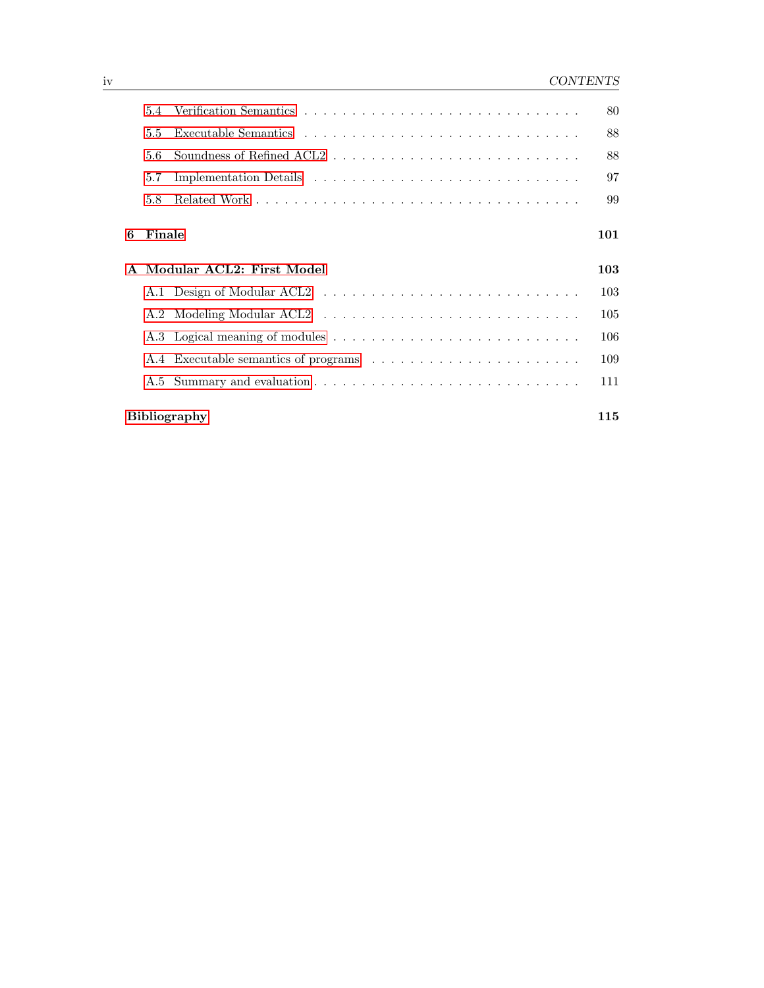|              | 5.4    |                                      | 80  |
|--------------|--------|--------------------------------------|-----|
|              | 5.5    |                                      | 88  |
|              | 5.6    |                                      | 88  |
|              | 5.7    |                                      | 97  |
|              | 5.8    |                                      | 99  |
| 6            | Finale |                                      | 101 |
| $\mathbf{A}$ |        | Modular ACL2: First Model            | 103 |
|              |        |                                      | 103 |
|              |        |                                      | 105 |
|              |        |                                      | 106 |
|              |        | A.4 Executable semantics of programs | 109 |
|              |        |                                      |     |
|              |        |                                      | 111 |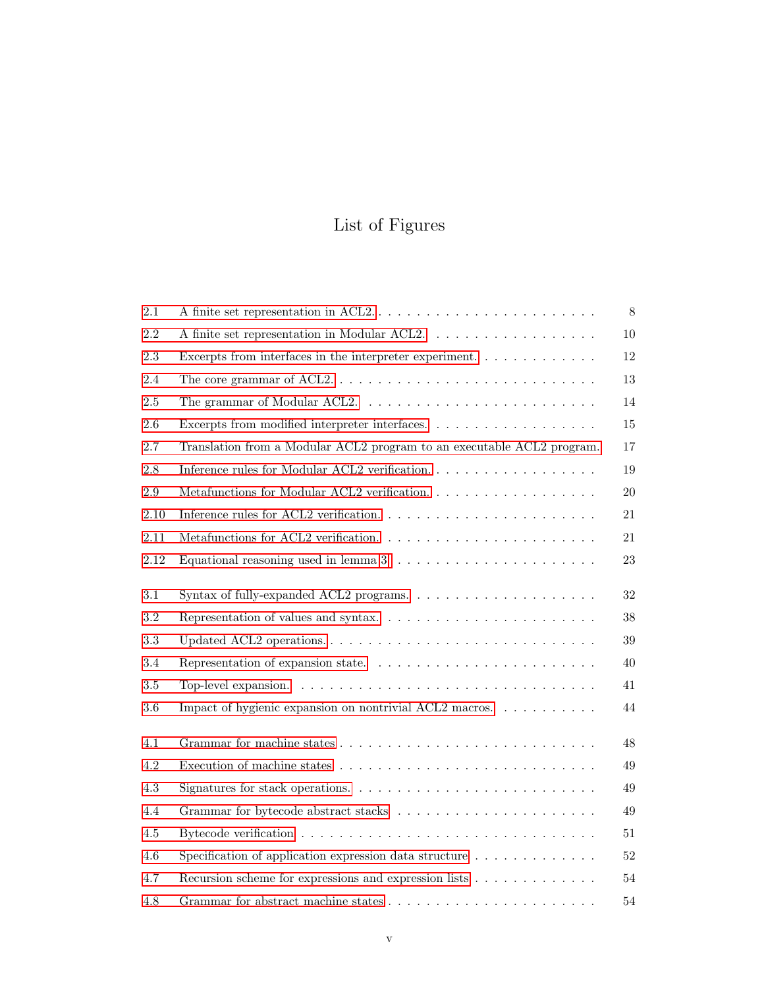# List of Figures

<span id="page-6-0"></span>

| 2.1     |                                                                                                  | 8      |
|---------|--------------------------------------------------------------------------------------------------|--------|
| 2.2     | A finite set representation in Modular ACL2.                                                     | 10     |
| 2.3     | Excerpts from interfaces in the interpreter experiment                                           | 12     |
| 2.4     | The core grammar of ACL2. $\dots \dots \dots \dots \dots \dots \dots \dots \dots \dots \dots$    | 13     |
| $2.5\,$ |                                                                                                  | 14     |
| $2.6\,$ |                                                                                                  | 15     |
| 2.7     | Translation from a Modular ACL2 program to an executable ACL2 program.                           | 17     |
| $2.8\,$ | Inference rules for Modular ACL2 verification                                                    | 19     |
| 2.9     |                                                                                                  | 20     |
| 2.10    | Inference rules for ACL2 verification. $\ldots \ldots \ldots \ldots \ldots \ldots \ldots \ldots$ | 21     |
| 2.11    | Metafunctions for ACL2 verification. $\ldots \ldots \ldots \ldots \ldots \ldots \ldots$          | 21     |
| 2.12    | Equational reasoning used in lemma $3. \ldots \ldots \ldots \ldots \ldots \ldots \ldots$         | 23     |
| 3.1     |                                                                                                  | 32     |
| 3.2     |                                                                                                  | 38     |
| $3.3\,$ | Updated ACL2 operations                                                                          | $39\,$ |
| 3.4     |                                                                                                  | 40     |
| $3.5\,$ |                                                                                                  | 41     |
| $3.6\,$ | Impact of hygienic expansion on nontrivial ACL2 macros.                                          | 44     |
| 4.1     |                                                                                                  | 48     |
| 4.2     |                                                                                                  | 49     |
| $4.3\,$ | Signatures for stack operations. $\ldots \ldots \ldots \ldots \ldots \ldots \ldots \ldots$       | 49     |
| 4.4     |                                                                                                  | 49     |
| $4.5\,$ |                                                                                                  | 51     |
| 4.6     | Specification of application expression data structure $\ldots \ldots \ldots \ldots$             | 52     |
| 4.7     | Recursion scheme for expressions and expression lists                                            | 54     |
| 4.8     |                                                                                                  | $54\,$ |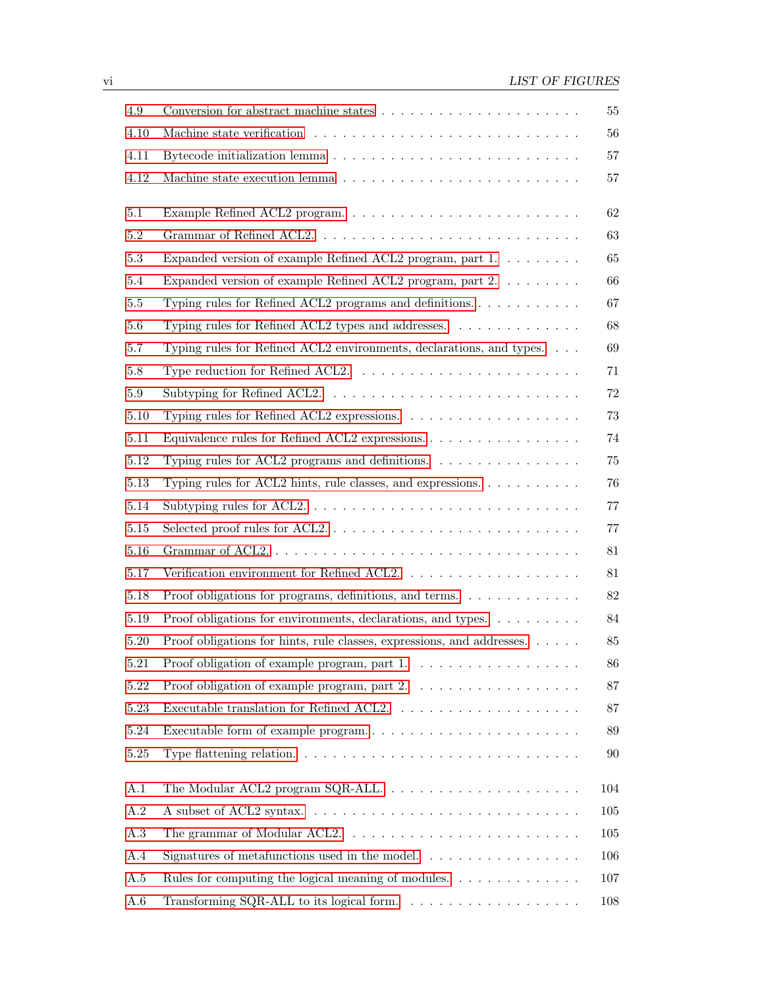| 4.9       | Conversion for abstract machine states $\hfill\ldots\ldots\ldots\ldots\ldots\ldots\ldots\ldots\ldots\ldots$ | 55     |
|-----------|-------------------------------------------------------------------------------------------------------------|--------|
| 4.10      |                                                                                                             | 56     |
| 4.11      | Bytecode initialization lemma $\dots \dots \dots \dots \dots \dots \dots \dots \dots \dots \dots$           | 57     |
| 4.12      |                                                                                                             | 57     |
| 5.1       | Example Refined ACL2 program                                                                                | 62     |
| $5.2\,$   |                                                                                                             | 63     |
| $5.3\,$   | Expanded version of example Refined ACL2 program, part 1.                                                   | 65     |
| 5.4       | Expanded version of example Refined ACL2 program, part 2.                                                   | 66     |
| 5.5       |                                                                                                             | 67     |
| 5.6       | Typing rules for Refined ACL2 types and addresses. $\dots \dots \dots \dots$                                | 68     |
| 5.7       | Typing rules for Refined ACL2 environments, declarations, and types.                                        | 69     |
| $5.8\,$   | Type reduction for Refined ACL2. $\dots \dots \dots \dots \dots \dots \dots \dots \dots$                    | 71     |
| 5.9       |                                                                                                             | 72     |
| 5.10      |                                                                                                             | 73     |
| 5.11      | Equivalence rules for Refined ACL2 expressions                                                              | 74     |
| 5.12      | Typing rules for ACL2 programs and definitions. $\ldots \ldots \ldots \ldots \ldots$                        | 75     |
| 5.13      | Typing rules for ACL2 hints, rule classes, and expressions. $\dots \dots \dots$                             | 76     |
| 5.14      | Subtyping rules for ACL2. $\dots \dots \dots \dots \dots \dots \dots \dots \dots \dots \dots$               | $77\,$ |
| $5.15\,$  |                                                                                                             | 77     |
| $5.16\,$  |                                                                                                             | 81     |
| 5.17      |                                                                                                             | 81     |
| 5.18      | Proof obligations for programs, definitions, and terms. $\dots \dots \dots \dots$                           | $82\,$ |
| 5.19      | Proof obligations for environments, declarations, and types.                                                | 84     |
| 5.20      | Proof obligations for hints, rule classes, expressions, and addresses.                                      | 85     |
| 5.21      |                                                                                                             | 86     |
| 5.22      | Proof obligation of example program, part $2. \ldots \ldots \ldots \ldots \ldots$                           | 87     |
| 5.23      |                                                                                                             | 87     |
| 5.24      | Executable form of example program                                                                          | 89     |
| $5.25\,$  |                                                                                                             | 90     |
| A.1       |                                                                                                             | 104    |
| $\rm A.2$ |                                                                                                             | 105    |
| A.3       |                                                                                                             | 105    |
| A.4       | Signatures of metafunctions used in the model. $\ldots \ldots \ldots \ldots \ldots$                         | 106    |
| A.5       | Rules for computing the logical meaning of modules. $\dots \dots \dots \dots$                               | 107    |
| A.6       |                                                                                                             | 108    |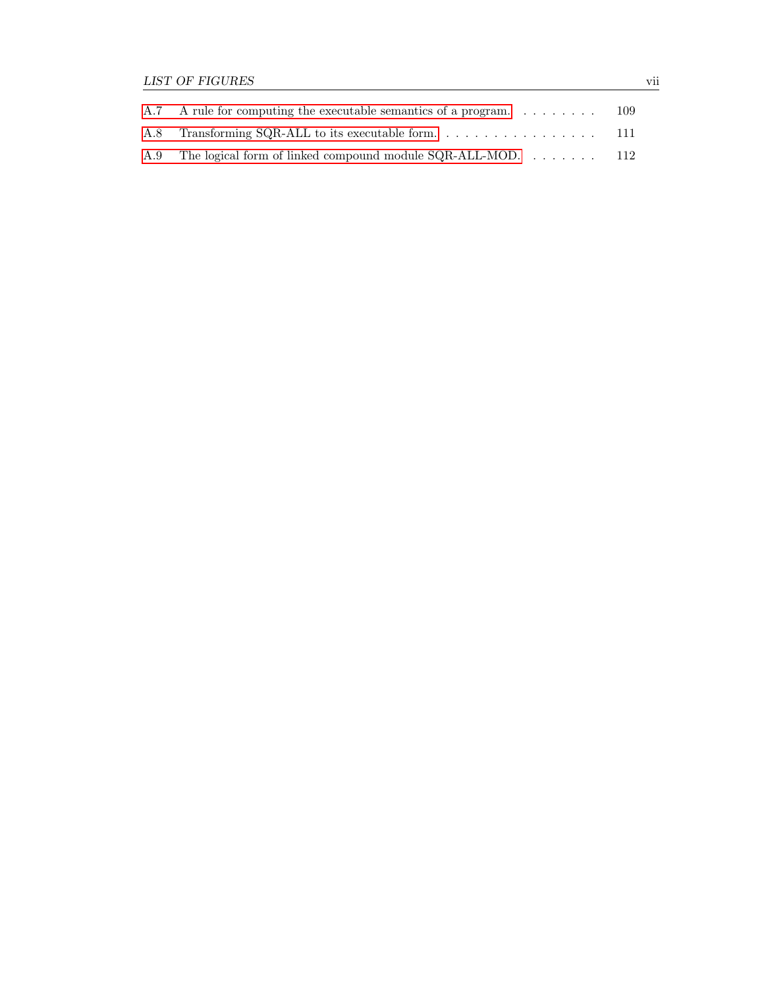| A.7 A rule for computing the executable semantics of a program  | -109 |
|-----------------------------------------------------------------|------|
|                                                                 |      |
| A.9 The logical form of linked compound module SQR-ALL-MOD. 112 |      |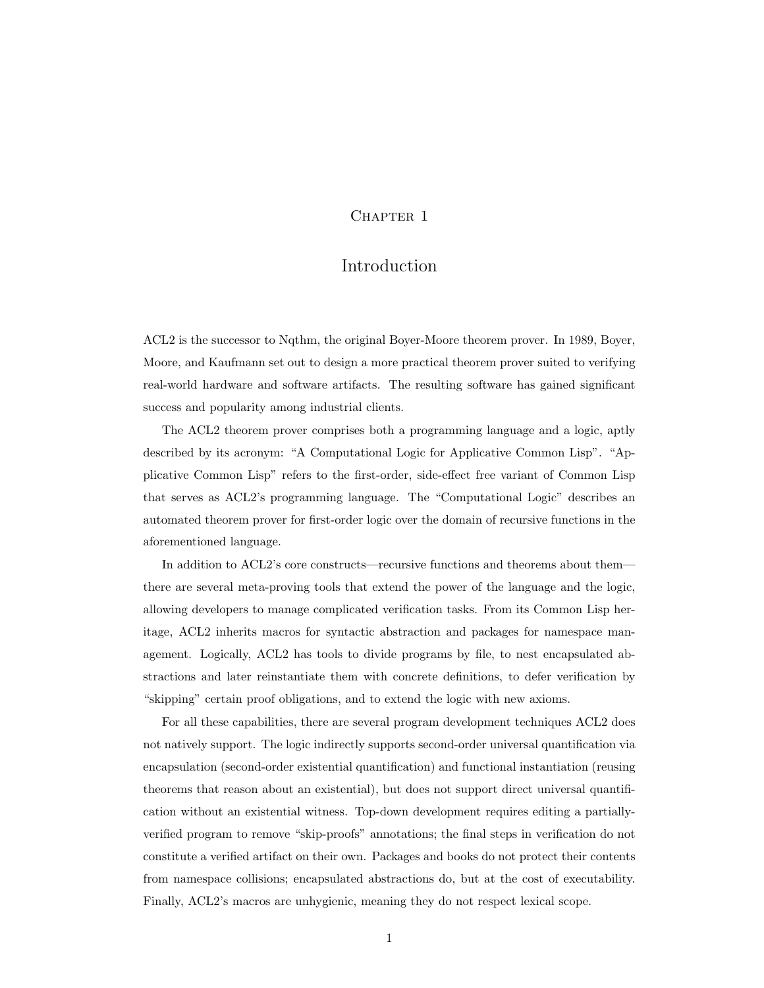## CHAPTER 1

## Introduction

<span id="page-10-0"></span>ACL2 is the successor to Nqthm, the original Boyer-Moore theorem prover. In 1989, Boyer, Moore, and Kaufmann set out to design a more practical theorem prover suited to verifying real-world hardware and software artifacts. The resulting software has gained significant success and popularity among industrial clients.

The ACL2 theorem prover comprises both a programming language and a logic, aptly described by its acronym: "A Computational Logic for Applicative Common Lisp". "Applicative Common Lisp" refers to the first-order, side-effect free variant of Common Lisp that serves as ACL2's programming language. The "Computational Logic" describes an automated theorem prover for first-order logic over the domain of recursive functions in the aforementioned language.

In addition to ACL2's core constructs—recursive functions and theorems about them there are several meta-proving tools that extend the power of the language and the logic, allowing developers to manage complicated verification tasks. From its Common Lisp heritage, ACL2 inherits macros for syntactic abstraction and packages for namespace management. Logically, ACL2 has tools to divide programs by file, to nest encapsulated abstractions and later reinstantiate them with concrete definitions, to defer verification by "skipping" certain proof obligations, and to extend the logic with new axioms.

For all these capabilities, there are several program development techniques ACL2 does not natively support. The logic indirectly supports second-order universal quantification via encapsulation (second-order existential quantification) and functional instantiation (reusing theorems that reason about an existential), but does not support direct universal quantification without an existential witness. Top-down development requires editing a partiallyverified program to remove "skip-proofs" annotations; the final steps in verification do not constitute a verified artifact on their own. Packages and books do not protect their contents from namespace collisions; encapsulated abstractions do, but at the cost of executability. Finally, ACL2's macros are unhygienic, meaning they do not respect lexical scope.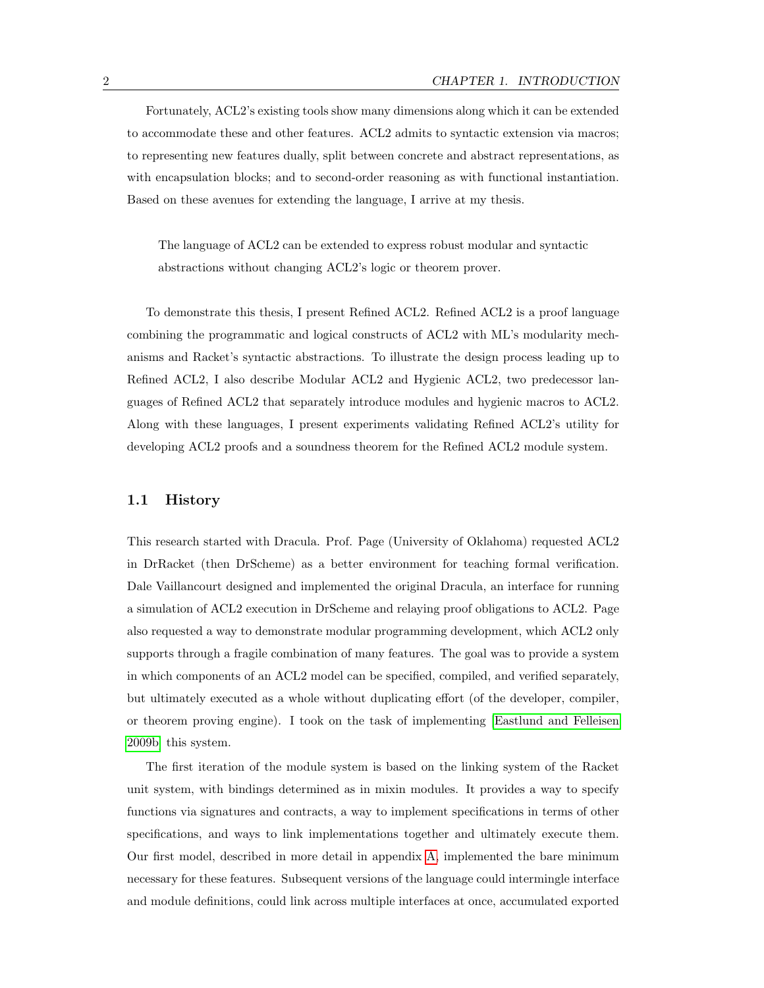Fortunately, ACL2's existing tools show many dimensions along which it can be extended to accommodate these and other features. ACL2 admits to syntactic extension via macros; to representing new features dually, split between concrete and abstract representations, as with encapsulation blocks; and to second-order reasoning as with functional instantiation. Based on these avenues for extending the language, I arrive at my thesis.

The language of ACL2 can be extended to express robust modular and syntactic abstractions without changing ACL2's logic or theorem prover.

To demonstrate this thesis, I present Refined ACL2. Refined ACL2 is a proof language combining the programmatic and logical constructs of ACL2 with ML's modularity mechanisms and Racket's syntactic abstractions. To illustrate the design process leading up to Refined ACL2, I also describe Modular ACL2 and Hygienic ACL2, two predecessor languages of Refined ACL2 that separately introduce modules and hygienic macros to ACL2. Along with these languages, I present experiments validating Refined ACL2's utility for developing ACL2 proofs and a soundness theorem for the Refined ACL2 module system.

#### <span id="page-11-0"></span>1.1 History

This research started with Dracula. Prof. Page (University of Oklahoma) requested ACL2 in DrRacket (then DrScheme) as a better environment for teaching formal verification. Dale Vaillancourt designed and implemented the original Dracula, an interface for running a simulation of ACL2 execution in DrScheme and relaying proof obligations to ACL2. Page also requested a way to demonstrate modular programming development, which ACL2 only supports through a fragile combination of many features. The goal was to provide a system in which components of an ACL2 model can be specified, compiled, and verified separately, but ultimately executed as a whole without duplicating effort (of the developer, compiler, or theorem proving engine). I took on the task of implementing [\[Eastlund and Felleisen](#page-124-1) [2009b\]](#page-124-1) this system.

The first iteration of the module system is based on the linking system of the Racket unit system, with bindings determined as in mixin modules. It provides a way to specify functions via signatures and contracts, a way to implement specifications in terms of other specifications, and ways to link implementations together and ultimately execute them. Our first model, described in more detail in appendix [A,](#page-112-0) implemented the bare minimum necessary for these features. Subsequent versions of the language could intermingle interface and module definitions, could link across multiple interfaces at once, accumulated exported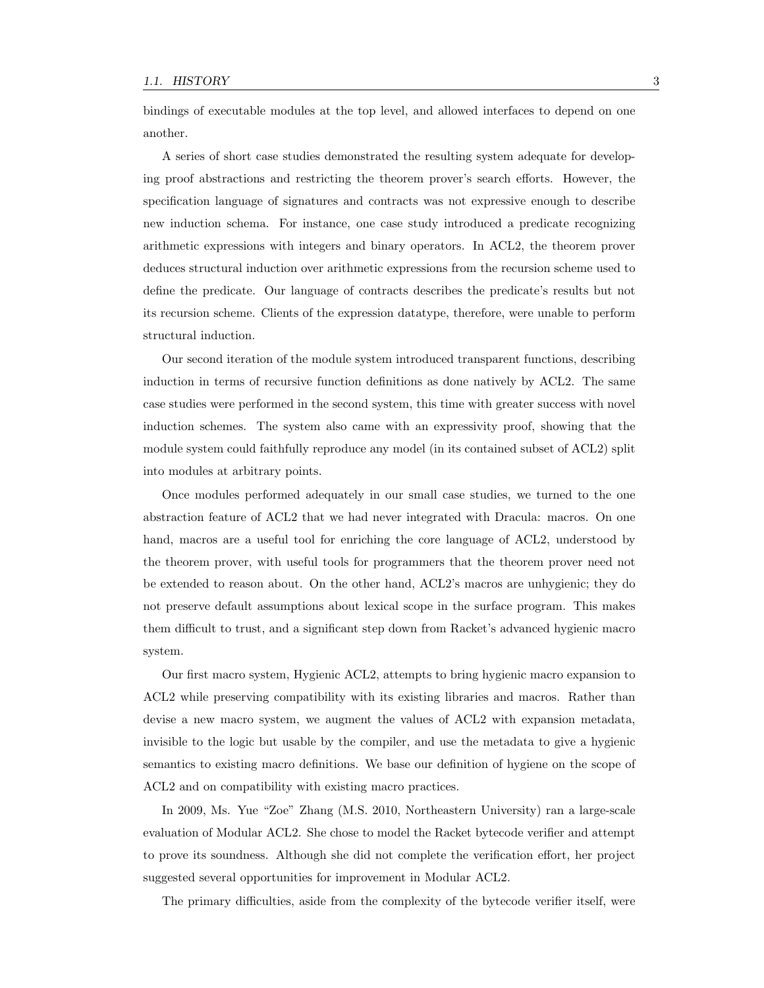bindings of executable modules at the top level, and allowed interfaces to depend on one another.

A series of short case studies demonstrated the resulting system adequate for developing proof abstractions and restricting the theorem prover's search efforts. However, the specification language of signatures and contracts was not expressive enough to describe new induction schema. For instance, one case study introduced a predicate recognizing arithmetic expressions with integers and binary operators. In ACL2, the theorem prover deduces structural induction over arithmetic expressions from the recursion scheme used to define the predicate. Our language of contracts describes the predicate's results but not its recursion scheme. Clients of the expression datatype, therefore, were unable to perform structural induction.

Our second iteration of the module system introduced transparent functions, describing induction in terms of recursive function definitions as done natively by ACL2. The same case studies were performed in the second system, this time with greater success with novel induction schemes. The system also came with an expressivity proof, showing that the module system could faithfully reproduce any model (in its contained subset of ACL2) split into modules at arbitrary points.

Once modules performed adequately in our small case studies, we turned to the one abstraction feature of ACL2 that we had never integrated with Dracula: macros. On one hand, macros are a useful tool for enriching the core language of ACL2, understood by the theorem prover, with useful tools for programmers that the theorem prover need not be extended to reason about. On the other hand, ACL2's macros are unhygienic; they do not preserve default assumptions about lexical scope in the surface program. This makes them difficult to trust, and a significant step down from Racket's advanced hygienic macro system.

Our first macro system, Hygienic ACL2, attempts to bring hygienic macro expansion to ACL2 while preserving compatibility with its existing libraries and macros. Rather than devise a new macro system, we augment the values of ACL2 with expansion metadata, invisible to the logic but usable by the compiler, and use the metadata to give a hygienic semantics to existing macro definitions. We base our definition of hygiene on the scope of ACL2 and on compatibility with existing macro practices.

In 2009, Ms. Yue "Zoe" Zhang (M.S. 2010, Northeastern University) ran a large-scale evaluation of Modular ACL2. She chose to model the Racket bytecode verifier and attempt to prove its soundness. Although she did not complete the verification effort, her project suggested several opportunities for improvement in Modular ACL2.

The primary difficulties, aside from the complexity of the bytecode verifier itself, were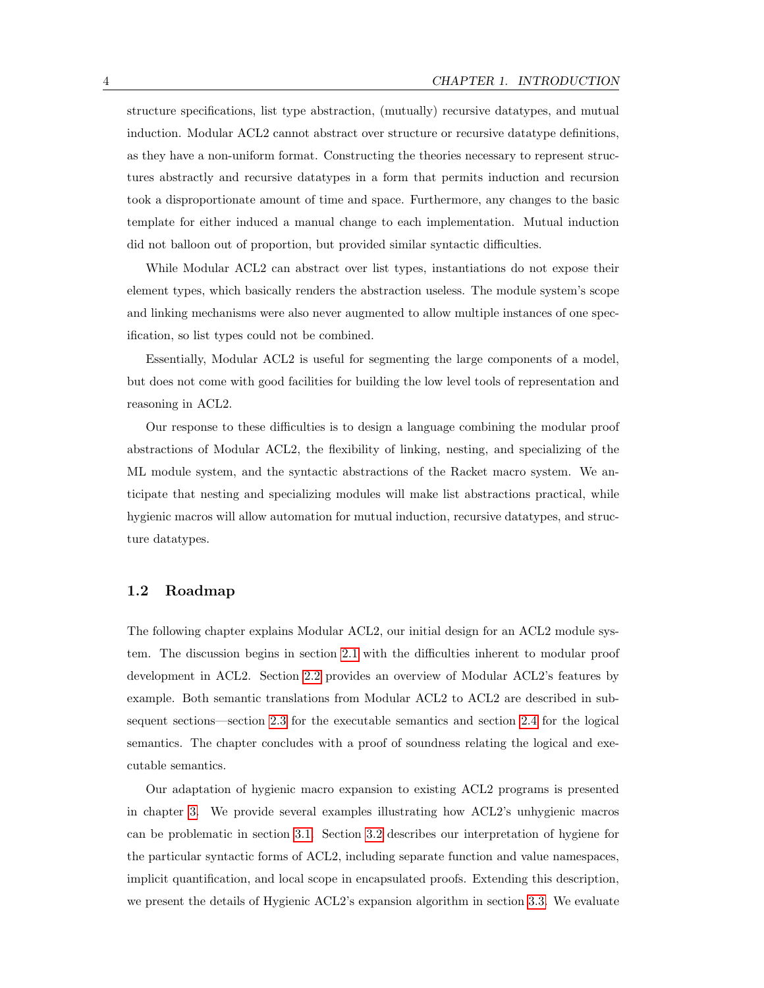structure specifications, list type abstraction, (mutually) recursive datatypes, and mutual induction. Modular ACL2 cannot abstract over structure or recursive datatype definitions, as they have a non-uniform format. Constructing the theories necessary to represent structures abstractly and recursive datatypes in a form that permits induction and recursion took a disproportionate amount of time and space. Furthermore, any changes to the basic template for either induced a manual change to each implementation. Mutual induction did not balloon out of proportion, but provided similar syntactic difficulties.

While Modular ACL2 can abstract over list types, instantiations do not expose their element types, which basically renders the abstraction useless. The module system's scope and linking mechanisms were also never augmented to allow multiple instances of one specification, so list types could not be combined.

Essentially, Modular ACL2 is useful for segmenting the large components of a model, but does not come with good facilities for building the low level tools of representation and reasoning in ACL2.

Our response to these difficulties is to design a language combining the modular proof abstractions of Modular ACL2, the flexibility of linking, nesting, and specializing of the ML module system, and the syntactic abstractions of the Racket macro system. We anticipate that nesting and specializing modules will make list abstractions practical, while hygienic macros will allow automation for mutual induction, recursive datatypes, and structure datatypes.

#### <span id="page-13-0"></span>1.2 Roadmap

The following chapter explains Modular ACL2, our initial design for an ACL2 module system. The discussion begins in section [2.1](#page-16-1) with the difficulties inherent to modular proof development in ACL2. Section [2.2](#page-18-0) provides an overview of Modular ACL2's features by example. Both semantic translations from Modular ACL2 to ACL2 are described in subsequent sections—section [2.3](#page-25-0) for the executable semantics and section [2.4](#page-28-0) for the logical semantics. The chapter concludes with a proof of soundness relating the logical and executable semantics.

Our adaptation of hygienic macro expansion to existing ACL2 programs is presented in chapter [3.](#page-38-0) We provide several examples illustrating how ACL2's unhygienic macros can be problematic in section [3.1.](#page-38-1) Section [3.2](#page-40-0) describes our interpretation of hygiene for the particular syntactic forms of ACL2, including separate function and value namespaces, implicit quantification, and local scope in encapsulated proofs. Extending this description, we present the details of Hygienic ACL2's expansion algorithm in section [3.3.](#page-47-0) We evaluate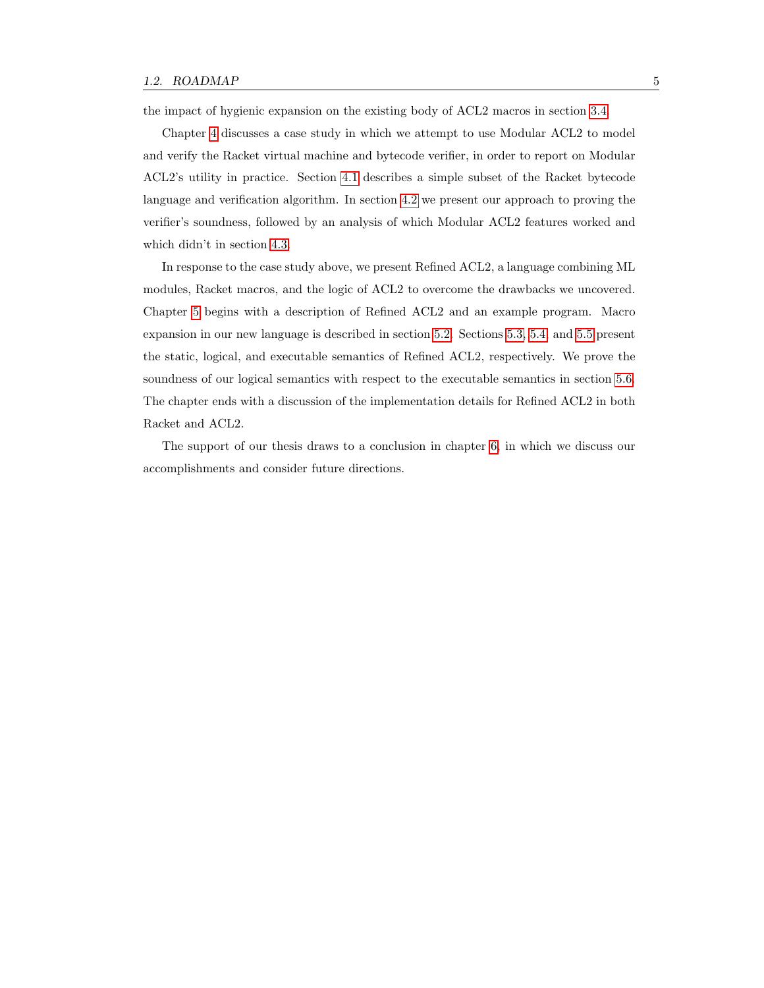the impact of hygienic expansion on the existing body of ACL2 macros in section [3.4.](#page-50-0)

Chapter [4](#page-56-0) discusses a case study in which we attempt to use Modular ACL2 to model and verify the Racket virtual machine and bytecode verifier, in order to report on Modular ACL2's utility in practice. Section [4.1](#page-56-1) describes a simple subset of the Racket bytecode language and verification algorithm. In section [4.2](#page-59-0) we present our approach to proving the verifier's soundness, followed by an analysis of which Modular ACL2 features worked and which didn't in section [4.3.](#page-64-0)

In response to the case study above, we present Refined ACL2, a language combining ML modules, Racket macros, and the logic of ACL2 to overcome the drawbacks we uncovered. Chapter [5](#page-70-0) begins with a description of Refined ACL2 and an example program. Macro expansion in our new language is described in section [5.2.](#page-72-0) Sections [5.3,](#page-75-0) [5.4,](#page-89-0) and [5.5](#page-97-0) present the static, logical, and executable semantics of Refined ACL2, respectively. We prove the soundness of our logical semantics with respect to the executable semantics in section [5.6.](#page-97-1) The chapter ends with a discussion of the implementation details for Refined ACL2 in both Racket and ACL2.

The support of our thesis draws to a conclusion in chapter [6,](#page-110-0) in which we discuss our accomplishments and consider future directions.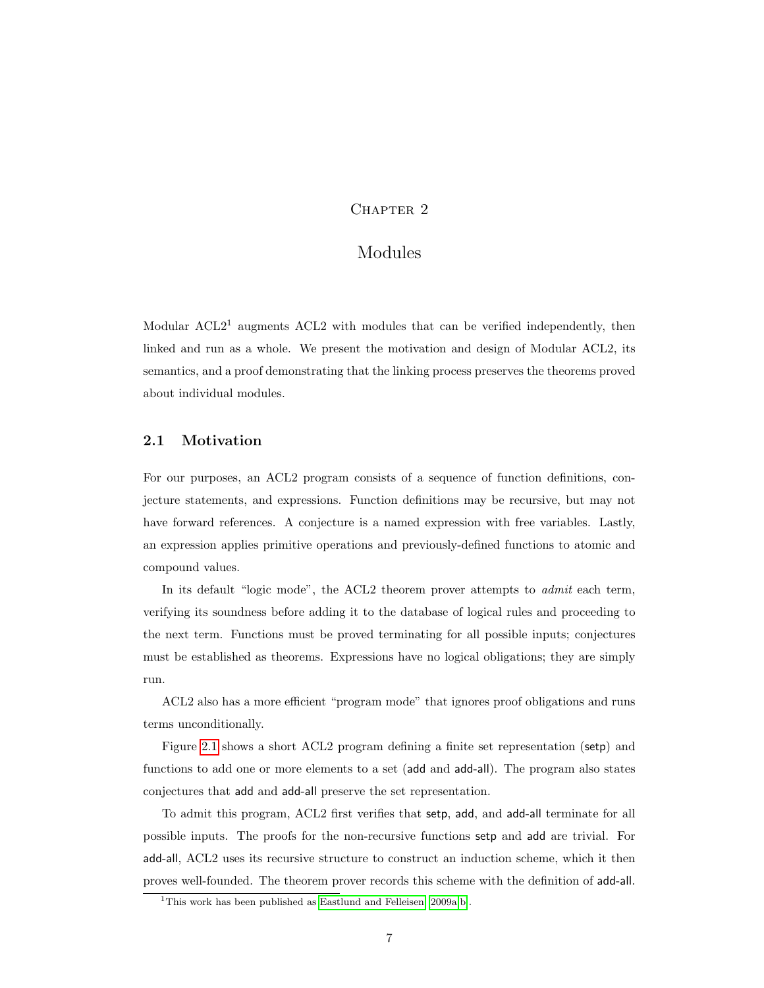## CHAPTER 2

## Modules

<span id="page-16-0"></span>Modular  $\text{ACL}2<sup>1</sup>$  augments  $\text{ACL}2$  with modules that can be verified independently, then linked and run as a whole. We present the motivation and design of Modular ACL2, its semantics, and a proof demonstrating that the linking process preserves the theorems proved about individual modules.

## <span id="page-16-1"></span>2.1 Motivation

For our purposes, an ACL2 program consists of a sequence of function definitions, conjecture statements, and expressions. Function definitions may be recursive, but may not have forward references. A conjecture is a named expression with free variables. Lastly, an expression applies primitive operations and previously-defined functions to atomic and compound values.

In its default "logic mode", the ACL2 theorem prover attempts to admit each term, verifying its soundness before adding it to the database of logical rules and proceeding to the next term. Functions must be proved terminating for all possible inputs; conjectures must be established as theorems. Expressions have no logical obligations; they are simply run.

ACL2 also has a more efficient "program mode" that ignores proof obligations and runs terms unconditionally.

Figure [2.1](#page-17-0) shows a short ACL2 program defining a finite set representation (setp) and functions to add one or more elements to a set (add and add-all). The program also states conjectures that add and add-all preserve the set representation.

To admit this program, ACL2 first verifies that setp, add, and add-all terminate for all possible inputs. The proofs for the non-recursive functions setp and add are trivial. For add-all, ACL2 uses its recursive structure to construct an induction scheme, which it then proves well-founded. The theorem prover records this scheme with the definition of add-all.

<sup>&</sup>lt;sup>1</sup>This work has been published as [Eastlund and Felleisen](#page-124-2) [\[2009a,](#page-124-2)[b\]](#page-124-1).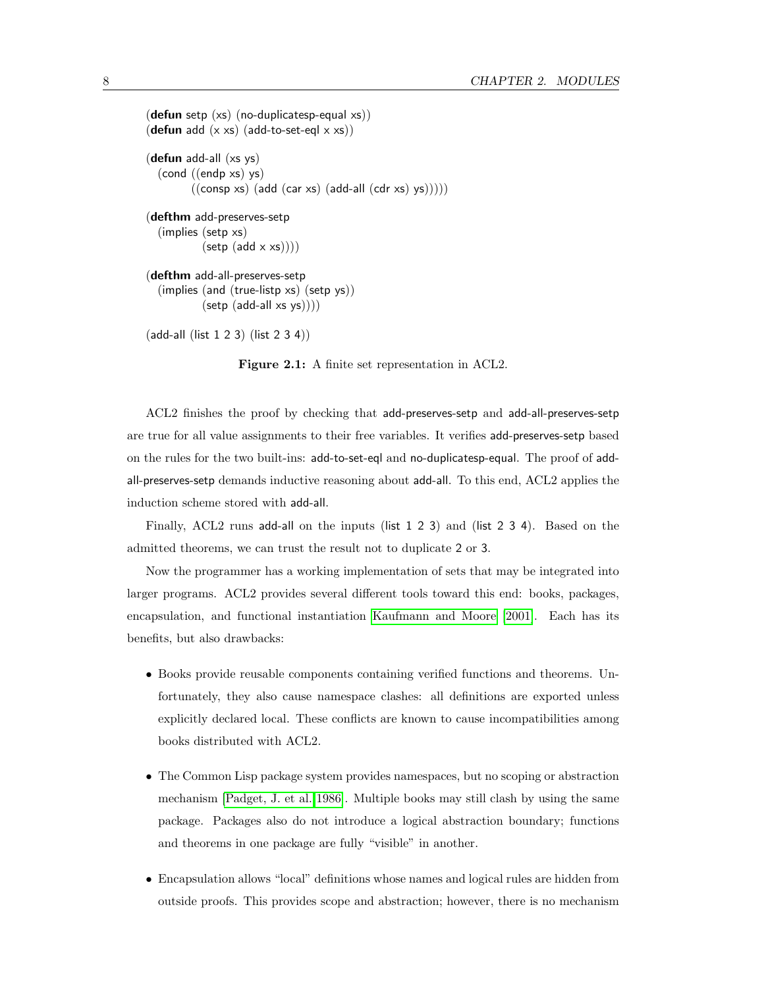```
(defun setp (xs) (no-duplicatesp-equal xs))
(defun add (x \times s) (add-to-set-eql x \times s))
(defun add-all (xs ys)
  (cond ((endp xs) ys)
          ((\text{consp xs}) (\text{add (car xs)} (\text{add-all} (\text{cdr xs}) \text{ys}))))(defthm add-preserves-setp
  (implies (setp xs)
            (setp (add \times xs))))(defthm add-all-preserves-setp
  (implies (and (true-listp xs) (setp ys))
            (setp (add-all xs ys))))
```
(add-all (list 1 2 3) (list 2 3 4))

<span id="page-17-0"></span>Figure 2.1: A finite set representation in ACL2.

ACL2 finishes the proof by checking that add-preserves-setp and add-all-preserves-setp are true for all value assignments to their free variables. It verifies add-preserves-setp based on the rules for the two built-ins: add-to-set-eql and no-duplicatesp-equal. The proof of addall-preserves-setp demands inductive reasoning about add-all. To this end, ACL2 applies the induction scheme stored with add-all.

Finally, ACL2 runs add-all on the inputs (list 1 2 3) and (list 2 3 4). Based on the admitted theorems, we can trust the result not to duplicate 2 or 3.

Now the programmer has a working implementation of sets that may be integrated into larger programs. ACL2 provides several different tools toward this end: books, packages, encapsulation, and functional instantiation [Kaufmann and Moore \[2001\]](#page-125-0). Each has its benefits, but also drawbacks:

- Books provide reusable components containing verified functions and theorems. Unfortunately, they also cause namespace clashes: all definitions are exported unless explicitly declared local. These conflicts are known to cause incompatibilities among books distributed with ACL2.
- The Common Lisp package system provides namespaces, but no scoping or abstraction mechanism [\[Padget, J. et al. 1986\]](#page-126-0). Multiple books may still clash by using the same package. Packages also do not introduce a logical abstraction boundary; functions and theorems in one package are fully "visible" in another.
- Encapsulation allows "local" definitions whose names and logical rules are hidden from outside proofs. This provides scope and abstraction; however, there is no mechanism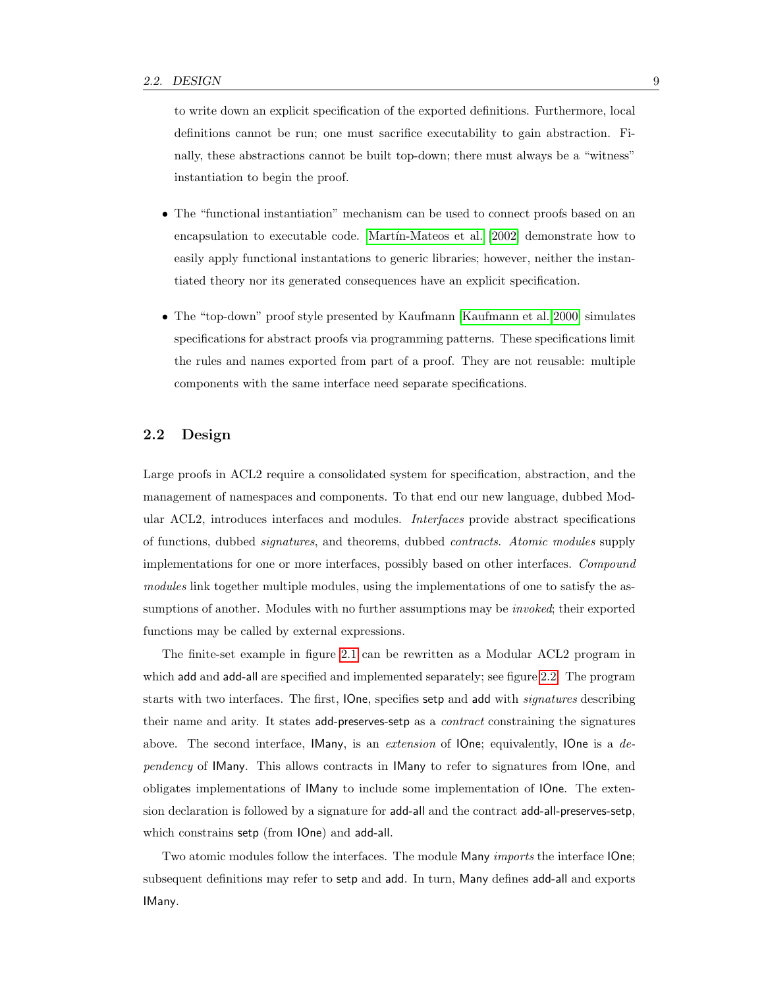to write down an explicit specification of the exported definitions. Furthermore, local definitions cannot be run; one must sacrifice executability to gain abstraction. Finally, these abstractions cannot be built top-down; there must always be a "witness" instantiation to begin the proof.

- The "functional instantiation" mechanism can be used to connect proofs based on an encapsulation to executable code. Martín-Mateos et al. [2002] demonstrate how to easily apply functional instantations to generic libraries; however, neither the instantiated theory nor its generated consequences have an explicit specification.
- The "top-down" proof style presented by Kaufmann [\[Kaufmann et al. 2000\]](#page-126-2) simulates specifications for abstract proofs via programming patterns. These specifications limit the rules and names exported from part of a proof. They are not reusable: multiple components with the same interface need separate specifications.

### <span id="page-18-0"></span>2.2 Design

Large proofs in ACL2 require a consolidated system for specification, abstraction, and the management of namespaces and components. To that end our new language, dubbed Modular ACL2, introduces interfaces and modules. Interfaces provide abstract specifications of functions, dubbed signatures, and theorems, dubbed contracts. Atomic modules supply implementations for one or more interfaces, possibly based on other interfaces. Compound modules link together multiple modules, using the implementations of one to satisfy the assumptions of another. Modules with no further assumptions may be *invoked*; their exported functions may be called by external expressions.

The finite-set example in figure [2.1](#page-17-0) can be rewritten as a Modular ACL2 program in which add and add-all are specified and implemented separately; see figure [2.2.](#page-19-0) The program starts with two interfaces. The first, IOne, specifies setp and add with signatures describing their name and arity. It states add-preserves-setp as a *contract* constraining the signatures above. The second interface, IMany, is an *extension* of IOne; equivalently, IOne is a *de*pendency of IMany. This allows contracts in IMany to refer to signatures from IOne, and obligates implementations of IMany to include some implementation of IOne. The extension declaration is followed by a signature for add-all and the contract add-all-preserves-setp, which constrains setp (from IOne) and add-all.

Two atomic modules follow the interfaces. The module Many *imports* the interface IOne; subsequent definitions may refer to setp and add. In turn, Many defines add-all and exports IMany.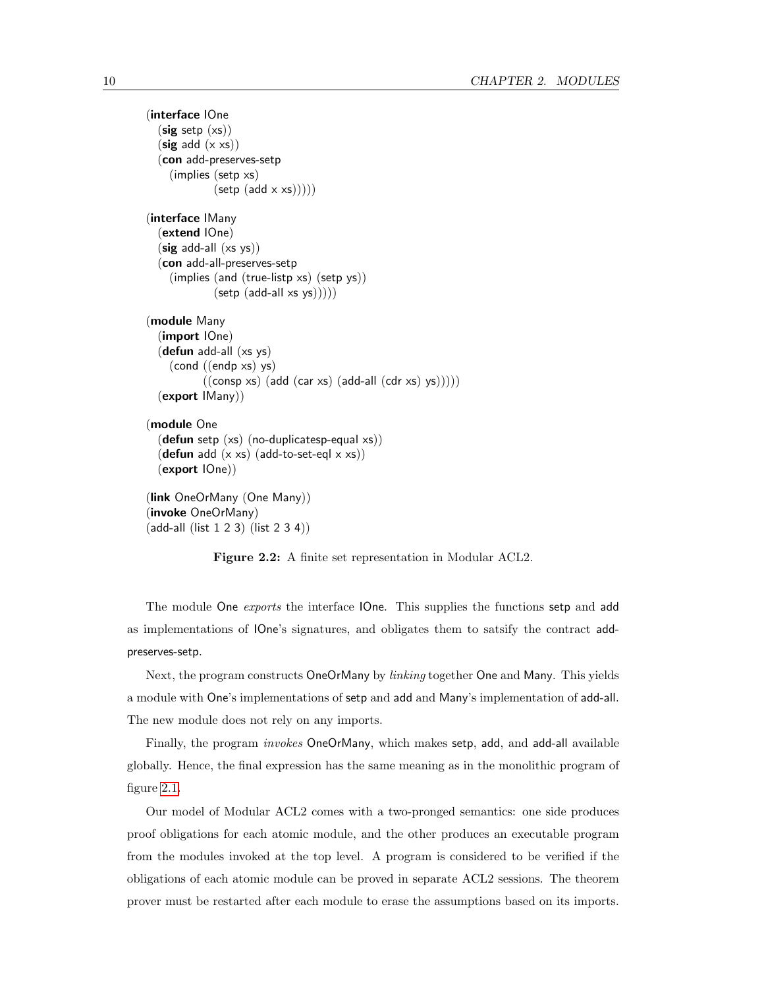```
(interface IOne
  (sig setp(xs))(sig add (x xs))(con add-preserves-setp
     (implies (setp xs)
              (\text{setp }(\text{add } x \times s))))(interface IMany
  (extend IOne)
  (sig add-all (xs ys))(con add-all-preserves-setp
     (implies (and (true-listp xs) (setp ys))
              (\text{setp } (\text{add-all xs ys})))(module Many
  (import IOne)
  (defun add-all (xs ys)
     (cond ((endp xs) ys)
            ((\text{consp xs}) (\text{add} (\text{car xs}) (\text{add-all} (\text{cdr xs}) \text{ys}))))(export IMany))
(module One
  (defun setp (xs) (no-duplicatesp-equal xs))
  (defun add (x \times s) (add-to-set-eql x \times s))
  (export IOne))
(link OneOrMany (One Many))
(invoke OneOrMany)
(add-all (list 1 2 3) (list 2 3 4))
```
<span id="page-19-0"></span>Figure 2.2: A finite set representation in Modular ACL2.

The module One *exports* the interface IOne. This supplies the functions setp and add as implementations of IOne's signatures, and obligates them to satsify the contract addpreserves-setp.

Next, the program constructs OneOrMany by *linking* together One and Many. This yields a module with One's implementations of setp and add and Many's implementation of add-all. The new module does not rely on any imports.

Finally, the program invokes OneOrMany, which makes setp, add, and add-all available globally. Hence, the final expression has the same meaning as in the monolithic program of figure [2.1.](#page-17-0)

Our model of Modular ACL2 comes with a two-pronged semantics: one side produces proof obligations for each atomic module, and the other produces an executable program from the modules invoked at the top level. A program is considered to be verified if the obligations of each atomic module can be proved in separate ACL2 sessions. The theorem prover must be restarted after each module to erase the assumptions based on its imports.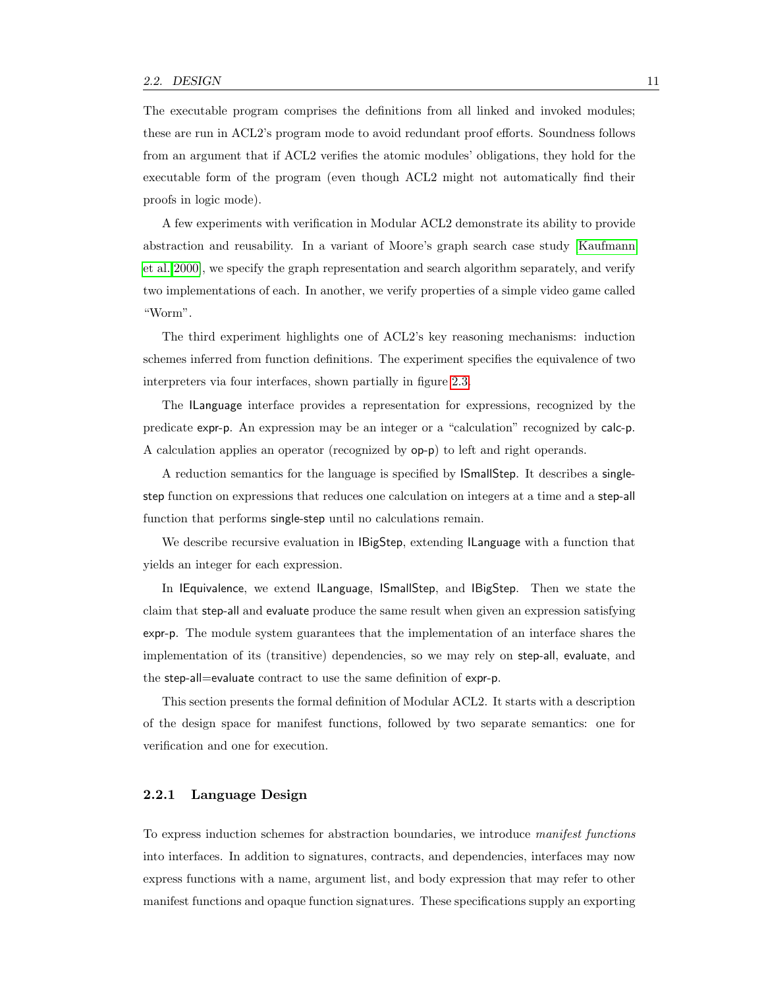The executable program comprises the definitions from all linked and invoked modules; these are run in ACL2's program mode to avoid redundant proof efforts. Soundness follows from an argument that if ACL2 verifies the atomic modules' obligations, they hold for the executable form of the program (even though ACL2 might not automatically find their proofs in logic mode).

A few experiments with verification in Modular ACL2 demonstrate its ability to provide abstraction and reusability. In a variant of Moore's graph search case study [\[Kaufmann](#page-126-2) [et al. 2000\]](#page-126-2), we specify the graph representation and search algorithm separately, and verify two implementations of each. In another, we verify properties of a simple video game called "Worm".

The third experiment highlights one of ACL2's key reasoning mechanisms: induction schemes inferred from function definitions. The experiment specifies the equivalence of two interpreters via four interfaces, shown partially in figure [2.3.](#page-21-0)

The ILanguage interface provides a representation for expressions, recognized by the predicate expr-p. An expression may be an integer or a "calculation" recognized by calc-p. A calculation applies an operator (recognized by op-p) to left and right operands.

A reduction semantics for the language is specified by ISmallStep. It describes a singlestep function on expressions that reduces one calculation on integers at a time and a step-all function that performs single-step until no calculations remain.

We describe recursive evaluation in IBigStep, extending ILanguage with a function that yields an integer for each expression.

In IEquivalence, we extend ILanguage, ISmallStep, and IBigStep. Then we state the claim that step-all and evaluate produce the same result when given an expression satisfying expr-p. The module system guarantees that the implementation of an interface shares the implementation of its (transitive) dependencies, so we may rely on step-all, evaluate, and the step-all=evaluate contract to use the same definition of expr-p.

This section presents the formal definition of Modular ACL2. It starts with a description of the design space for manifest functions, followed by two separate semantics: one for verification and one for execution.

#### 2.2.1 Language Design

To express induction schemes for abstraction boundaries, we introduce manifest functions into interfaces. In addition to signatures, contracts, and dependencies, interfaces may now express functions with a name, argument list, and body expression that may refer to other manifest functions and opaque function signatures. These specifications supply an exporting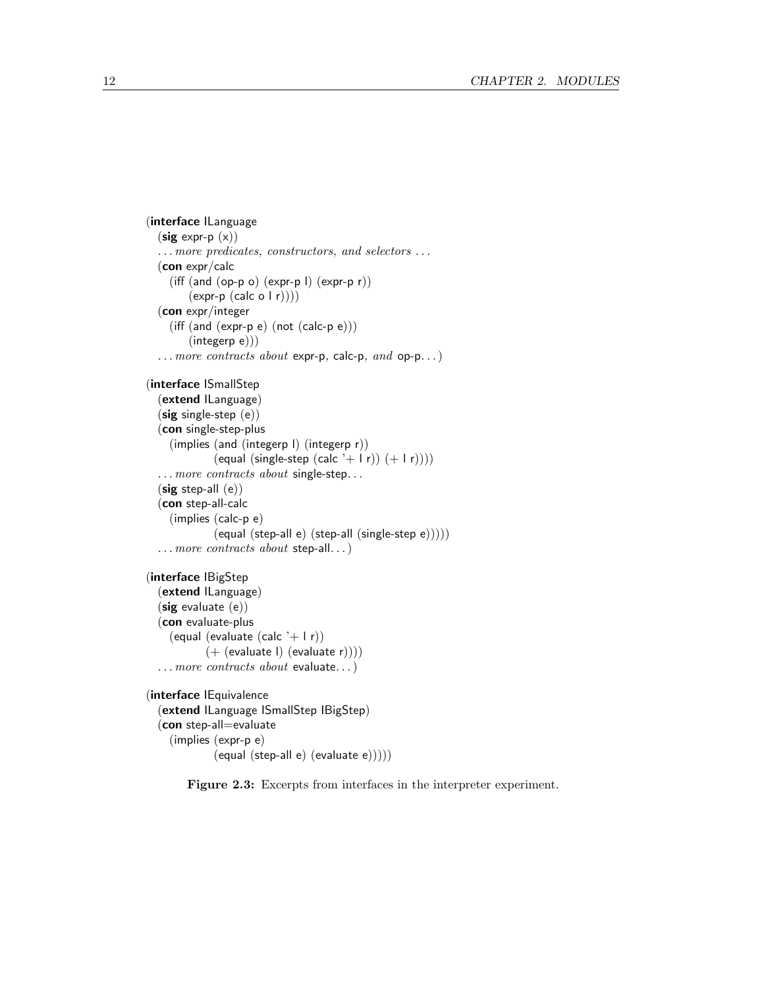```
(interface ILanguage
  (\text{sig expr-p } (x)). . . more predicates, constructors, and selectors . . .
  (con expr/calc
    (iff (and (op-p o) (expr-p l) (expr-p r))
        (exp-p (calc o | r))))(con expr/integer
    (iff (and (expr-p e) (not (calc-p e)))(integerp e)))
  ... more contracts about expr-p, calc-p, and op-p...)
(interface ISmallStep
  (extend ILanguage)
  (sig single-step (e))
  (con single-step-plus
    (implies (and (integerp l) (integerp r))
             (equal (single-step (calc '+ l r)) (+1 r)))
  ... more contracts about single-step...
  (sig step-all(e))(con step-all-calc
    (implies (calc-p e)
             (equal (step-all e) (step-all (single-step e)))))
  ... more contracts about step-all...)
(interface IBigStep
  (extend ILanguage)
  (sig evaluate (e))
  (con evaluate-plus
    (equal (evaluate (calc '+ l r))
           (+ (evaluate I) (evaluate r))))
  . . . more contracts about evaluate. . .)
(interface IEquivalence
  (extend ILanguage ISmallStep IBigStep)
  (con step-all=evaluate
    (implies (expr-p e)
             (equal (step-all e) (evaluate e)))))
```
<span id="page-21-0"></span>Figure 2.3: Excerpts from interfaces in the interpreter experiment.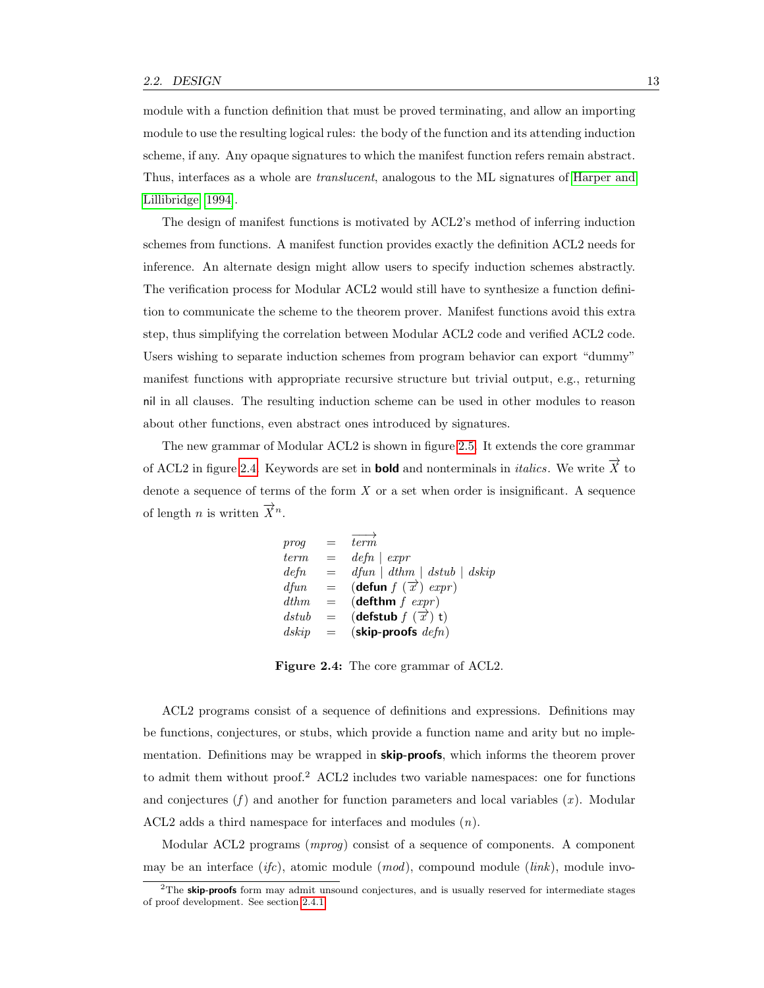module with a function definition that must be proved terminating, and allow an importing module to use the resulting logical rules: the body of the function and its attending induction scheme, if any. Any opaque signatures to which the manifest function refers remain abstract. Thus, interfaces as a whole are translucent, analogous to the ML signatures of [Harper and](#page-125-1) [Lillibridge \[1994\]](#page-125-1).

The design of manifest functions is motivated by ACL2's method of inferring induction schemes from functions. A manifest function provides exactly the definition ACL2 needs for inference. An alternate design might allow users to specify induction schemes abstractly. The verification process for Modular ACL2 would still have to synthesize a function definition to communicate the scheme to the theorem prover. Manifest functions avoid this extra step, thus simplifying the correlation between Modular ACL2 code and verified ACL2 code. Users wishing to separate induction schemes from program behavior can export "dummy" manifest functions with appropriate recursive structure but trivial output, e.g., returning nil in all clauses. The resulting induction scheme can be used in other modules to reason about other functions, even abstract ones introduced by signatures.

The new grammar of Modular ACL2 is shown in figure [2.5.](#page-23-0) It extends the core grammar of ACL2 in figure [2.4.](#page-22-0) Keywords are set in **bold** and nonterminals in *italics*. We write  $\overrightarrow{X}$  to denote a sequence of terms of the form  $X$  or a set when order is insignificant. A sequence of length *n* is written  $\overrightarrow{X}^n$ .

$$
\begin{array}{rcll} \textit{prog} & = & \overrightarrow{term} \\ \textit{term} & = & \textit{defn} \mid \textit{expr} \\ \textit{defn} & = & \textit{dfun} \mid \textit{dthm} \mid \textit{dstub} \mid \textit{dskip} \\ \textit{dfun} & = & (\text{defun } f \ (\overrightarrow{x}) \ \textit{expr}) \\ \textit{dthm} & = & (\text{defstm } f \ \textit{expr}) \\ \textit{dstub} & = & (\text{defstub } f \ (\overrightarrow{x}) \ \textit{t}) \\ \textit{dskip} & = & (\text{skip-proofs } \textit{defn}) \end{array}
$$

<span id="page-22-0"></span>Figure 2.4: The core grammar of ACL2.

ACL2 programs consist of a sequence of definitions and expressions. Definitions may be functions, conjectures, or stubs, which provide a function name and arity but no implementation. Definitions may be wrapped in **skip-proofs**, which informs the theorem prover to admit them without proof.<sup>2</sup> ACL2 includes two variable namespaces: one for functions and conjectures  $(f)$  and another for function parameters and local variables  $(x)$ . Modular ACL2 adds a third namespace for interfaces and modules (n).

Modular ACL2 programs (mprog) consist of a sequence of components. A component may be an interface (*ifc*), atomic module  $(mod)$ , compound module  $(link)$ , module invo-

 $2$ The **skip-proofs** form may admit unsound conjectures, and is usually reserved for intermediate stages of proof development. See section [2.4.1.](#page-28-2)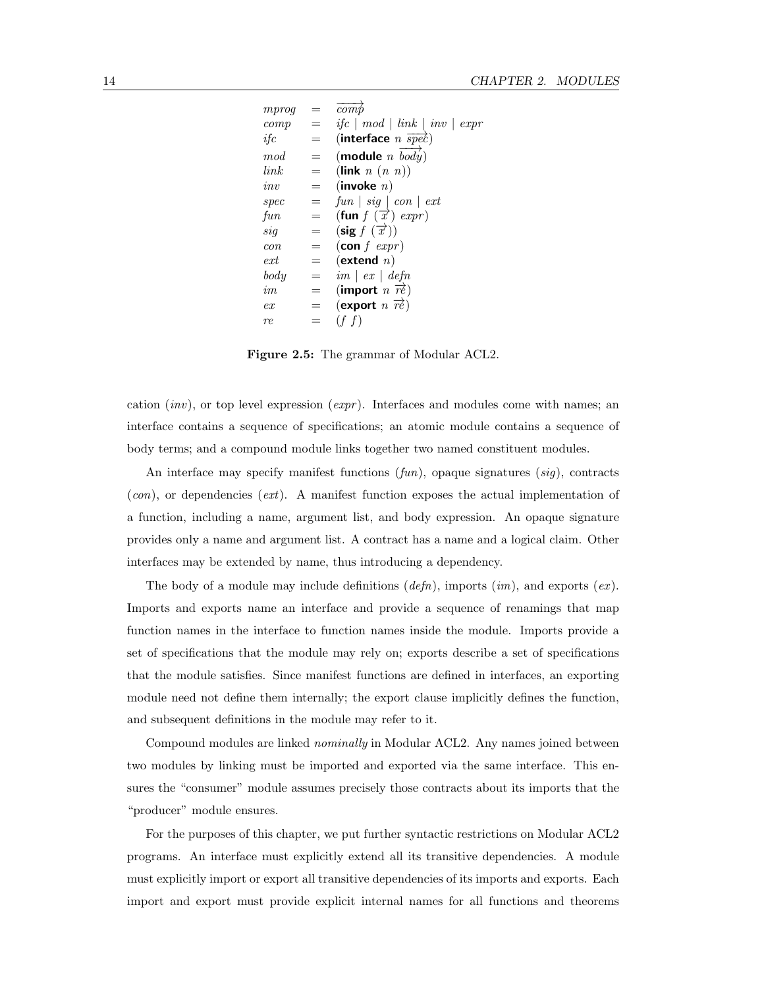| mprog |     | $\overline{comb}$                            |
|-------|-----|----------------------------------------------|
| comp  | $=$ | $if c \mid mod \mid link \mid inv \mid expr$ |
| if c  | $=$ | (interface $n \overrightarrow{spec}$ )       |
| mod   | $=$ | (module $n \overrightarrow{body}$ )          |
| link  | $=$ | (link $n(n, n)$ )                            |
| inv   | $=$ | $($ invoke $n)$                              |
| spec  | $=$ | $fun \mid sig \mid con \mid ext$             |
| fun   | =   | (fun $f(\vec{x})$ expr)                      |
| sig   | $=$ | $(\text{sig } f(\overrightarrow{x}))$        |
| con   | $=$ | $(\textbf{con} f \; \textit{expr})$          |
| ext   | $=$ | $(\textbf{extend}~n)$                        |
| body  | $=$ | $im \mid ex \mid defn$                       |
| im    | $=$ | (import $n \overrightarrow{re}$ )            |
| ex    | =   | (export $n \overrightarrow{re}$ )            |
| re    |     | (f f)                                        |

<span id="page-23-0"></span>Figure 2.5: The grammar of Modular ACL2.

cation (inv), or top level expression (expr). Interfaces and modules come with names; an interface contains a sequence of specifications; an atomic module contains a sequence of body terms; and a compound module links together two named constituent modules.

An interface may specify manifest functions  $(fun)$ , opaque signatures  $(sig)$ , contracts  $(con)$ , or dependencies  $(ext)$ . A manifest function exposes the actual implementation of a function, including a name, argument list, and body expression. An opaque signature provides only a name and argument list. A contract has a name and a logical claim. Other interfaces may be extended by name, thus introducing a dependency.

The body of a module may include definitions  $(defn)$ , imports  $(im)$ , and exports  $(ex)$ . Imports and exports name an interface and provide a sequence of renamings that map function names in the interface to function names inside the module. Imports provide a set of specifications that the module may rely on; exports describe a set of specifications that the module satisfies. Since manifest functions are defined in interfaces, an exporting module need not define them internally; the export clause implicitly defines the function, and subsequent definitions in the module may refer to it.

Compound modules are linked nominally in Modular ACL2. Any names joined between two modules by linking must be imported and exported via the same interface. This ensures the "consumer" module assumes precisely those contracts about its imports that the "producer" module ensures.

For the purposes of this chapter, we put further syntactic restrictions on Modular ACL2 programs. An interface must explicitly extend all its transitive dependencies. A module must explicitly import or export all transitive dependencies of its imports and exports. Each import and export must provide explicit internal names for all functions and theorems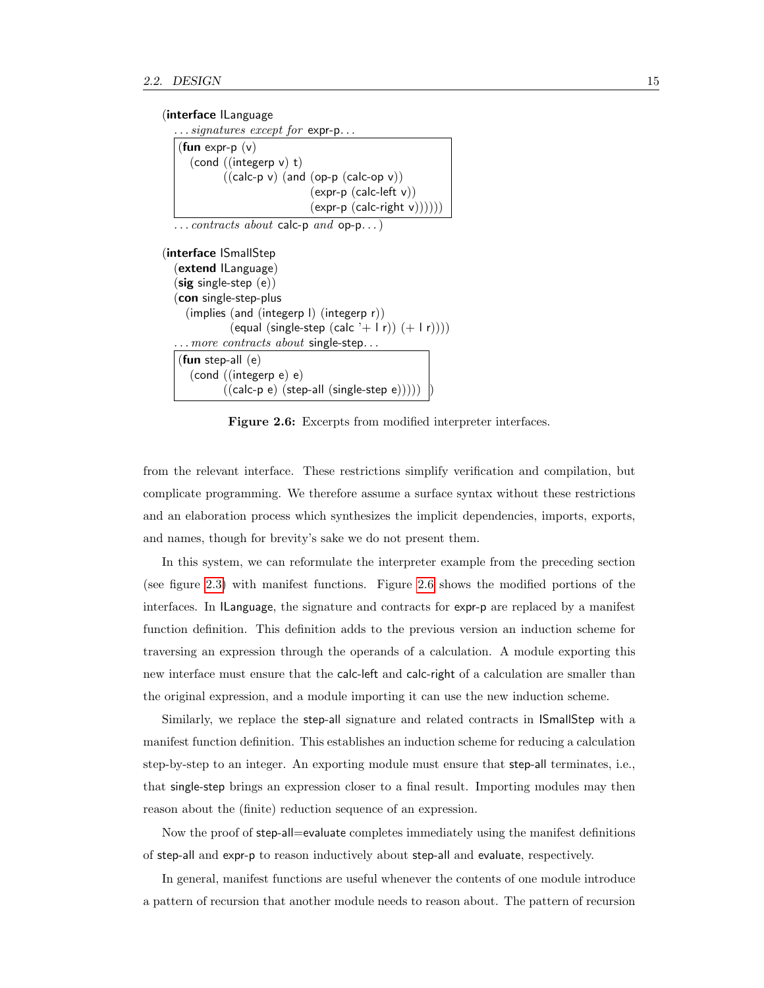#### (interface ILanguage

 $\ldots$  signatures except for expr-p.

```
(fun expr-p (v)(cond ((integerp v) t)
        ((calc-p v) (and (op-p (calc-op v))
                          (expr-p (calc-left v))
                          (exp-p (calc-right v))))
```
 $\dots$  contracts about calc-p and op-p...)

```
(interface ISmallStep
  (extend ILanguage)
  (sig single-step (e))(con single-step-plus
    (implies (and (integerp l) (integerp r))
             (equal (single-step (calc '+ l r)) (+ 1 r)))
   .. more contracts about single-step...
  (fun step-all (e)
     (cond ((integerp e) e)
           ((calc-p e) (step-all (single-step e))))
```
<span id="page-24-0"></span>Figure 2.6: Excerpts from modified interpreter interfaces.

from the relevant interface. These restrictions simplify verification and compilation, but complicate programming. We therefore assume a surface syntax without these restrictions and an elaboration process which synthesizes the implicit dependencies, imports, exports, and names, though for brevity's sake we do not present them.

In this system, we can reformulate the interpreter example from the preceding section (see figure [2.3\)](#page-21-0) with manifest functions. Figure [2.6](#page-24-0) shows the modified portions of the interfaces. In ILanguage, the signature and contracts for expr-p are replaced by a manifest function definition. This definition adds to the previous version an induction scheme for traversing an expression through the operands of a calculation. A module exporting this new interface must ensure that the calc-left and calc-right of a calculation are smaller than the original expression, and a module importing it can use the new induction scheme.

Similarly, we replace the step-all signature and related contracts in ISmallStep with a manifest function definition. This establishes an induction scheme for reducing a calculation step-by-step to an integer. An exporting module must ensure that step-all terminates, i.e., that single-step brings an expression closer to a final result. Importing modules may then reason about the (finite) reduction sequence of an expression.

Now the proof of step-all=evaluate completes immediately using the manifest definitions of step-all and expr-p to reason inductively about step-all and evaluate, respectively.

In general, manifest functions are useful whenever the contents of one module introduce a pattern of recursion that another module needs to reason about. The pattern of recursion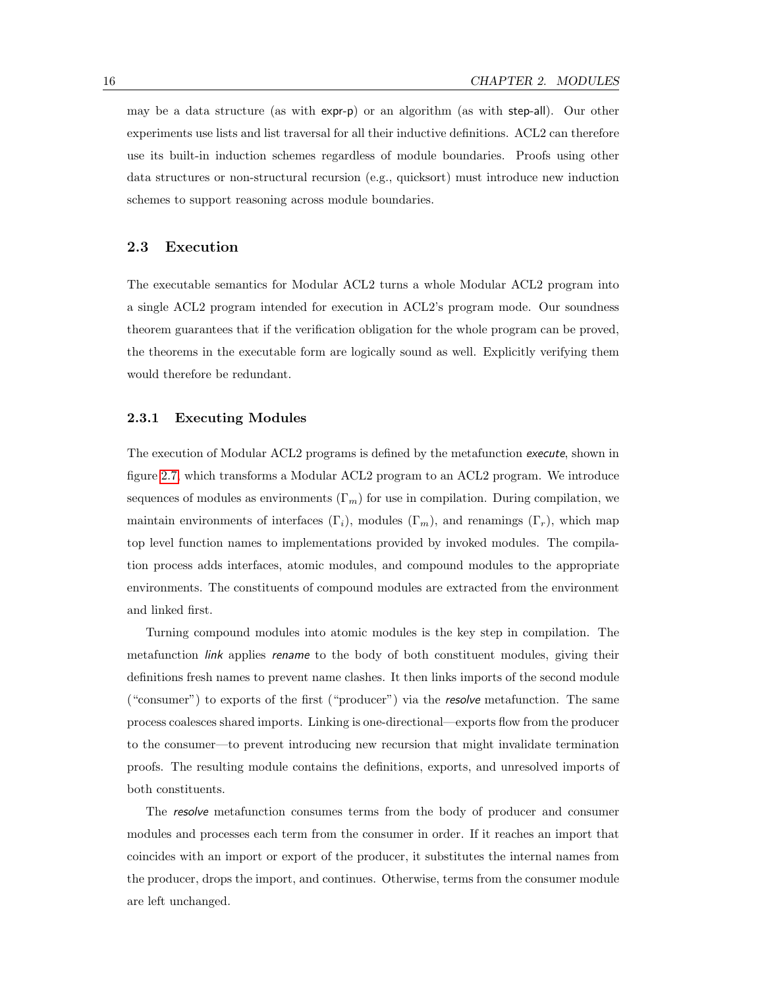may be a data structure (as with expr-p) or an algorithm (as with step-all). Our other experiments use lists and list traversal for all their inductive definitions. ACL2 can therefore use its built-in induction schemes regardless of module boundaries. Proofs using other data structures or non-structural recursion (e.g., quicksort) must introduce new induction schemes to support reasoning across module boundaries.

#### <span id="page-25-0"></span>2.3 Execution

The executable semantics for Modular ACL2 turns a whole Modular ACL2 program into a single ACL2 program intended for execution in ACL2's program mode. Our soundness theorem guarantees that if the verification obligation for the whole program can be proved, the theorems in the executable form are logically sound as well. Explicitly verifying them would therefore be redundant.

#### 2.3.1 Executing Modules

The execution of Modular ACL2 programs is defined by the metafunction execute, shown in figure [2.7,](#page-26-0) which transforms a Modular ACL2 program to an ACL2 program. We introduce sequences of modules as environments  $(\Gamma_m)$  for use in compilation. During compilation, we maintain environments of interfaces  $(\Gamma_i)$ , modules  $(\Gamma_m)$ , and renamings  $(\Gamma_r)$ , which map top level function names to implementations provided by invoked modules. The compilation process adds interfaces, atomic modules, and compound modules to the appropriate environments. The constituents of compound modules are extracted from the environment and linked first.

Turning compound modules into atomic modules is the key step in compilation. The metafunction *link* applies rename to the body of both constituent modules, giving their definitions fresh names to prevent name clashes. It then links imports of the second module ("consumer") to exports of the first ("producer") via the resolve metafunction. The same process coalesces shared imports. Linking is one-directional—exports flow from the producer to the consumer—to prevent introducing new recursion that might invalidate termination proofs. The resulting module contains the definitions, exports, and unresolved imports of both constituents.

The resolve metafunction consumes terms from the body of producer and consumer modules and processes each term from the consumer in order. If it reaches an import that coincides with an import or export of the producer, it substitutes the internal names from the producer, drops the import, and continues. Otherwise, terms from the consumer module are left unchanged.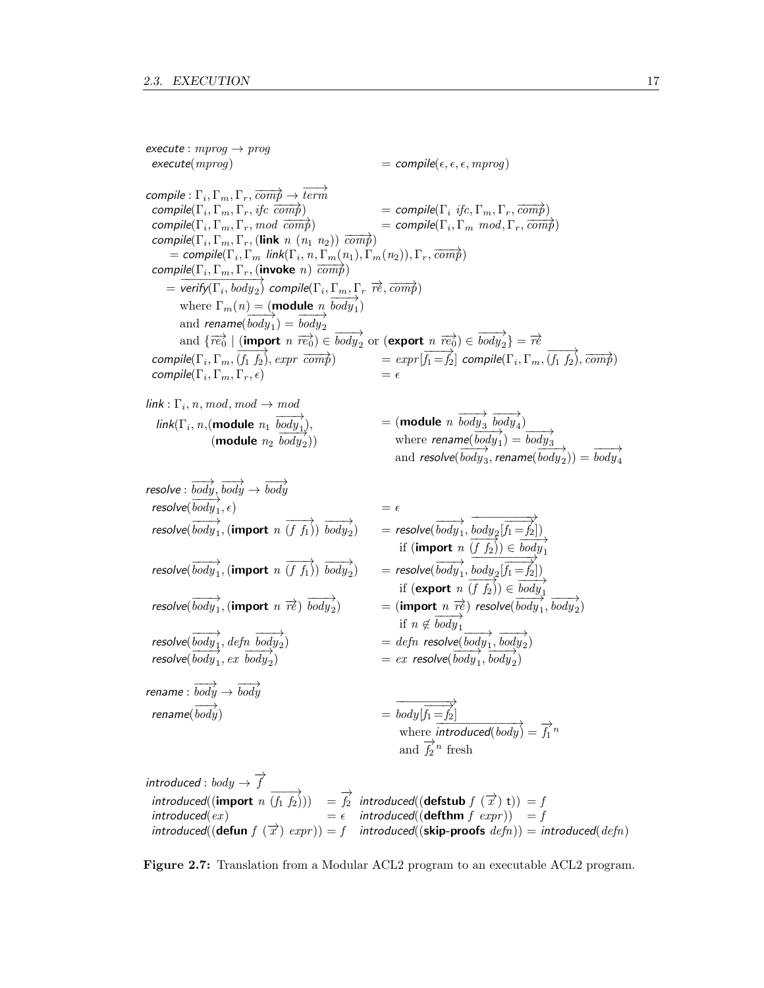execute :  $mprog \rightarrow prog$  $\text{execute}(mprog)$   $= \text{compile}(\epsilon, \epsilon, \epsilon, mprog)$  $\mathit{compile}: \Gamma_i, \Gamma_m, \Gamma_r, \overrightarrow{\mathit{comp}} \rightarrow \overrightarrow{\mathit{term}}$ compile( $\Gamma_i, \Gamma_m, \Gamma_r$ , if  $\overrightarrow{comp}$ )  $\sum_{i=1}^{n} \sum_{r=1}^{n} \sum_{r=1}^{n} \sum_{r=1}^{n} \sum_{r=1}^{n} \sum_{r=1}^{n} \sum_{r=1}^{n} \sum_{r=1}^{n} \sum_{r=1}^{n} \sum_{r=1}^{n} \sum_{r=1}^{n} \sum_{r=1}^{n} \sum_{r=1}^{n} \sum_{r=1}^{n} \sum_{r=1}^{n} \sum_{r=1}^{n} \sum_{r=1}^{n} \sum_{r=1}^{n} \sum_{r=1}^{n} \sum_{r=1}^{n} \sum_{r=1}^{n} \sum_{r=1}^{n}$  $\overline{compile}(\Gamma_i, \Gamma_m, \Gamma_r, \mod{comp})$  = compile( $\Gamma_i$ ,  $\Gamma_m, \Gamma_r, \mod{comp}$ ) = compile( $\Gamma_i$  $\overrightarrow{\Gamma_m \mod, \Gamma_r, \overrightarrow{comp}}$  $\overrightarrow{compile}(\Gamma_i, \Gamma_m, \Gamma_r, (link \space n \space (n_1 \space n_2)) \space \overrightarrow{comp})$ = compile( $\Gamma_i$ ,  $\Gamma_m$  link( $\Gamma_i$ ,  $n$ ,  $\Gamma_m(n_1)$ ,  $\Gamma_m(n_2)$ ),  $\Gamma_r$ ,  $\overline{comp}$ )  $\overline{compile}(\Gamma_i, \Gamma_m, \Gamma_r, (invoke n) \overline{comp})$  $= \text{verify}(\Gamma_i, \text{body}_2)$  compile( $\Gamma_i, \Gamma_m, \Gamma_r$   $\vec{r}$ ),  $\overrightarrow{comp}$ ) where  $\Gamma_m(n) = (\text{module } n, \frac{1}{body_1})$ and rename( $\overrightarrow{body}_1$ ) =  $\overrightarrow{body}_2$ and  $\{\overrightarrow{re_0} \mid (\text{import } n \overrightarrow{re_0}) \in \overrightarrow{body_2} \text{ or } (\text{export } n \overrightarrow{re_0}) \in \overrightarrow{body_2}\} = \overrightarrow{re}$ compile( $\Gamma_i$ ,  $\Gamma_m$ ,  $\overline{(f_1 f_2)}$ , expr  $\overline{comp}$ ) = expr $\overline{f_1 = f_2}$ ] compile( $\Gamma_i$ ,  $\Gamma_m$ ,  $\overline{(f_1 f_2)}$ ,  $\overline{comp}$ ) compile( $\Gamma_i, \Gamma_m, \Gamma_r, \epsilon$ )  $, \Gamma_m, \Gamma_r, \epsilon$  =  $\epsilon$  $\mathsf{link} : \Gamma_i$ ,  $n, \mathit{mod}, \mathit{mod} \rightarrow \mathit{mod}$  $\overrightarrow{body_3}$  $\overrightarrow{body_4}$ 

$$
\begin{array}{ll}\n\text{link}(\Gamma_i, n, (\text{module } n_1 \overrightarrow{body_1}), & = (\text{module } n \overrightarrow{body_3} \overrightarrow{body_4}) \\
 & (\text{module } n_2 \overrightarrow{body_2})) & \text{where } \text{remainder}(\overrightarrow{body_1}) = \overrightarrow{body_3} \\
 & \text{and } \text{resolve}(\overrightarrow{body_3}, \text{ rename}(\overrightarrow{body_2})) = \overrightarrow{body_4}\n\end{array}
$$

resolve : 
$$
\overrightarrow{body}
$$
,  $\overrightarrow{body}$   
\nresolve( $\overrightarrow{body}_1$ , ε)  
\nresolve( $\overrightarrow{body}_1$ , (**import** *n* (*f f*<sub>1</sub>))  $\overrightarrow{body}_2$ )  
\nresolve( $\overrightarrow{body}_1$ , (**import** *n* (*f f*<sub>1</sub>))  $\overrightarrow{body}_2$ )  
\nresolve( $\overrightarrow{body}_1$ , (**import** *n* (*f f*<sub>1</sub>))  $\overrightarrow{body}_2$ )  
\nresolve( $\overrightarrow{body}_1$ , (**import** *n*  $\overrightarrow{r}$ )  $\overrightarrow{body}_2$ )  
\nresolve( $\overrightarrow{body}_1$ , (**import** *n*  $\overrightarrow{r}$ )  $\overrightarrow{body}_2$ )  
\nresolve( $\overrightarrow{body}_1$ , (**import** *n*  $\overrightarrow{r}$ )  $\overrightarrow{body}_2$ )  
\nresolve( $\overrightarrow{body}_1$ ,  $\overrightarrow{defn}$   $\overrightarrow{body}_2$ )  
\nresolve( $\overrightarrow{body}_1$ ,  $\overrightarrow{defn}$   $\overrightarrow{body}_2$ )  
\nresolve( $\overrightarrow{body}_1$ ,  $\overrightarrow{defn}$   $\overrightarrow{body}_2$ )  
\nresolve( $\overrightarrow{body}_1$ ,  $\overrightarrow{defn}$   $\overrightarrow{body}_2$ )  
\n $\overrightarrow{else}$   $\overrightarrow{refn}$  resolve( $\overrightarrow{body}_1$ ,  $\overrightarrow{body}_2$ )  
\n $\overrightarrow{else}$   $\overrightarrow{degy}_1$ ,  $\overrightarrow{body}_2$ )  
\n $\overrightarrow{else}$   $\overrightarrow{degy}_1$ ,  $\overrightarrow{body}_2$ )  
\n $\overrightarrow{H}$   $\overrightarrow{red}$   $\overrightarrow{body}_1$   
\n $\overrightarrow{H}$   $\overrightarrow{h}$   $\overrightarrow{h}$   
\n $\overrightarrow{H}$  

introduced :  $\textit{body} \rightarrow \overrightarrow{f}$ introduced((import  $n \overrightarrow{(f_1 f_2)}$ ))  $= \overrightarrow{f_2}$  introduced((defstub  $f(\overrightarrow{x})$ )) = f  $introduced(ex)$   $= \epsilon$   $introduced((definition f \; expr))$   $= f$  $introduced((\text{defun } f(\vec{x}) \text{ expr})) = f \text{ introduced}((\text{skip-proofs } defn)) = introduced(\text{defn})$ 

<span id="page-26-0"></span>Figure 2.7: Translation from a Modular ACL2 program to an executable ACL2 program.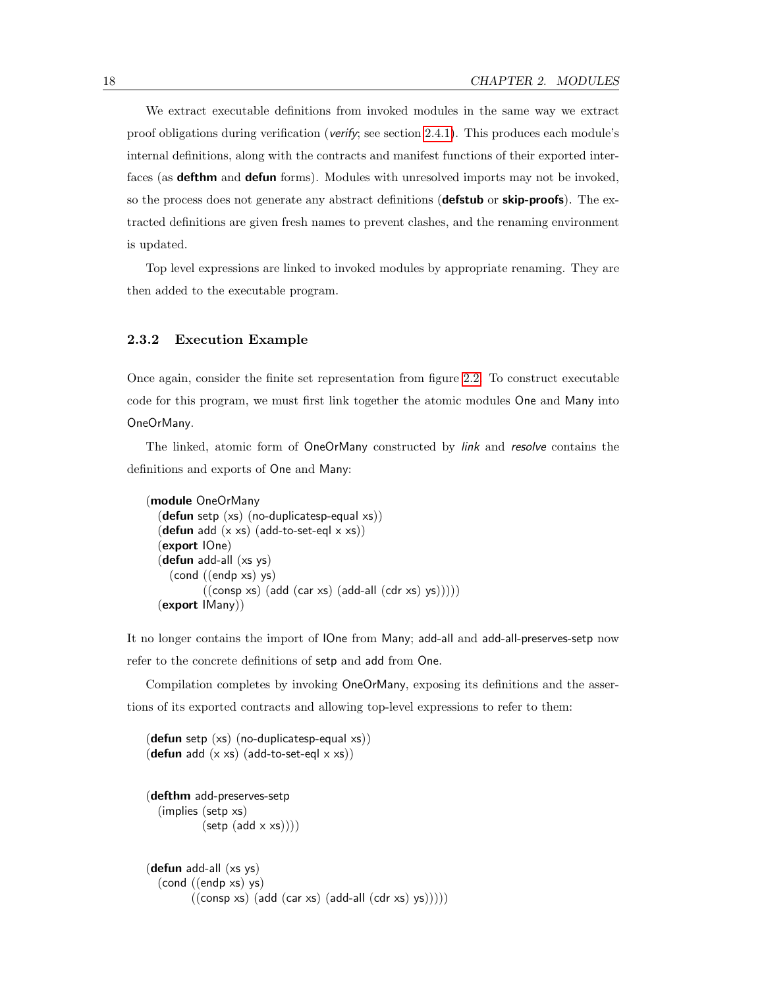We extract executable definitions from invoked modules in the same way we extract proof obligations during verification (*verify*; see section [2.4.1\)](#page-28-2). This produces each module's internal definitions, along with the contracts and manifest functions of their exported interfaces (as **defthm** and **defun** forms). Modules with unresolved imports may not be invoked, so the process does not generate any abstract definitions (**defstub** or **skip-proofs**). The extracted definitions are given fresh names to prevent clashes, and the renaming environment is updated.

Top level expressions are linked to invoked modules by appropriate renaming. They are then added to the executable program.

#### 2.3.2 Execution Example

Once again, consider the finite set representation from figure [2.2.](#page-19-0) To construct executable code for this program, we must first link together the atomic modules One and Many into OneOrMany.

The linked, atomic form of OneOrMany constructed by link and resolve contains the definitions and exports of One and Many:

```
(module OneOrMany
  (defun setp (xs) (no-duplicatesp-equal xs))
  (defun add (x \times s) (add-to-set-eql x \times s))
  (export IOne)
  (defun add-all (xs ys)
     (cond ((endp xs) ys)
            ((\text{consp xs}) (\text{add (car xs)} (\text{add-all (cdr xs)} ys))))(export IMany))
```
It no longer contains the import of IOne from Many; add-all and add-all-preserves-setp now refer to the concrete definitions of setp and add from One.

Compilation completes by invoking OneOrMany, exposing its definitions and the assertions of its exported contracts and allowing top-level expressions to refer to them:

```
(\text{defun} \text{ setp } (xs) \text{ (no-duplicatesp-equal xs)})(defun add (x \times s) (add-to-set-eql x \times s))
(defthm add-preserves-setp
   (implies (setp xs)
              (\text{setp } (add \times xs))))(defun add-all (xs ys)
   (cond ((endp xs) ys)
           ((\text{consp xs}) (\text{add (car xs}) (\text{add-all} (\text{cdr xs}) \text{ys}))))
```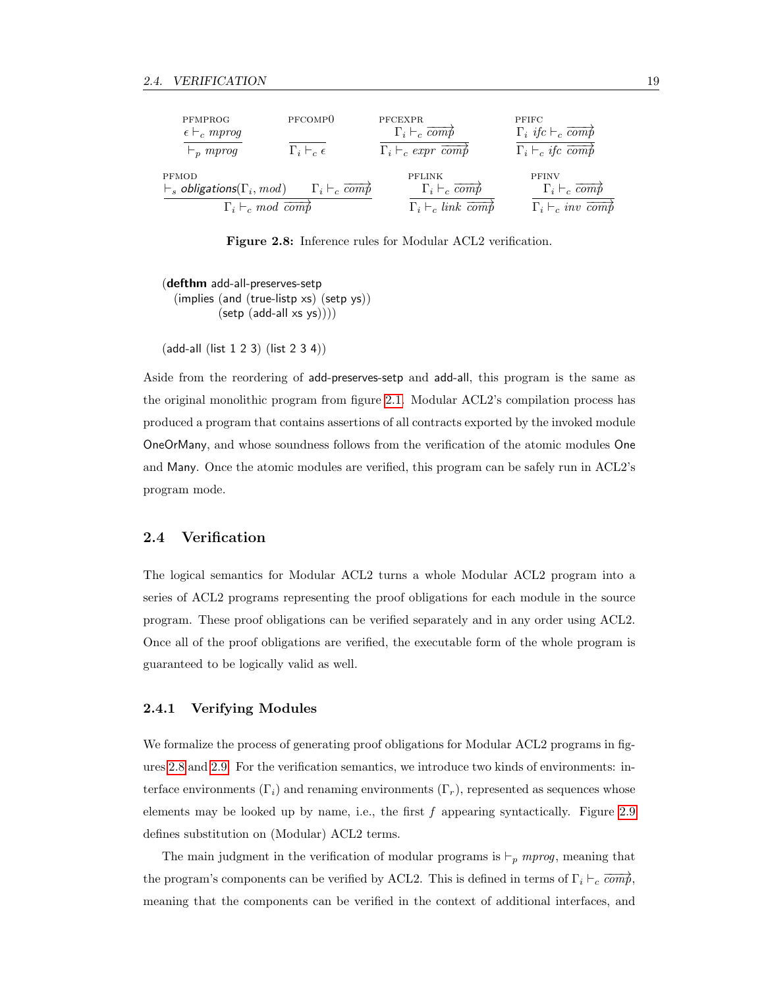| PFMPROG<br>$\epsilon \vdash_c mprog$<br>$\vdash_n mprog$ | PFCOMP <sub>0</sub><br>$\Gamma_i \vdash_c \epsilon$ | <b>PFCEXPR</b><br>$\Gamma_i \vdash_c \overline{comp}$<br>$\Gamma_i \vdash_c \text{expr } \overline{\text{comp}}$ | <b>PFIFC</b><br>$\Gamma_i$ if $c \vdash_c \overrightarrow{comp}$<br>$\Gamma_i \vdash_c \textit{ifc } \overrightarrow{comp}$ |
|----------------------------------------------------------|-----------------------------------------------------|------------------------------------------------------------------------------------------------------------------|-----------------------------------------------------------------------------------------------------------------------------|
| PFMOD                                                    | $\Gamma_i \vdash_c \overline{comp}$                 | PFLINK                                                                                                           | <b>PFINV</b>                                                                                                                |
| $\vdash_s$ obligations( $\Gamma_i$ , mod)                |                                                     | $\Gamma_i \vdash_c \overrightarrow{comp}$                                                                        | $\Gamma_i \vdash_c \overrightarrow{comp}$                                                                                   |
| $\Gamma_i \vdash_c mod \overline{comp}$                  |                                                     | $\Gamma_i \vdash_c link \overline{comb}$                                                                         | $\Gamma_i \vdash_c inv \overrightarrow{comp}$                                                                               |

<span id="page-28-1"></span>Figure 2.8: Inference rules for Modular ACL2 verification.

(defthm add-all-preserves-setp (implies (and (true-listp xs) (setp ys))  $(setp (add-all xs ys))))$ 

(add-all (list 1 2 3) (list 2 3 4))

Aside from the reordering of add-preserves-setp and add-all, this program is the same as the original monolithic program from figure [2.1.](#page-17-0) Modular ACL2's compilation process has produced a program that contains assertions of all contracts exported by the invoked module OneOrMany, and whose soundness follows from the verification of the atomic modules One and Many. Once the atomic modules are verified, this program can be safely run in ACL2's program mode.

#### <span id="page-28-0"></span>2.4 Verification

The logical semantics for Modular ACL2 turns a whole Modular ACL2 program into a series of ACL2 programs representing the proof obligations for each module in the source program. These proof obligations can be verified separately and in any order using ACL2. Once all of the proof obligations are verified, the executable form of the whole program is guaranteed to be logically valid as well.

#### <span id="page-28-2"></span>2.4.1 Verifying Modules

We formalize the process of generating proof obligations for Modular ACL2 programs in figures [2.8](#page-28-1) and [2.9.](#page-29-0) For the verification semantics, we introduce two kinds of environments: interface environments  $(\Gamma_i)$  and renaming environments  $(\Gamma_r)$ , represented as sequences whose elements may be looked up by name, i.e., the first  $f$  appearing syntactically. Figure [2.9](#page-29-0) defines substitution on (Modular) ACL2 terms.

The main judgment in the verification of modular programs is  $\vdash_p mprog$ , meaning that the program's components can be verified by ACL2. This is defined in terms of  $\Gamma_i \vdash_c \overrightarrow{comp}$ , meaning that the components can be verified in the context of additional interfaces, and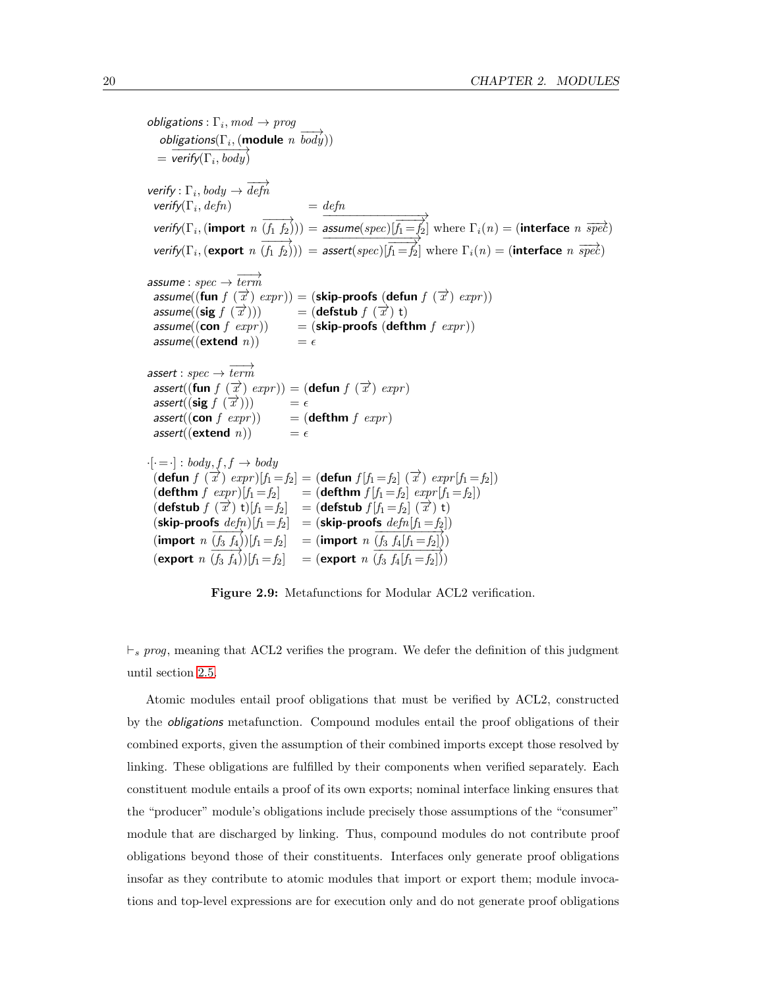$obligations: \Gamma_i, mod \rightarrow prog$  $\overrightarrow{obligations}(\Gamma_i, (\text{module } n \overrightarrow{body}))$  $=$   $\overline{\text{verify}(\Gamma_i, \text{body})}$  $\textsf{verify} : \Gamma_i, \textit{body} \rightarrow \overrightarrow{\textit{defn}}$  $\mathsf{verify}(\Gamma_i, \mathit{defn})$  = defn verify $(\Gamma_i, (\text{import } n \overrightarrow{(f_1 \ f_2)})) =$  $\overrightarrow{assume(spec)}[\overrightarrow{f_1} = f_2]$  where  $\Gamma_i(n) = (interface \ n \ \overrightarrow{spec})$ verify( $\Gamma_i$ , (export  $n(\overrightarrow{f_1 f_2})) = \overrightarrow{assert(spec)}[\overrightarrow{f_1=f_2}]$  where  $\Gamma_i(n) =$  (interface  $n \overrightarrow{spec}$ )  $\textit{assume}: \textit{spec} \rightarrow \overrightarrow{\textit{term}}$ assume((fun  $f(\vec{x})$  expr)) = (skip-proofs (defun  $f(\vec{x})$  expr)) assume((sig  $f(\overrightarrow{x}))$ )  $\overrightarrow{x}$ ))) = (defstub  $f(\overrightarrow{x})$  t) assume((con f  $expr$ )) = (skip-proofs (defthm f  $expr$ )) assume((extend  $n$ ))  $= \epsilon$ assert :  $spec \rightarrow \overrightarrow{term}$ assert((fun  $f(\vec{x})$  expr)) = (defun  $f(\vec{x})$  expr)  $\text{assert}((\text{sig } f(\overrightarrow{x})))$  =  $\epsilon$  $assert((\text{con } f \; expr))$  =  $(\text{defthm } f \; expr)$ assert((**extend** *n*))  $= \epsilon$  $\cdot [\cdot = \cdot] : body, f, f \rightarrow body$  $\overline{f}(\text{defun } f(\overrightarrow{x}) \text{ } expr)[f_1 = f_2] = (\text{defun } f[f_1 = f_2] \text{ } (\overrightarrow{x}) \text{ } expr[f_1 = f_2])$ (defthm  $f \; exp \; r[f_1=f_2] =$  (defthm  $f[f_1=f_2] \; exp \; r[f_1=f_2]$ ) (defstub  $f(\vec{x})$  t)[f<sub>1</sub> = f<sub>2</sub>] = (defstub  $f(f_1 = f_2 | \vec{x})$  t) (skip-proofs  $defn[f_1=f_2] = (skip-proofs\ defn[f_1=f_2])$ (import  $n \frac{(f_3 f_4)}{(f_3 f_4)} [f_1 = f_2] = ($ import  $n \frac{(f_3 f_4 [f_1 = f_2])}{(f_3 f_4 [f_1 = f_2])})$ (export  $n(f_3 f_4)$ ) $[f_1 = f_2]$  = (export  $n(f_3 f_4[f_1 = f_2])$ )

<span id="page-29-0"></span>Figure 2.9: Metafunctions for Modular ACL2 verification.

 $\vdash_s prog$ , meaning that ACL2 verifies the program. We defer the definition of this judgment until section [2.5.](#page-32-0)

Atomic modules entail proof obligations that must be verified by ACL2, constructed by the obligations metafunction. Compound modules entail the proof obligations of their combined exports, given the assumption of their combined imports except those resolved by linking. These obligations are fulfilled by their components when verified separately. Each constituent module entails a proof of its own exports; nominal interface linking ensures that the "producer" module's obligations include precisely those assumptions of the "consumer" module that are discharged by linking. Thus, compound modules do not contribute proof obligations beyond those of their constituents. Interfaces only generate proof obligations insofar as they contribute to atomic modules that import or export them; module invocations and top-level expressions are for execution only and do not generate proof obligations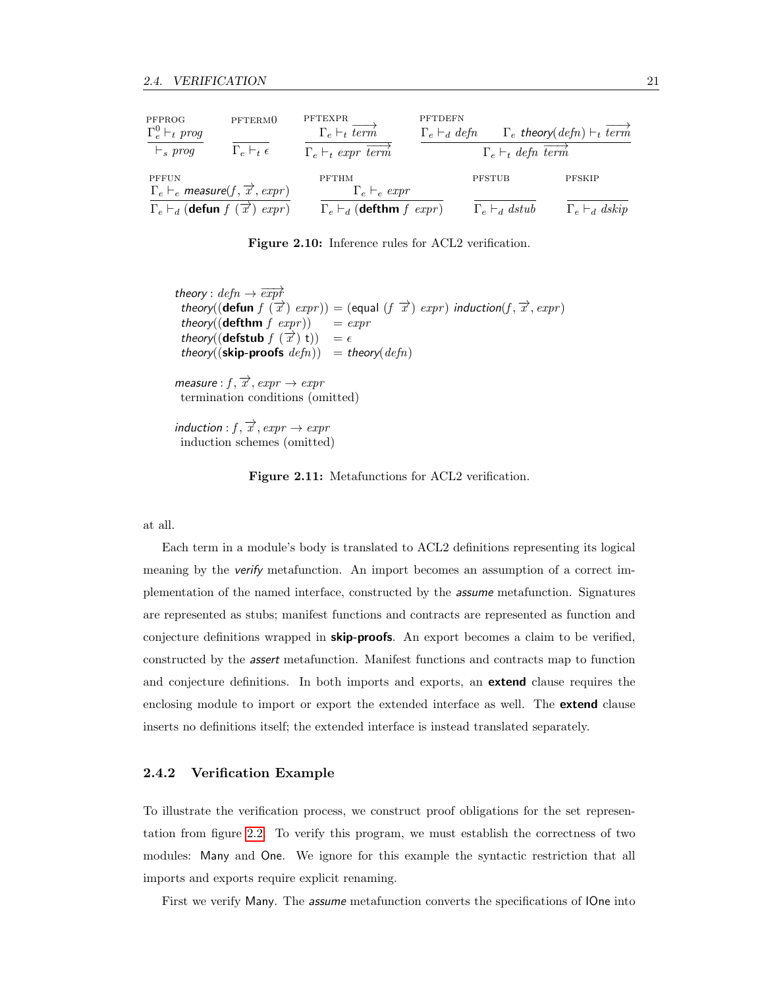| PFPROG<br>$\Gamma_e^0 \vdash_t \textit{prog}$                                       | PFTERM <sub>0</sub>          | PFTEXPR<br>$\Gamma_e \vdash_t \text{term}$      | <b>PFTDEFN</b><br>$\Gamma_e \vdash_d defn$ |                                    | $\Gamma_e$ theory(defn) $\vdash_t \overline{term}$ |
|-------------------------------------------------------------------------------------|------------------------------|-------------------------------------------------|--------------------------------------------|------------------------------------|----------------------------------------------------|
| $\vdash_s \textit{prog}$                                                            | $\Gamma_e \vdash_t \epsilon$ | $\Gamma_e \vdash_t \text{expr term}$            |                                            | $\Gamma_e \vdash_t defn \ term'$   |                                                    |
| PFFUN<br>$\Gamma_e \vdash_e \textit{measure}(f, \overrightarrow{x}, \textit{expr})$ |                              | <b>PFTHM</b><br>$\Gamma_e \vdash_e \exp r$      | <b>PFSTUB</b>                              |                                    | PFSKIP                                             |
| $\Gamma_e \vdash_d (\mathbf{defun} f)$                                              | $\mathcal{X}$<br>expr)       | $\Gamma_e \vdash_d (\mathbf{defthm} f \; expr)$ |                                            | $\Gamma_e \vdash_d \mathit{dstub}$ | $\Gamma_e \vdash_d dskip$                          |

<span id="page-30-0"></span>Figure 2.10: Inference rules for ACL2 verification.

theory :  $defn \rightarrow \overrightarrow{expf}$ theory((defun  $f(\vec{x})$  expr)) = (equal  $(f(\vec{x})$  expr) induction( $f, \vec{x}, expr$ ) theory((**defthm**  $f$   $expr$ )) =  $expr$ theory((defstub  $f(\vec{x})$ )) =  $\epsilon$ theory((skip-proofs  $defn)$ ) = theory( $defn$ )

measure :  $f, \overrightarrow{x}$ ,  $expr \rightarrow expr$ termination conditions (omitted)

induction :  $f, \overrightarrow{x}$ ,  $expr \rightarrow expr$ induction schemes (omitted)

<span id="page-30-1"></span>Figure 2.11: Metafunctions for ACL2 verification.

at all.

Each term in a module's body is translated to ACL2 definitions representing its logical meaning by the verify metafunction. An import becomes an assumption of a correct implementation of the named interface, constructed by the assume metafunction. Signatures are represented as stubs; manifest functions and contracts are represented as function and conjecture definitions wrapped in **skip-proofs**. An export becomes a claim to be verified, constructed by the assert metafunction. Manifest functions and contracts map to function and conjecture definitions. In both imports and exports, an **extend** clause requires the enclosing module to import or export the extended interface as well. The **extend** clause inserts no definitions itself; the extended interface is instead translated separately.

#### 2.4.2 Verification Example

To illustrate the verification process, we construct proof obligations for the set representation from figure [2.2.](#page-19-0) To verify this program, we must establish the correctness of two modules: Many and One. We ignore for this example the syntactic restriction that all imports and exports require explicit renaming.

First we verify Many. The assume metafunction converts the specifications of IOne into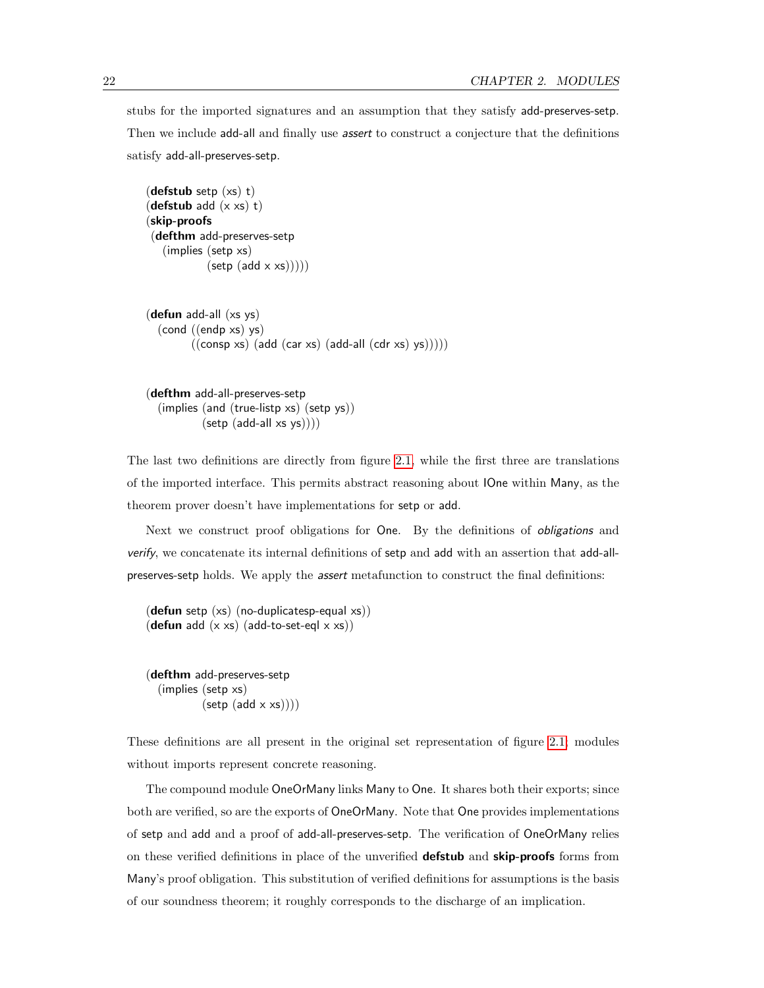stubs for the imported signatures and an assumption that they satisfy add-preserves-setp. Then we include add-all and finally use *assert* to construct a conjecture that the definitions satisfy add-all-preserves-setp.

```
(defstub setp (xs) t)
(defstub add (x \times s) t)
(skip-proofs
(defthm add-preserves-setp
   (implies (setp xs)
              (setp (add \times xs))))(defun add-all (xs ys)
  (cond ((endp xs) ys)
          ((\text{consp xs}) (\text{add (car xs)} (\text{add-all} (\text{cdr xs}) \text{ys}))))
```

```
(defthm add-all-preserves-setp
  (implies (and (true-listp xs) (setp ys))
           (setp (add-all xs ys))))
```
The last two definitions are directly from figure [2.1,](#page-17-0) while the first three are translations of the imported interface. This permits abstract reasoning about IOne within Many, as the theorem prover doesn't have implementations for setp or add.

Next we construct proof obligations for One. By the definitions of obligations and verify, we concatenate its internal definitions of setp and add with an assertion that add-allpreserves-setp holds. We apply the *assert* metafunction to construct the final definitions:

(defun setp (xs) (no-duplicatesp-equal xs)) (defun add  $(x \times s)$  (add-to-set-eql  $x \times s$ ))

(defthm add-preserves-setp (implies (setp xs)  $(setp (add \times xs))))$ 

These definitions are all present in the original set representation of figure [2.1;](#page-17-0) modules without imports represent concrete reasoning.

The compound module OneOrMany links Many to One. It shares both their exports; since both are verified, so are the exports of OneOrMany. Note that One provides implementations of setp and add and a proof of add-all-preserves-setp. The verification of OneOrMany relies on these verified definitions in place of the unverified **defstub** and **skip-proofs** forms from Many's proof obligation. This substitution of verified definitions for assumptions is the basis of our soundness theorem; it roughly corresponds to the discharge of an implication.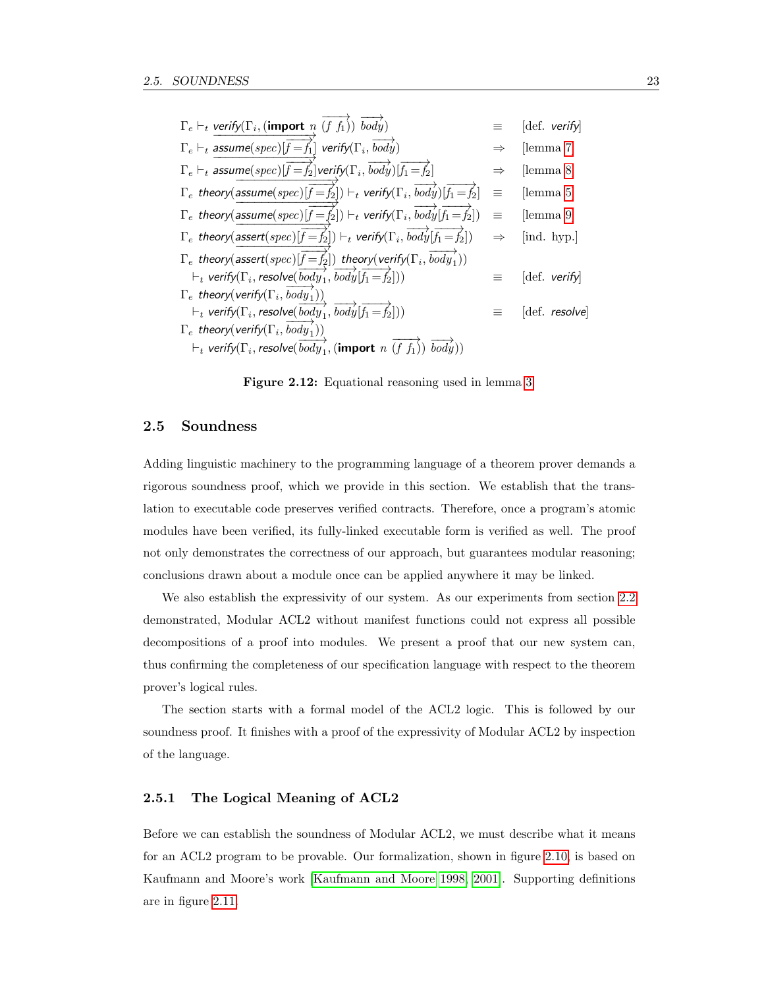|          | [def. verify]                      |
|----------|------------------------------------|
|          | [lemma 7]                          |
|          | [lemma 8]                          |
| $\equiv$ | [lemma 5]                          |
| $\equiv$ | [lemma 9]                          |
|          | [ind. hyp.]                        |
|          |                                    |
|          | $\left[def. \text{ verify}\right]$ |
|          |                                    |
|          | $\left[def.$ resolve               |
|          |                                    |
|          |                                    |
|          |                                    |

<span id="page-32-1"></span>Figure 2.12: Equational reasoning used in lemma [3.](#page-35-0)

#### <span id="page-32-0"></span>2.5 Soundness

Adding linguistic machinery to the programming language of a theorem prover demands a rigorous soundness proof, which we provide in this section. We establish that the translation to executable code preserves verified contracts. Therefore, once a program's atomic modules have been verified, its fully-linked executable form is verified as well. The proof not only demonstrates the correctness of our approach, but guarantees modular reasoning; conclusions drawn about a module once can be applied anywhere it may be linked.

We also establish the expressivity of our system. As our experiments from section [2.2](#page-18-0) demonstrated, Modular ACL2 without manifest functions could not express all possible decompositions of a proof into modules. We present a proof that our new system can, thus confirming the completeness of our specification language with respect to the theorem prover's logical rules.

The section starts with a formal model of the ACL2 logic. This is followed by our soundness proof. It finishes with a proof of the expressivity of Modular ACL2 by inspection of the language.

#### 2.5.1 The Logical Meaning of ACL2

Before we can establish the soundness of Modular ACL2, we must describe what it means for an ACL2 program to be provable. Our formalization, shown in figure [2.10,](#page-30-0) is based on Kaufmann and Moore's work [\[Kaufmann and Moore 1998,](#page-125-2) [2001\]](#page-125-0). Supporting definitions are in figure [2.11.](#page-30-1)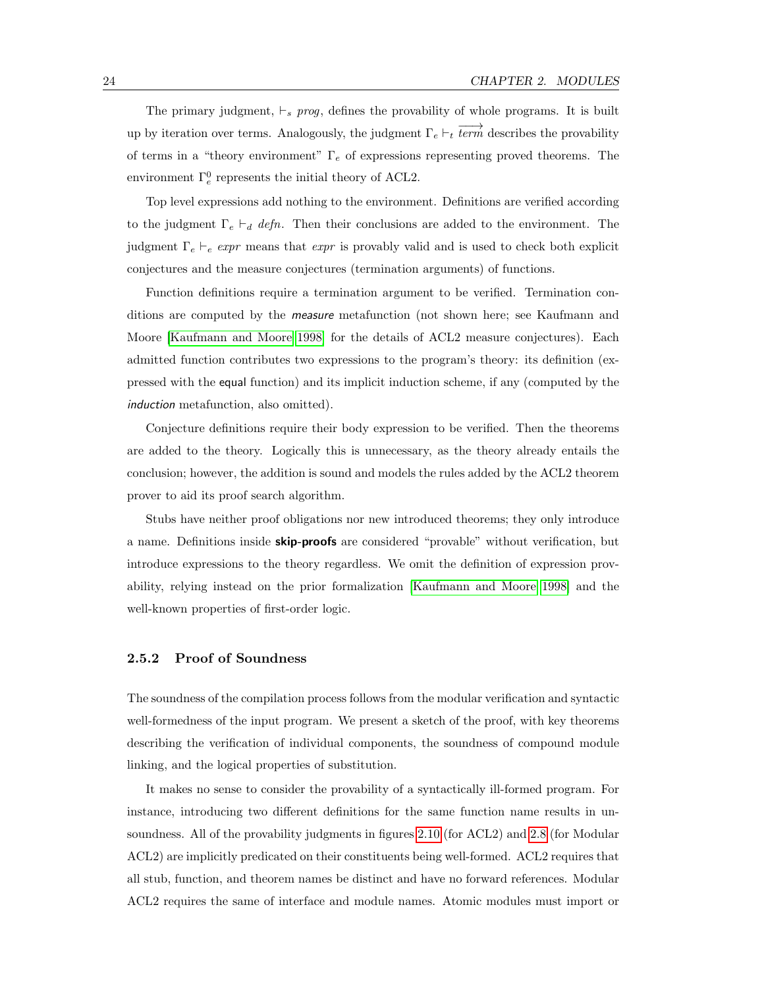The primary judgment,  $\vdash_s prog$ , defines the provability of whole programs. It is built up by iteration over terms. Analogously, the judgment  $\Gamma_e \vdash_t \overrightarrow{term}$  describes the provability of terms in a "theory environment"  $\Gamma_e$  of expressions representing proved theorems. The environment  $\Gamma_e^0$  represents the initial theory of ACL2.

Top level expressions add nothing to the environment. Definitions are verified according to the judgment  $\Gamma_e \vdash_d defn$ . Then their conclusions are added to the environment. The judgment  $\Gamma_e \vdash_e \exp r$  means that  $\exp r$  is provably valid and is used to check both explicit conjectures and the measure conjectures (termination arguments) of functions.

Function definitions require a termination argument to be verified. Termination conditions are computed by the *measure* metafunction (not shown here; see Kaufmann and Moore [\[Kaufmann and Moore 1998\]](#page-125-2) for the details of ACL2 measure conjectures). Each admitted function contributes two expressions to the program's theory: its definition (expressed with the equal function) and its implicit induction scheme, if any (computed by the induction metafunction, also omitted).

Conjecture definitions require their body expression to be verified. Then the theorems are added to the theory. Logically this is unnecessary, as the theory already entails the conclusion; however, the addition is sound and models the rules added by the ACL2 theorem prover to aid its proof search algorithm.

Stubs have neither proof obligations nor new introduced theorems; they only introduce a name. Definitions inside **skip-proofs** are considered "provable" without verification, but introduce expressions to the theory regardless. We omit the definition of expression provability, relying instead on the prior formalization [\[Kaufmann and Moore 1998\]](#page-125-2) and the well-known properties of first-order logic.

#### 2.5.2 Proof of Soundness

The soundness of the compilation process follows from the modular verification and syntactic well-formedness of the input program. We present a sketch of the proof, with key theorems describing the verification of individual components, the soundness of compound module linking, and the logical properties of substitution.

It makes no sense to consider the provability of a syntactically ill-formed program. For instance, introducing two different definitions for the same function name results in unsoundness. All of the provability judgments in figures [2.10](#page-30-0) (for ACL2) and [2.8](#page-28-1) (for Modular ACL2) are implicitly predicated on their constituents being well-formed. ACL2 requires that all stub, function, and theorem names be distinct and have no forward references. Modular ACL2 requires the same of interface and module names. Atomic modules must import or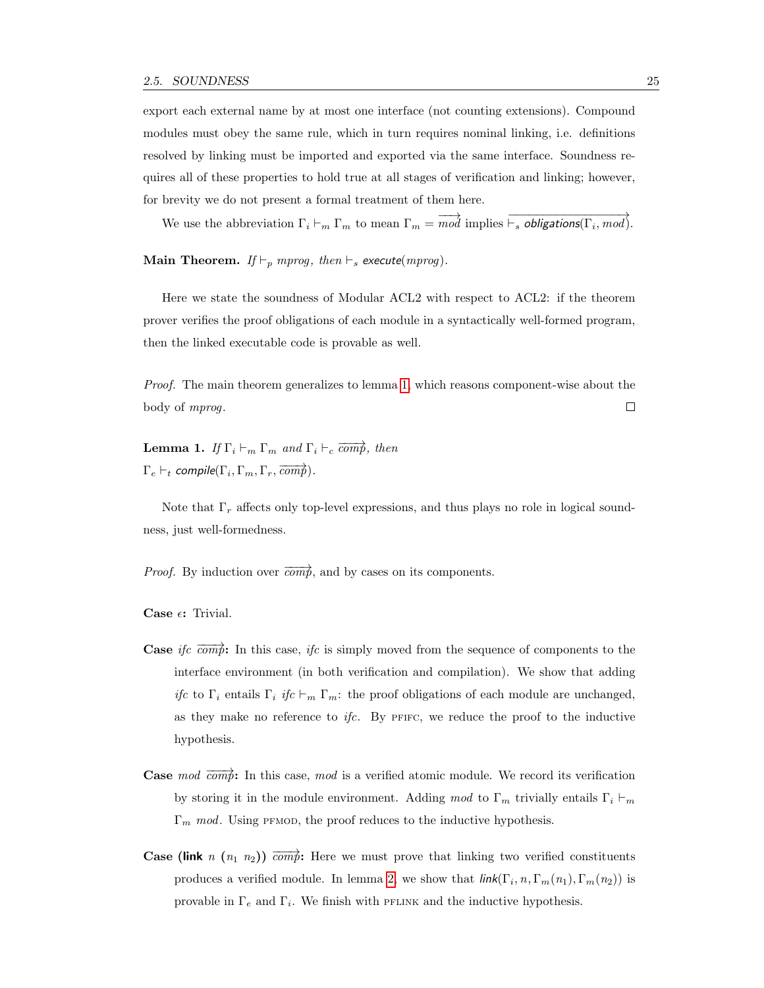export each external name by at most one interface (not counting extensions). Compound modules must obey the same rule, which in turn requires nominal linking, i.e. definitions resolved by linking must be imported and exported via the same interface. Soundness requires all of these properties to hold true at all stages of verification and linking; however, for brevity we do not present a formal treatment of them here.

We use the abbreviation  $\Gamma_i \vdash_m \Gamma_m$  to mean  $\Gamma_m = \overrightarrow{mod}$  implies  $\overrightarrow{\vdash_s}$  obligations( $\Gamma_i$ , mod).

Main Theorem. If  $\vdash_p mprog$ , then  $\vdash_s$  execute(mprog).

Here we state the soundness of Modular ACL2 with respect to ACL2: if the theorem prover verifies the proof obligations of each module in a syntactically well-formed program, then the linked executable code is provable as well.

Proof. The main theorem generalizes to lemma [1,](#page-34-0) which reasons component-wise about the body of mprog.  $\Box$ 

<span id="page-34-0"></span>**Lemma 1.** If  $\Gamma_i \vdash_m \Gamma_m$  and  $\Gamma_i \vdash_c \overline{comp}$ , then  $\Gamma_e \vdash_t \mathit{compile}(\Gamma_i, \Gamma_m, \Gamma_r, \overline{\mathit{comp}})$  .

Note that  $\Gamma_r$  affects only top-level expressions, and thus plays no role in logical soundness, just well-formedness.

*Proof.* By induction over  $\overrightarrow{comp}$ , and by cases on its components.

Case  $\epsilon$ : Trivial.

- **Case** ifc  $\overrightarrow{comp}$ : In this case, ifc is simply moved from the sequence of components to the interface environment (in both verification and compilation). We show that adding ifc to  $\Gamma_i$  entails  $\Gamma_i$  ifc  $\vdash_m \Gamma_m$ : the proof obligations of each module are unchanged, as they make no reference to  $ifc$ . By PFIFC, we reduce the proof to the inductive hypothesis.
- **Case** mod  $\overrightarrow{comp}$ : In this case, mod is a verified atomic module. We record its verification by storing it in the module environment. Adding mod to  $\Gamma_m$  trivially entails  $\Gamma_i \vdash_m$  $\Gamma_m$  mod. Using PFMOD, the proof reduces to the inductive hypothesis.
- **Case (link** n  $(n_1 n_2)$ )  $\overrightarrow{comp}$ : Here we must prove that linking two verified constituents produces a verified module. In lemma [2,](#page-35-1) we show that  $\text{link}(\Gamma_i, n, \Gamma_m(n_1), \Gamma_m(n_2))$  is provable in  $\Gamma_e$  and  $\Gamma_i$ . We finish with PFLINK and the inductive hypothesis.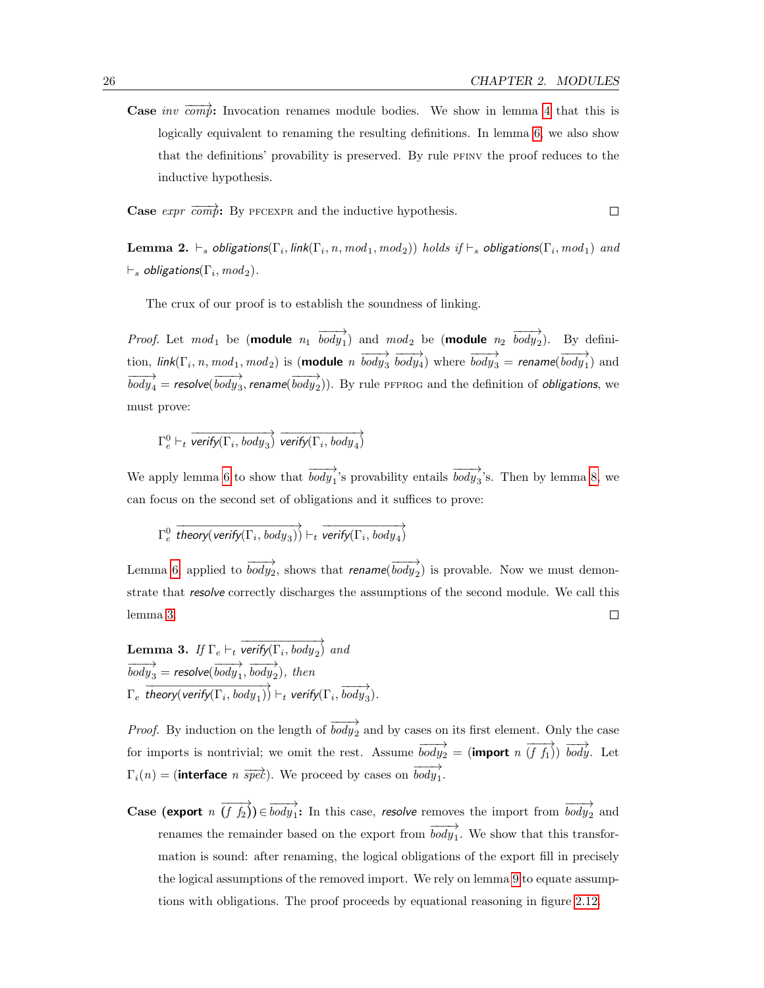$\Box$ 

**Case** inv  $\overrightarrow{com}$ : Invocation renames module bodies. We show in lemma [4](#page-36-4) that this is logically equivalent to renaming the resulting definitions. In lemma [6,](#page-36-5) we also show that the definitions' provability is preserved. By rule pfinv the proof reduces to the inductive hypothesis.

**Case**  $expr \overrightarrow{comp}$ : By PFCEXPR and the inductive hypothesis.

<span id="page-35-1"></span>**Lemma 2.**  $\vdash_s$  obligations( $\Gamma_i,$  link( $\Gamma_i,$   $n,$   $mod_1,$   $mod_2$ ))  $holds$  if  $\vdash_s$  obligations( $\Gamma_i,$   $mod_1)$   $and$  $\vdash_s$  obligations $(\Gamma_i,mod_2).$ 

The crux of our proof is to establish the soundness of linking.

*Proof.* Let  $mod_1$  be (**module**  $n_1$   $\overrightarrow{body_1}$ ) and  $mod_2$  be (**module**  $n_2$   $\overrightarrow{body_2}$ ). By definition,  $link(\Gamma_i, n, mod_1, mod_2)$  is (**module**  $n \overrightarrow{body_3} \overrightarrow{body_4}$ ) where  $\overrightarrow{body_3}$  = rename( $\overrightarrow{body_1}$ ) and  $\overrightarrow{body_4}$  = resolve( $\overrightarrow{body_3}$ , rename( $\overrightarrow{body_2}$ )). By rule pfprog and the definition of obligations, we must prove:

 $\Gamma_e^0 \vdash_t \overrightarrow{\textit{verify}(\Gamma_i, \textit{body}_3)} \overrightarrow{\textit{verify}(\Gamma_i, \textit{body}_4)}$ 

We apply lemma [6](#page-36-5) to show that  $\overrightarrow{body_1}$ 's provability entails  $\overrightarrow{body_3}$ 's. Then by lemma [8,](#page-36-1) we can focus on the second set of obligations and it suffices to prove:

 $\Gamma_e^0$  $\overrightarrow{theory(verify(\Gamma_i, body_3))} \vdash_t \overrightarrow{verify(\Gamma_i, body_4)}$ 

Lemma [6,](#page-36-5) applied to  $\overrightarrow{body_2}$ , shows that rename( $\overrightarrow{body_2}$ ) is provable. Now we must demonstrate that resolve correctly discharges the assumptions of the second module. We call this lemma [3.](#page-35-0)  $\Box$ 

<span id="page-35-0"></span>**Lemma 3.** If 
$$
\Gamma_e \vdash_t \overrightarrow{verify(\Gamma_i, body_2)}
$$
 and  
\n $\overrightarrow{body_3} = \text{resolve}(\overrightarrow{body_1}, \overrightarrow{body_2}), \text{ then}$   
\n $\Gamma_e \overrightarrow{theory(verify(\Gamma_i, body_1))} \vdash_t \text{verify}(\Gamma_i, \overrightarrow{body_3}).$ 

*Proof.* By induction on the length of  $\overrightarrow{body}_2$  and by cases on its first element. Only the case for imports is nontrivial; we omit the rest. Assume  $\overrightarrow{body_2} = (\text{import } n \overrightarrow{(f f_1)}) \overrightarrow{body}$ . Let  $\Gamma_i(n) = (\text{interface } n \overrightarrow{spec})$ . We proceed by cases on  $\overrightarrow{body_1}$ .

**Case (export**  $n(\overrightarrow{f_1f_2}) \in \overrightarrow{body_1}$ : In this case, *resolve* removes the import from  $\overrightarrow{body_2}$  and renames the remainder based on the export from  $\overrightarrow{body_1}$ . We show that this transformation is sound: after renaming, the logical obligations of the export fill in precisely the logical assumptions of the removed import. We rely on lemma [9](#page-36-3) to equate assumptions with obligations. The proof proceeds by equational reasoning in figure [2.12.](#page-32-1)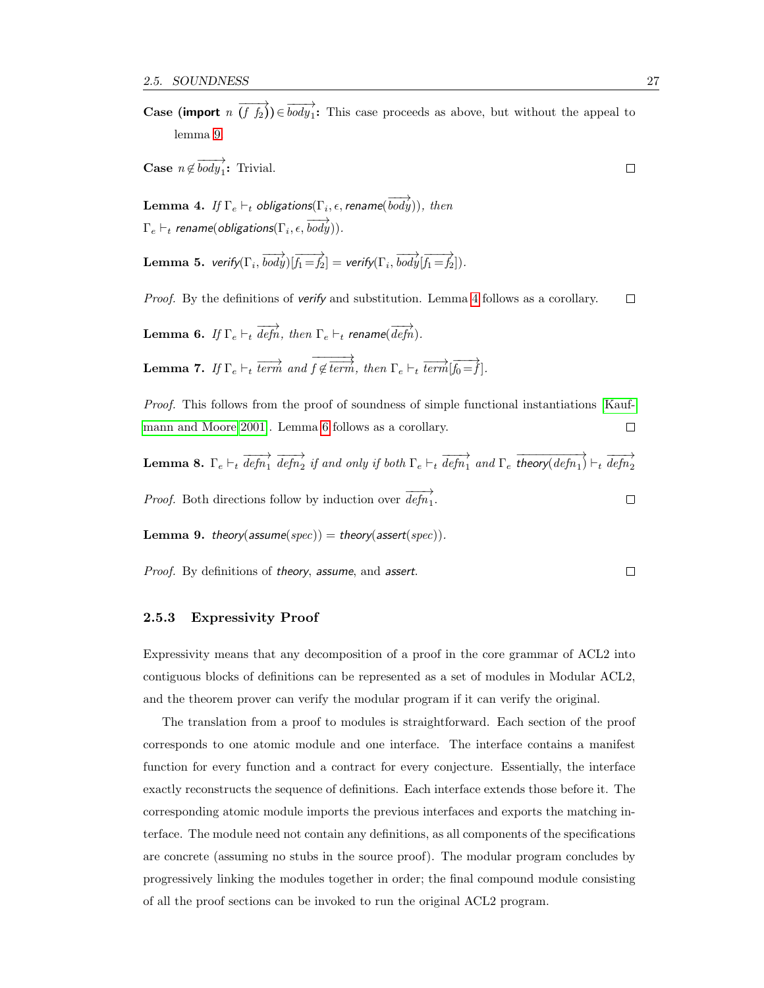**Case (import**  $n(\overrightarrow{f}) \in \overrightarrow{body_1}$ : This case proceeds as above, but without the appeal to lemma [9.](#page-36-0)

**Case**  $n \notin \overrightarrow{body_1}$ : Trivial.

<span id="page-36-1"></span>Lemma 4. If  $\Gamma_e \vdash_t$  obligations $(\Gamma_i, \epsilon,$  rename $(\overrightarrow{body}))$ , then  $\Gamma_e \vdash_t \textit{rename}(\textit{obligations}(\Gamma_i, \epsilon, \overrightarrow{body})).$ 

Lemma 5. verify $(\Gamma_i,\overrightarrow{body})[\overrightarrow{f_1=f_2}]=$  verify $(\Gamma_i,\overrightarrow{body}[\overrightarrow{f_1=f_2}]).$ 

*Proof.* By the definitions of verify and substitution. Lemma [4](#page-36-1) follows as a corollary.  $\Box$ 

<span id="page-36-2"></span>Lemma 6. If  $\Gamma_e \vdash_t \overrightarrow{defn}$ , then  $\Gamma_e \vdash_t$  rename( $\overrightarrow{defn}$ ). **Lemma 7.** If  $\Gamma_e \vdash_t \overrightarrow{term}$  and  $\overrightarrow{f \not\in \overrightarrow{term}}$  $f \notin \overrightarrow{term}, \ then \ \Gamma_e \vdash_t \overrightarrow{term}[\overrightarrow{f_0=f}].$ 

Proof. This follows from the proof of soundness of simple functional instantiations [\[Kauf](#page-125-0)[mann and Moore 2001\]](#page-125-0). Lemma [6](#page-36-2) follows as a corollary.  $\Box$ 

Lemma 8.  $\Gamma_e \vdash_t \overrightarrow{defn_1} \overrightarrow{defn_2}$  if and only if both  $\Gamma_e \vdash_t \overrightarrow{defn_1}$  and  $\Gamma_e \overrightarrow{theory(defn_1)} \vdash_t \overrightarrow{defn_2}$ *Proof.* Both directions follow by induction over  $\overrightarrow{defn_1}$ .  $\Box$ 

<span id="page-36-0"></span>**Lemma 9.** theory(assume(spec)) = theory(assert(spec)).

Proof. By definitions of theory, assume, and assert.  $\Box$ 

#### 2.5.3 Expressivity Proof

Expressivity means that any decomposition of a proof in the core grammar of ACL2 into contiguous blocks of definitions can be represented as a set of modules in Modular ACL2, and the theorem prover can verify the modular program if it can verify the original.

The translation from a proof to modules is straightforward. Each section of the proof corresponds to one atomic module and one interface. The interface contains a manifest function for every function and a contract for every conjecture. Essentially, the interface exactly reconstructs the sequence of definitions. Each interface extends those before it. The corresponding atomic module imports the previous interfaces and exports the matching interface. The module need not contain any definitions, as all components of the specifications are concrete (assuming no stubs in the source proof). The modular program concludes by progressively linking the modules together in order; the final compound module consisting of all the proof sections can be invoked to run the original ACL2 program.

 $\Box$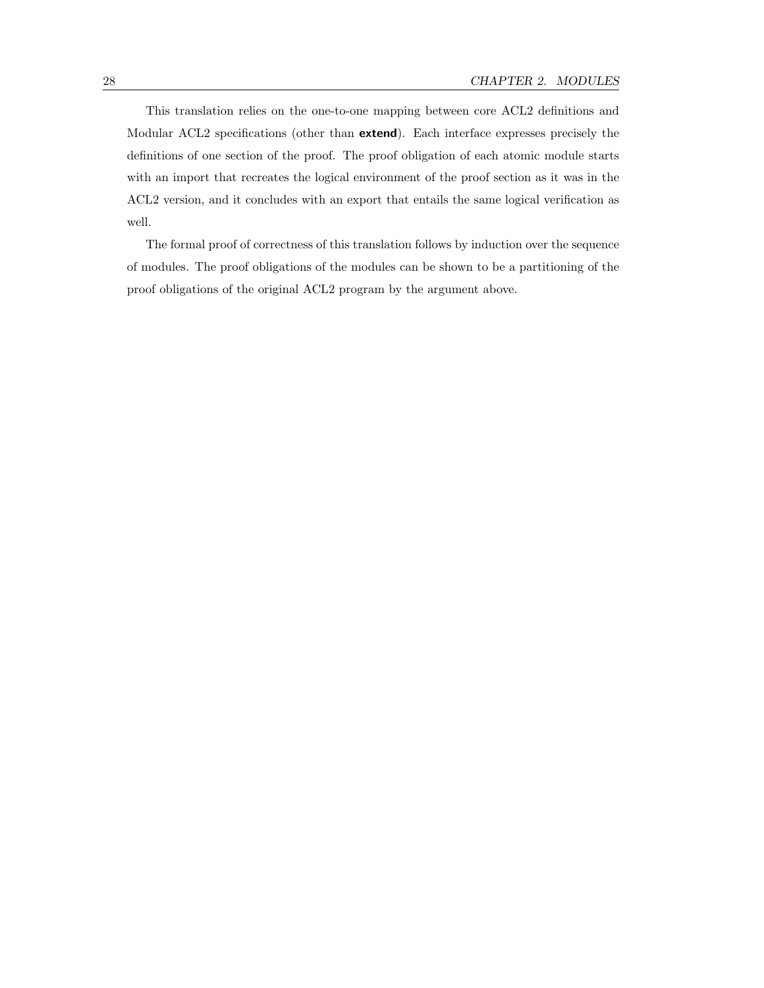This translation relies on the one-to-one mapping between core ACL2 definitions and Modular ACL2 specifications (other than extend). Each interface expresses precisely the definitions of one section of the proof. The proof obligation of each atomic module starts with an import that recreates the logical environment of the proof section as it was in the ACL2 version, and it concludes with an export that entails the same logical verification as well.

The formal proof of correctness of this translation follows by induction over the sequence of modules. The proof obligations of the modules can be shown to be a partitioning of the proof obligations of the original ACL2 program by the argument above.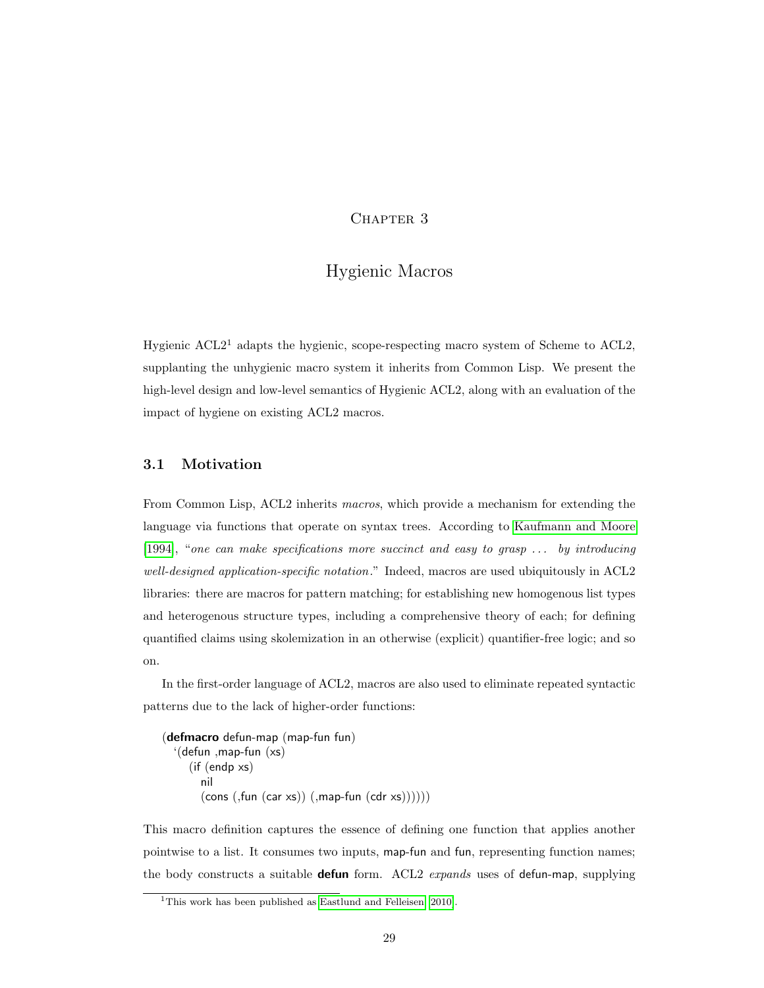## CHAPTER 3

# Hygienic Macros

Hygienic  $\text{ACL2}^1$  adapts the hygienic, scope-respecting macro system of Scheme to ACL2, supplanting the unhygienic macro system it inherits from Common Lisp. We present the high-level design and low-level semantics of Hygienic ACL2, along with an evaluation of the impact of hygiene on existing ACL2 macros.

### 3.1 Motivation

From Common Lisp, ACL2 inherits macros, which provide a mechanism for extending the language via functions that operate on syntax trees. According to [Kaufmann and Moore](#page-125-1) [\[1994\]](#page-125-1), "one can make specifications more succinct and easy to grasp . . . by introducing well-designed application-specific notation." Indeed, macros are used ubiquitously in ACL2 libraries: there are macros for pattern matching; for establishing new homogenous list types and heterogenous structure types, including a comprehensive theory of each; for defining quantified claims using skolemization in an otherwise (explicit) quantifier-free logic; and so on.

In the first-order language of ACL2, macros are also used to eliminate repeated syntactic patterns due to the lack of higher-order functions:

(defmacro defun-map (map-fun fun) '(defun ,map-fun (xs) (if (endp xs) nil  $(cons (fun (car xs)) (,map-fun (cdr xs))))$ 

This macro definition captures the essence of defining one function that applies another pointwise to a list. It consumes two inputs, map-fun and fun, representing function names; the body constructs a suitable **defun** form. ACL2 expands uses of defun-map, supplying

<sup>&</sup>lt;sup>1</sup>This work has been published as [Eastlund and Felleisen](#page-124-0) [\[2010\]](#page-124-0).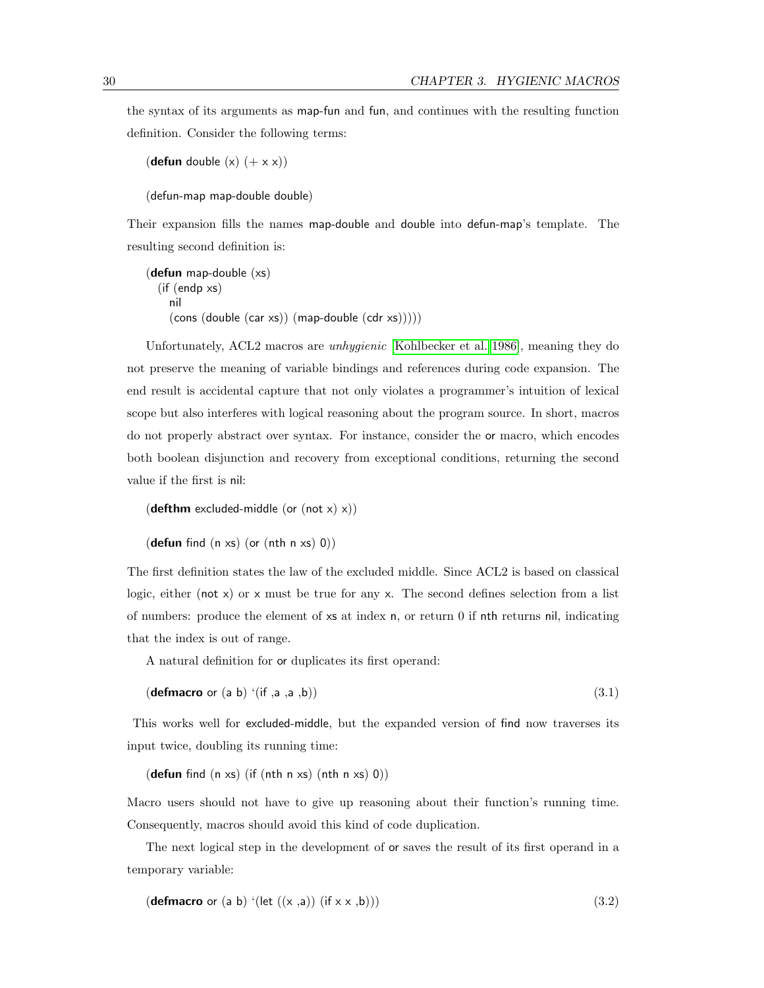the syntax of its arguments as map-fun and fun, and continues with the resulting function definition. Consider the following terms:

```
(defun double (x) (+ x x))
```
(defun-map map-double double)

Their expansion fills the names map-double and double into defun-map's template. The resulting second definition is:

```
(defun map-double (xs)
  (if (endp xs)
    nil
    (cons (double (car xs)) (map-double (cdr xs)))))
```
Unfortunately, ACL2 macros are unhygienic [\[Kohlbecker et al. 1986\]](#page-126-0), meaning they do not preserve the meaning of variable bindings and references during code expansion. The end result is accidental capture that not only violates a programmer's intuition of lexical scope but also interferes with logical reasoning about the program source. In short, macros do not properly abstract over syntax. For instance, consider the or macro, which encodes both boolean disjunction and recovery from exceptional conditions, returning the second value if the first is nil:

```
(defthm excluded-middle (or (not x) x))
(defun find (n \times s) (or (nth \ n \times s) 0))
```
The first definition states the law of the excluded middle. Since ACL2 is based on classical logic, either (not x) or x must be true for any x. The second defines selection from a list of numbers: produce the element of xs at index n, or return 0 if nth returns nil, indicating that the index is out of range.

A natural definition for or duplicates its first operand:

$$
(\text{defmacro or } (a b) '(if, a, a, b))
$$
\n
$$
(3.1)
$$

This works well for excluded-middle, but the expanded version of find now traverses its input twice, doubling its running time:

(defun find  $(n \times s)$  (if  $(nth n \times s)$   $(nth n \times s)$  0))

Macro users should not have to give up reasoning about their function's running time. Consequently, macros should avoid this kind of code duplication.

The next logical step in the development of or saves the result of its first operand in a temporary variable:

```
(defmacro or (a b) '(let ((x, a)) (if (x, x, b))) (3.2)
```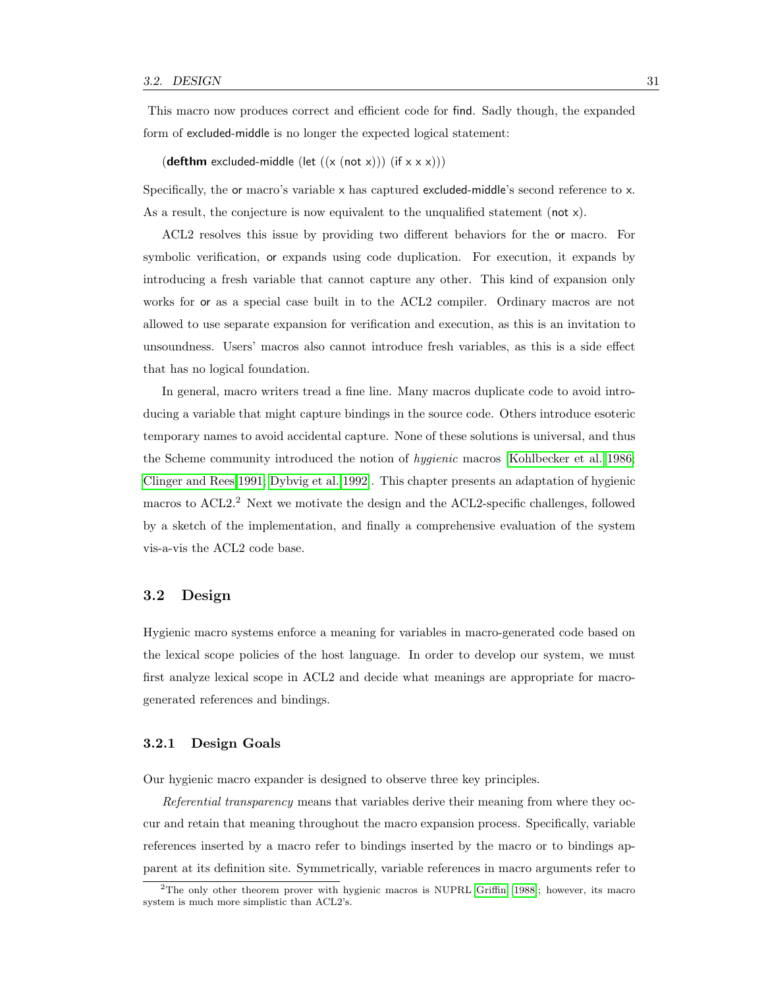This macro now produces correct and efficient code for find. Sadly though, the expanded form of excluded-middle is no longer the expected logical statement:

(**defthm** excluded-middle (let  $((x (not x))) (if x x x))$ )

Specifically, the or macro's variable x has captured excluded-middle's second reference to x. As a result, the conjecture is now equivalent to the unqualified statement (not  $x$ ).

ACL2 resolves this issue by providing two different behaviors for the or macro. For symbolic verification, or expands using code duplication. For execution, it expands by introducing a fresh variable that cannot capture any other. This kind of expansion only works for or as a special case built in to the ACL2 compiler. Ordinary macros are not allowed to use separate expansion for verification and execution, as this is an invitation to unsoundness. Users' macros also cannot introduce fresh variables, as this is a side effect that has no logical foundation.

In general, macro writers tread a fine line. Many macros duplicate code to avoid introducing a variable that might capture bindings in the source code. Others introduce esoteric temporary names to avoid accidental capture. None of these solutions is universal, and thus the Scheme community introduced the notion of hygienic macros [\[Kohlbecker et al. 1986;](#page-126-0) [Clinger and Rees 1991;](#page-124-1) [Dybvig et al. 1992\]](#page-124-2). This chapter presents an adaptation of hygienic macros to ACL2.<sup>2</sup> Next we motivate the design and the ACL2-specific challenges, followed by a sketch of the implementation, and finally a comprehensive evaluation of the system vis-a-vis the ACL2 code base.

### 3.2 Design

Hygienic macro systems enforce a meaning for variables in macro-generated code based on the lexical scope policies of the host language. In order to develop our system, we must first analyze lexical scope in ACL2 and decide what meanings are appropriate for macrogenerated references and bindings.

#### 3.2.1 Design Goals

Our hygienic macro expander is designed to observe three key principles.

Referential transparency means that variables derive their meaning from where they occur and retain that meaning throughout the macro expansion process. Specifically, variable references inserted by a macro refer to bindings inserted by the macro or to bindings apparent at its definition site. Symmetrically, variable references in macro arguments refer to

<sup>&</sup>lt;sup>2</sup>The only other theorem prover with hygienic macros is NUPRL [Griffin](#page-125-2) [\[1988\]](#page-125-2); however, its macro system is much more simplistic than ACL2's.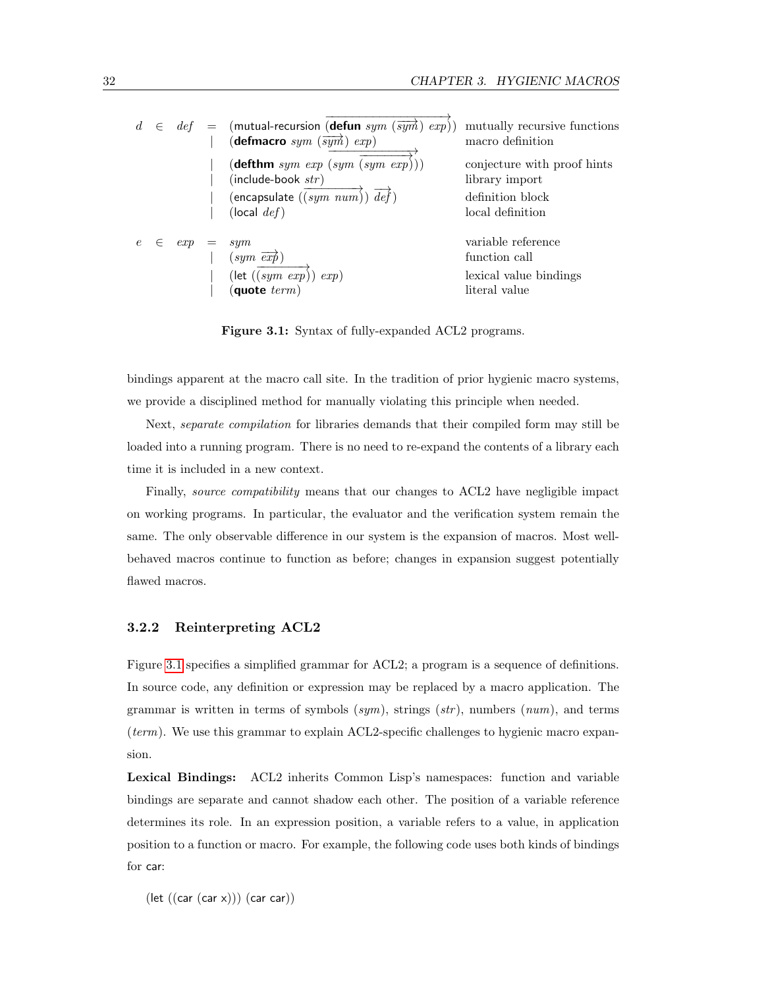|  | $\in$ def | $=$ (mutual-recursion (defun sym (sym) exp))<br>(defmacro $sym$ $(\overrightarrow{sym} )$ $exp)$<br>$(\text{defthm} \; sym \; exp \; (sym \; (sym \; exp)))$<br>$(include-book str)$<br>(encapsulate $((sym\ num))\ \mathit{def})$<br>(local $def)$ | mutually recursive functions<br>macro definition<br>conjecture with proof hints<br>library import<br>definition block<br>local definition |
|--|-----------|-----------------------------------------------------------------------------------------------------------------------------------------------------------------------------------------------------------------------------------------------------|-------------------------------------------------------------------------------------------------------------------------------------------|
|  | exp       | sym<br>$(sym \overrightarrow{exp})$<br>$(\text{let } ((sym \; exp)) \; exp)$<br>quote $term)$                                                                                                                                                       | variable reference<br>function call<br>lexical value bindings<br>literal value                                                            |

<span id="page-41-0"></span>Figure 3.1: Syntax of fully-expanded ACL2 programs.

bindings apparent at the macro call site. In the tradition of prior hygienic macro systems, we provide a disciplined method for manually violating this principle when needed.

Next, separate compilation for libraries demands that their compiled form may still be loaded into a running program. There is no need to re-expand the contents of a library each time it is included in a new context.

Finally, source compatibility means that our changes to ACL2 have negligible impact on working programs. In particular, the evaluator and the verification system remain the same. The only observable difference in our system is the expansion of macros. Most wellbehaved macros continue to function as before; changes in expansion suggest potentially flawed macros.

#### 3.2.2 Reinterpreting ACL2

Figure [3.1](#page-41-0) specifies a simplified grammar for ACL2; a program is a sequence of definitions. In source code, any definition or expression may be replaced by a macro application. The grammar is written in terms of symbols  $(sym)$ , strings  $(str)$ , numbers  $(num)$ , and terms (term). We use this grammar to explain ACL2-specific challenges to hygienic macro expansion.

Lexical Bindings: ACL2 inherits Common Lisp's namespaces: function and variable bindings are separate and cannot shadow each other. The position of a variable reference determines its role. In an expression position, a variable refers to a value, in application position to a function or macro. For example, the following code uses both kinds of bindings for car:

 $(let ((car (car x))) (car car))$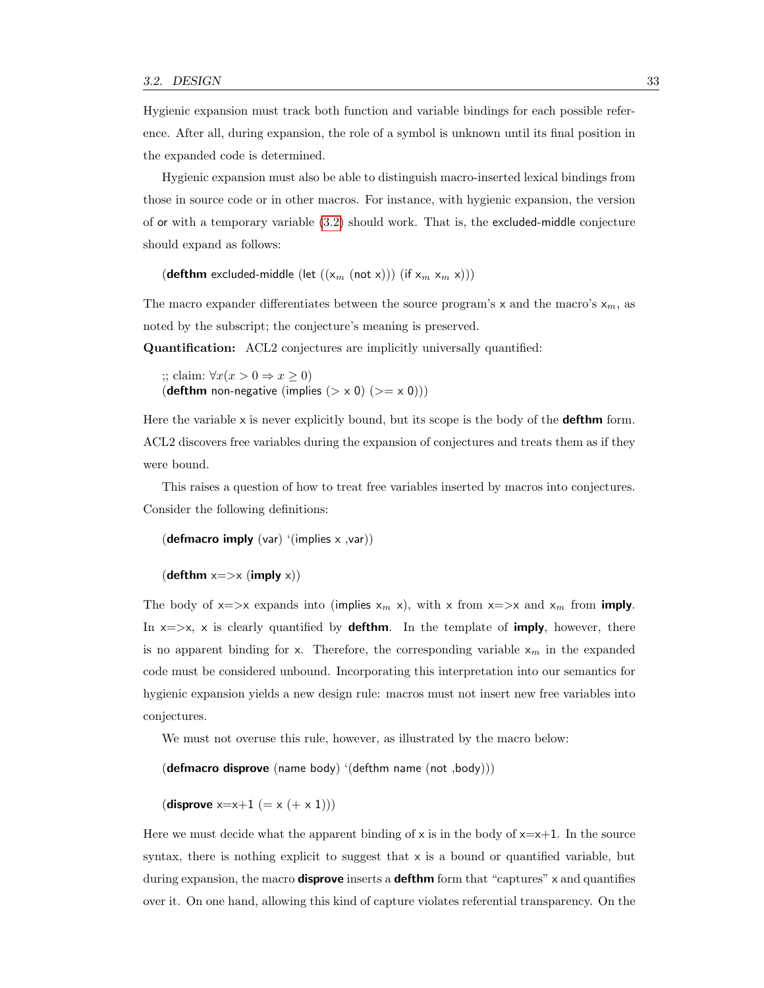Hygienic expansion must track both function and variable bindings for each possible reference. After all, during expansion, the role of a symbol is unknown until its final position in the expanded code is determined.

Hygienic expansion must also be able to distinguish macro-inserted lexical bindings from those in source code or in other macros. For instance, with hygienic expansion, the version of or with a temporary variable [\(3.2\)](#page-39-0) should work. That is, the excluded-middle conjecture should expand as follows:

(defthm excluded-middle (let  $((x_m \text{ (not x)}))$  (if  $x_m \text{ x}_m \text{ x}$ )))

The macro expander differentiates between the source program's  $x$  and the macro's  $x_m$ , as noted by the subscript; the conjecture's meaning is preserved.

Quantification: ACL2 conjectures are implicitly universally quantified:

;; claim:  $∀x(x > 0 ⇒ x ≥ 0)$ (defthm non-negative (implies  $(> x 0)$   $(>= x 0))$ )

Here the variable  $x$  is never explicitly bound, but its scope is the body of the **defthm** form. ACL2 discovers free variables during the expansion of conjectures and treats them as if they were bound.

This raises a question of how to treat free variables inserted by macros into conjectures. Consider the following definitions:

```
(defmacro imply (var) '(implies x, var))
```

```
(\text{defthm } x \implies x \text{ (imply x)})
```
The body of  $x \Rightarrow x$  expands into (implies  $x_m$  x), with x from  $x \Rightarrow x$  and  $x_m$  from imply. In  $x \Rightarrow x$ , x is clearly quantified by **defthm**. In the template of **imply**, however, there is no apparent binding for x. Therefore, the corresponding variable  $x_m$  in the expanded code must be considered unbound. Incorporating this interpretation into our semantics for hygienic expansion yields a new design rule: macros must not insert new free variables into conjectures.

We must not overuse this rule, however, as illustrated by the macro below:

 $(\text{defmacro disprove} (\text{name body})' (\text{defthm name} (\text{not}, \text{body})))$ 

(disprove  $x=x+1 (= x (+ x 1)))$ 

Here we must decide what the apparent binding of  $x$  is in the body of  $x=x+1$ . In the source syntax, there is nothing explicit to suggest that  $x$  is a bound or quantified variable, but during expansion, the macro **disprove** inserts a **defthm** form that "captures"  $\times$  and quantifies over it. On one hand, allowing this kind of capture violates referential transparency. On the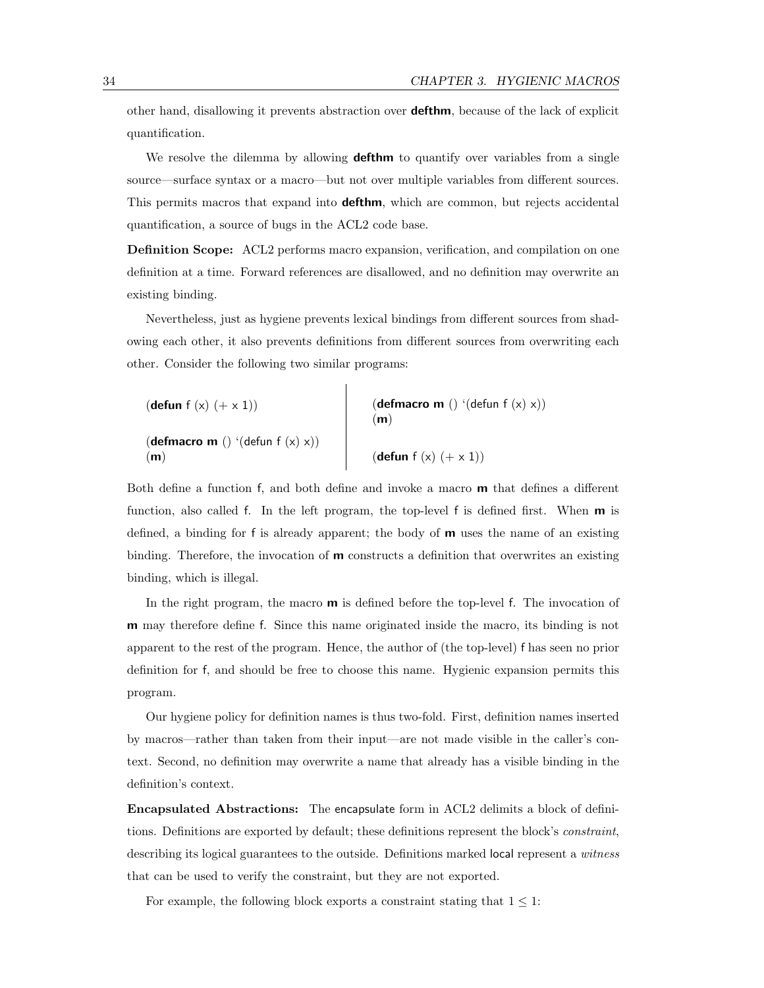other hand, disallowing it prevents abstraction over defthm, because of the lack of explicit quantification.

We resolve the dilemma by allowing **defthm** to quantify over variables from a single source—surface syntax or a macro—but not over multiple variables from different sources. This permits macros that expand into **defthm**, which are common, but rejects accidental quantification, a source of bugs in the ACL2 code base.

Definition Scope: ACL2 performs macro expansion, verification, and compilation on one definition at a time. Forward references are disallowed, and no definition may overwrite an existing binding.

Nevertheless, just as hygiene prevents lexical bindings from different sources from shadowing each other, it also prevents definitions from different sources from overwriting each other. Consider the following two similar programs:

| (defun f $(x)$ $(+ x 1)$ )                               | (defmacro m () '(defun f $(x)$ x))<br>(m) |
|----------------------------------------------------------|-------------------------------------------|
| ( <b>defmacro m</b> () '( <b>defun</b> $f(x)$ x))<br>(m) | (defun f $(x)$ $(+ x 1)$ )                |

Both define a function f, and both define and invoke a macro m that defines a different function, also called f. In the left program, the top-level f is defined first. When  $\mathbf{m}$  is defined, a binding for f is already apparent; the body of  **uses the name of an existing** binding. Therefore, the invocation of  **constructs a definition that overwrites an existing** binding, which is illegal.

In the right program, the macro **m** is defined before the top-level f. The invocation of m may therefore define f. Since this name originated inside the macro, its binding is not apparent to the rest of the program. Hence, the author of (the top-level) f has seen no prior definition for f, and should be free to choose this name. Hygienic expansion permits this program.

Our hygiene policy for definition names is thus two-fold. First, definition names inserted by macros—rather than taken from their input—are not made visible in the caller's context. Second, no definition may overwrite a name that already has a visible binding in the definition's context.

Encapsulated Abstractions: The encapsulate form in ACL2 delimits a block of definitions. Definitions are exported by default; these definitions represent the block's constraint, describing its logical guarantees to the outside. Definitions marked local represent a witness that can be used to verify the constraint, but they are not exported.

For example, the following block exports a constraint stating that  $1 \leq 1$ :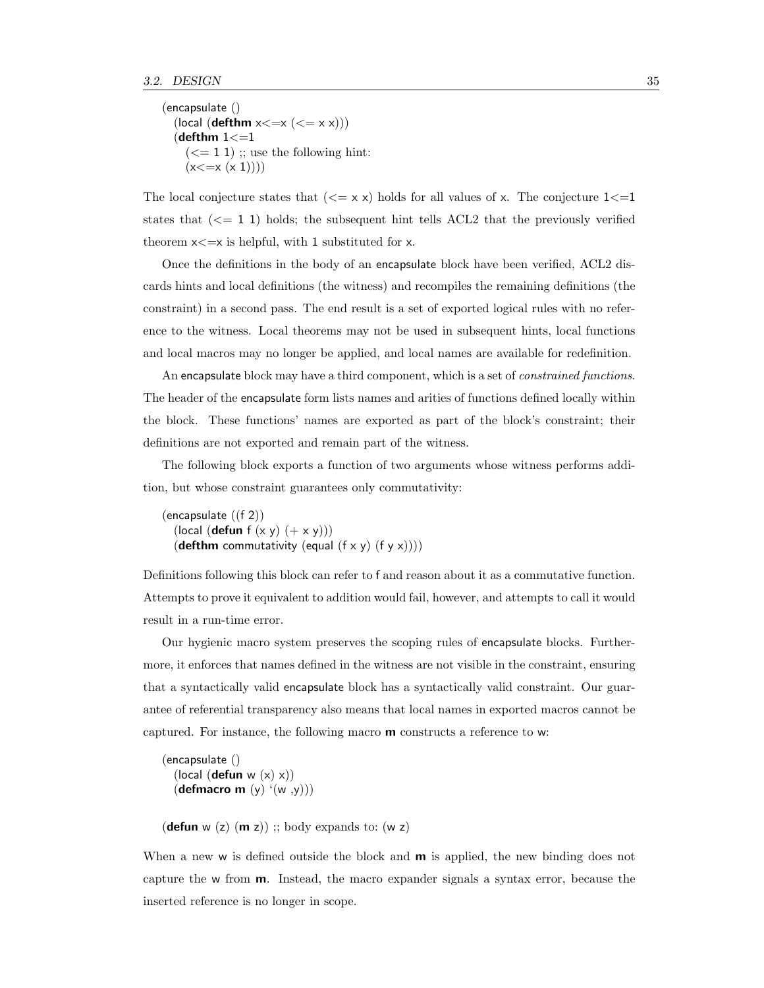```
(encapsulate ()
  (local (defthm x \le x \le (x = x x)))
  (defthm 1 \lt = 1(<= 1 1); use the following hint:
    (x \leq x (x 1)))
```
The local conjecture states that  $(<= x x)$  holds for all values of x. The conjecture  $1<=1$ states that  $(<= 1 1)$  holds; the subsequent hint tells ACL2 that the previously verified theorem  $x \leq x$  is helpful, with 1 substituted for x.

Once the definitions in the body of an encapsulate block have been verified, ACL2 discards hints and local definitions (the witness) and recompiles the remaining definitions (the constraint) in a second pass. The end result is a set of exported logical rules with no reference to the witness. Local theorems may not be used in subsequent hints, local functions and local macros may no longer be applied, and local names are available for redefinition.

An encapsulate block may have a third component, which is a set of *constrained functions*. The header of the encapsulate form lists names and arities of functions defined locally within the block. These functions' names are exported as part of the block's constraint; their definitions are not exported and remain part of the witness.

The following block exports a function of two arguments whose witness performs addition, but whose constraint guarantees only commutativity:

(encapsulate ((f 2)) (local (defun  $f(x y) (+ x y))$ ) (defthm commutativity (equal  $(f \times y)$   $(f \times x))$ )

Definitions following this block can refer to f and reason about it as a commutative function. Attempts to prove it equivalent to addition would fail, however, and attempts to call it would result in a run-time error.

Our hygienic macro system preserves the scoping rules of encapsulate blocks. Furthermore, it enforces that names defined in the witness are not visible in the constraint, ensuring that a syntactically valid encapsulate block has a syntactically valid constraint. Our guarantee of referential transparency also means that local names in exported macros cannot be captured. For instance, the following macro m constructs a reference to w:

(encapsulate () (local (defun w  $(x)$  x)) (defmacro m  $(y)$  ' $(w, y)$ )

(defun w  $(z)$  (m z)) ;; body expands to: (w z)

When a new w is defined outside the block and **m** is applied, the new binding does not capture the w from m. Instead, the macro expander signals a syntax error, because the inserted reference is no longer in scope.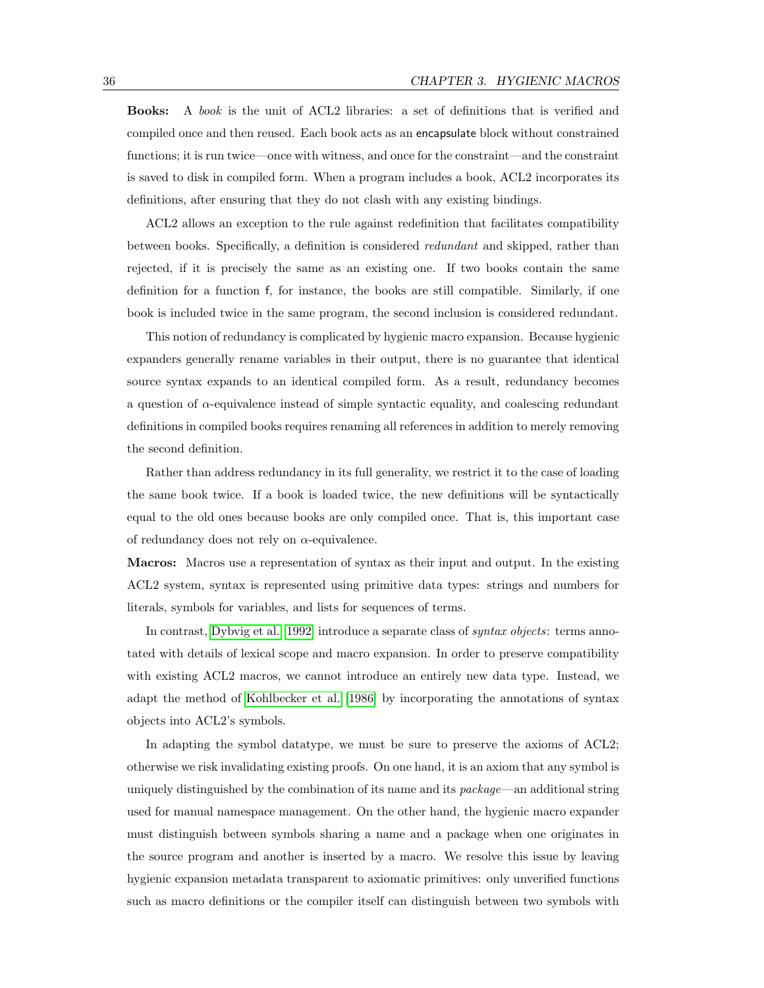Books: A book is the unit of ACL2 libraries: a set of definitions that is verified and compiled once and then reused. Each book acts as an encapsulate block without constrained functions; it is run twice—once with witness, and once for the constraint—and the constraint is saved to disk in compiled form. When a program includes a book, ACL2 incorporates its definitions, after ensuring that they do not clash with any existing bindings.

ACL2 allows an exception to the rule against redefinition that facilitates compatibility between books. Specifically, a definition is considered redundant and skipped, rather than rejected, if it is precisely the same as an existing one. If two books contain the same definition for a function f, for instance, the books are still compatible. Similarly, if one book is included twice in the same program, the second inclusion is considered redundant.

This notion of redundancy is complicated by hygienic macro expansion. Because hygienic expanders generally rename variables in their output, there is no guarantee that identical source syntax expands to an identical compiled form. As a result, redundancy becomes a question of  $\alpha$ -equivalence instead of simple syntactic equality, and coalescing redundant definitions in compiled books requires renaming all references in addition to merely removing the second definition.

Rather than address redundancy in its full generality, we restrict it to the case of loading the same book twice. If a book is loaded twice, the new definitions will be syntactically equal to the old ones because books are only compiled once. That is, this important case of redundancy does not rely on  $\alpha$ -equivalence.

Macros: Macros use a representation of syntax as their input and output. In the existing ACL2 system, syntax is represented using primitive data types: strings and numbers for literals, symbols for variables, and lists for sequences of terms.

In contrast, [Dybvig et al. \[1992\]](#page-124-2) introduce a separate class of syntax objects: terms annotated with details of lexical scope and macro expansion. In order to preserve compatibility with existing ACL2 macros, we cannot introduce an entirely new data type. Instead, we adapt the method of [Kohlbecker et al. \[1986\]](#page-126-0) by incorporating the annotations of syntax objects into ACL2's symbols.

In adapting the symbol datatype, we must be sure to preserve the axioms of ACL2; otherwise we risk invalidating existing proofs. On one hand, it is an axiom that any symbol is uniquely distinguished by the combination of its name and its  $package \text{---}$  and additional string used for manual namespace management. On the other hand, the hygienic macro expander must distinguish between symbols sharing a name and a package when one originates in the source program and another is inserted by a macro. We resolve this issue by leaving hygienic expansion metadata transparent to axiomatic primitives: only unverified functions such as macro definitions or the compiler itself can distinguish between two symbols with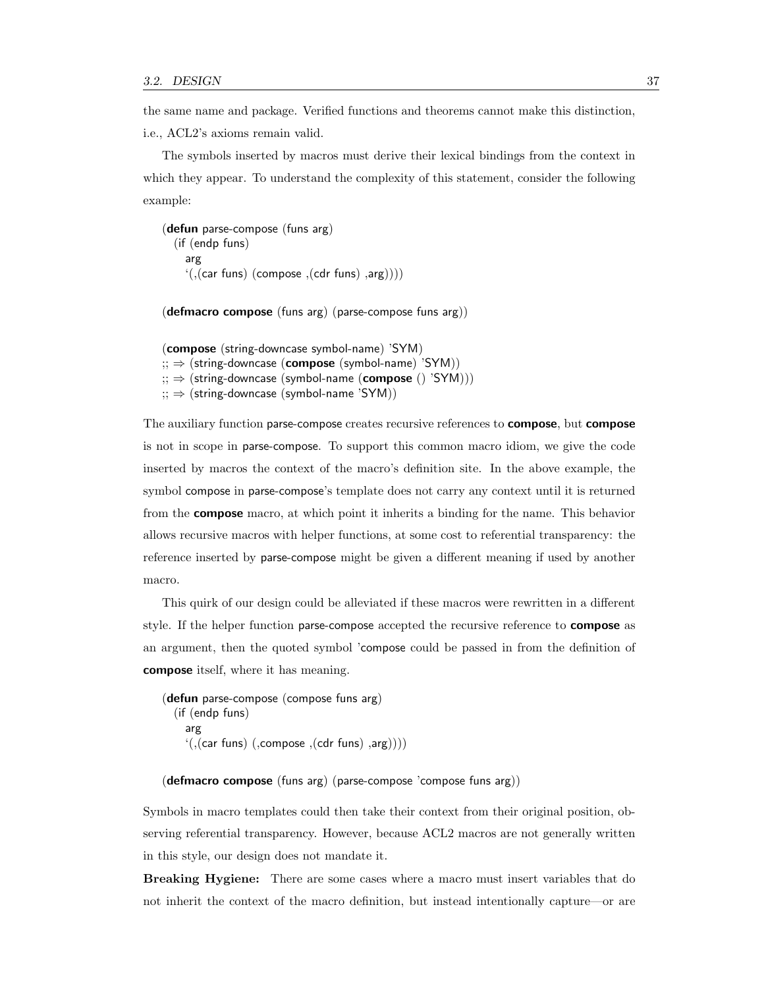the same name and package. Verified functions and theorems cannot make this distinction, i.e., ACL2's axioms remain valid.

The symbols inserted by macros must derive their lexical bindings from the context in which they appear. To understand the complexity of this statement, consider the following example:

```
(defun parse-compose (funs arg)
  (if (endp funs)
    arg
    '(((car funs) (compose ,(cdr funs) ,arg)))
```
(defmacro compose (funs arg) (parse-compose funs arg))

```
(compose (string-downcase symbol-name) 'SYM)
\sigma; \Rightarrow (string-downcase (compose (symbol-name) 'SYM))
\sigma; \Rightarrow (string-downcase (symbol-name (compose () 'SYM)))
\gamma; \Rightarrow (string-downcase (symbol-name 'SYM))
```
The auxiliary function parse-compose creates recursive references to **compose**, but **compose** is not in scope in parse-compose. To support this common macro idiom, we give the code inserted by macros the context of the macro's definition site. In the above example, the symbol compose in parse-compose's template does not carry any context until it is returned from the compose macro, at which point it inherits a binding for the name. This behavior allows recursive macros with helper functions, at some cost to referential transparency: the reference inserted by parse-compose might be given a different meaning if used by another macro.

This quirk of our design could be alleviated if these macros were rewritten in a different style. If the helper function parse-compose accepted the recursive reference to compose as an argument, then the quoted symbol 'compose could be passed in from the definition of compose itself, where it has meaning.

```
(defun parse-compose (compose funs arg)
  (if (endp funs)
    arg
    '(((car funs) (,compose ,(cdr funs) ,arg))))
```
#### (defmacro compose (funs arg) (parse-compose 'compose funs arg))

Symbols in macro templates could then take their context from their original position, observing referential transparency. However, because ACL2 macros are not generally written in this style, our design does not mandate it.

Breaking Hygiene: There are some cases where a macro must insert variables that do not inherit the context of the macro definition, but instead intentionally capture—or are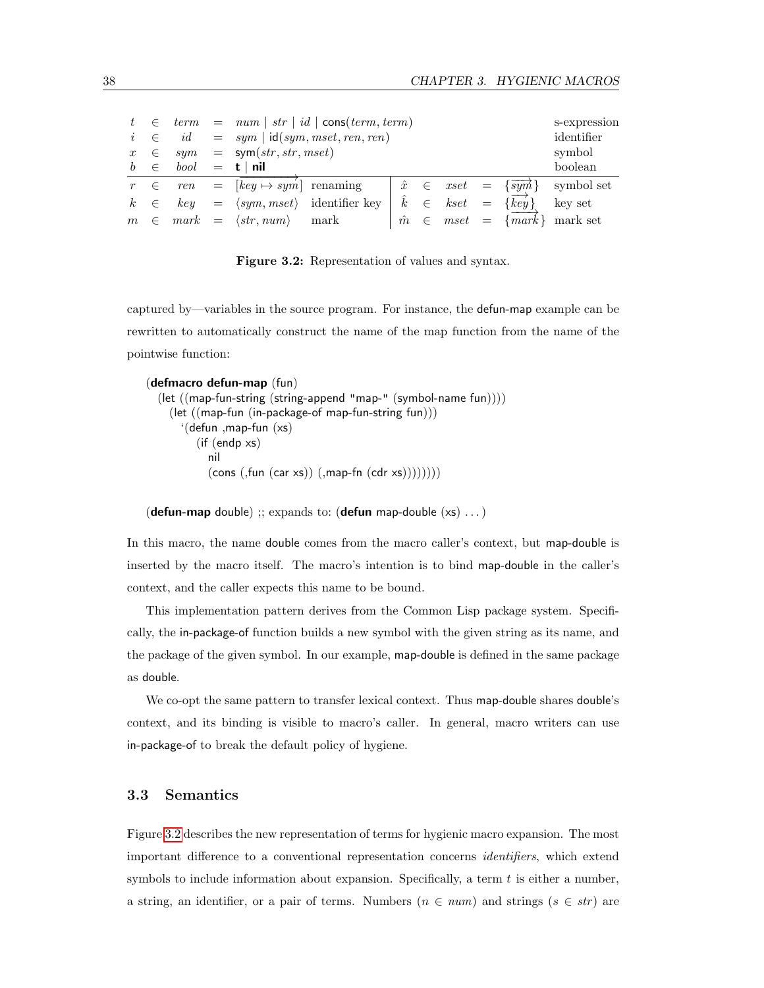|                  |            |           |                                         | $t \in term = num   str   id   cons(term, term)$ |           |       |                |  |                                              | s-expression               |
|------------------|------------|-----------|-----------------------------------------|--------------------------------------------------|-----------|-------|----------------|--|----------------------------------------------|----------------------------|
|                  | $i \in$    | id        |                                         | $=$ sym   id(sym, mset, ren, ren)                |           |       |                |  |                                              |                            |
| $\boldsymbol{x}$ |            | $\in$ sym | $=$ sym(str, str, mset)                 |                                                  |           |       |                |  |                                              | symbol                     |
| b                | $\epsilon$ | bool      | $=$ t   nil                             |                                                  |           |       |                |  |                                              | boolean                    |
|                  | $r \in$    | ren       | $=$ $[key \mapsto sym]$ renaming        |                                                  |           |       |                |  | $\hat{x} \in \text{zset} = \{\text{symb}\}\$ | symbol set                 |
| $k_{\cdot}$      | $\epsilon$ | keu       |                                         | $= \langle sym, mset \rangle$ identifier key     |           |       | $k \in kset =$ |  | $\{key\}$                                    | key set                    |
|                  |            |           | $m \in mark = \langle str, num \rangle$ | mark                                             | $\hat{m}$ | $\in$ |                |  |                                              | $mset = \{mark\}$ mark set |

<span id="page-47-0"></span>Figure 3.2: Representation of values and syntax.

captured by—variables in the source program. For instance, the defun-map example can be rewritten to automatically construct the name of the map function from the name of the pointwise function:

```
(defmacro defun-map (fun)
  (let ((map-fun-string (string-append "map-" (symbol-name fun))))
    (let ((map-fun (in-package-of map-fun-string fun)))
      '(defun ,map-fun (xs)
         (if (endp xs)
           nil
           (cons (fun (car xs)) (map_fn (cdr xs)))))))
```
(defun-map double) ;; expands to: (defun map-double  $(xs)$  ...)

In this macro, the name double comes from the macro caller's context, but map-double is inserted by the macro itself. The macro's intention is to bind map-double in the caller's context, and the caller expects this name to be bound.

This implementation pattern derives from the Common Lisp package system. Specifically, the in-package-of function builds a new symbol with the given string as its name, and the package of the given symbol. In our example, map-double is defined in the same package as double.

We co-opt the same pattern to transfer lexical context. Thus map-double shares double's context, and its binding is visible to macro's caller. In general, macro writers can use in-package-of to break the default policy of hygiene.

### 3.3 Semantics

Figure [3.2](#page-47-0) describes the new representation of terms for hygienic macro expansion. The most important difference to a conventional representation concerns identifiers, which extend symbols to include information about expansion. Specifically, a term  $t$  is either a number, a string, an identifier, or a pair of terms. Numbers  $(n \in num)$  and strings  $(s \in str)$  are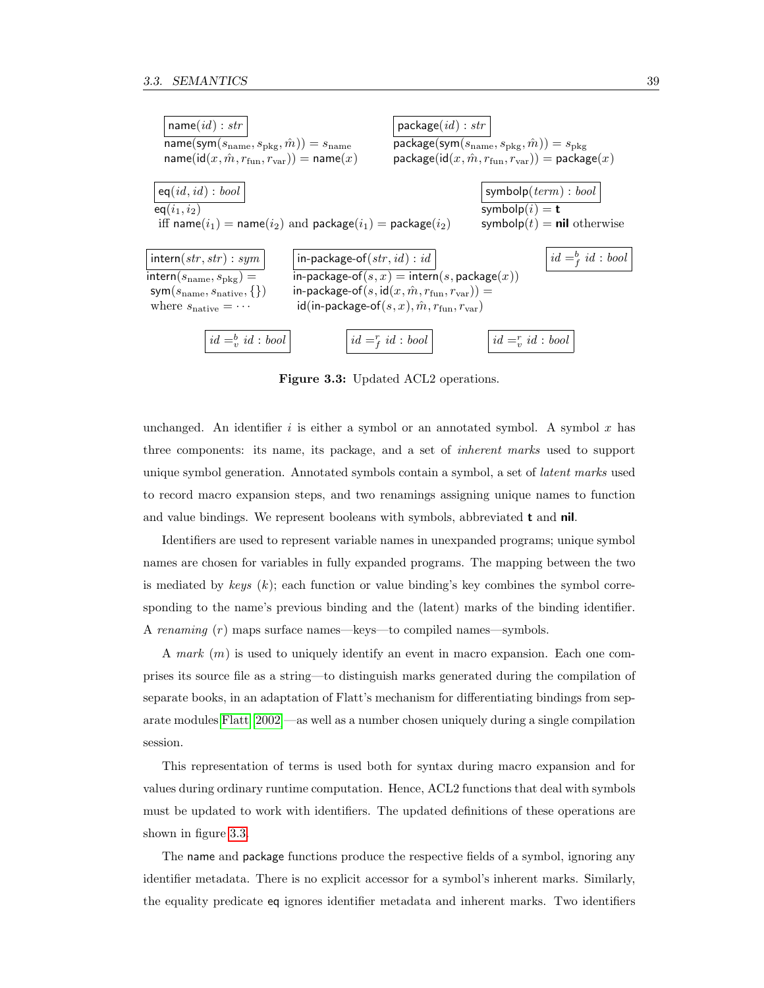

<span id="page-48-0"></span>Figure 3.3: Updated ACL2 operations.

unchanged. An identifier i is either a symbol or an annotated symbol. A symbol x has three components: its name, its package, and a set of inherent marks used to support unique symbol generation. Annotated symbols contain a symbol, a set of latent marks used to record macro expansion steps, and two renamings assigning unique names to function and value bindings. We represent booleans with symbols, abbreviated t and nil.

Identifiers are used to represent variable names in unexpanded programs; unique symbol names are chosen for variables in fully expanded programs. The mapping between the two is mediated by keys  $(k)$ ; each function or value binding's key combines the symbol corresponding to the name's previous binding and the (latent) marks of the binding identifier. A renaming (r) maps surface names—keys—to compiled names—symbols.

A mark (m) is used to uniquely identify an event in macro expansion. Each one comprises its source file as a string—to distinguish marks generated during the compilation of separate books, in an adaptation of Flatt's mechanism for differentiating bindings from separate modules [Flatt \[2002\]](#page-125-3)—as well as a number chosen uniquely during a single compilation session.

This representation of terms is used both for syntax during macro expansion and for values during ordinary runtime computation. Hence, ACL2 functions that deal with symbols must be updated to work with identifiers. The updated definitions of these operations are shown in figure [3.3.](#page-48-0)

The name and package functions produce the respective fields of a symbol, ignoring any identifier metadata. There is no explicit accessor for a symbol's inherent marks. Similarly, the equality predicate eq ignores identifier metadata and inherent marks. Two identifiers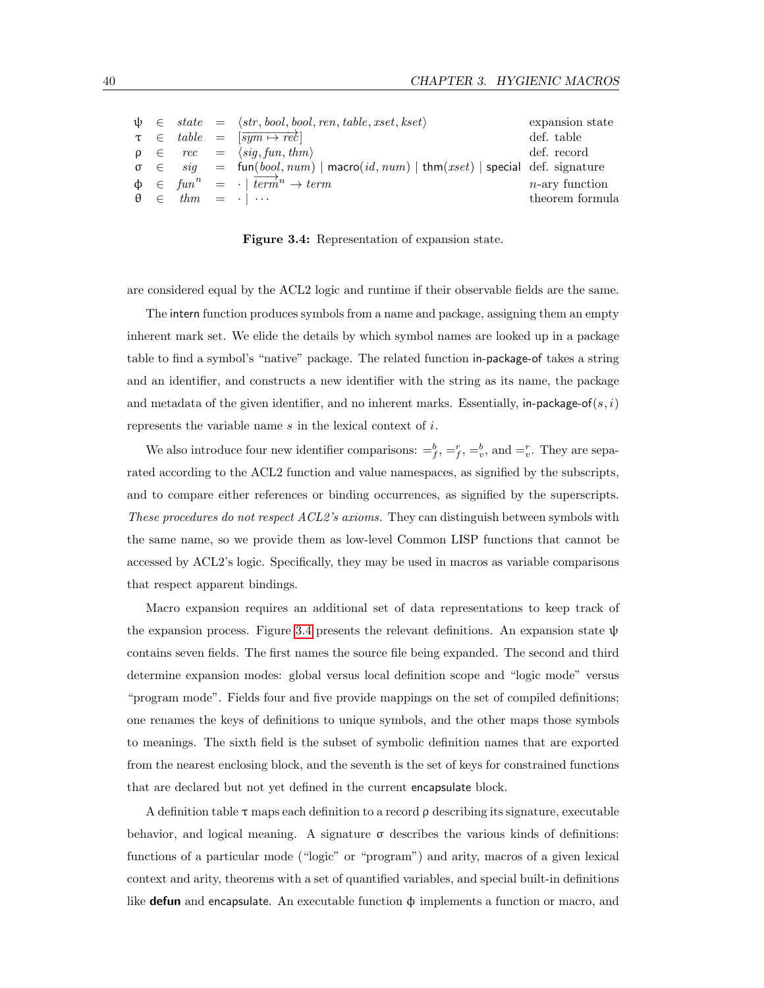|  |  | $\psi \in state = \langle str, bool, bool, ren, table, xset, kset \rangle$              | expansion state   |
|--|--|-----------------------------------------------------------------------------------------|-------------------|
|  |  | $\tau \in table = [\overline{sym \mapsto re\mathcal{E}}]$                               | def. table        |
|  |  | $\rho \in rec = \langle sig, fun, thm \rangle$                                          | def. record       |
|  |  | $\sigma \in sig$ = fun(bool, num)   macro(id, num)   thm(xset)   special def. signature |                   |
|  |  | $\phi \in \text{fun}^n = \cdot \mid \overrightarrow{\text{term}}^n \to \text{term}$     | $n$ -ary function |
|  |  | $\theta \in thm = \cdot   \cdots$                                                       | theorem formula   |

<span id="page-49-0"></span>Figure 3.4: Representation of expansion state.

are considered equal by the ACL2 logic and runtime if their observable fields are the same.

The intern function produces symbols from a name and package, assigning them an empty inherent mark set. We elide the details by which symbol names are looked up in a package table to find a symbol's "native" package. The related function in-package-of takes a string and an identifier, and constructs a new identifier with the string as its name, the package and metadata of the given identifier, and no inherent marks. Essentially, in-package-of(s, i) represents the variable name s in the lexical context of i.

We also introduce four new identifier comparisons:  $=$   $\frac{b}{f}$ ,  $=$   $\frac{r}{f}$ ,  $=$   $\frac{b}{v}$ , and  $=$   $\frac{r}{v}$ . They are separated according to the ACL2 function and value namespaces, as signified by the subscripts, and to compare either references or binding occurrences, as signified by the superscripts. These procedures do not respect ACL2's axioms. They can distinguish between symbols with the same name, so we provide them as low-level Common LISP functions that cannot be accessed by ACL2's logic. Specifically, they may be used in macros as variable comparisons that respect apparent bindings.

Macro expansion requires an additional set of data representations to keep track of the expansion process. Figure [3.4](#page-49-0) presents the relevant definitions. An expansion state  $\psi$ contains seven fields. The first names the source file being expanded. The second and third determine expansion modes: global versus local definition scope and "logic mode" versus "program mode". Fields four and five provide mappings on the set of compiled definitions; one renames the keys of definitions to unique symbols, and the other maps those symbols to meanings. The sixth field is the subset of symbolic definition names that are exported from the nearest enclosing block, and the seventh is the set of keys for constrained functions that are declared but not yet defined in the current encapsulate block.

A definition table  $\tau$  maps each definition to a record  $\rho$  describing its signature, executable behavior, and logical meaning. A signature  $\sigma$  describes the various kinds of definitions: functions of a particular mode ("logic" or "program") and arity, macros of a given lexical context and arity, theorems with a set of quantified variables, and special built-in definitions like **defun** and encapsulate. An executable function  $\phi$  implements a function or macro, and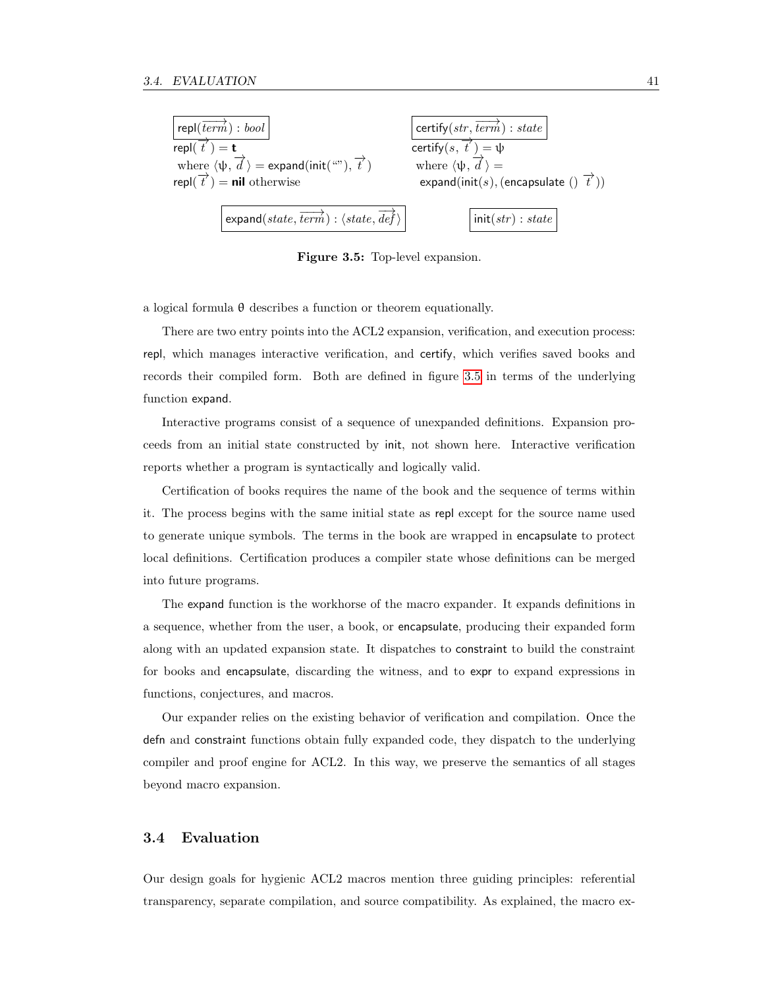

<span id="page-50-0"></span>Figure 3.5: Top-level expansion.

a logical formula θ describes a function or theorem equationally.

There are two entry points into the ACL2 expansion, verification, and execution process: repl, which manages interactive verification, and certify, which verifies saved books and records their compiled form. Both are defined in figure [3.5](#page-50-0) in terms of the underlying function expand.

Interactive programs consist of a sequence of unexpanded definitions. Expansion proceeds from an initial state constructed by init, not shown here. Interactive verification reports whether a program is syntactically and logically valid.

Certification of books requires the name of the book and the sequence of terms within it. The process begins with the same initial state as repl except for the source name used to generate unique symbols. The terms in the book are wrapped in encapsulate to protect local definitions. Certification produces a compiler state whose definitions can be merged into future programs.

The expand function is the workhorse of the macro expander. It expands definitions in a sequence, whether from the user, a book, or encapsulate, producing their expanded form along with an updated expansion state. It dispatches to constraint to build the constraint for books and encapsulate, discarding the witness, and to expr to expand expressions in functions, conjectures, and macros.

Our expander relies on the existing behavior of verification and compilation. Once the defn and constraint functions obtain fully expanded code, they dispatch to the underlying compiler and proof engine for ACL2. In this way, we preserve the semantics of all stages beyond macro expansion.

#### 3.4 Evaluation

Our design goals for hygienic ACL2 macros mention three guiding principles: referential transparency, separate compilation, and source compatibility. As explained, the macro ex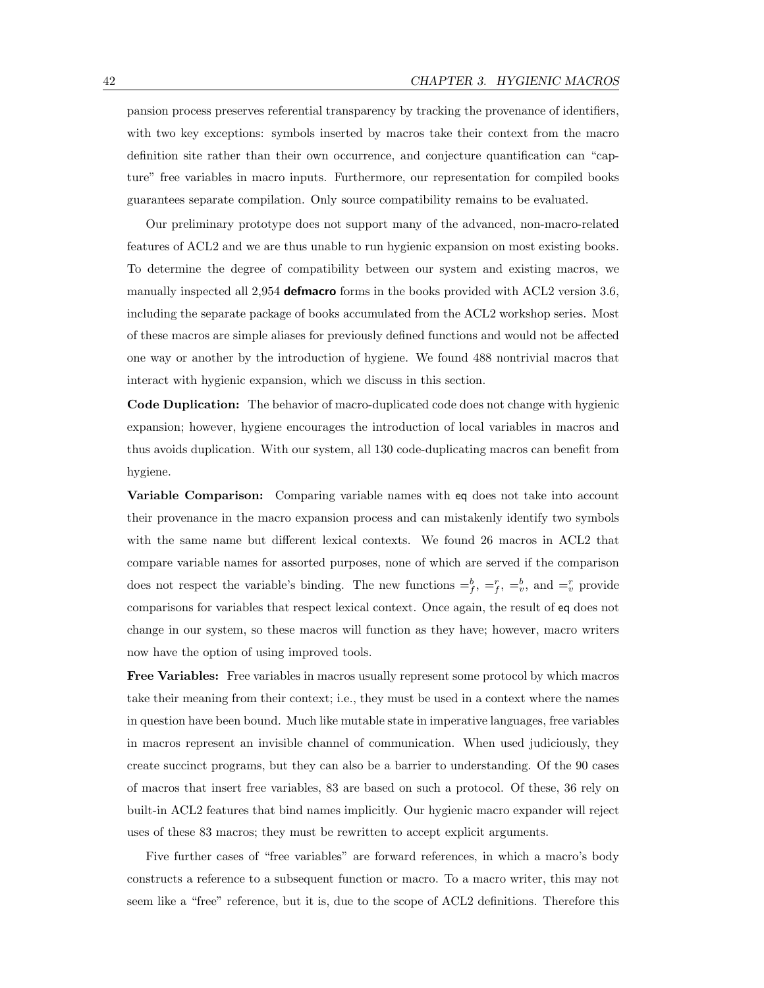pansion process preserves referential transparency by tracking the provenance of identifiers, with two key exceptions: symbols inserted by macros take their context from the macro definition site rather than their own occurrence, and conjecture quantification can "capture" free variables in macro inputs. Furthermore, our representation for compiled books guarantees separate compilation. Only source compatibility remains to be evaluated.

Our preliminary prototype does not support many of the advanced, non-macro-related features of ACL2 and we are thus unable to run hygienic expansion on most existing books. To determine the degree of compatibility between our system and existing macros, we manually inspected all 2,954 defination forms in the books provided with ACL2 version 3.6, including the separate package of books accumulated from the ACL2 workshop series. Most of these macros are simple aliases for previously defined functions and would not be affected one way or another by the introduction of hygiene. We found 488 nontrivial macros that interact with hygienic expansion, which we discuss in this section.

Code Duplication: The behavior of macro-duplicated code does not change with hygienic expansion; however, hygiene encourages the introduction of local variables in macros and thus avoids duplication. With our system, all 130 code-duplicating macros can benefit from hygiene.

Variable Comparison: Comparing variable names with eq does not take into account their provenance in the macro expansion process and can mistakenly identify two symbols with the same name but different lexical contexts. We found 26 macros in ACL2 that compare variable names for assorted purposes, none of which are served if the comparison does not respect the variable's binding. The new functions  $=\,^b_f, =^r_f, =^b_v,$  and  $=\,^r_v$  provide comparisons for variables that respect lexical context. Once again, the result of eq does not change in our system, so these macros will function as they have; however, macro writers now have the option of using improved tools.

Free Variables: Free variables in macros usually represent some protocol by which macros take their meaning from their context; i.e., they must be used in a context where the names in question have been bound. Much like mutable state in imperative languages, free variables in macros represent an invisible channel of communication. When used judiciously, they create succinct programs, but they can also be a barrier to understanding. Of the 90 cases of macros that insert free variables, 83 are based on such a protocol. Of these, 36 rely on built-in ACL2 features that bind names implicitly. Our hygienic macro expander will reject uses of these 83 macros; they must be rewritten to accept explicit arguments.

Five further cases of "free variables" are forward references, in which a macro's body constructs a reference to a subsequent function or macro. To a macro writer, this may not seem like a "free" reference, but it is, due to the scope of ACL2 definitions. Therefore this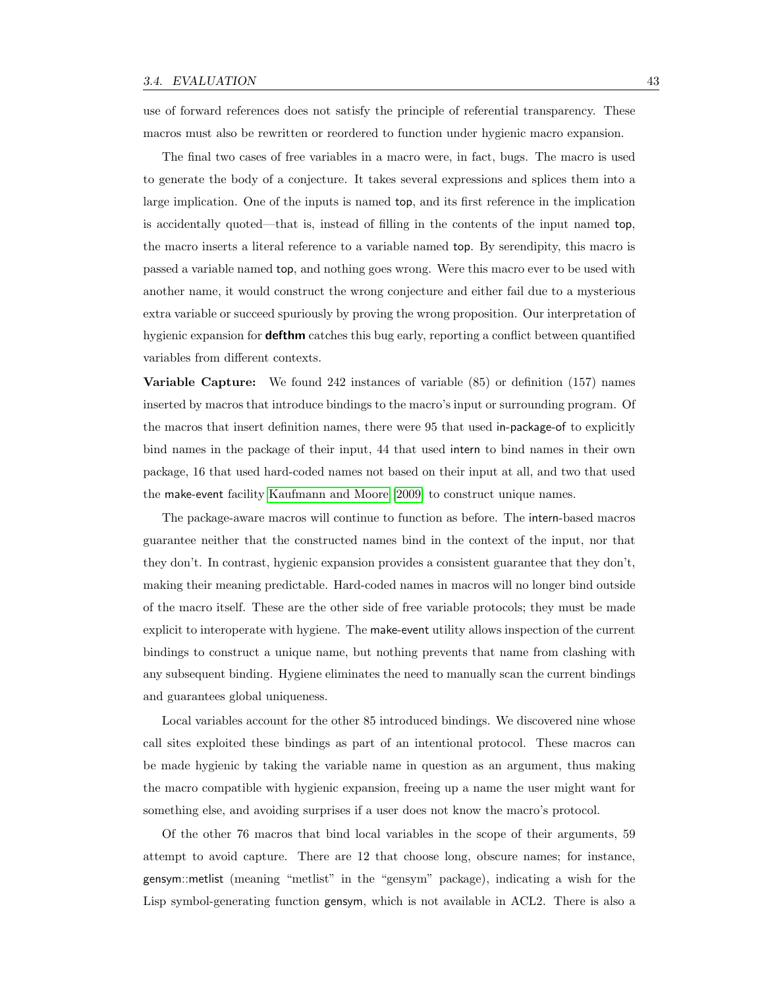use of forward references does not satisfy the principle of referential transparency. These macros must also be rewritten or reordered to function under hygienic macro expansion.

The final two cases of free variables in a macro were, in fact, bugs. The macro is used to generate the body of a conjecture. It takes several expressions and splices them into a large implication. One of the inputs is named top, and its first reference in the implication is accidentally quoted—that is, instead of filling in the contents of the input named top, the macro inserts a literal reference to a variable named top. By serendipity, this macro is passed a variable named top, and nothing goes wrong. Were this macro ever to be used with another name, it would construct the wrong conjecture and either fail due to a mysterious extra variable or succeed spuriously by proving the wrong proposition. Our interpretation of hygienic expansion for **defthm** catches this bug early, reporting a conflict between quantified variables from different contexts.

Variable Capture: We found 242 instances of variable (85) or definition (157) names inserted by macros that introduce bindings to the macro's input or surrounding program. Of the macros that insert definition names, there were 95 that used in-package-of to explicitly bind names in the package of their input, 44 that used intern to bind names in their own package, 16 that used hard-coded names not based on their input at all, and two that used the make-event facility [Kaufmann and Moore \[2009\]](#page-126-1) to construct unique names.

The package-aware macros will continue to function as before. The intern-based macros guarantee neither that the constructed names bind in the context of the input, nor that they don't. In contrast, hygienic expansion provides a consistent guarantee that they don't, making their meaning predictable. Hard-coded names in macros will no longer bind outside of the macro itself. These are the other side of free variable protocols; they must be made explicit to interoperate with hygiene. The make-event utility allows inspection of the current bindings to construct a unique name, but nothing prevents that name from clashing with any subsequent binding. Hygiene eliminates the need to manually scan the current bindings and guarantees global uniqueness.

Local variables account for the other 85 introduced bindings. We discovered nine whose call sites exploited these bindings as part of an intentional protocol. These macros can be made hygienic by taking the variable name in question as an argument, thus making the macro compatible with hygienic expansion, freeing up a name the user might want for something else, and avoiding surprises if a user does not know the macro's protocol.

Of the other 76 macros that bind local variables in the scope of their arguments, 59 attempt to avoid capture. There are 12 that choose long, obscure names; for instance, gensym::metlist (meaning "metlist" in the "gensym" package), indicating a wish for the Lisp symbol-generating function gensym, which is not available in ACL2. There is also a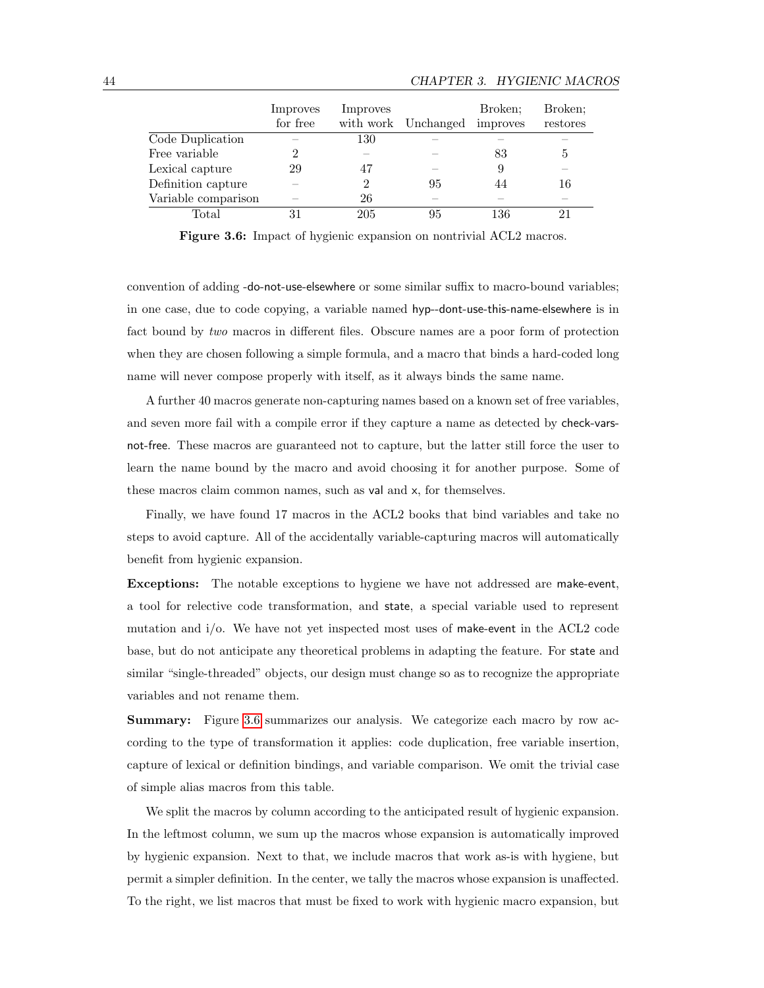|                     | Improves<br>for free | Improves | with work Unchanged      | Broken:<br>improves | Broken:<br>restores |
|---------------------|----------------------|----------|--------------------------|---------------------|---------------------|
| Code Duplication    |                      | 130      |                          |                     |                     |
| Free variable       |                      |          |                          | 83                  | 5                   |
| Lexical capture     | 29                   | 47       |                          |                     |                     |
| Definition capture  |                      | 2        | 95                       | 44                  | 16                  |
| Variable comparison |                      | 26       | $\overline{\phantom{a}}$ |                     |                     |
| Total               | 31                   | 205      | 95                       | 136                 | 21                  |

<span id="page-53-0"></span>Figure 3.6: Impact of hygienic expansion on nontrivial ACL2 macros.

convention of adding -do-not-use-elsewhere or some similar suffix to macro-bound variables; in one case, due to code copying, a variable named hyp--dont-use-this-name-elsewhere is in fact bound by two macros in different files. Obscure names are a poor form of protection when they are chosen following a simple formula, and a macro that binds a hard-coded long name will never compose properly with itself, as it always binds the same name.

A further 40 macros generate non-capturing names based on a known set of free variables, and seven more fail with a compile error if they capture a name as detected by check-varsnot-free. These macros are guaranteed not to capture, but the latter still force the user to learn the name bound by the macro and avoid choosing it for another purpose. Some of these macros claim common names, such as val and x, for themselves.

Finally, we have found 17 macros in the ACL2 books that bind variables and take no steps to avoid capture. All of the accidentally variable-capturing macros will automatically benefit from hygienic expansion.

Exceptions: The notable exceptions to hygiene we have not addressed are make-event, a tool for relective code transformation, and state, a special variable used to represent mutation and i/o. We have not yet inspected most uses of make-event in the ACL2 code base, but do not anticipate any theoretical problems in adapting the feature. For state and similar "single-threaded" objects, our design must change so as to recognize the appropriate variables and not rename them.

Summary: Figure [3.6](#page-53-0) summarizes our analysis. We categorize each macro by row according to the type of transformation it applies: code duplication, free variable insertion, capture of lexical or definition bindings, and variable comparison. We omit the trivial case of simple alias macros from this table.

We split the macros by column according to the anticipated result of hygienic expansion. In the leftmost column, we sum up the macros whose expansion is automatically improved by hygienic expansion. Next to that, we include macros that work as-is with hygiene, but permit a simpler definition. In the center, we tally the macros whose expansion is unaffected. To the right, we list macros that must be fixed to work with hygienic macro expansion, but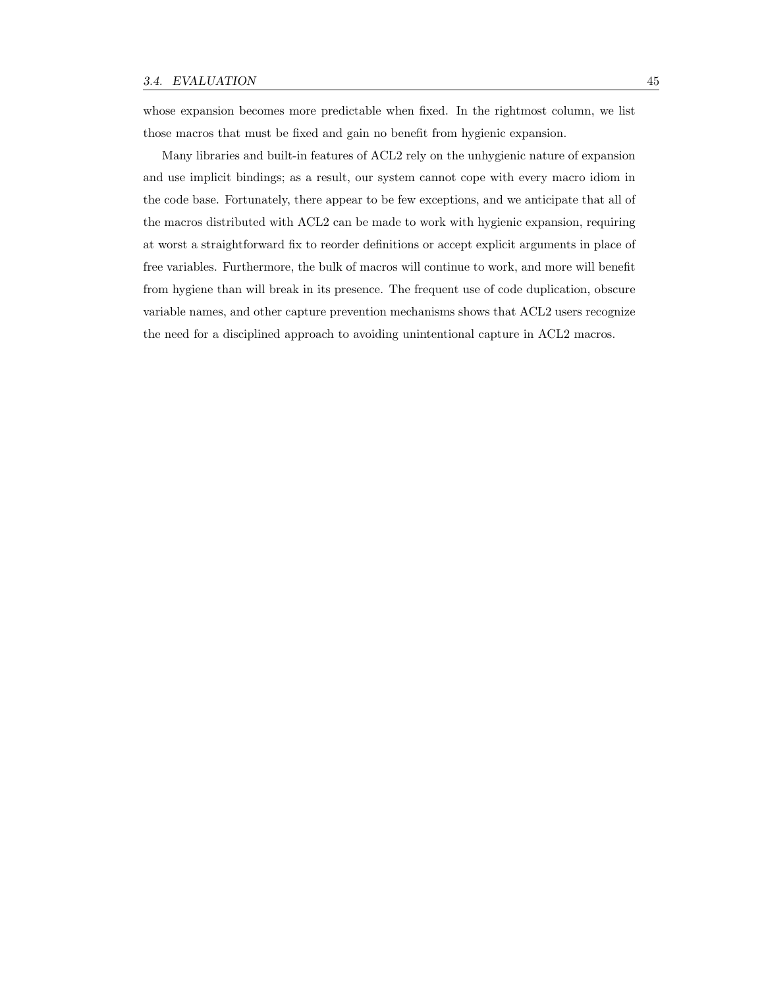whose expansion becomes more predictable when fixed. In the rightmost column, we list those macros that must be fixed and gain no benefit from hygienic expansion.

Many libraries and built-in features of ACL2 rely on the unhygienic nature of expansion and use implicit bindings; as a result, our system cannot cope with every macro idiom in the code base. Fortunately, there appear to be few exceptions, and we anticipate that all of the macros distributed with ACL2 can be made to work with hygienic expansion, requiring at worst a straightforward fix to reorder definitions or accept explicit arguments in place of free variables. Furthermore, the bulk of macros will continue to work, and more will benefit from hygiene than will break in its presence. The frequent use of code duplication, obscure variable names, and other capture prevention mechanisms shows that ACL2 users recognize the need for a disciplined approach to avoiding unintentional capture in ACL2 macros.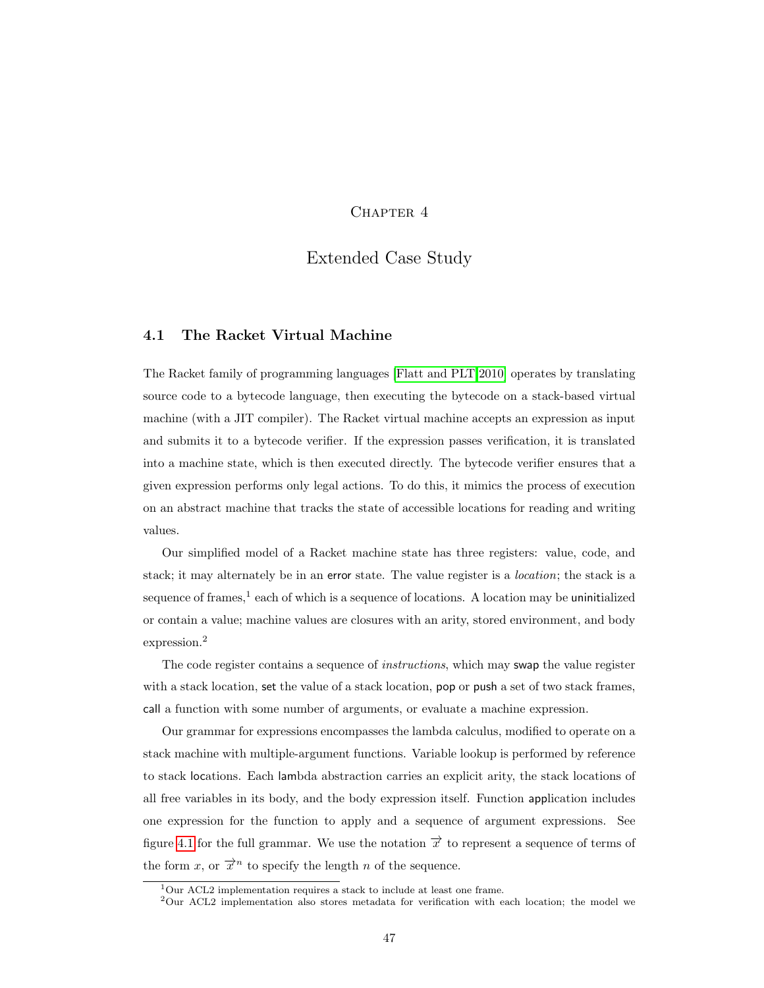## CHAPTER 4

# Extended Case Study

#### 4.1 The Racket Virtual Machine

The Racket family of programming languages [\[Flatt and PLT 2010\]](#page-125-4) operates by translating source code to a bytecode language, then executing the bytecode on a stack-based virtual machine (with a JIT compiler). The Racket virtual machine accepts an expression as input and submits it to a bytecode verifier. If the expression passes verification, it is translated into a machine state, which is then executed directly. The bytecode verifier ensures that a given expression performs only legal actions. To do this, it mimics the process of execution on an abstract machine that tracks the state of accessible locations for reading and writing values.

Our simplified model of a Racket machine state has three registers: value, code, and stack; it may alternately be in an error state. The value register is a location; the stack is a sequence of frames,<sup>1</sup> each of which is a sequence of locations. A location may be uninitialized or contain a value; machine values are closures with an arity, stored environment, and body expression.<sup>2</sup>

The code register contains a sequence of *instructions*, which may swap the value register with a stack location, set the value of a stack location, pop or push a set of two stack frames, call a function with some number of arguments, or evaluate a machine expression.

Our grammar for expressions encompasses the lambda calculus, modified to operate on a stack machine with multiple-argument functions. Variable lookup is performed by reference to stack locations. Each lambda abstraction carries an explicit arity, the stack locations of all free variables in its body, and the body expression itself. Function application includes one expression for the function to apply and a sequence of argument expressions. See figure [4.1](#page-57-0) for the full grammar. We use the notation  $\vec{x}$  to represent a sequence of terms of the form x, or  $\vec{x}^n$  to specify the length n of the sequence.

<sup>1</sup>Our ACL2 implementation requires a stack to include at least one frame.

 $2$ Our ACL2 implementation also stores metadata for verification with each location; the model we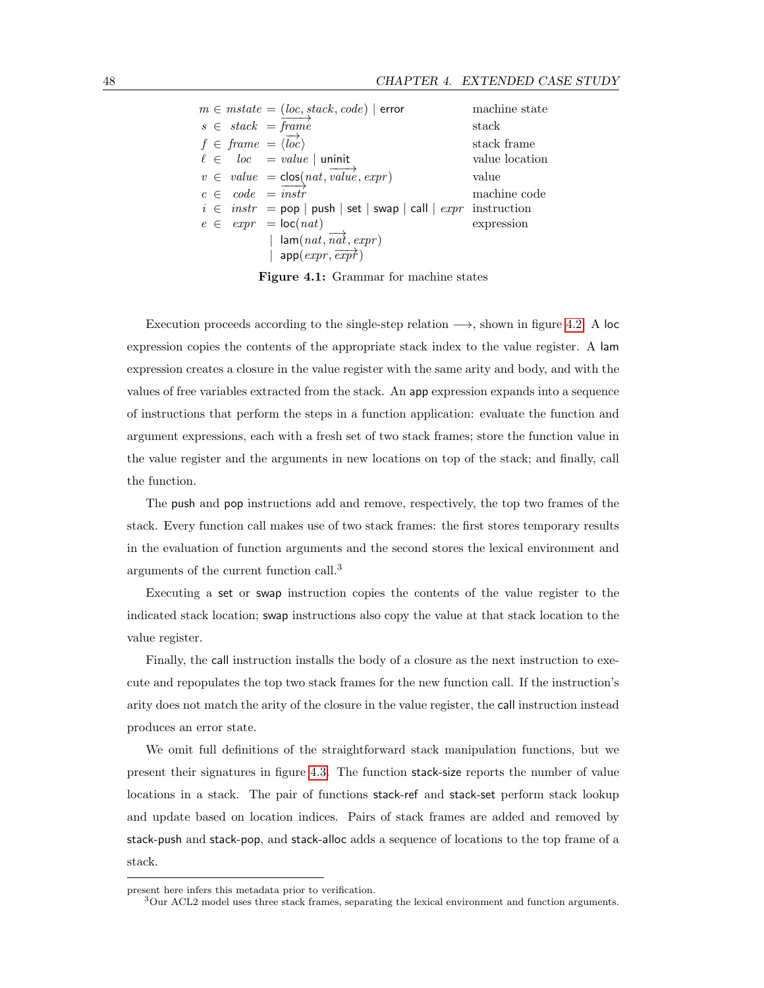|  | $m \in mstate = (loc, stack, code)   error$                                                                                                                             | machine state  |
|--|-------------------------------------------------------------------------------------------------------------------------------------------------------------------------|----------------|
|  | $s \in stack = frame$                                                                                                                                                   | stack          |
|  | $f \in \text{frame} = \langle \overrightarrow{loc} \rangle$                                                                                                             | stack frame    |
|  | $\ell \in loc = value$   uninit                                                                                                                                         | value location |
|  | $v \in value = \text{clos}(nat, \overrightarrow{value}, \text{expr})$                                                                                                   | value          |
|  | $c \in code = instr$                                                                                                                                                    | machine code   |
|  | $i \in instr = pop   push   set   swap   call   expr$ instruction                                                                                                       |                |
|  | $e \in \exp r = \text{loc}(nat)$                                                                                                                                        | expression     |
|  | $\begin{array}{ l }\n\hline\n\end{array} \text{lam}(nat, \overrightarrow{nat}, \overrightarrow{expr})$<br>$\hline\n\end{array} \text{app}(expr, \overrightarrow{expr})$ |                |
|  |                                                                                                                                                                         |                |
|  |                                                                                                                                                                         |                |

<span id="page-57-0"></span>Figure 4.1: Grammar for machine states

Execution proceeds according to the single-step relation  $\longrightarrow$ , shown in figure [4.2.](#page-58-0) A loc expression copies the contents of the appropriate stack index to the value register. A lam expression creates a closure in the value register with the same arity and body, and with the values of free variables extracted from the stack. An app expression expands into a sequence of instructions that perform the steps in a function application: evaluate the function and argument expressions, each with a fresh set of two stack frames; store the function value in the value register and the arguments in new locations on top of the stack; and finally, call the function.

The push and pop instructions add and remove, respectively, the top two frames of the stack. Every function call makes use of two stack frames: the first stores temporary results in the evaluation of function arguments and the second stores the lexical environment and arguments of the current function call.<sup>3</sup>

Executing a set or swap instruction copies the contents of the value register to the indicated stack location; swap instructions also copy the value at that stack location to the value register.

Finally, the call instruction installs the body of a closure as the next instruction to execute and repopulates the top two stack frames for the new function call. If the instruction's arity does not match the arity of the closure in the value register, the call instruction instead produces an error state.

We omit full definitions of the straightforward stack manipulation functions, but we present their signatures in figure [4.3.](#page-58-1) The function stack-size reports the number of value locations in a stack. The pair of functions stack-ref and stack-set perform stack lookup and update based on location indices. Pairs of stack frames are added and removed by stack-push and stack-pop, and stack-alloc adds a sequence of locations to the top frame of a stack.

present here infers this metadata prior to verification.

<sup>3</sup>Our ACL2 model uses three stack frames, separating the lexical environment and function arguments.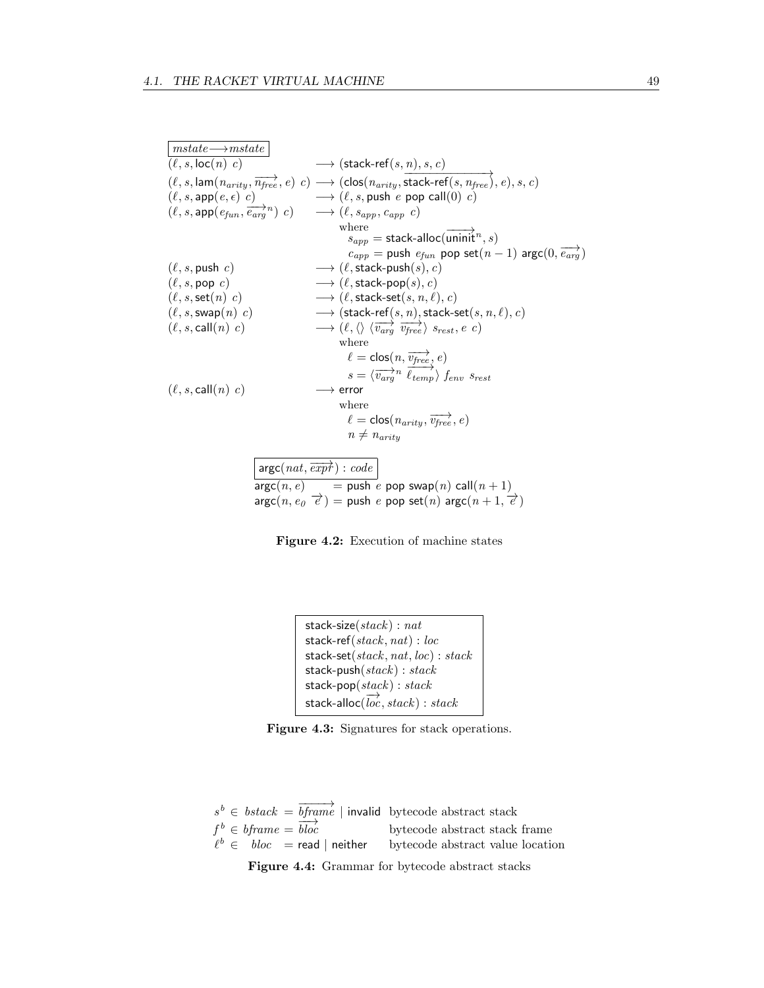| $mstate \longrightarrow mstate$ |                                                                                                                                                                                                                                                          |
|---------------------------------|----------------------------------------------------------------------------------------------------------------------------------------------------------------------------------------------------------------------------------------------------------|
| $(\ell, s, \text{loc}(n), c)$   | $\longrightarrow$ (stack-ref $(s, n), s, c$ )                                                                                                                                                                                                            |
|                                 | $(\ell, s, \text{lam}(n_{arity}, \overrightarrow{n_{free}}, e) \ c) \longrightarrow (\text{clos}(n_{arity}, \overrightarrow{\text{stack-ref}(s, n_{free})}, e), s, c)$                                                                                   |
|                                 | $(\ell, s, \mathsf{app}(e, \epsilon) \ c)$ $\longrightarrow$ $(\ell, s, \mathsf{push} \ e \ \mathsf{pop} \ \mathsf{call}(0) \ c)$<br>$(\ell, s, \mathsf{app}(e_{fun}, \overrightarrow{e_{arg}}^n) \ c)$ $\longrightarrow$ $(\ell, s_{app}, c_{app} \ c)$ |
|                                 |                                                                                                                                                                                                                                                          |
|                                 | where                                                                                                                                                                                                                                                    |
|                                 | $\overrightarrow{s_{app}}$ = stack-alloc(uninit <sup>n</sup> , s)                                                                                                                                                                                        |
|                                 | $c_{app}$ = push $e_{fun}$ pop set $(n-1)$ argc $(0, \overrightarrow{e_{arg}})$                                                                                                                                                                          |
| $(\ell, s, \text{push } c)$     | $\longrightarrow$ ( $\ell$ , stack-push(s), c)                                                                                                                                                                                                           |
| $(\ell, s, \text{pop } c)$      | $\longrightarrow$ ( $\ell$ , stack-pop(s), c)                                                                                                                                                                                                            |
| $(\ell, s, \mathsf{set}(n) c)$  | $\longrightarrow$ ( $\ell$ , stack-set(s, n, $\ell$ ), c)                                                                                                                                                                                                |
| $(\ell, s, \text{swap}(n) c)$   | $\longrightarrow (\mathsf{stack}\text{-}\mathsf{ref}\xspace(s,n),\mathsf{stack}\text{-}\mathsf{set}\xspace(s,n,\ell),c)$                                                                                                                                 |
| $(\ell, s, \text{call}(n), c)$  | $\longrightarrow (\ell, \langle \rangle \langle \overrightarrow{v_{arg}} \overrightarrow{v_{free}} \rangle s_{rest}, e \ c)$                                                                                                                             |
|                                 | where                                                                                                                                                                                                                                                    |
|                                 |                                                                                                                                                                                                                                                          |
|                                 | $\begin{array}{l} \ell = \mathsf{clos}(n, \overrightarrow{v_{free}}, e) \\ s = \langle \overrightarrow{v_{arg}}^n \overrightarrow{\ell_{temp}} \rangle \int_{env} s_{rest} \end{array}$                                                                  |
| $(\ell, s, \text{call}(n), c)$  | $\longrightarrow$ error                                                                                                                                                                                                                                  |
|                                 | where                                                                                                                                                                                                                                                    |
|                                 | $\ell = \text{clos}(n_{arity}, \overrightarrow{v_{free}}, e)$                                                                                                                                                                                            |
|                                 | $n \neq n_{arity}$                                                                                                                                                                                                                                       |
|                                 |                                                                                                                                                                                                                                                          |
|                                 | $\arg c(nat, \overrightarrow{expr}) : code$                                                                                                                                                                                                              |
|                                 |                                                                                                                                                                                                                                                          |
|                                 | $\arg c(n, e)$ = push e pop swap $(n)$ call $(n + 1)$                                                                                                                                                                                                    |

 $argc(n, e_0 \neq) = push e pop set(n) argc(n + 1, \neq)$ 

<span id="page-58-0"></span>

```
stack-size(\text{stack}) : \text{nat}stack-ref(stack, nat) : loc
stack-set(stack, nat, loc) : stack
stack-push(\mathit{stack}) : \mathit{stack}\mathsf{stack}\text{-}\mathsf{pop}(\mathit{stack}) : \mathit{stack}stack-alloc(\overrightarrow{loc}, stack):stack
```
<span id="page-58-1"></span>Figure 4.3: Signatures for stack operations.

|                         |                                                             | $s^b \in \text{bstack} = \overrightarrow{bframe}$   invalid bytecode abstract stack |
|-------------------------|-------------------------------------------------------------|-------------------------------------------------------------------------------------|
| $f^b \in bframe = bloc$ |                                                             | bytecode abstract stack frame                                                       |
|                         | $\ell^b \in \text{block} = \text{read} \mid \text{neither}$ | bytecode abstract value location                                                    |

<span id="page-58-2"></span>Figure 4.4: Grammar for bytecode abstract stacks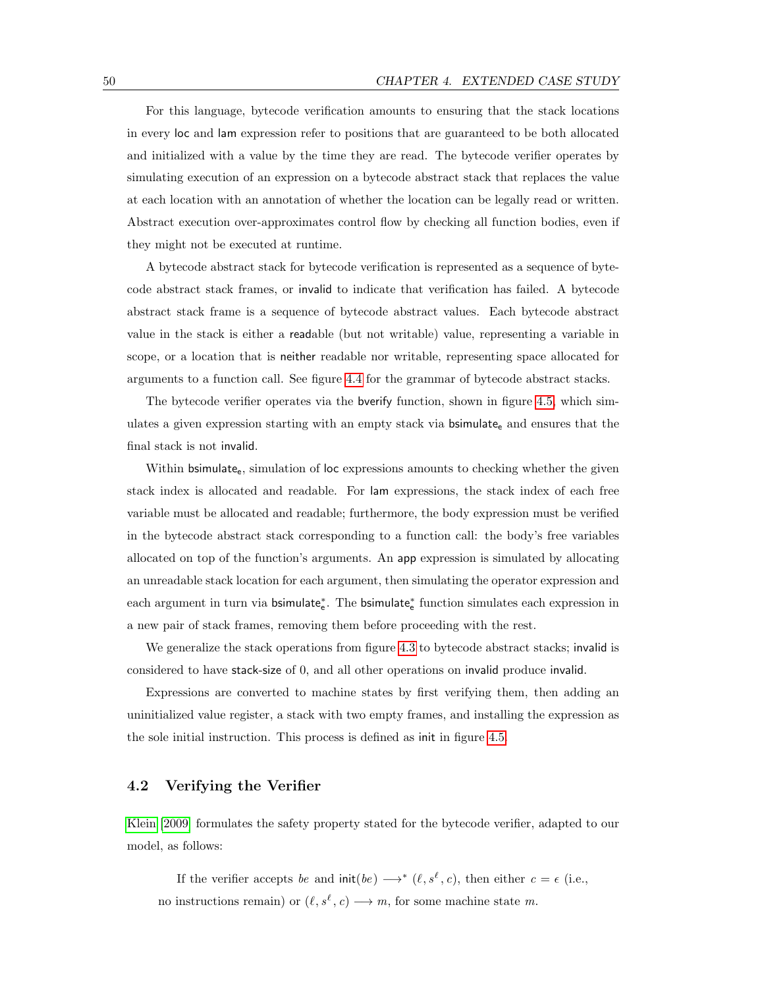For this language, bytecode verification amounts to ensuring that the stack locations in every loc and lam expression refer to positions that are guaranteed to be both allocated and initialized with a value by the time they are read. The bytecode verifier operates by simulating execution of an expression on a bytecode abstract stack that replaces the value at each location with an annotation of whether the location can be legally read or written. Abstract execution over-approximates control flow by checking all function bodies, even if they might not be executed at runtime.

A bytecode abstract stack for bytecode verification is represented as a sequence of bytecode abstract stack frames, or invalid to indicate that verification has failed. A bytecode abstract stack frame is a sequence of bytecode abstract values. Each bytecode abstract value in the stack is either a readable (but not writable) value, representing a variable in scope, or a location that is neither readable nor writable, representing space allocated for arguments to a function call. See figure [4.4](#page-58-2) for the grammar of bytecode abstract stacks.

The bytecode verifier operates via the bverify function, shown in figure [4.5,](#page-60-0) which simulates a given expression starting with an empty stack via  $\mathsf{bsimulate}_{e}$  and ensures that the final stack is not invalid.

Within bsimulate<sub>e</sub>, simulation of loc expressions amounts to checking whether the given stack index is allocated and readable. For lam expressions, the stack index of each free variable must be allocated and readable; furthermore, the body expression must be verified in the bytecode abstract stack corresponding to a function call: the body's free variables allocated on top of the function's arguments. An app expression is simulated by allocating an unreadable stack location for each argument, then simulating the operator expression and each argument in turn via bsimulate<sub>€</sub>. The bsimulate<sub>€</sub> function simulates each expression in a new pair of stack frames, removing them before proceeding with the rest.

We generalize the stack operations from figure [4.3](#page-58-1) to bytecode abstract stacks; invalid is considered to have stack-size of 0, and all other operations on invalid produce invalid.

Expressions are converted to machine states by first verifying them, then adding an uninitialized value register, a stack with two empty frames, and installing the expression as the sole initial instruction. This process is defined as init in figure [4.5.](#page-60-0)

#### 4.2 Verifying the Verifier

[Klein \[2009\]](#page-126-2) formulates the safety property stated for the bytecode verifier, adapted to our model, as follows:

If the verifier accepts be and  $\text{init}(be) \longrightarrow^* (\ell, s^{\ell}, c)$ , then either  $c = \epsilon$  (i.e., no instructions remain) or  $(\ell, s^{\ell}, c) \longrightarrow m$ , for some machine state m.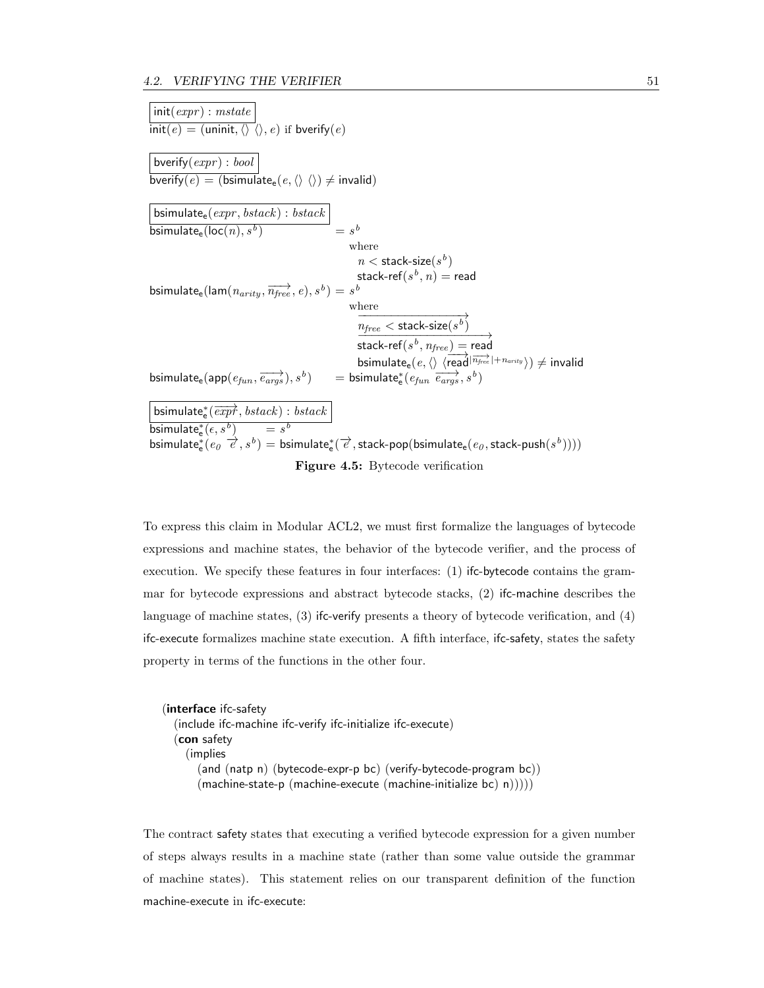$init(exp) : mstate$  $\overline{\text{init}(e)} = (\text{uninit}, \langle \rangle \rangle, e)$  if bverify $(e)$ bverify $(exp) : bool$  $\overline{\text{bverify}(e)} = (\overline{\text{bsimulate}}_e(e,\langle\rangle\langle\rangle) \neq \text{invalid})$ bsimulate $_{\sf e}(\mathit{expr}, \mathit{bstack}) : \mathit{bstack}$  $\overline{\textsf{bsimulate}_{\textsf{e}}(\textsf{loc}(n),s^b)}$  = s  $=$   $s^b$ where  $n <$  stack-size $(s^b)$ stack-ref $(s^b, n) = \mathsf{read}$  $\mathsf{bsimulate_{e}(lam}(\overrightarrow{n_{arity}}, \overrightarrow{n_{free}}, e), s^{b})=s^{\overrightarrow{b}}$ where  $\longrightarrow$  $\frac{n_{free} < \text{stack-size}(s^b)}{n_{free} \rightarrow \text{scale}}$  $\begin{split} & \textsf{stack-ref}(s^b,\mathit{n}_{free}) = \textsf{read} \ \textsf{bsimulate}_{\textsf{e}}(e,\langle\rangle\ \langle \overline{\textsf{read}}{}^{\vert\overline{\mathit{n}_{free}}\vert + \mathit{n}_{arity}}\rangle) \neq \textsf{invalid} \end{split}$  $\text{bsimulate}_{e}(\text{app}(e_{fun}, \overrightarrow{e_{args}}), s^{b})$  =  $\text{bsimulate}_{e}^{*}(e_{fun}, \overrightarrow{e_{args}}, s^{b})$  $\overrightarrow{\text{bsimulate}^*_{\text{e}}(\overrightarrow{expr}, \textit{bstack}) : \textit{bstack}}$  $\overline{\mathsf{bsimulate}^*_{\mathsf{e}}(\epsilon, s^b)} \quad \quad = s^b$  $\begin{pmatrix} \text{minimize} & b & c & d \\ \text{binulate}^*(e_0 & \overrightarrow{e}, s^b) & = \text{bsimulate}^*(\overrightarrow{e}, \text{stack-pop}(\text{bsimulate}_e(e_0, \text{stack-push}(s^b)))) \end{pmatrix}$ Figure 4.5: Bytecode verification

<span id="page-60-0"></span>To express this claim in Modular ACL2, we must first formalize the languages of bytecode expressions and machine states, the behavior of the bytecode verifier, and the process of execution. We specify these features in four interfaces: (1) ifc-bytecode contains the grammar for bytecode expressions and abstract bytecode stacks, (2) ifc-machine describes the language of machine states, (3) ifc-verify presents a theory of bytecode verification, and (4) ifc-execute formalizes machine state execution. A fifth interface, ifc-safety, states the safety property in terms of the functions in the other four.

(interface ifc-safety (include ifc-machine ifc-verify ifc-initialize ifc-execute) (con safety (implies (and (natp n) (bytecode-expr-p bc) (verify-bytecode-program bc))  $(\text{machine-state-p } (\text{machine-execute } (\text{machine-initialize bc}) \text{ n}))))$ 

The contract safety states that executing a verified bytecode expression for a given number of steps always results in a machine state (rather than some value outside the grammar of machine states). This statement relies on our transparent definition of the function machine-execute in ifc-execute: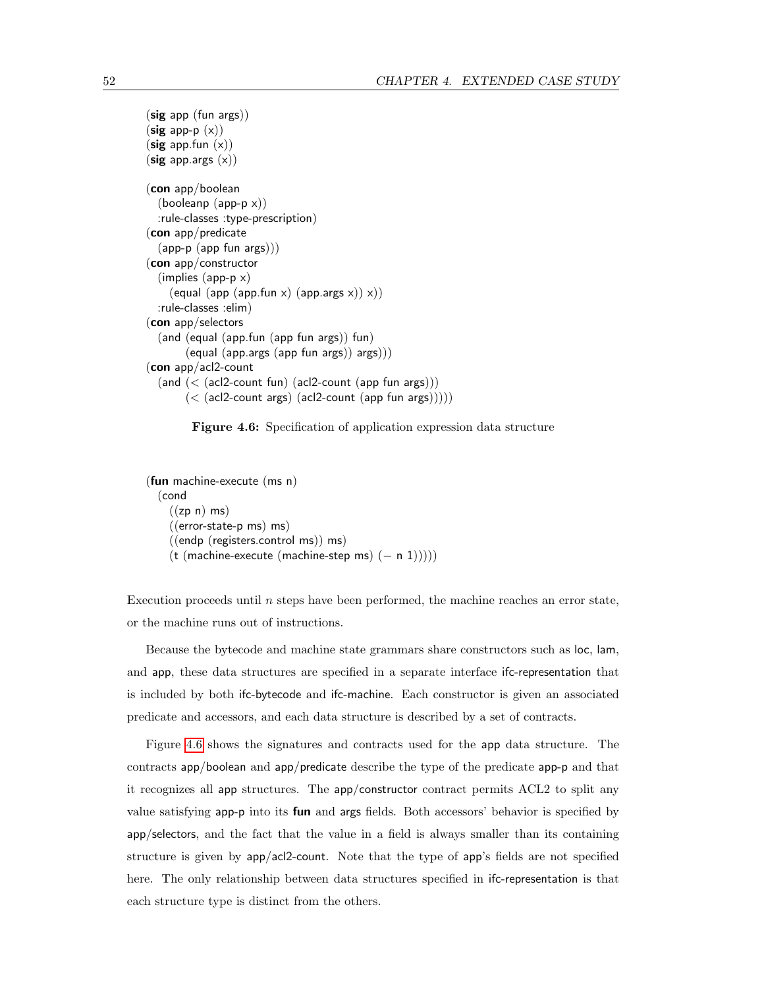```
(sig app (fun args))
(sig app-p (x))(sig app.fun (x))(sig app.args (x))(con app/boolean
  (booleanp (app-p x)):rule-classes :type-prescription)
(con app/predicate
  (app-p (app fun args)))
(con app/constructor
  (implies (app-p x)
    (equal (app (app.fun x) (app.args x)) x))
  :rule-classes :elim)
(con app/selectors
  (and (equal (app.fun (app fun args)) fun)
       (equal (app.args (app fun args)) args)))
(con app/acl2-count
  (and (< (acl2-count fun) (acl2-count (app fun args)))
       (< (acl2-count args) (acl2-count (app fun args)))))
```
<span id="page-61-0"></span>

```
(fun machine-execute (ms n)
  (cond
    ((zp n) ms)((error-state-p ms) ms)
    ((endp (registers.control ms)) ms)
    (t (machine-execute (machine-step ms) (-n 1)))
```
Execution proceeds until  $n$  steps have been performed, the machine reaches an error state, or the machine runs out of instructions.

Because the bytecode and machine state grammars share constructors such as loc, lam, and app, these data structures are specified in a separate interface ifc-representation that is included by both ifc-bytecode and ifc-machine. Each constructor is given an associated predicate and accessors, and each data structure is described by a set of contracts.

Figure [4.6](#page-61-0) shows the signatures and contracts used for the app data structure. The contracts app/boolean and app/predicate describe the type of the predicate app-p and that it recognizes all app structures. The app/constructor contract permits ACL2 to split any value satisfying app-p into its fun and args fields. Both accessors' behavior is specified by app/selectors, and the fact that the value in a field is always smaller than its containing structure is given by app/acl2-count. Note that the type of app's fields are not specified here. The only relationship between data structures specified in ifc-representation is that each structure type is distinct from the others.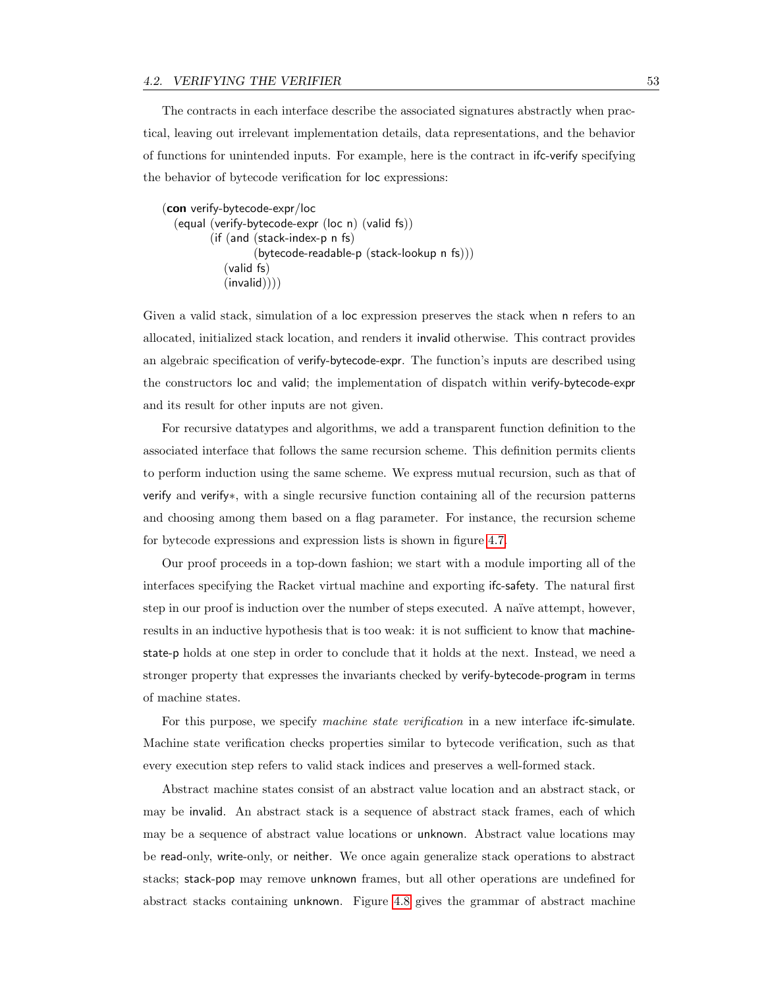The contracts in each interface describe the associated signatures abstractly when practical, leaving out irrelevant implementation details, data representations, and the behavior of functions for unintended inputs. For example, here is the contract in ifc-verify specifying the behavior of bytecode verification for loc expressions:

```
(con verify-bytecode-expr/loc
  (equal (verify-bytecode-expr (loc n) (valid fs))
         (if (and (stack-index-p n fs)
                  (bytecode-readable-p (stack-lookup n fs)))
            (valid fs)
            (invalid)))
```
Given a valid stack, simulation of a loc expression preserves the stack when n refers to an allocated, initialized stack location, and renders it invalid otherwise. This contract provides an algebraic specification of verify-bytecode-expr. The function's inputs are described using the constructors loc and valid; the implementation of dispatch within verify-bytecode-expr and its result for other inputs are not given.

For recursive datatypes and algorithms, we add a transparent function definition to the associated interface that follows the same recursion scheme. This definition permits clients to perform induction using the same scheme. We express mutual recursion, such as that of verify and verify∗, with a single recursive function containing all of the recursion patterns and choosing among them based on a flag parameter. For instance, the recursion scheme for bytecode expressions and expression lists is shown in figure [4.7.](#page-63-0)

Our proof proceeds in a top-down fashion; we start with a module importing all of the interfaces specifying the Racket virtual machine and exporting ifc-safety. The natural first step in our proof is induction over the number of steps executed. A naïve attempt, however, results in an inductive hypothesis that is too weak: it is not sufficient to know that machinestate-p holds at one step in order to conclude that it holds at the next. Instead, we need a stronger property that expresses the invariants checked by verify-bytecode-program in terms of machine states.

For this purpose, we specify machine state verification in a new interface ifc-simulate. Machine state verification checks properties similar to bytecode verification, such as that every execution step refers to valid stack indices and preserves a well-formed stack.

Abstract machine states consist of an abstract value location and an abstract stack, or may be invalid. An abstract stack is a sequence of abstract stack frames, each of which may be a sequence of abstract value locations or unknown. Abstract value locations may be read-only, write-only, or neither. We once again generalize stack operations to abstract stacks; stack-pop may remove unknown frames, but all other operations are undefined for abstract stacks containing unknown. Figure [4.8](#page-63-1) gives the grammar of abstract machine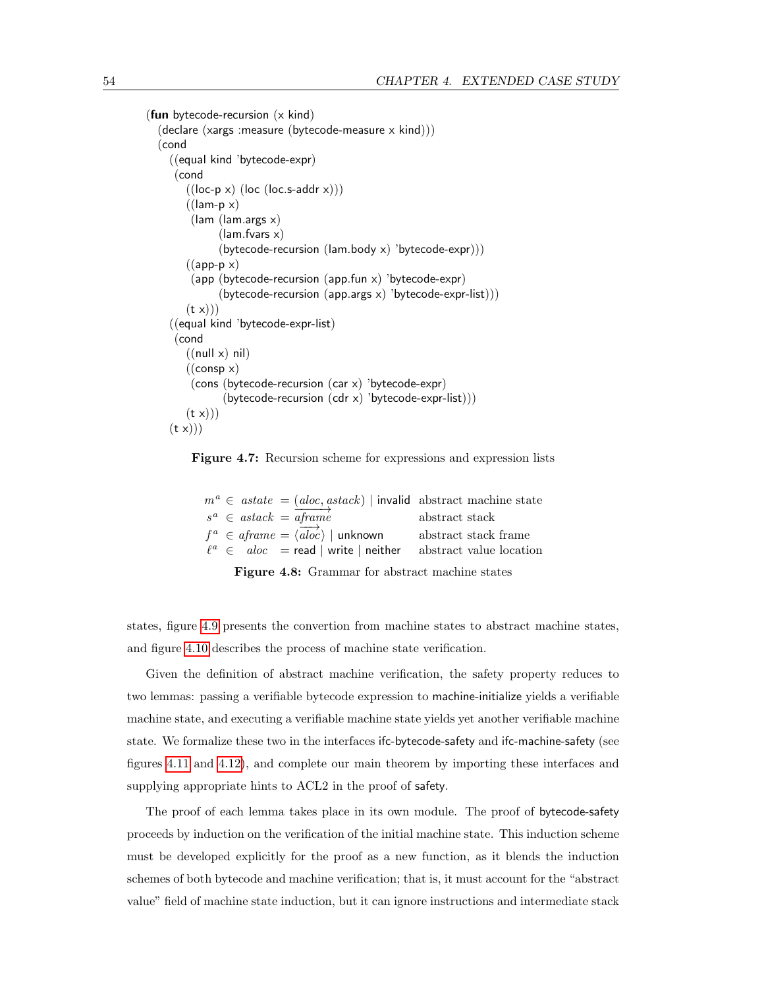```
(fun bytecode-recursion (x \text{ kind})(declare (xargs :measure (bytecode-measure x kind)))
  (cond
    ((equal kind 'bytecode-expr)
     (cond
        ((loc-p x) (loc (loc.s-addr x)))((\text{lam-p x})(lam (lam.args x)
               (lam.fvars x)
               (\text{bytecode-recursion} (\text{lam.body x}) \text{ 'bytecode-expr)}))((app-p x))(app (bytecode-recursion (app.fun x) 'bytecode-expr)
               (bytecode-recursion (app.args x) 'bytecode-expr-list)))
        (t x))((equal kind 'bytecode-expr-list)
     (cond
        ((null x) nil)((\text{consp } x))(cons (bytecode-recursion (car x) 'bytecode-expr)
                (bytecode-recursion (cdr x) 'bytecode-expr-list)))
        (t x))(t x))
```


<span id="page-63-0"></span>

|  |  | $m^a \in \text{astate} = (aloc, \text{astack})$   invalid abstract machine state |                |                         |
|--|--|----------------------------------------------------------------------------------|----------------|-------------------------|
|  |  | $s^a \in \text{astack} = \text{aframé}$                                          | abstract stack |                         |
|  |  | $f^a \in aframe = \langle \overrightarrow{aloc} \rangle$   unknown               |                | abstract stack frame    |
|  |  | $\ell^a \in \text{aloc} = \text{read} \mid \text{write} \mid \text{neither}$     |                | abstract value location |

<span id="page-63-1"></span>Figure 4.8: Grammar for abstract machine states

states, figure [4.9](#page-64-0) presents the convertion from machine states to abstract machine states, and figure [4.10](#page-65-0) describes the process of machine state verification.

Given the definition of abstract machine verification, the safety property reduces to two lemmas: passing a verifiable bytecode expression to machine-initialize yields a verifiable machine state, and executing a verifiable machine state yields yet another verifiable machine state. We formalize these two in the interfaces ifc-bytecode-safety and ifc-machine-safety (see figures [4.11](#page-66-0) and [4.12\)](#page-66-1), and complete our main theorem by importing these interfaces and supplying appropriate hints to ACL2 in the proof of safety.

The proof of each lemma takes place in its own module. The proof of bytecode-safety proceeds by induction on the verification of the initial machine state. This induction scheme must be developed explicitly for the proof as a new function, as it blends the induction schemes of both bytecode and machine verification; that is, it must account for the "abstract value" field of machine state induction, but it can ignore instructions and intermediate stack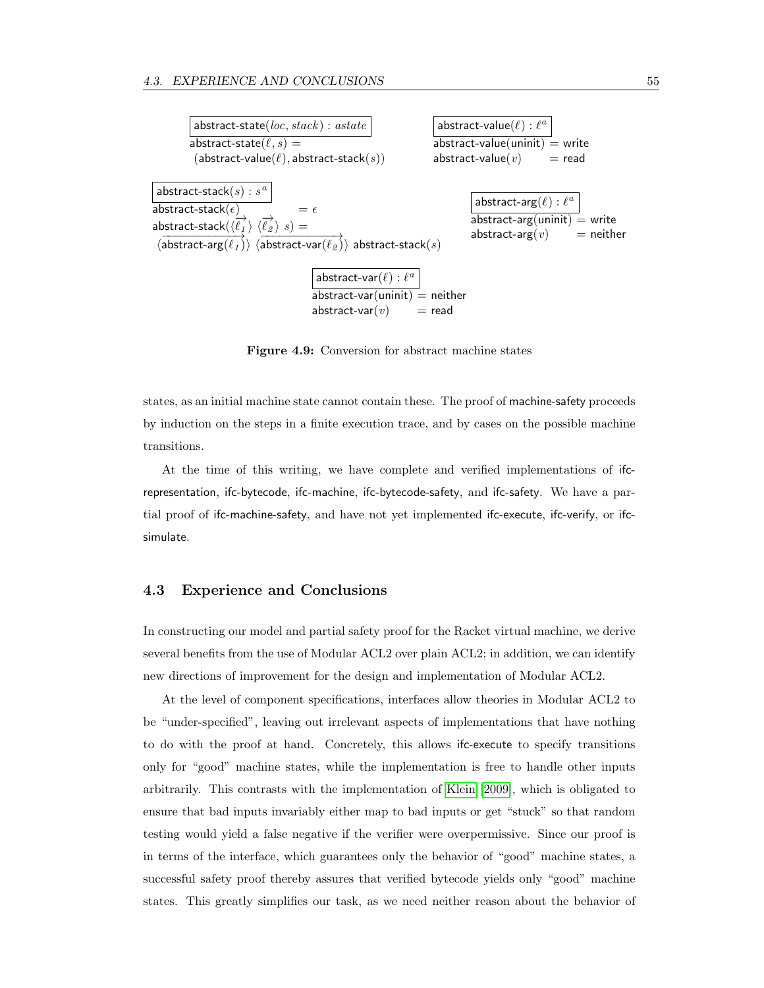

<span id="page-64-0"></span>Figure 4.9: Conversion for abstract machine states

states, as an initial machine state cannot contain these. The proof of machine-safety proceeds by induction on the steps in a finite execution trace, and by cases on the possible machine transitions.

At the time of this writing, we have complete and verified implementations of ifcrepresentation, ifc-bytecode, ifc-machine, ifc-bytecode-safety, and ifc-safety. We have a partial proof of ifc-machine-safety, and have not yet implemented ifc-execute, ifc-verify, or ifcsimulate.

### 4.3 Experience and Conclusions

In constructing our model and partial safety proof for the Racket virtual machine, we derive several benefits from the use of Modular ACL2 over plain ACL2; in addition, we can identify new directions of improvement for the design and implementation of Modular ACL2.

At the level of component specifications, interfaces allow theories in Modular ACL2 to be "under-specified", leaving out irrelevant aspects of implementations that have nothing to do with the proof at hand. Concretely, this allows ifc-execute to specify transitions only for "good" machine states, while the implementation is free to handle other inputs arbitrarily. This contrasts with the implementation of [Klein \[2009\]](#page-126-2), which is obligated to ensure that bad inputs invariably either map to bad inputs or get "stuck" so that random testing would yield a false negative if the verifier were overpermissive. Since our proof is in terms of the interface, which guarantees only the behavior of "good" machine states, a successful safety proof thereby assures that verified bytecode yields only "good" machine states. This greatly simplifies our task, as we need neither reason about the behavior of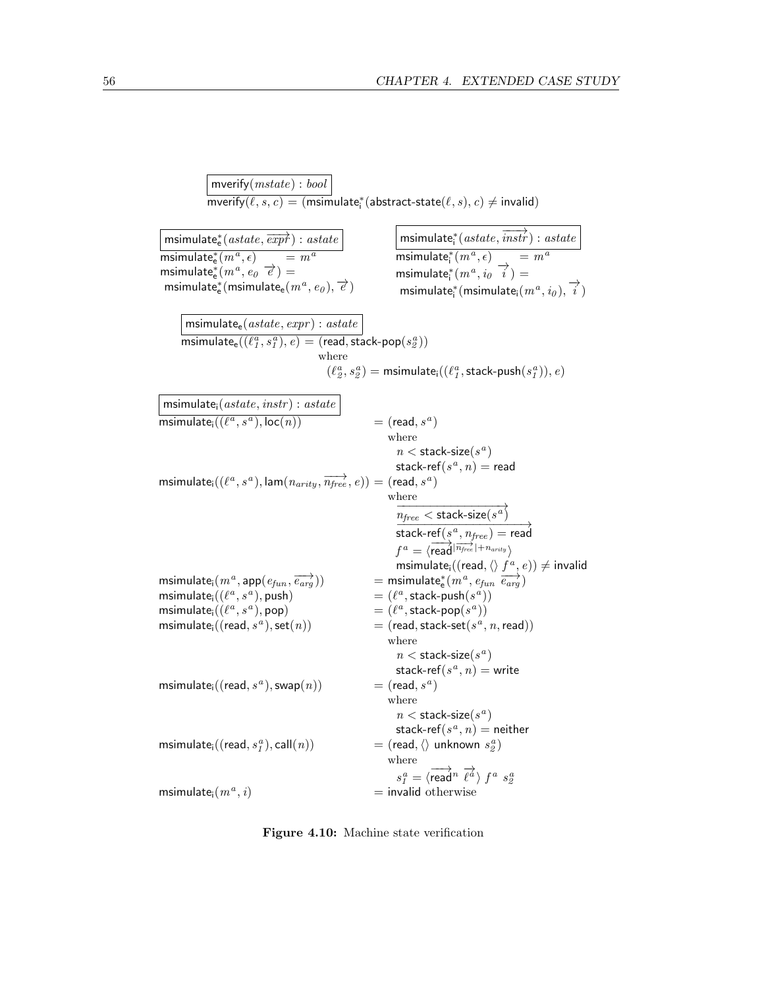mverify $(mstate) : bool$  $\overline{\mathsf{mverify}(\ell, s, c)} = (\mathsf{msimulate}^*_\mathsf{i}(\mathsf{abstract-state}(\ell, s), c) \neq \mathsf{invalid})$  $\overrightarrow{\text{msimulate_e^*(astate, \overrightarrow{expr}) : astate}}$  $\overline{\mathsf{msimulate_e^*}(m^a)}$  $\equiv m^a$  $m$ simulate $e_e^*(m^a, e_0, \vec{e}) =$  $\textsf{minimize}^*_{\textsf{e}}(\textsf{msimulate}_{\textsf{e}}(m^a, e_{\textsf{0}}), \overrightarrow{e})$  $\overrightarrow{\text{msimulate}^*_i}\left(\textit{astate}, \overrightarrow{\textit{instr}}\right) : \textit{astate}$ msimulate $\frac{*}{\cdot}$  $(m^{\frac{1}{a}})$  $\text{msimulate}_{i}^{*}(m^a, i_0^a, \overrightarrow{i}) =$  $= m^a$  $\overrightarrow{m}$  msimulate<sub>i</sub> $(m^a, i_0), \overrightarrow{i})$ msimulate $_{e}$ (astate, expr) : astate  $\overline{\mathsf{msimulate}_{\mathsf{e}}((\ell_1^a, s_1^a),e)} = (\mathsf{read}, \mathsf{stack}\text{-}\mathsf{pop}(s_2^a))$ where  $(\ell_2^a,s_2^a) = \textsf{msimulatei}((\ell_1^a,\textsf{stack-push}(s_1^a)),e)$ msimulate $i$ (astate, instr) : astate  $\overline{\mathsf{msimulate}_{\mathsf{i}}((\ell^a, s^a), \mathsf{loc}(n))}\qquad \qquad = (\mathsf{read}, s^a)$ a ) where  $n <$  stack-size $(s^a)$ stack-ref $(s^a, n) =$  read  $\textsf{msimulate}_{\textsf{i}}((\ell^a, s^a), \textsf{lam}(n_{arity}, \overrightarrow{n_{free}}, e)) = (\textsf{read}, s^a)$ where  $\frac{n_{free}}{n_{free} < \text{stack-size}(s^a)}$  $\overrightarrow{time} \xrightarrow{time} \overrightarrow{time}$ <br>stack-ref $(s^a, n_{free})$  = read  $f^a = \langle \overrightarrow{\mathsf{read}} | \overrightarrow{n_{free}} | + n_{arity} \rangle$ msimulate $\overline{\mathsf{q}}$  ((read,  $\langle \rangle$   $f^a, e$ ))  $\neq$  invalid msimulate<sub>i</sub> $(m^a,$ app $(e_{fun},$  $\overrightarrow{e_{arg}}$ )) = msimulate<sub>e</sub><sup>\*</sup>( $m^a$ ,  $e_{fun}$   $\overrightarrow{e_{arg}}$ )  $\textsf{msimulate}_{i}((\ell^a, s^a), \textsf{push})$  = ( $\ell$  $\binom{a}{b}$ , stack-push $\left(s^{\overset{a}{a}})\right)$  $\textsf{msimulate}_{i}((\ell^a, s^a), \textsf{pop})$   $= (\ell^a, \ell^a, s^a)$  $a$ , stack-pop $(s^a)$ ) msimulate $\scriptstyle\rm i$  ((read,  $s^a$  $( n )$  =  $( \text{read}, \text{stack-set}(s^a, n, \text{read}))$ where  $n <$  stack-size $(s^a)$ stack-ref $(s^a, n) =$  write  $\mathsf{msimulate}_{\mathsf{i}}((\mathsf{read}, s^a), \mathsf{swap}(n)) = (\mathsf{read}, s^a)$ a ) where  $n <$  stack-size $(s^a)$ stack-ref $(s^a, n) =$  neither msimulate $\scriptstyle\rm i$  ((read,  $s^a_I$  $\phi$ ), call $(n)$ )  $=$  (read,  $\langle \rangle$  unknown  $s_{\mathcal{Z}}^{a}$ ) where  $s_{1}^{a}=\langle \overrightarrow{\mathsf{read}}^{n}\; \overrightarrow{\ell^{a}}\rangle\; f^{a}\; s_{2}^{a}$ msimulate<sub>i</sub> $(m^a, i)$  $=$  invalid otherwise

<span id="page-65-0"></span>Figure 4.10: Machine state verification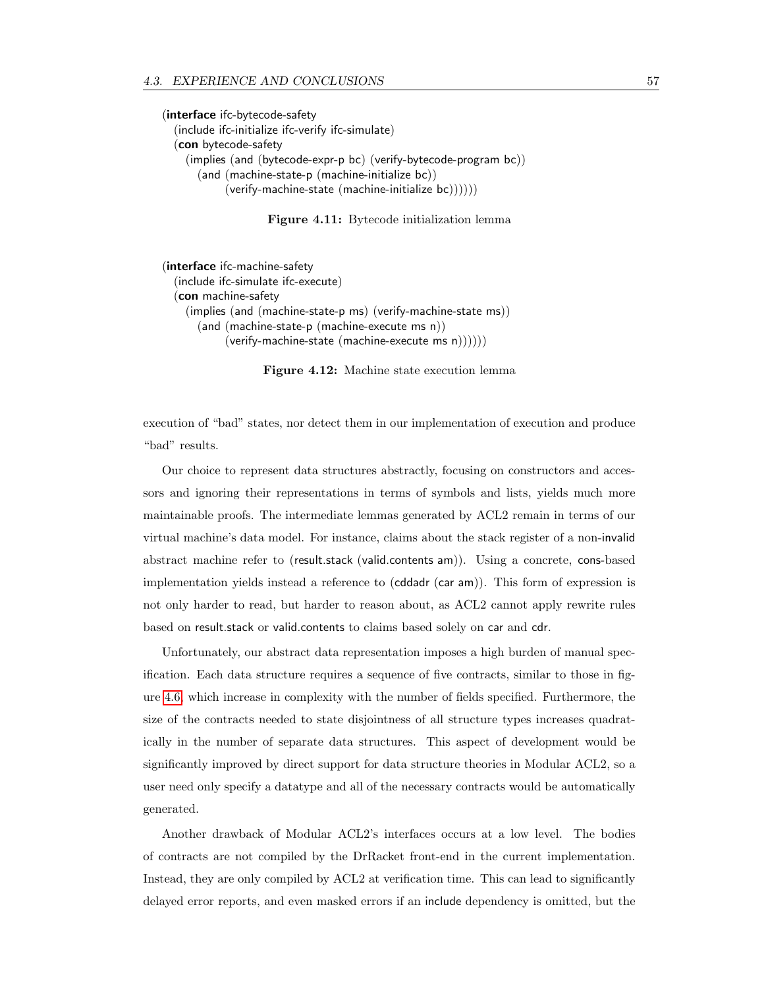(interface ifc-bytecode-safety (include ifc-initialize ifc-verify ifc-simulate) (con bytecode-safety (implies (and (bytecode-expr-p bc) (verify-bytecode-program bc)) (and (machine-state-p (machine-initialize bc)) (verify-machine-state (machine-initialize bc))))))

<span id="page-66-0"></span>Figure 4.11: Bytecode initialization lemma

(interface ifc-machine-safety (include ifc-simulate ifc-execute) (con machine-safety (implies (and (machine-state-p ms) (verify-machine-state ms)) (and (machine-state-p (machine-execute ms n))  $(verify-machine-state (machine-execute ms n))))$ 

<span id="page-66-1"></span>Figure 4.12: Machine state execution lemma

execution of "bad" states, nor detect them in our implementation of execution and produce "bad" results.

Our choice to represent data structures abstractly, focusing on constructors and accessors and ignoring their representations in terms of symbols and lists, yields much more maintainable proofs. The intermediate lemmas generated by ACL2 remain in terms of our virtual machine's data model. For instance, claims about the stack register of a non-invalid abstract machine refer to (result.stack (valid.contents am)). Using a concrete, cons-based implementation yields instead a reference to (cddadr (car am)). This form of expression is not only harder to read, but harder to reason about, as ACL2 cannot apply rewrite rules based on result.stack or valid.contents to claims based solely on car and cdr.

Unfortunately, our abstract data representation imposes a high burden of manual specification. Each data structure requires a sequence of five contracts, similar to those in figure [4.6,](#page-61-0) which increase in complexity with the number of fields specified. Furthermore, the size of the contracts needed to state disjointness of all structure types increases quadratically in the number of separate data structures. This aspect of development would be significantly improved by direct support for data structure theories in Modular ACL2, so a user need only specify a datatype and all of the necessary contracts would be automatically generated.

Another drawback of Modular ACL2's interfaces occurs at a low level. The bodies of contracts are not compiled by the DrRacket front-end in the current implementation. Instead, they are only compiled by ACL2 at verification time. This can lead to significantly delayed error reports, and even masked errors if an include dependency is omitted, but the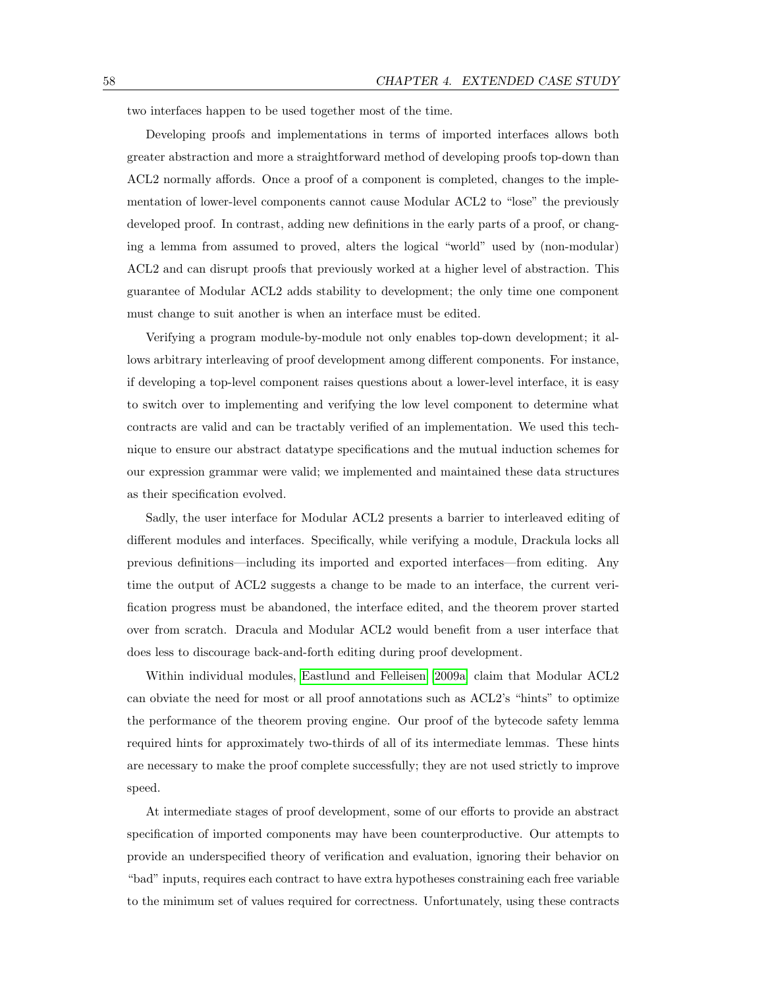two interfaces happen to be used together most of the time.

Developing proofs and implementations in terms of imported interfaces allows both greater abstraction and more a straightforward method of developing proofs top-down than ACL2 normally affords. Once a proof of a component is completed, changes to the implementation of lower-level components cannot cause Modular ACL2 to "lose" the previously developed proof. In contrast, adding new definitions in the early parts of a proof, or changing a lemma from assumed to proved, alters the logical "world" used by (non-modular) ACL2 and can disrupt proofs that previously worked at a higher level of abstraction. This guarantee of Modular ACL2 adds stability to development; the only time one component must change to suit another is when an interface must be edited.

Verifying a program module-by-module not only enables top-down development; it allows arbitrary interleaving of proof development among different components. For instance, if developing a top-level component raises questions about a lower-level interface, it is easy to switch over to implementing and verifying the low level component to determine what contracts are valid and can be tractably verified of an implementation. We used this technique to ensure our abstract datatype specifications and the mutual induction schemes for our expression grammar were valid; we implemented and maintained these data structures as their specification evolved.

Sadly, the user interface for Modular ACL2 presents a barrier to interleaved editing of different modules and interfaces. Specifically, while verifying a module, Drackula locks all previous definitions—including its imported and exported interfaces—from editing. Any time the output of ACL2 suggests a change to be made to an interface, the current verification progress must be abandoned, the interface edited, and the theorem prover started over from scratch. Dracula and Modular ACL2 would benefit from a user interface that does less to discourage back-and-forth editing during proof development.

Within individual modules, [Eastlund and Felleisen \[2009a\]](#page-124-3) claim that Modular ACL2 can obviate the need for most or all proof annotations such as ACL2's "hints" to optimize the performance of the theorem proving engine. Our proof of the bytecode safety lemma required hints for approximately two-thirds of all of its intermediate lemmas. These hints are necessary to make the proof complete successfully; they are not used strictly to improve speed.

At intermediate stages of proof development, some of our efforts to provide an abstract specification of imported components may have been counterproductive. Our attempts to provide an underspecified theory of verification and evaluation, ignoring their behavior on "bad" inputs, requires each contract to have extra hypotheses constraining each free variable to the minimum set of values required for correctness. Unfortunately, using these contracts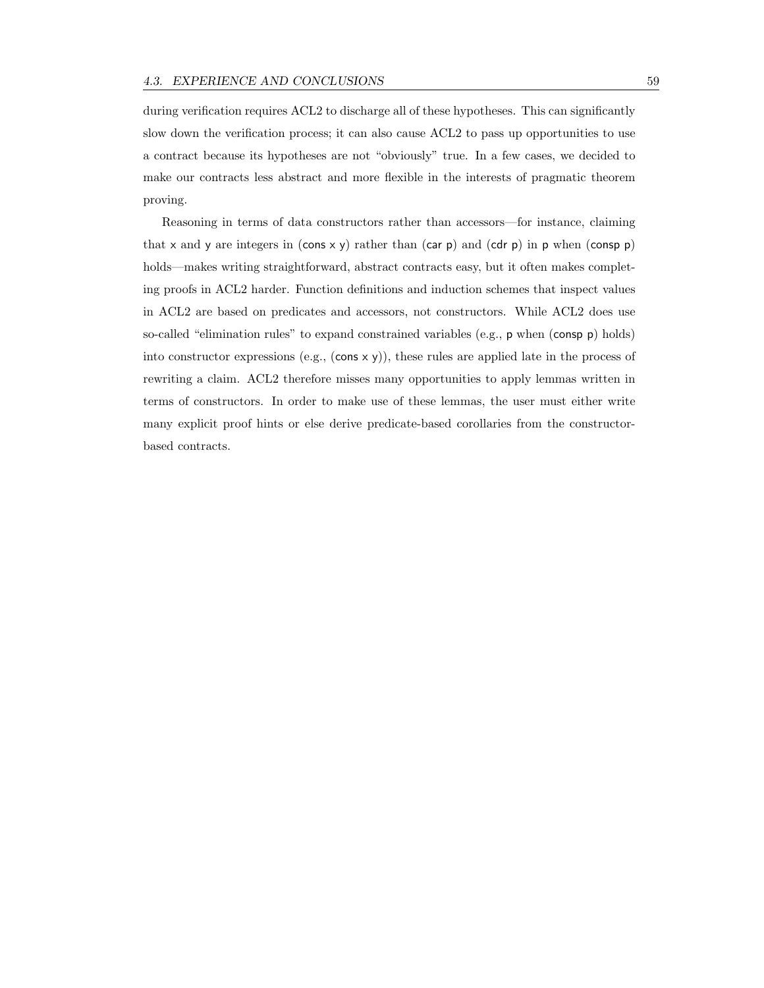during verification requires ACL2 to discharge all of these hypotheses. This can significantly slow down the verification process; it can also cause ACL2 to pass up opportunities to use a contract because its hypotheses are not "obviously" true. In a few cases, we decided to make our contracts less abstract and more flexible in the interests of pragmatic theorem proving.

Reasoning in terms of data constructors rather than accessors—for instance, claiming that x and y are integers in (cons x y) rather than (car p) and (cdr p) in p when (consp p) holds—makes writing straightforward, abstract contracts easy, but it often makes completing proofs in ACL2 harder. Function definitions and induction schemes that inspect values in ACL2 are based on predicates and accessors, not constructors. While ACL2 does use so-called "elimination rules" to expand constrained variables (e.g., p when (consp p) holds) into constructor expressions (e.g.,  $(\cos x y)$ ), these rules are applied late in the process of rewriting a claim. ACL2 therefore misses many opportunities to apply lemmas written in terms of constructors. In order to make use of these lemmas, the user must either write many explicit proof hints or else derive predicate-based corollaries from the constructorbased contracts.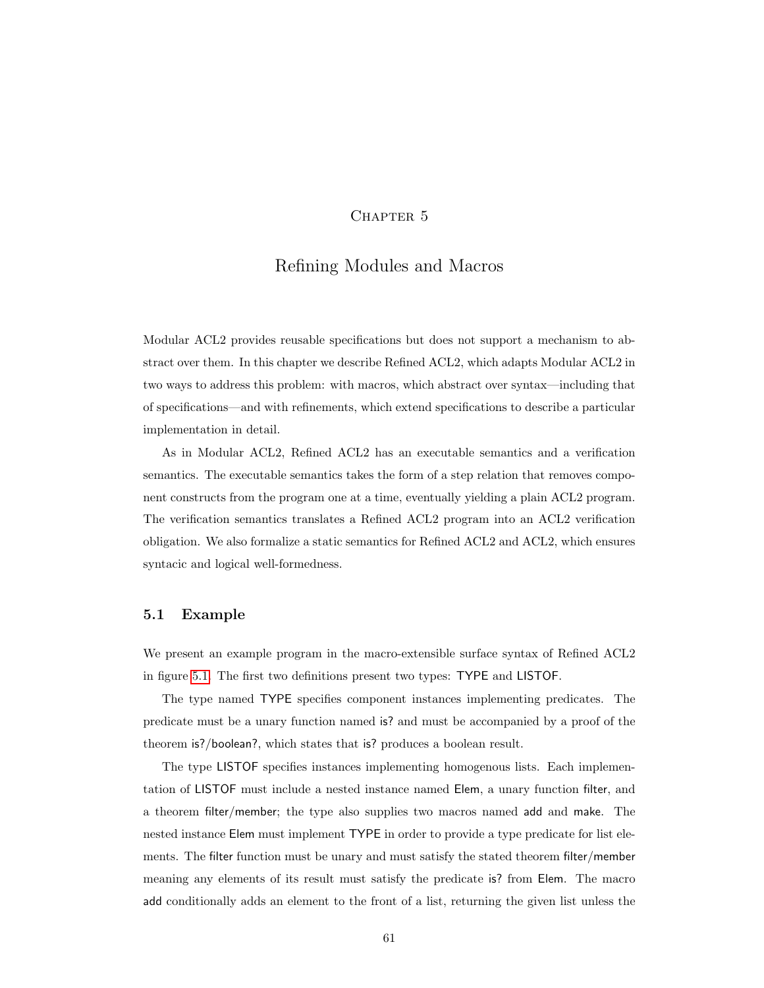## CHAPTER 5

# Refining Modules and Macros

Modular ACL2 provides reusable specifications but does not support a mechanism to abstract over them. In this chapter we describe Refined ACL2, which adapts Modular ACL2 in two ways to address this problem: with macros, which abstract over syntax—including that of specifications—and with refinements, which extend specifications to describe a particular implementation in detail.

As in Modular ACL2, Refined ACL2 has an executable semantics and a verification semantics. The executable semantics takes the form of a step relation that removes component constructs from the program one at a time, eventually yielding a plain ACL2 program. The verification semantics translates a Refined ACL2 program into an ACL2 verification obligation. We also formalize a static semantics for Refined ACL2 and ACL2, which ensures syntacic and logical well-formedness.

#### 5.1 Example

We present an example program in the macro-extensible surface syntax of Refined ACL2 in figure [5.1.](#page-71-0) The first two definitions present two types: TYPE and LISTOF.

The type named TYPE specifies component instances implementing predicates. The predicate must be a unary function named is? and must be accompanied by a proof of the theorem is?/boolean?, which states that is? produces a boolean result.

The type LISTOF specifies instances implementing homogenous lists. Each implementation of LISTOF must include a nested instance named Elem, a unary function filter, and a theorem filter/member; the type also supplies two macros named add and make. The nested instance Elem must implement TYPE in order to provide a type predicate for list elements. The filter function must be unary and must satisfy the stated theorem filter/member meaning any elements of its result must satisfy the predicate is? from Elem. The macro add conditionally adds an element to the front of a list, returning the given list unless the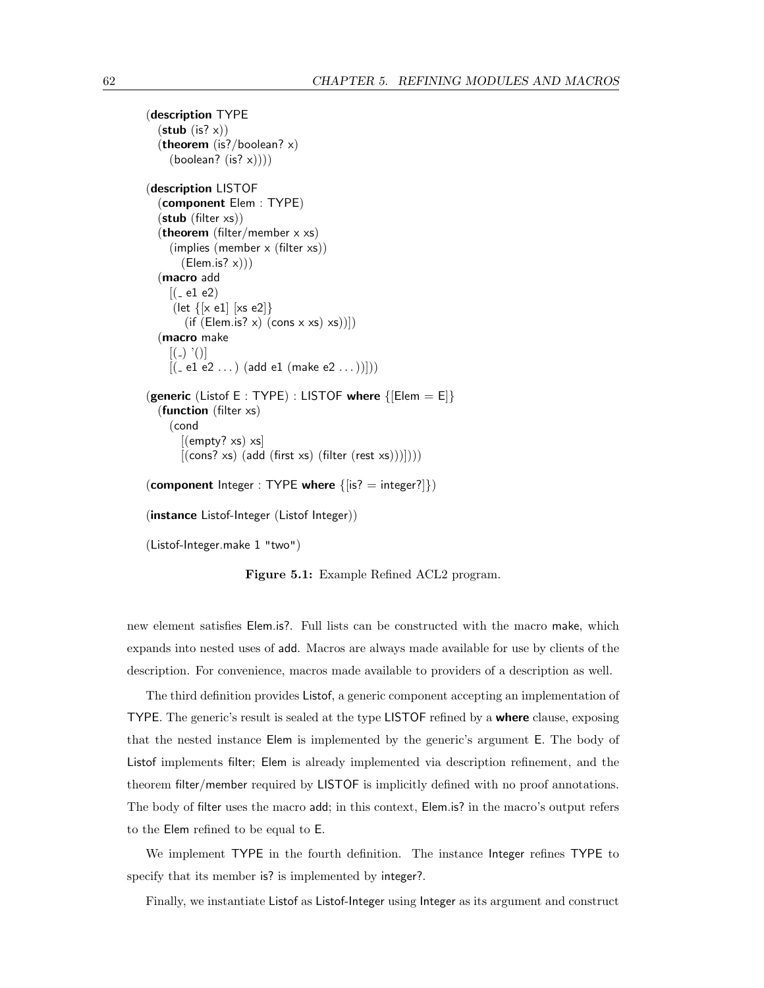```
(description TYPE
  (\text{stab}(is? x))(theorem (is?/boolean? x)
    (boolean? (is? x))))(description LISTOF
  (component Elem : TYPE)
  (stub (filter xs))
  (theorem (filter/member x xs)
     (implies (member x (filter xs))
       (Elem.is? x))(macro add
    [(-e1 e2)](let \{ [x \text{ e}1] \; | x \text{ s} \text{ e}2] \}(if (Elem.is? x) (cons x xs) xs))])(macro make
     [()'()]
    [(-e1 e2 ...) (add e1 (make e2 ...))])
(generic (Listof E : TYPE) : LISTOF where \{[Element = E]\}(function (filter xs)
    (cond
       [(empty? xs) xs][(cons? xs) (add (first xs) (filter (rest xs)))]))(component Integer : TYPE where \{|\text{is?} = \text{integer?}|\})
(instance Listof-Integer (Listof Integer))
(Listof-Integer.make 1 "two")
```
<span id="page-71-0"></span>Figure 5.1: Example Refined ACL2 program.

new element satisfies Elem.is?. Full lists can be constructed with the macro make, which expands into nested uses of add. Macros are always made available for use by clients of the description. For convenience, macros made available to providers of a description as well.

The third definition provides Listof, a generic component accepting an implementation of TYPE. The generic's result is sealed at the type LISTOF refined by a **where** clause, exposing that the nested instance Elem is implemented by the generic's argument E. The body of Listof implements filter; Elem is already implemented via description refinement, and the theorem filter/member required by LISTOF is implicitly defined with no proof annotations. The body of filter uses the macro add; in this context, Elem.is? in the macro's output refers to the Elem refined to be equal to E.

We implement TYPE in the fourth definition. The instance Integer refines TYPE to specify that its member is? is implemented by integer?.

Finally, we instantiate Listof as Listof-Integer using Integer as its argument and construct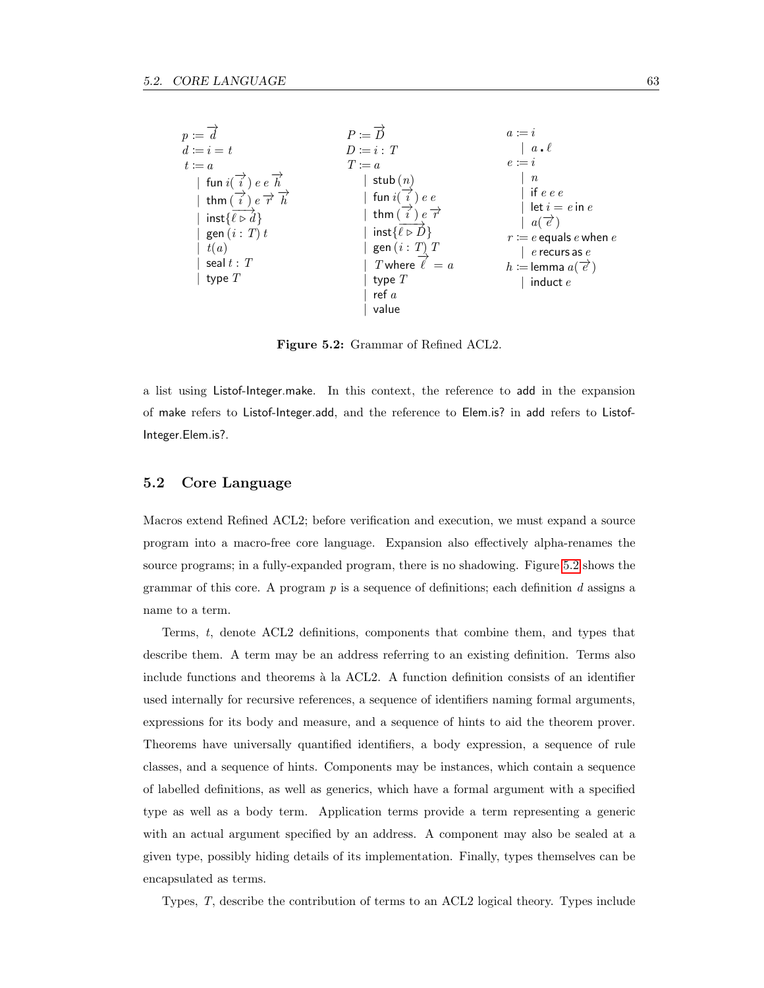| $p \coloneqq d$<br>$d \coloneqq i = t$                                                                                                                                                                            | $P \coloneqq \overrightarrow{D}$<br>$D \coloneqq i : T$                                                                                                                               | $a := i$<br>$a \cdot \ell$                                                                                                                                                            |
|-------------------------------------------------------------------------------------------------------------------------------------------------------------------------------------------------------------------|---------------------------------------------------------------------------------------------------------------------------------------------------------------------------------------|---------------------------------------------------------------------------------------------------------------------------------------------------------------------------------------|
| $t \coloneqq a$                                                                                                                                                                                                   | $T \coloneqq a$                                                                                                                                                                       | $e \coloneqq i$                                                                                                                                                                       |
| fun $i(\overrightarrow{i}) e e \overrightarrow{h}$<br>$e \overrightarrow{r} \overrightarrow{h}$<br>thm $(i)$<br>inst $\{\ell \triangleright \tilde{d}\}\$<br>gen $(i: T)$ t<br>t(a)<br>seal $t$ : $T$<br>type $T$ | stub $(n)$<br>fun $i(i)$<br>e e<br>thm $(i)$<br>$e \overline{r}$<br>inst $\{\ell \triangleright \vec{D}\}\$<br>gen $(i : T)$ T<br>T where $\ell' = a$<br>type $T$<br>ref $a$<br>value | $\boldsymbol{n}$<br>if $e e e$<br>let $i = e$ in $e$<br>$a \in \mathscr{C}$<br>$r \coloneqq e$ equals e when e<br>$e$ recurs as $e$<br>$h \coloneqq$ lemma $a(\vec{e})$<br>induct $e$ |

<span id="page-72-0"></span>Figure 5.2: Grammar of Refined ACL2.

a list using Listof-Integer.make. In this context, the reference to add in the expansion of make refers to Listof-Integer.add, and the reference to Elem.is? in add refers to Listof-Integer.Elem.is?.

### 5.2 Core Language

Macros extend Refined ACL2; before verification and execution, we must expand a source program into a macro-free core language. Expansion also effectively alpha-renames the source programs; in a fully-expanded program, there is no shadowing. Figure [5.2](#page-72-0) shows the grammar of this core. A program  $p$  is a sequence of definitions; each definition  $d$  assigns a name to a term.

Terms, t, denote ACL2 definitions, components that combine them, and types that describe them. A term may be an address referring to an existing definition. Terms also include functions and theorems à la ACL2. A function definition consists of an identifier used internally for recursive references, a sequence of identifiers naming formal arguments, expressions for its body and measure, and a sequence of hints to aid the theorem prover. Theorems have universally quantified identifiers, a body expression, a sequence of rule classes, and a sequence of hints. Components may be instances, which contain a sequence of labelled definitions, as well as generics, which have a formal argument with a specified type as well as a body term. Application terms provide a term representing a generic with an actual argument specified by an address. A component may also be sealed at a given type, possibly hiding details of its implementation. Finally, types themselves can be encapsulated as terms.

Types, T, describe the contribution of terms to an ACL2 logical theory. Types include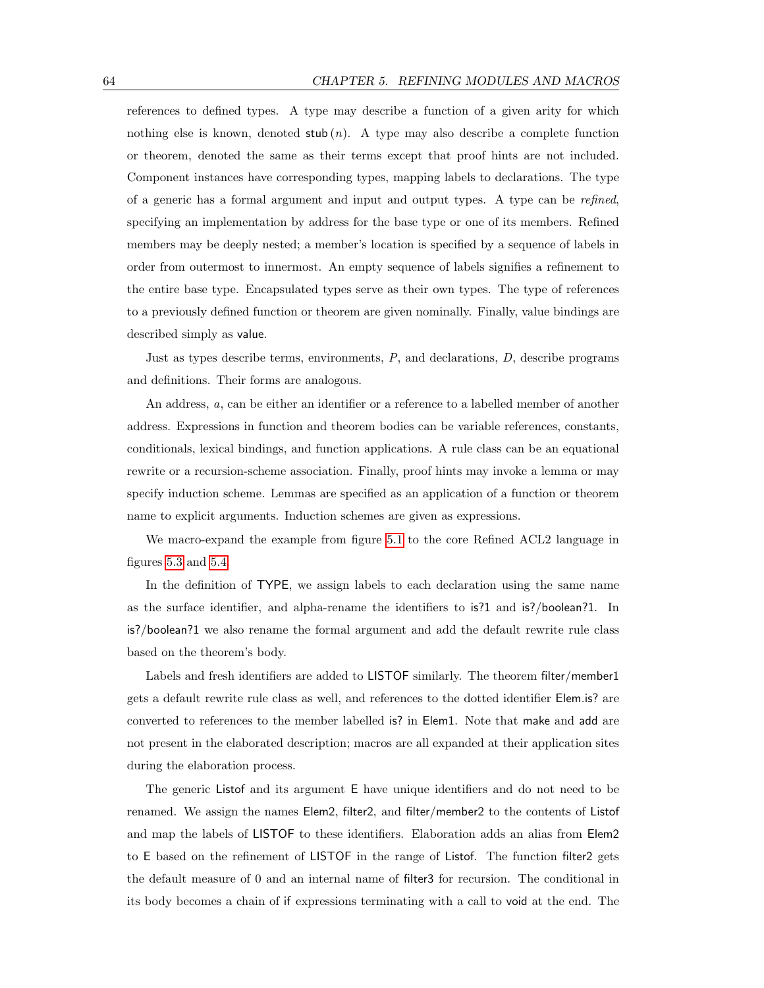references to defined types. A type may describe a function of a given arity for which nothing else is known, denoted  $\text{stab}(n)$ . A type may also describe a complete function or theorem, denoted the same as their terms except that proof hints are not included. Component instances have corresponding types, mapping labels to declarations. The type of a generic has a formal argument and input and output types. A type can be refined, specifying an implementation by address for the base type or one of its members. Refined members may be deeply nested; a member's location is specified by a sequence of labels in order from outermost to innermost. An empty sequence of labels signifies a refinement to the entire base type. Encapsulated types serve as their own types. The type of references to a previously defined function or theorem are given nominally. Finally, value bindings are described simply as value.

Just as types describe terms, environments,  $P$ , and declarations,  $D$ , describe programs and definitions. Their forms are analogous.

An address, a, can be either an identifier or a reference to a labelled member of another address. Expressions in function and theorem bodies can be variable references, constants, conditionals, lexical bindings, and function applications. A rule class can be an equational rewrite or a recursion-scheme association. Finally, proof hints may invoke a lemma or may specify induction scheme. Lemmas are specified as an application of a function or theorem name to explicit arguments. Induction schemes are given as expressions.

We macro-expand the example from figure [5.1](#page-71-0) to the core Refined ACL2 language in figures [5.3](#page-74-0) and [5.4.](#page-75-0)

In the definition of TYPE, we assign labels to each declaration using the same name as the surface identifier, and alpha-rename the identifiers to is?1 and is?/boolean?1. In is?/boolean?1 we also rename the formal argument and add the default rewrite rule class based on the theorem's body.

Labels and fresh identifiers are added to LISTOF similarly. The theorem filter/member1 gets a default rewrite rule class as well, and references to the dotted identifier Elem.is? are converted to references to the member labelled is? in Elem1. Note that make and add are not present in the elaborated description; macros are all expanded at their application sites during the elaboration process.

The generic Listof and its argument E have unique identifiers and do not need to be renamed. We assign the names Elem2, filter2, and filter/member2 to the contents of Listof and map the labels of LISTOF to these identifiers. Elaboration adds an alias from Elem2 to E based on the refinement of LISTOF in the range of Listof. The function filter2 gets the default measure of 0 and an internal name of filter3 for recursion. The conditional in its body becomes a chain of if expressions terminating with a call to void at the end. The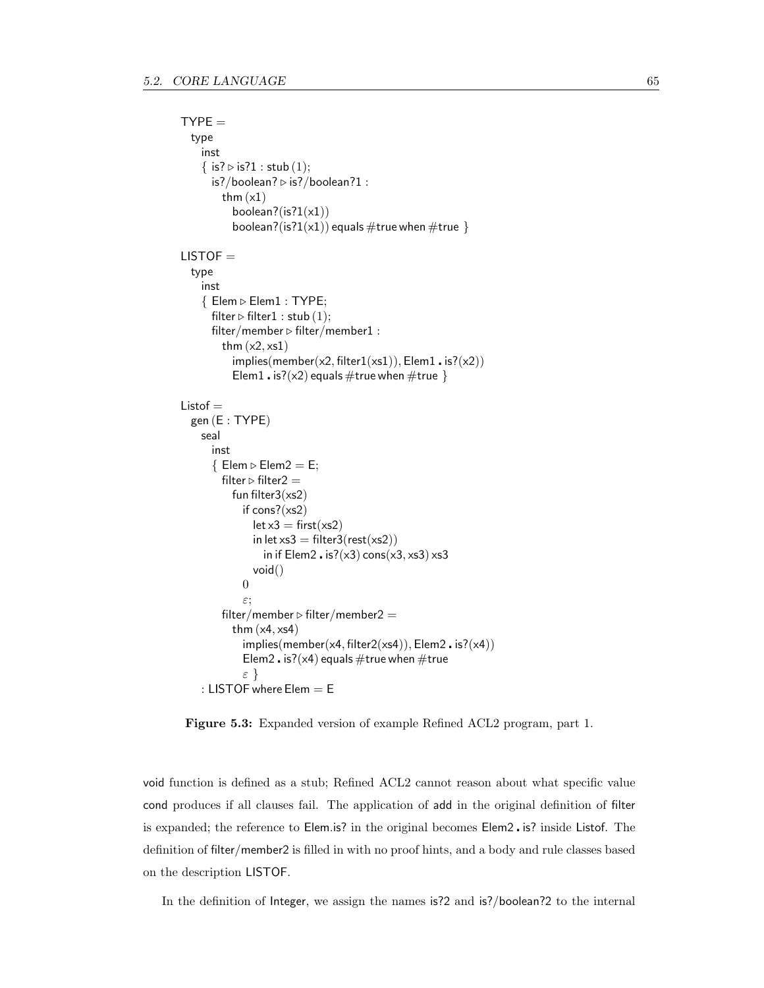```
TYPE =type
     inst
     { is? \triangleright is?1 : stub (1);
       is?/boolean? \triangleright is?/boolean?1 :
          thm (x1)boolean?(is?1(x1))
            boolean?(is?1(x1)) equals \#\mathsf{true} when \#\mathsf{true} }
LISTOF =type
     inst
     \{ Elem \triangleright Elem1: TYPE;
       filter \triangleright filter1 : stub (1);
       filter/member \triangleright filter/member1 :
          thm (x2, xs1)implies(member(x2, filter1(xs1)), Element \cdot is? (x2))Elem1 . is?(x2) equals #true when #true }
Listof =gen (E : TYPE)
    seal
       inst
       \{ Elem \triangleright Elem 2 = E;filter \triangleright filter 2 =fun filter3(xs2)
               if cons?(xs2)let x3 = first(xs2)in let xs3 = \text{filter3}(\text{rest}(xs2))in if Elem2 . is?(\times3) cons(\times3, \timess3) \timess3
                 void()
               0
               ε;
          filter/member \triangleright filter/member2 =
            thm (x4, xs4)implies(member(x4, filter2(xs4)), Element2 \cdot is? (x4))Elem2 . is?(\times4) equals #true when #true
               ε }
     : LISTOF where Elem = E
```
<span id="page-74-0"></span>Figure 5.3: Expanded version of example Refined ACL2 program, part 1.

void function is defined as a stub; Refined ACL2 cannot reason about what specific value cond produces if all clauses fail. The application of add in the original definition of filter is expanded; the reference to Elem.is? in the original becomes Elem2 is? inside Listof. The definition of filter/member2 is filled in with no proof hints, and a body and rule classes based on the description LISTOF.

In the definition of Integer, we assign the names is?2 and is?/boolean?2 to the internal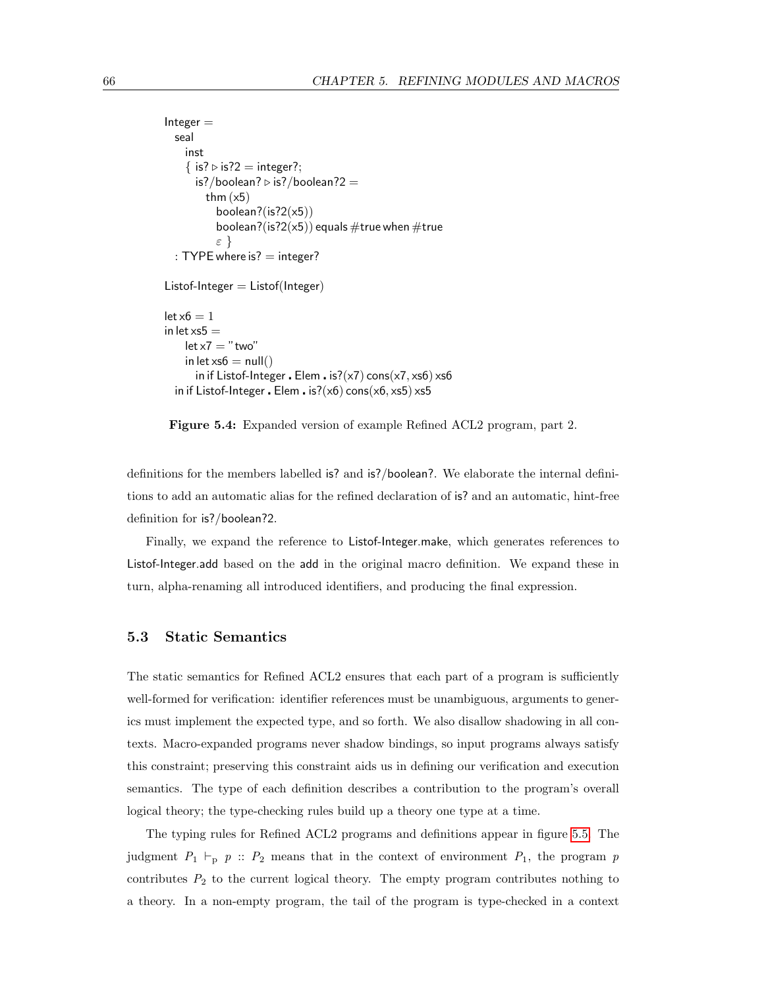```
Integer =seal
    inst
    \{ is? \triangleright is?2 = integer?;
      is?/boolean? \triangleright is?/boolean?2 =
         thm (x5)boolean?(is?2(x5))
           boolean?(is?2(x5)) equals \#true when \#true
           ε }
  : TYPE where is? = integer?
Listof-Integer = Listof(Integer)let x6 = 1in let \timess5 =
    let x7 = "two"in let xs6 = null()in if Listof-Integer . Elem . is?(x7) cons(x7, x56) xs6
  in if Listof-Integer . Elem . is?(x6) cons(x6, x5) xs5
```
<span id="page-75-0"></span>Figure 5.4: Expanded version of example Refined ACL2 program, part 2.

definitions for the members labelled is? and is?/boolean?. We elaborate the internal definitions to add an automatic alias for the refined declaration of is? and an automatic, hint-free definition for is?/boolean?2.

Finally, we expand the reference to Listof-Integer.make, which generates references to Listof-Integer.add based on the add in the original macro definition. We expand these in turn, alpha-renaming all introduced identifiers, and producing the final expression.

# 5.3 Static Semantics

The static semantics for Refined ACL2 ensures that each part of a program is sufficiently well-formed for verification: identifier references must be unambiguous, arguments to generics must implement the expected type, and so forth. We also disallow shadowing in all contexts. Macro-expanded programs never shadow bindings, so input programs always satisfy this constraint; preserving this constraint aids us in defining our verification and execution semantics. The type of each definition describes a contribution to the program's overall logical theory; the type-checking rules build up a theory one type at a time.

The typing rules for Refined ACL2 programs and definitions appear in figure [5.5.](#page-76-0) The judgment  $P_1 \vdash_p p :: P_2$  means that in the context of environment  $P_1$ , the program p contributes  $P_2$  to the current logical theory. The empty program contributes nothing to a theory. In a non-empty program, the tail of the program is type-checked in a context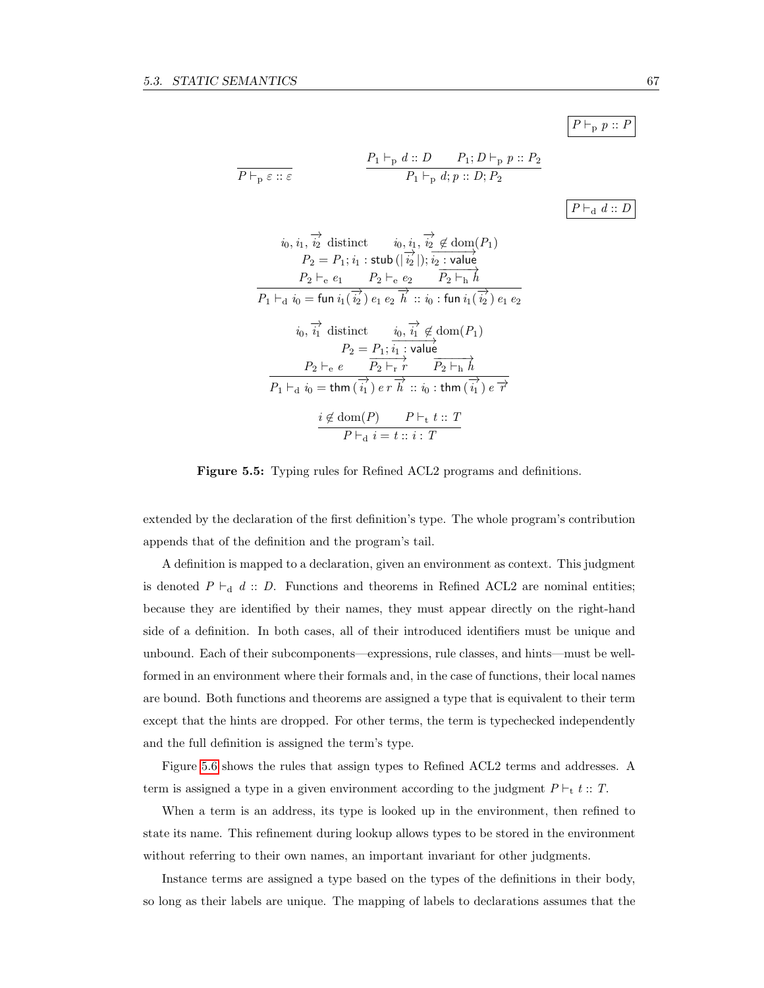$P \vdash_{\text{p}} p :: P$ 

$$
\frac{P_1 \vdash_{\mathbf{p}} d :: D \qquad P_1; D \vdash_{\mathbf{p}} p :: P_2}{P_1 \vdash_{\mathbf{p}} d; p :: D; P_2}
$$

 $P \vdash_{\mathbf{d}} d :: D$ 

$$
i_0, i_1, \overrightarrow{i_2} \text{ distinct } i_0, i_1, \overrightarrow{i_2} \notin \text{dom}(P_1)
$$
  
\n
$$
P_2 = P_1; i_1 : \text{stab } (\vert \overrightarrow{i_2} \vert); i_2 : \text{value}
$$
  
\n
$$
P_2 \vdash_e e_1 \qquad P_2 \vdash_e e_2 \qquad \overrightarrow{P_2 \vdash_h h}
$$
  
\n
$$
P_1 \vdash_d i_0 = \text{fun } i_1(\overrightarrow{i_2}) e_1 e_2 \overrightarrow{h} :: i_0 : \text{fun } i_1(\overrightarrow{i_2}) e_1 e_2
$$
  
\n
$$
i_0, \overrightarrow{i_1} \text{ distinct } i_0, \overrightarrow{i_1} \notin \text{dom}(P_1)
$$
  
\n
$$
P_2 = P_1; \overrightarrow{i_1} : \text{value}
$$
  
\n
$$
P_2 \vdash_e e \qquad \overrightarrow{P_2 \vdash_r r} \qquad \overrightarrow{P_2 \vdash_h h}
$$
  
\n
$$
\overrightarrow{P_1 \vdash_d i_0} = \text{thm } (\overrightarrow{i_1}) e \overrightarrow{r} \overrightarrow{h} :: i_0 : \text{thm } (\overrightarrow{i_1}) e \overrightarrow{r}
$$
  
\n
$$
\underline{i \notin \text{dom}(P)} \qquad P \vdash_t t :: T
$$
  
\n
$$
P \vdash_d i = t :: i : T
$$

<span id="page-76-0"></span>Figure 5.5: Typing rules for Refined ACL2 programs and definitions.

extended by the declaration of the first definition's type. The whole program's contribution appends that of the definition and the program's tail.

A definition is mapped to a declaration, given an environment as context. This judgment is denoted  $P \vdash_d d :: D$ . Functions and theorems in Refined ACL2 are nominal entities; because they are identified by their names, they must appear directly on the right-hand side of a definition. In both cases, all of their introduced identifiers must be unique and unbound. Each of their subcomponents—expressions, rule classes, and hints—must be wellformed in an environment where their formals and, in the case of functions, their local names are bound. Both functions and theorems are assigned a type that is equivalent to their term except that the hints are dropped. For other terms, the term is typechecked independently and the full definition is assigned the term's type.

Figure [5.6](#page-77-0) shows the rules that assign types to Refined ACL2 terms and addresses. A term is assigned a type in a given environment according to the judgment  $P \vdash_t t :: T$ .

When a term is an address, its type is looked up in the environment, then refined to state its name. This refinement during lookup allows types to be stored in the environment without referring to their own names, an important invariant for other judgments.

Instance terms are assigned a type based on the types of the definitions in their body, so long as their labels are unique. The mapping of labels to declarations assumes that the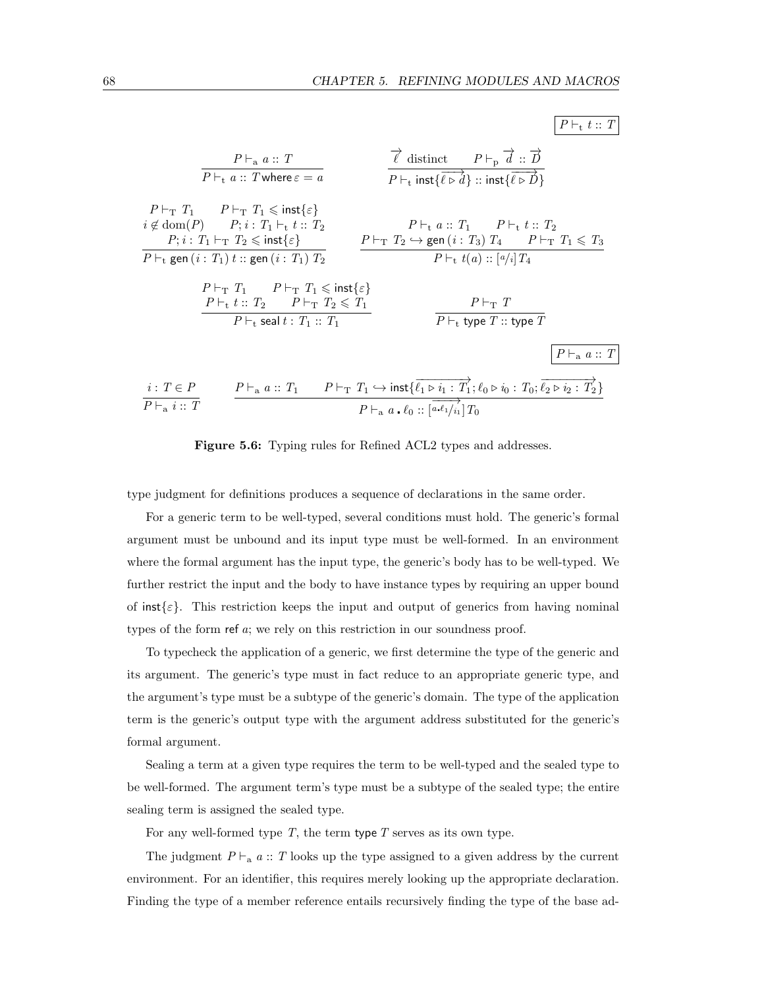$P \vdash_t t :: T$ 

$$
\begin{array}{ll}\nP \vdash_{a} a :: T \\
\hline\nP \vdash_{t} a :: T \text{ where } \varepsilon = a \\
i \notin \text{dom}(P) & P; i : T_{1} \vdash_{t} t :: T_{2} \\
P \vdash_{t} \text{ syst} \{\varepsilon\} \\
\hline\n\end{array}\n\quad\n\begin{array}{ll}\nP \vdash_{T} T_{1} & P \vdash_{T} T_{1} \leqslant \mathsf{inst} \{\varepsilon\} \\
i \notin \text{dom}(P) & P; i : T_{1} \vdash_{t} t :: T_{2} \\
P; i : T_{1} \vdash_{T} T_{2} \leqslant \mathsf{inst} \{\varepsilon\} \\
\hline\n\end{array}\n\quad\n\begin{array}{ll}\nP \vdash_{T} T_{2} & P \vdash_{t} a :: T_{1} & P \vdash_{t} t :: T_{2} \\
P \vdash_{t} \text{ gen} (i : T_{1}) t :: \text{gen} (i : T_{1}) T_{2} & P \vdash_{T} T_{2} \hookrightarrow \text{gen} (i : T_{3}) T_{4} & P \vdash_{T} T_{1} \leqslant T_{3} \\
P \vdash_{t} t :: T_{2} & P \vdash_{T} T_{1} \leqslant \mathsf{inst} \{\varepsilon\} \\
P \vdash_{t} t :: T_{2} & P \vdash_{T} T_{2} \leqslant T_{1} \\
P \vdash_{t} \text{ seal } t : T_{1} :: T_{1}\n\end{array}\n\quad\n\begin{array}{ll}\nP \vdash_{T} T \\
P \vdash_{t} \text{ type } T :: \text{type } T \\
\hline\n\end{array}\n\quad\n\begin{array}{ll}\nP \vdash_{a} a :: T \\
\hline\n\end{array}\n\quad\n\begin{array}{ll}\nP \vdash_{a} a :: T \\
\hline\n\end{array}\n\quad\n\begin{array}{ll}\nP \vdash_{a} a :: T \\
\hline\n\end{array}
$$

<span id="page-77-0"></span>

type judgment for definitions produces a sequence of declarations in the same order.

For a generic term to be well-typed, several conditions must hold. The generic's formal argument must be unbound and its input type must be well-formed. In an environment where the formal argument has the input type, the generic's body has to be well-typed. We further restrict the input and the body to have instance types by requiring an upper bound of inst $\{\varepsilon\}$ . This restriction keeps the input and output of generics from having nominal types of the form ref a; we rely on this restriction in our soundness proof.

To typecheck the application of a generic, we first determine the type of the generic and its argument. The generic's type must in fact reduce to an appropriate generic type, and the argument's type must be a subtype of the generic's domain. The type of the application term is the generic's output type with the argument address substituted for the generic's formal argument.

Sealing a term at a given type requires the term to be well-typed and the sealed type to be well-formed. The argument term's type must be a subtype of the sealed type; the entire sealing term is assigned the sealed type.

For any well-formed type  $T$ , the term type  $T$  serves as its own type.

The judgment  $P \vdash_a a :: T$  looks up the type assigned to a given address by the current environment. For an identifier, this requires merely looking up the appropriate declaration. Finding the type of a member reference entails recursively finding the type of the base ad-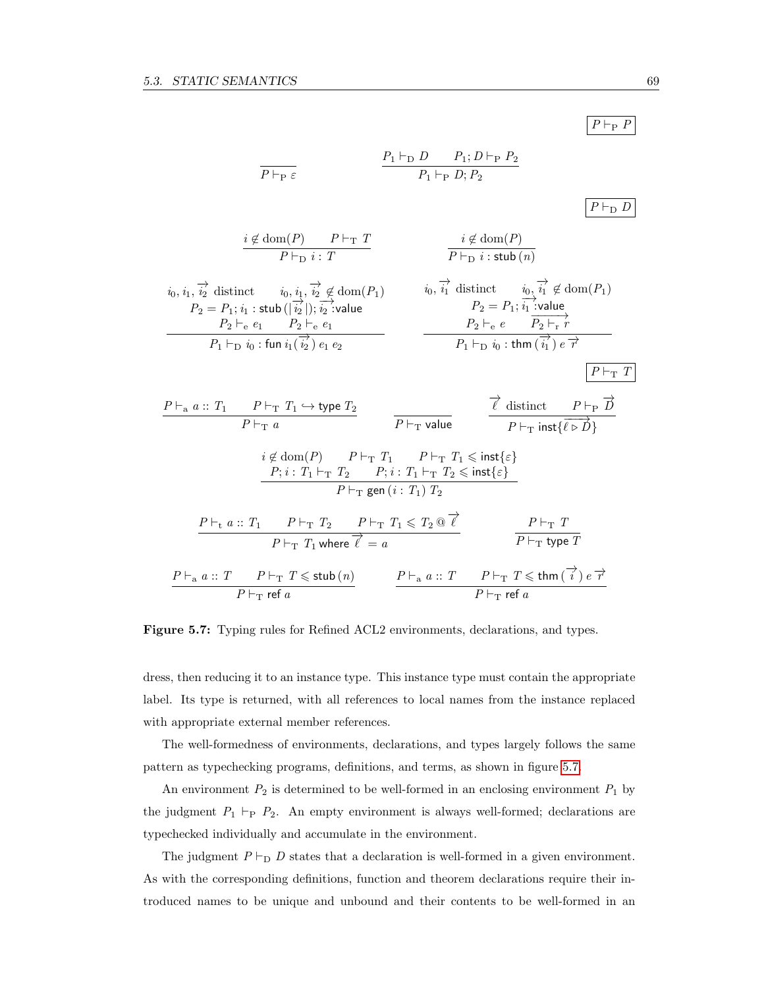

<span id="page-78-0"></span>Figure 5.7: Typing rules for Refined ACL2 environments, declarations, and types.

dress, then reducing it to an instance type. This instance type must contain the appropriate label. Its type is returned, with all references to local names from the instance replaced with appropriate external member references.

The well-formedness of environments, declarations, and types largely follows the same pattern as typechecking programs, definitions, and terms, as shown in figure [5.7.](#page-78-0)

An environment  $P_2$  is determined to be well-formed in an enclosing environment  $P_1$  by the judgment  $P_1 \vdash_{\mathbf{P}} P_2$ . An empty environment is always well-formed; declarations are typechecked individually and accumulate in the environment.

The judgment  $P \vdash_D D$  states that a declaration is well-formed in a given environment. As with the corresponding definitions, function and theorem declarations require their introduced names to be unique and unbound and their contents to be well-formed in an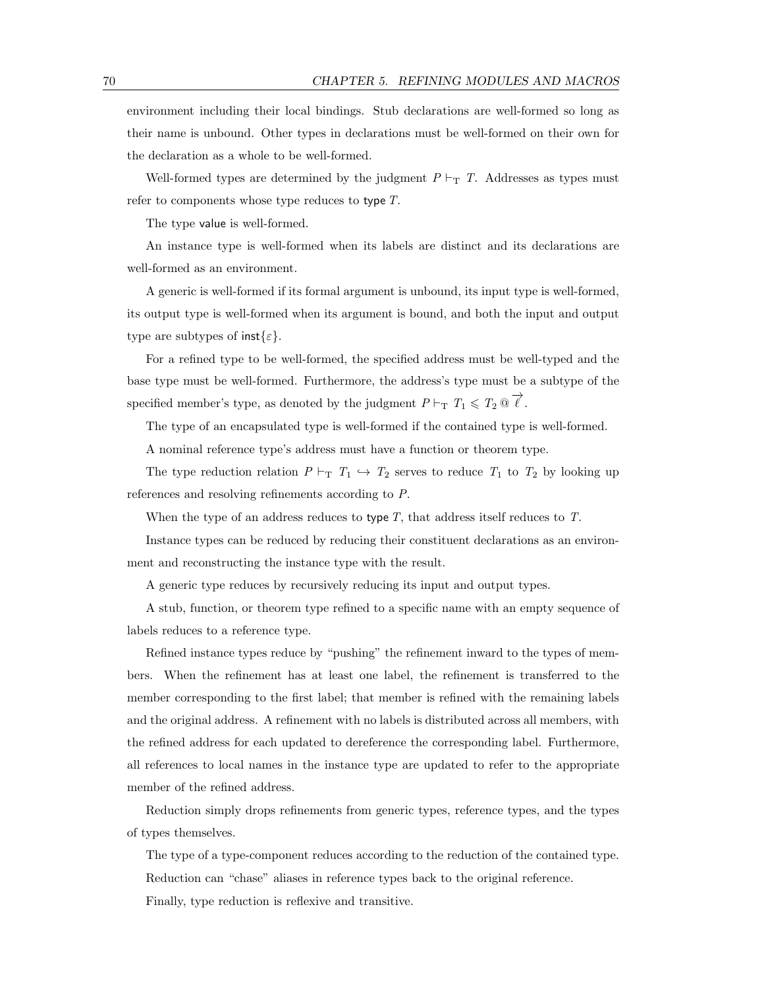environment including their local bindings. Stub declarations are well-formed so long as their name is unbound. Other types in declarations must be well-formed on their own for the declaration as a whole to be well-formed.

Well-formed types are determined by the judgment  $P \vdash_T T$ . Addresses as types must refer to components whose type reduces to type T.

The type value is well-formed.

An instance type is well-formed when its labels are distinct and its declarations are well-formed as an environment.

A generic is well-formed if its formal argument is unbound, its input type is well-formed, its output type is well-formed when its argument is bound, and both the input and output type are subtypes of  $\text{inst}_{\{\varepsilon\}}$ .

For a refined type to be well-formed, the specified address must be well-typed and the base type must be well-formed. Furthermore, the address's type must be a subtype of the specified member's type, as denoted by the judgment  $P \vdash_T T_1 \leqslant T_2 \, @\overrightarrow{\ell}$ .

The type of an encapsulated type is well-formed if the contained type is well-formed.

A nominal reference type's address must have a function or theorem type.

The type reduction relation  $P \vdash_T T_1 \hookrightarrow T_2$  serves to reduce  $T_1$  to  $T_2$  by looking up references and resolving refinements according to P.

When the type of an address reduces to type T, that address itself reduces to T.

Instance types can be reduced by reducing their constituent declarations as an environment and reconstructing the instance type with the result.

A generic type reduces by recursively reducing its input and output types.

A stub, function, or theorem type refined to a specific name with an empty sequence of labels reduces to a reference type.

Refined instance types reduce by "pushing" the refinement inward to the types of members. When the refinement has at least one label, the refinement is transferred to the member corresponding to the first label; that member is refined with the remaining labels and the original address. A refinement with no labels is distributed across all members, with the refined address for each updated to dereference the corresponding label. Furthermore, all references to local names in the instance type are updated to refer to the appropriate member of the refined address.

Reduction simply drops refinements from generic types, reference types, and the types of types themselves.

The type of a type-component reduces according to the reduction of the contained type. Reduction can "chase" aliases in reference types back to the original reference. Finally, type reduction is reflexive and transitive.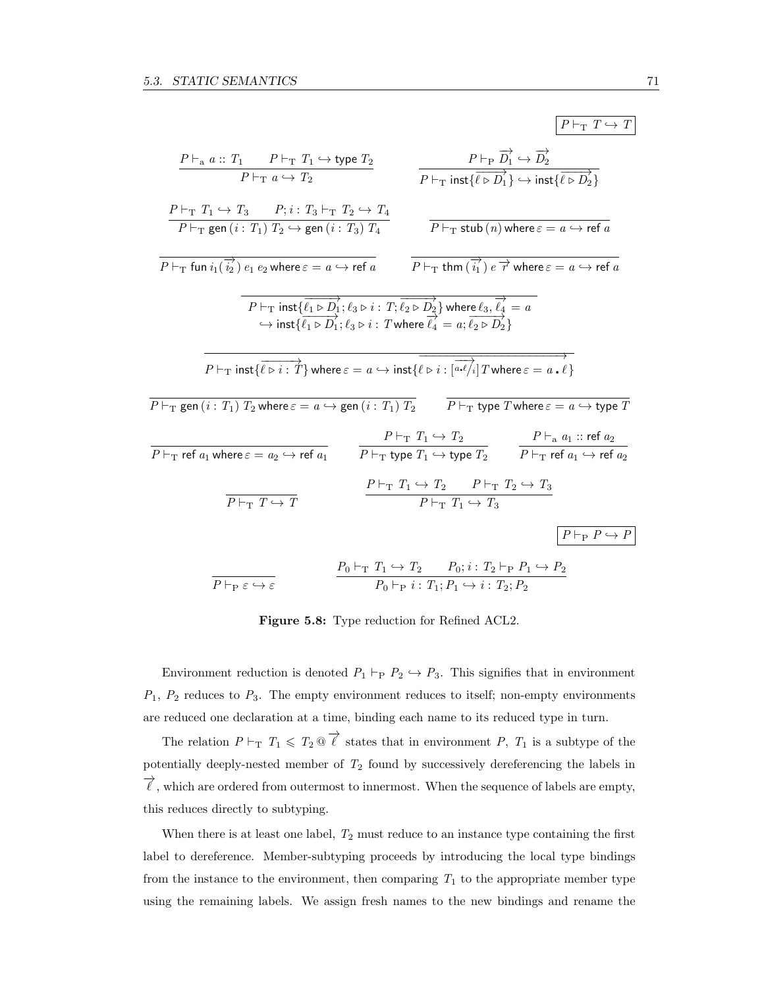|                                                                                                                                                                                                                                               |                                                                                                                                                                                  |                                                                     |                                                                                                                                                                                                                                         | $P \vdash_{\mathrm{T}} T \hookrightarrow T$                                                                                                                              |
|-----------------------------------------------------------------------------------------------------------------------------------------------------------------------------------------------------------------------------------------------|----------------------------------------------------------------------------------------------------------------------------------------------------------------------------------|---------------------------------------------------------------------|-----------------------------------------------------------------------------------------------------------------------------------------------------------------------------------------------------------------------------------------|--------------------------------------------------------------------------------------------------------------------------------------------------------------------------|
| $P \vdash_a a :: T_1 \qquad P \vdash_{\mathrm{T}} T_1 \hookrightarrow$ type $T_2$<br>$P \vdash_{\mathrm{T}} a \hookrightarrow T_2$                                                                                                            |                                                                                                                                                                                  |                                                                     | $P \vdash_{\mathrm{P}} \overrightarrow{D_1} \hookrightarrow \overrightarrow{D_2}$<br>$\overrightarrow{P \vdash_{\text{T}} \text{inst}\{\overrightarrow{\ell \rhd D_1}\}} \hookrightarrow \text{inst}\{\overrightarrow{\ell \rhd D_2}\}$ |                                                                                                                                                                          |
| $P \vdash_{\mathrm{T}} T_1 \hookrightarrow T_3$ $P; i: T_3 \vdash_{\mathrm{T}} T_2 \hookrightarrow T_4$<br>$P \vdash_{\mathrm{T}}$ gen $(i : T_1)$ $T_2 \hookrightarrow$ gen $(i : T_3)$ $T_4$                                                |                                                                                                                                                                                  |                                                                     | $P \vdash_{\mathrm{T}} \mathsf{stab}(n)$ where $\varepsilon = a \hookrightarrow \mathsf{ref} \, a$                                                                                                                                      |                                                                                                                                                                          |
| $P\vdash_{\mathrm{T}}$ fun $i_1(\overrightarrow{i_2})$ $e_1$ $e_2$ where $\varepsilon = a \hookrightarrow$ ref $a$ $P\vdash_{\mathrm{T}}$ thm $(\overrightarrow{i_1})$ $e \overrightarrow{r}$ where $\varepsilon = a \hookrightarrow$ ref $a$ |                                                                                                                                                                                  |                                                                     |                                                                                                                                                                                                                                         |                                                                                                                                                                          |
| $P\vdash_{\mathrm{T}} \mathsf{inst}\{\overrightarrow{\ell_1\triangleright D_1};\ell_3\triangleright i:\,T;\overrightarrow{\ell_2\triangleright D_2}\}$ where $\ell_3,\overrightarrow{\ell_4} = a$                                             | $\hookrightarrow$ inst $\{\overrightarrow{\ell_1\triangleright D_1}; \ell_3\triangleright i$ : Twhere $\overrightarrow{\ell_4} = a; \overrightarrow{\ell_2\triangleright D_2}\}$ |                                                                     |                                                                                                                                                                                                                                         |                                                                                                                                                                          |
| $P \vdash_{\mathrm{T}} \text{inst}\{\overline{\ell \triangleright i : \mathcal{T}}\}$ where $\varepsilon = a \hookrightarrow \text{inst}\{\ell \triangleright i : [\overline{a \cdot \ell_i}] T$ where $\varepsilon = a \cdot \ell\}$         |                                                                                                                                                                                  |                                                                     |                                                                                                                                                                                                                                         |                                                                                                                                                                          |
| $P\vdash_{\mathrm{T}}$ gen $(i: T_1)$ $T_2$ where $\varepsilon = a \hookrightarrow$ gen $(i: T_1)$ $T_2$ $\qquad$ $P\vdash_{\mathrm{T}}$ type $T$ where $\varepsilon = a \hookrightarrow$ type $T$                                            |                                                                                                                                                                                  |                                                                     |                                                                                                                                                                                                                                         |                                                                                                                                                                          |
| $P\vdash_{\mathrm{T}}$ ref $a_1$ where $\varepsilon = a_2 \hookrightarrow$ ref $a_1$                                                                                                                                                          |                                                                                                                                                                                  |                                                                     | $P \vdash_{\mathrm{T}} T_1 \hookrightarrow T_2$ $P \vdash_{\mathrm{a}} a_1 :: \text{ref } a_2$                                                                                                                                          | $\overline{P \vdash_{\mathrm{T}} \mathsf{type} \ T_1} \hookrightarrow \mathsf{type} \ T_2$ $P \vdash_{\mathrm{T}} \mathsf{ref} \ a_1 \hookrightarrow \mathsf{ref} \ a_2$ |
| $P \vdash_{\mathrm{T}} T \hookrightarrow T$                                                                                                                                                                                                   |                                                                                                                                                                                  | $P \vdash_{\mathrm{T}} T_1 \hookrightarrow T_3$                     | $P \vdash_{\mathrm{T}} T_1 \hookrightarrow T_2$ $P \vdash_{\mathrm{T}} T_2 \hookrightarrow T_3$                                                                                                                                         |                                                                                                                                                                          |
|                                                                                                                                                                                                                                               |                                                                                                                                                                                  |                                                                     |                                                                                                                                                                                                                                         | $P \vdash_{\mathsf{P}} P \hookrightarrow P$                                                                                                                              |
| $P \vdash_{\mathsf{P}} \varepsilon \hookrightarrow \varepsilon$                                                                                                                                                                               |                                                                                                                                                                                  | $P_0 \vdash_{\mathsf{P}} i : T_1; P_1 \hookrightarrow i : T_2; P_2$ | $P_0 \vdash_{\mathrm{T}} T_1 \hookrightarrow T_2$ $P_0; i: T_2 \vdash_{\mathrm{P}} P_1 \hookrightarrow P_2$                                                                                                                             |                                                                                                                                                                          |

Figure 5.8: Type reduction for Refined ACL2.

Environment reduction is denoted  $P_1 \vdash_{\text{P}} P_2 \hookrightarrow P_3$ . This signifies that in environment  $P_1$ ,  $P_2$  reduces to  $P_3$ . The empty environment reduces to itself; non-empty environments are reduced one declaration at a time, binding each name to its reduced type in turn.

The relation  $P \vdash_T T_1 \leqslant T_2 \otimes \overrightarrow{\ell}$  states that in environment P,  $T_1$  is a subtype of the potentially deeply-nested member of  $T_2$  found by successively dereferencing the labels in  $\overrightarrow{\ell}$  , which are ordered from outermost to innermost. When the sequence of labels are empty, this reduces directly to subtyping.

When there is at least one label,  $T_2$  must reduce to an instance type containing the first label to dereference. Member-subtyping proceeds by introducing the local type bindings from the instance to the environment, then comparing  $T_1$  to the appropriate member type using the remaining labels. We assign fresh names to the new bindings and rename the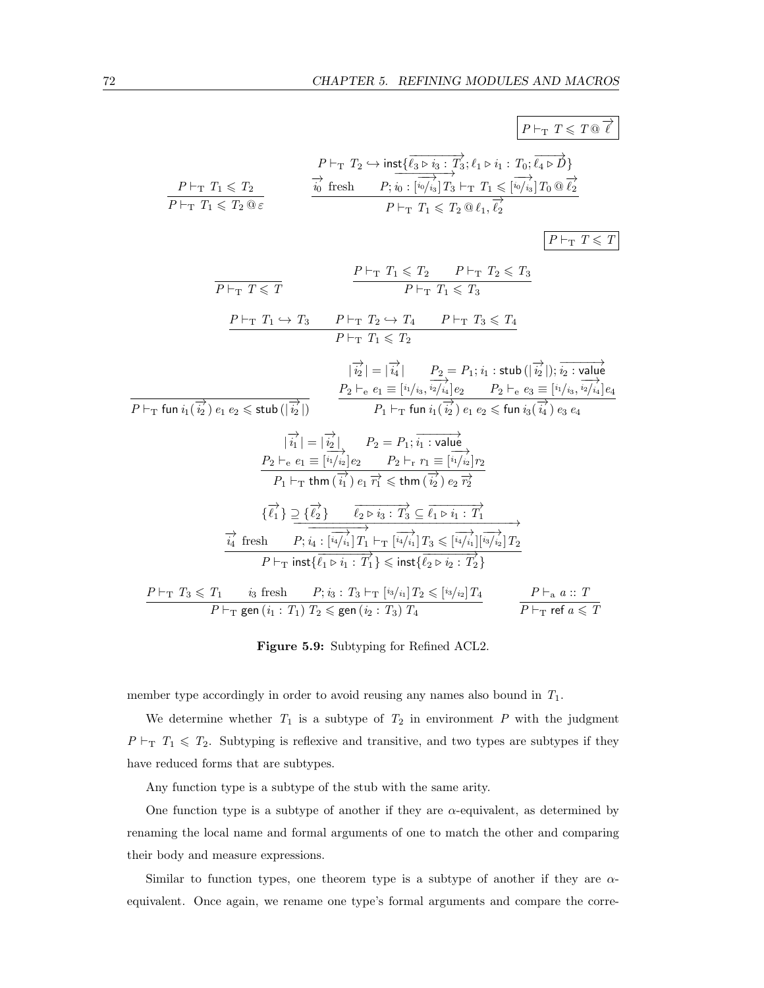P `<sup>T</sup> T 6 T @ −→` P `<sup>T</sup> T<sup>1</sup> 6 T<sup>2</sup> P `<sup>T</sup> T<sup>1</sup> 6 T<sup>2</sup> @ ε P `<sup>T</sup> T<sup>2</sup> ,→ inst{ −−−−−−−→ `<sup>3</sup> . <sup>i</sup><sup>3</sup> : <sup>T</sup><sup>3</sup> ; `<sup>1</sup> . <sup>i</sup><sup>1</sup> : <sup>T</sup>0; −−−→ `<sup>4</sup> . <sup>D</sup>} −→i<sup>0</sup> fresh <sup>P</sup>; −−−−−−−−→ i<sup>0</sup> : [ −−→ <sup>i</sup>0/i<sup>3</sup> ]T<sup>3</sup> `<sup>T</sup> T<sup>1</sup> 6 [ −−→ <sup>i</sup>0/i<sup>3</sup> ]T<sup>0</sup> @ −→`2 P `<sup>T</sup> T<sup>1</sup> 6 T<sup>2</sup> @ `1, −→`2

 $\boxed{P \vdash_{\mathbf{T}} T \leqslant T}$ 

P `<sup>T</sup> T 6 T P `<sup>T</sup> T<sup>1</sup> 6 T<sup>2</sup> P `<sup>T</sup> T<sup>2</sup> 6 T<sup>3</sup> P `<sup>T</sup> T<sup>1</sup> 6 T<sup>3</sup> P `<sup>T</sup> T<sup>1</sup> ,→ T<sup>3</sup> P `<sup>T</sup> T<sup>2</sup> ,→ T<sup>4</sup> P `<sup>T</sup> T<sup>3</sup> 6 T<sup>4</sup> P `<sup>T</sup> T<sup>1</sup> 6 T<sup>2</sup> P `<sup>T</sup> fun i1( −→i<sup>2</sup> ) <sup>e</sup><sup>1</sup> <sup>e</sup><sup>2</sup> <sup>6</sup> stub (<sup>|</sup> −→i2 |) | −→i<sup>2</sup> <sup>|</sup> <sup>=</sup> <sup>|</sup> −→i<sup>4</sup> <sup>|</sup> <sup>P</sup><sup>2</sup> <sup>=</sup> <sup>P</sup>1; <sup>i</sup><sup>1</sup> : stub (<sup>|</sup> −→i<sup>2</sup> <sup>|</sup>); −−−−−→ i<sup>2</sup> : value P<sup>2</sup> `<sup>e</sup> e<sup>1</sup> ≡ [ i1/i3, −−→ <sup>i</sup>2/i<sup>4</sup> ]e<sup>2</sup> P<sup>2</sup> `<sup>e</sup> e<sup>3</sup> ≡ [ i1/i3, −−→ <sup>i</sup>2/i<sup>4</sup> ]e<sup>4</sup> P<sup>1</sup> `<sup>T</sup> fun i1( −→i<sup>2</sup> ) <sup>e</sup><sup>1</sup> <sup>e</sup><sup>2</sup> <sup>6</sup> fun <sup>i</sup>3( −→i<sup>4</sup> ) <sup>e</sup><sup>3</sup> <sup>e</sup><sup>4</sup> | −→i<sup>1</sup> <sup>|</sup> <sup>=</sup> <sup>|</sup> −→i<sup>2</sup> <sup>|</sup> <sup>P</sup><sup>2</sup> <sup>=</sup> <sup>P</sup>1; −−−−−→ i<sup>1</sup> : value P<sup>2</sup> `<sup>e</sup> e<sup>1</sup> ≡ [ −−→ <sup>i</sup>1/i<sup>2</sup> ]e<sup>2</sup> P<sup>2</sup> `<sup>r</sup> r<sup>1</sup> ≡ [ −−→ <sup>i</sup>1/i<sup>2</sup> ]r<sup>2</sup> P<sup>1</sup> `<sup>T</sup> thm ( −→i<sup>1</sup> ) <sup>e</sup><sup>1</sup> −→r<sup>1</sup> <sup>6</sup> thm ( −→i<sup>2</sup> ) <sup>e</sup><sup>2</sup> −→r2 { −→`<sup>1</sup> } ⊇ {−→`<sup>2</sup> } −−−−−−−→ `<sup>2</sup> . <sup>i</sup><sup>3</sup> : <sup>T</sup><sup>3</sup> <sup>⊆</sup> −−−−−−−→ `<sup>1</sup> . <sup>i</sup><sup>1</sup> : <sup>T</sup><sup>1</sup> −→i<sup>4</sup> fresh −−−−−−−−−−−−−−−−−−−−−−−−−−−−−−−−→ P; −−−−−−−−→ i<sup>4</sup> : [ −−→ <sup>i</sup>4/i<sup>1</sup> ]T<sup>1</sup> `<sup>T</sup> [ −−→ <sup>i</sup>4/i<sup>1</sup> ]T<sup>3</sup> 6 [ −−→ i4/i<sup>1</sup> ][ −−→ <sup>i</sup>3/i<sup>2</sup> ]T<sup>2</sup> P `<sup>T</sup> inst{ −−−−−−−→ `<sup>1</sup> . <sup>i</sup><sup>1</sup> : <sup>T</sup><sup>1</sup> } <sup>6</sup> inst{ −−−−−−−→ `<sup>2</sup> . <sup>i</sup><sup>2</sup> : <sup>T</sup><sup>2</sup> } P `<sup>T</sup> T<sup>3</sup> 6 T<sup>1</sup> i<sup>3</sup> fresh P; i<sup>3</sup> : T<sup>3</sup> `<sup>T</sup> [ <sup>i</sup>3/i1]T<sup>2</sup> 6 [ <sup>i</sup>3/i2]T<sup>4</sup> P `<sup>T</sup> gen (i<sup>1</sup> : T1) T<sup>2</sup> 6 gen (i<sup>2</sup> : T3) T<sup>4</sup> P `<sup>a</sup> a :: T P `<sup>T</sup> ref a 6 T

### Figure 5.9: Subtyping for Refined ACL2.

member type accordingly in order to avoid reusing any names also bound in  $T_1$ .

We determine whether  $T_1$  is a subtype of  $T_2$  in environment P with the judgment  $P \vdash_T T_1 \leq T_2$ . Subtyping is reflexive and transitive, and two types are subtypes if they have reduced forms that are subtypes.

Any function type is a subtype of the stub with the same arity.

One function type is a subtype of another if they are  $\alpha$ -equivalent, as determined by renaming the local name and formal arguments of one to match the other and comparing their body and measure expressions.

Similar to function types, one theorem type is a subtype of another if they are  $\alpha$ equivalent. Once again, we rename one type's formal arguments and compare the corre-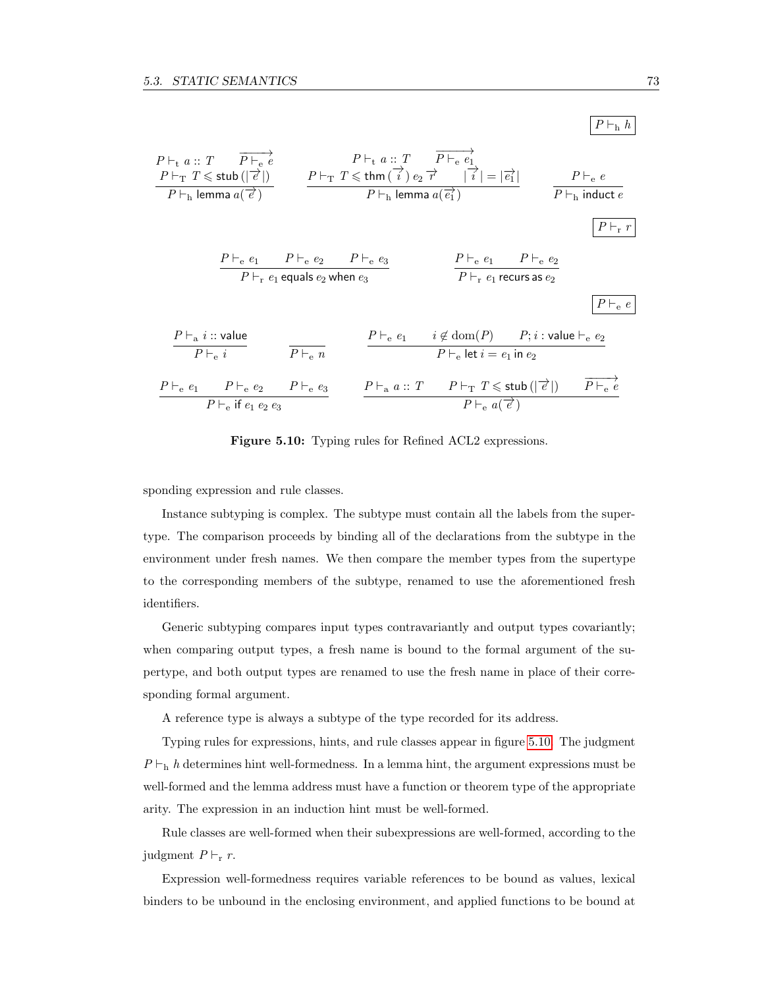

<span id="page-82-0"></span>Figure 5.10: Typing rules for Refined ACL2 expressions.

sponding expression and rule classes.

Instance subtyping is complex. The subtype must contain all the labels from the supertype. The comparison proceeds by binding all of the declarations from the subtype in the environment under fresh names. We then compare the member types from the supertype to the corresponding members of the subtype, renamed to use the aforementioned fresh identifiers.

Generic subtyping compares input types contravariantly and output types covariantly; when comparing output types, a fresh name is bound to the formal argument of the supertype, and both output types are renamed to use the fresh name in place of their corresponding formal argument.

A reference type is always a subtype of the type recorded for its address.

Typing rules for expressions, hints, and rule classes appear in figure [5.10.](#page-82-0) The judgment  $P \vdash_h h$  determines hint well-formedness. In a lemma hint, the argument expressions must be well-formed and the lemma address must have a function or theorem type of the appropriate arity. The expression in an induction hint must be well-formed.

Rule classes are well-formed when their subexpressions are well-formed, according to the judgment  $P \vdash_{\rm r} r$ .

Expression well-formedness requires variable references to be bound as values, lexical binders to be unbound in the enclosing environment, and applied functions to be bound at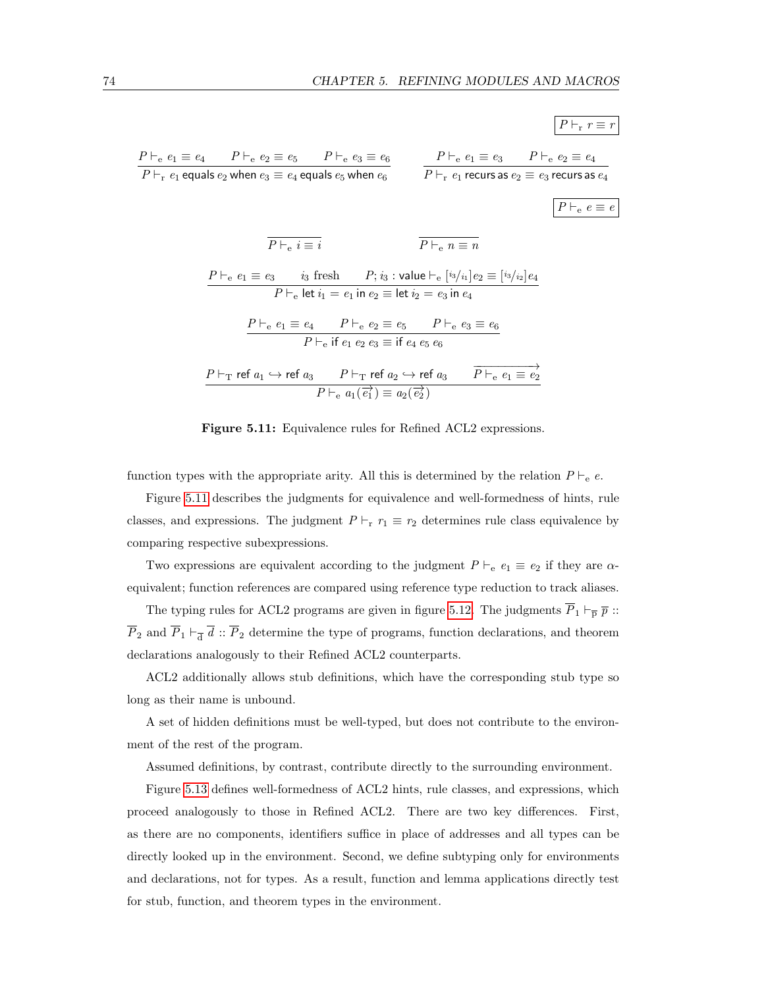

<span id="page-83-0"></span>Figure 5.11: Equivalence rules for Refined ACL2 expressions.

function types with the appropriate arity. All this is determined by the relation  $P \vdash_e e$ .

Figure [5.11](#page-83-0) describes the judgments for equivalence and well-formedness of hints, rule classes, and expressions. The judgment  $P \vdash_r r_1 \equiv r_2$  determines rule class equivalence by comparing respective subexpressions.

Two expressions are equivalent according to the judgment  $P \vdash_{e} e_1 \equiv e_2$  if they are  $\alpha$ equivalent; function references are compared using reference type reduction to track aliases.

The typing rules for ACL2 programs are given in figure [5.12.](#page-84-0) The judgments  $\overline{P}_1 \vdash_{\overline{p}} \overline{p}$  ::  $\overline{P}_2$  and  $\overline{P}_1 \vdash_{\overline{d}} d :: \overline{P}_2$  determine the type of programs, function declarations, and theorem declarations analogously to their Refined ACL2 counterparts.

ACL2 additionally allows stub definitions, which have the corresponding stub type so long as their name is unbound.

A set of hidden definitions must be well-typed, but does not contribute to the environment of the rest of the program.

Assumed definitions, by contrast, contribute directly to the surrounding environment.

Figure [5.13](#page-85-0) defines well-formedness of ACL2 hints, rule classes, and expressions, which proceed analogously to those in Refined ACL2. There are two key differences. First, as there are no components, identifiers suffice in place of addresses and all types can be directly looked up in the environment. Second, we define subtyping only for environments and declarations, not for types. As a result, function and lemma applications directly test for stub, function, and theorem types in the environment.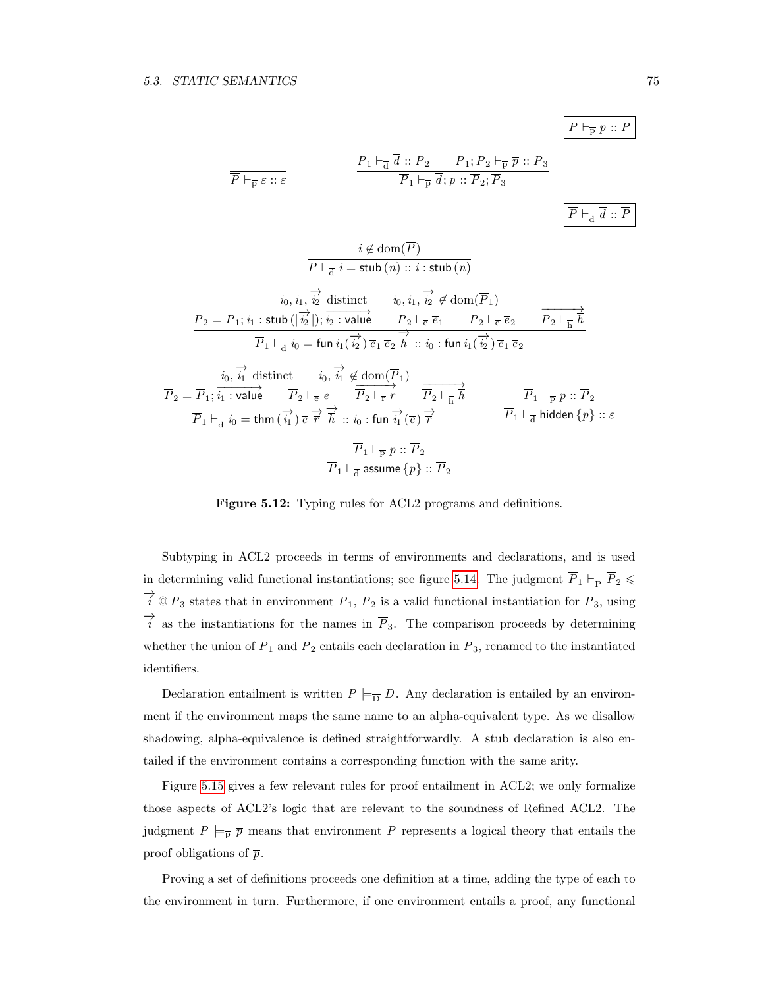$$
\overline{\overline{P}\vdash_{\overline{\mathbf{p}}}\overline{p}\mathrel{::}\overline{P}}
$$

$$
\begin{array}{ll}\n\overline{P}\vdash_{\overline{p}}\varepsilon::\varepsilon & \overline{P}_1\vdash_{\overline{d}}\overline{d}::\overline{P}_2 \qquad \overline{P}_1;\overline{P}_2\vdash_{\overline{p}}\overline{p}::\overline{P}_3 \\
& \overline{P}_1\vdash_{\overline{p}}\overline{d};\overline{p}::\overline{P}_2;\overline{P}_3 & \\\hline \\
& i\not\in\mathrm{dom}(\overline{P}) & \\
& \overline{\overline{P}}\vdash_{\overline{d}}i=\mathrm{stab}\,(n)::i:\mathrm{stab}\,(n) & \\\end{array}
$$

$$
\overrightarrow{p}_2 = \overrightarrow{P}_1; i_1: \text{stab}\left(|\overrightarrow{i_2}|\right); \overrightarrow{i_2: \text{value}} \qquad \overrightarrow{P}_2 \vdash_{\overline{e}} \overrightarrow{e}_1 \qquad \overrightarrow{P}_2 \vdash_{\overline{e}} \overrightarrow{e}_2 \qquad \overrightarrow{P}_2 \vdash_{\overline{h}} \overrightarrow{h}
$$
\n
$$
\overrightarrow{P}_1 \vdash_{\overline{d}} i_0 = \text{fun}\ i_1(\overrightarrow{i_2})\ \overrightarrow{e}_1\ \overrightarrow{e}_2\ \overrightarrow{h} \ :: i_0: \text{fun}\ i_1(\overrightarrow{i_2})\ \overrightarrow{e}_1\ \overrightarrow{e}_2
$$
\n
$$
\overrightarrow{v}_2 \vdash_{\overline{h}} \overrightarrow{h}
$$
\n
$$
\overrightarrow{p}_1 \vdash_{\overline{d}} i_0 = \text{fun}\ i_1(\overrightarrow{i_2})\ \overrightarrow{e}_1\ \overrightarrow{e}_2\ \overrightarrow{h} \ :: i_0: \text{fun}\ i_1(\overrightarrow{i_2})\ \overrightarrow{e}_1\ \overrightarrow{e}_2
$$
\n
$$
\overrightarrow{p}_2 = \overrightarrow{P}_1; \overrightarrow{i_1: \text{value}} \qquad \overrightarrow{P}_2 \vdash_{\overline{e}} \overrightarrow{e} \qquad \overrightarrow{P}_2 \vdash_{\overline{r}} \overrightarrow{r} \qquad \overrightarrow{P}_2 \vdash_{\overline{h}} \overrightarrow{h}
$$
\n
$$
\overrightarrow{P}_1 \vdash_{\overline{p}} p: : \overrightarrow{P}_2
$$
\n
$$
\overrightarrow{P}_1 \vdash_{\overline{d}} i_0 = \text{thm}\left(\overrightarrow{i_1}\right) \overrightarrow{e}\ \overrightarrow{r} \qquad \overrightarrow{h} : : i_0: \text{fun}\ i_1(\overrightarrow{e})\ \overrightarrow{r} \qquad \qquad \overrightarrow{P}_1 \vdash_{\overline{d}} \text{hidden}\{p\} :: \overrightarrow{e}
$$
\n
$$
\overrightarrow{P}_1 \vdash_{\overline{p}} p: : \overrightarrow{P}_2
$$
\n
$$
\overrightarrow{P}_1 \vdash_{\overline{d}} \text{assume}\{p\} :: \overrightarrow{P}_2
$$

<span id="page-84-0"></span>Figure 5.12: Typing rules for ACL2 programs and definitions.

Subtyping in ACL2 proceeds in terms of environments and declarations, and is used in determining valid functional instantiations; see figure [5.14.](#page-86-0) The judgment  $\overline{P}_1 \vdash_{\overline{P}} \overline{P}_2 \leq$  $\overrightarrow{i} \otimes \overline{P}_3$  states that in environment  $\overline{P}_1$ ,  $\overline{P}_2$  is a valid functional instantiation for  $\overline{P}_3$ , using  $\overrightarrow{i}$  as the instantiations for the names in  $\overline{P}_3$ . The comparison proceeds by determining whether the union of  $\overline{P}_1$  and  $\overline{P}_2$  entails each declaration in  $\overline{P}_3$ , renamed to the instantiated identifiers.

Declaration entailment is written  $\overline{P} \models_{\overline{D}} \overline{D}$ . Any declaration is entailed by an environment if the environment maps the same name to an alpha-equivalent type. As we disallow shadowing, alpha-equivalence is defined straightforwardly. A stub declaration is also entailed if the environment contains a corresponding function with the same arity.

Figure [5.15](#page-86-1) gives a few relevant rules for proof entailment in ACL2; we only formalize those aspects of ACL2's logic that are relevant to the soundness of Refined ACL2. The judgment  $\overline{P} \models_{\overline{p}} \overline{p}$  means that environment  $\overline{P}$  represents a logical theory that entails the proof obligations of  $\bar{p}$ .

Proving a set of definitions proceeds one definition at a time, adding the type of each to the environment in turn. Furthermore, if one environment entails a proof, any functional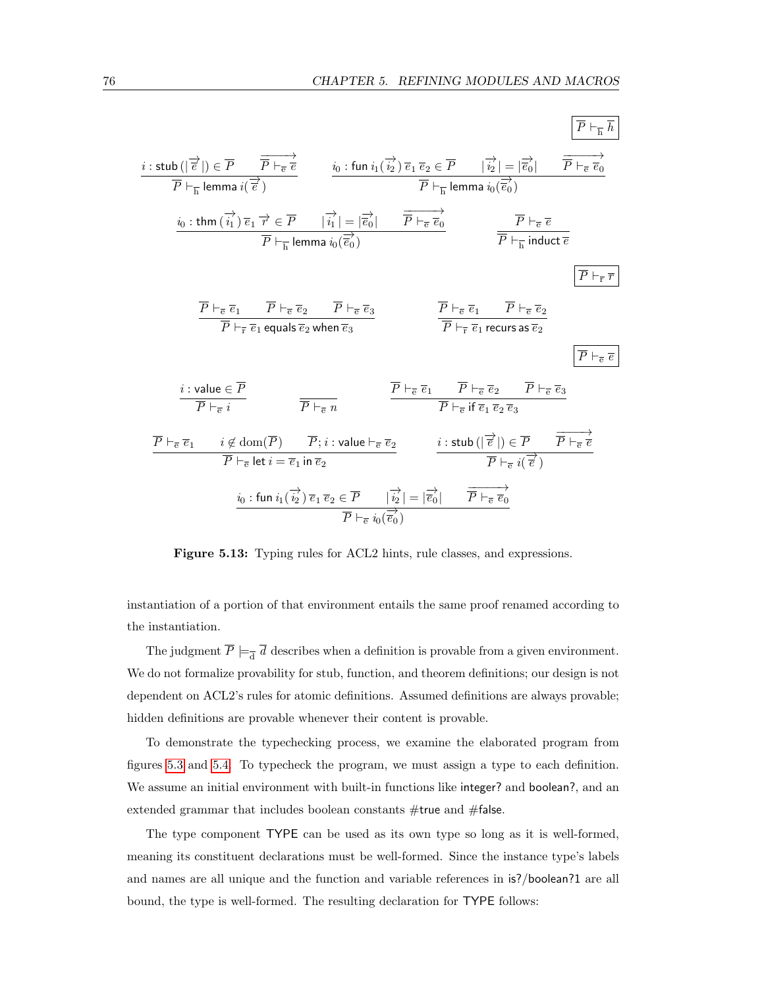$$
\begin{array}{ll}\n\begin{array}{l}\n\overline{i:\text{stab}(\vert\overrightarrow{e}\vert)\in\overline{P} & \overrightarrow{\overline{P}+\overrightarrow{e}} \\
\overrightarrow{P}+\overrightarrow{E} \text{ lemma }i(\overrightarrow{e}) & \overrightarrow{v:\text{fun }i_1(\overrightarrow{i_2})\overrightarrow{e_1}\overrightarrow{e_2}\in\overline{P} & \overrightarrow{v_2}\vert = \vert\overrightarrow{e_0}\vert} \\
\overrightarrow{p}+\overrightarrow{E} \text{ lemma }i(\overrightarrow{e}) & \overrightarrow{P}+\overrightarrow{E} \text{ lemma }i_0(\overrightarrow{e_0})\n\end{array}\n\end{array}
$$
\n
$$
\begin{array}{ll}\n\overrightarrow{i:\text{thm}(\overrightarrow{i_1})\overrightarrow{e_1}\overrightarrow{r}\in\overline{P} & \vert\overrightarrow{i_1}\vert = \vert\overrightarrow{e_0}\vert & \overrightarrow{P}+\overrightarrow{e}\overrightarrow{e_0}\n\end{array}\n\qquad\n\begin{array}{l}\n\overrightarrow{P}+\overrightarrow{e}\overrightarrow{e} \\
\overrightarrow{P}+\overrightarrow{E} \text{ lemma }i_0(\overrightarrow{e_0})\n\end{array}
$$
\n
$$
\begin{array}{ll}\n\overrightarrow{P}+\overrightarrow{e}\overrightarrow{e} \\
\overrightarrow{P}+\overrightarrow{E} \text{ index } \overrightarrow{e}\n\end{array}
$$
\n
$$
\begin{array}{ll}\n\overrightarrow{P}+\overrightarrow{e}\overrightarrow{e_1} & \overrightarrow{P}+\overrightarrow{e}\overrightarrow{e_2} \\
\overrightarrow{P}+\overrightarrow{E} \text{ equals } \overrightarrow{e_2} \text{ when } \overrightarrow{e_3}\n\end{array}
$$
\n
$$
\begin{array}{ll}\n\overrightarrow{P}+\overrightarrow{e}\overrightarrow{e_1} & \overrightarrow{P}+\overrightarrow{e}\overrightarrow{e_2} \\
\overrightarrow{P}+\overrightarrow{e}\overrightarrow{e_1} & \overrightarrow{P}+\overrightarrow{e}\overrightarrow{e_2}\n\end{array}
$$
\n
$$
\begin{array}{ll}\n\overrightarrow{P}+\overrightarrow{e}\overrightarrow{e_1} \\
\overrightarrow{P}+\overrightarrow{e}\overrightarrow{e_1} \\
\overrightarrow{P}+\overrightarrow{e}\overrightarrow{e_1} \\
\overrightarrow{P}+\overrightarrow{e}\overrightarrow{e_1} \\
\overrightarrow{P}+\overrightarrow{e}\overrightarrow{e
$$

<span id="page-85-0"></span>Figure 5.13: Typing rules for ACL2 hints, rule classes, and expressions.

instantiation of a portion of that environment entails the same proof renamed according to the instantiation.

The judgment  $\overline{P} \models_{\overline{d}} d$  describes when a definition is provable from a given environment. We do not formalize provability for stub, function, and theorem definitions; our design is not dependent on ACL2's rules for atomic definitions. Assumed definitions are always provable; hidden definitions are provable whenever their content is provable.

To demonstrate the typechecking process, we examine the elaborated program from figures [5.3](#page-74-0) and [5.4.](#page-75-0) To typecheck the program, we must assign a type to each definition. We assume an initial environment with built-in functions like integer? and boolean?, and an extended grammar that includes boolean constants #true and #false.

The type component TYPE can be used as its own type so long as it is well-formed, meaning its constituent declarations must be well-formed. Since the instance type's labels and names are all unique and the function and variable references in is?/boolean?1 are all bound, the type is well-formed. The resulting declaration for TYPE follows: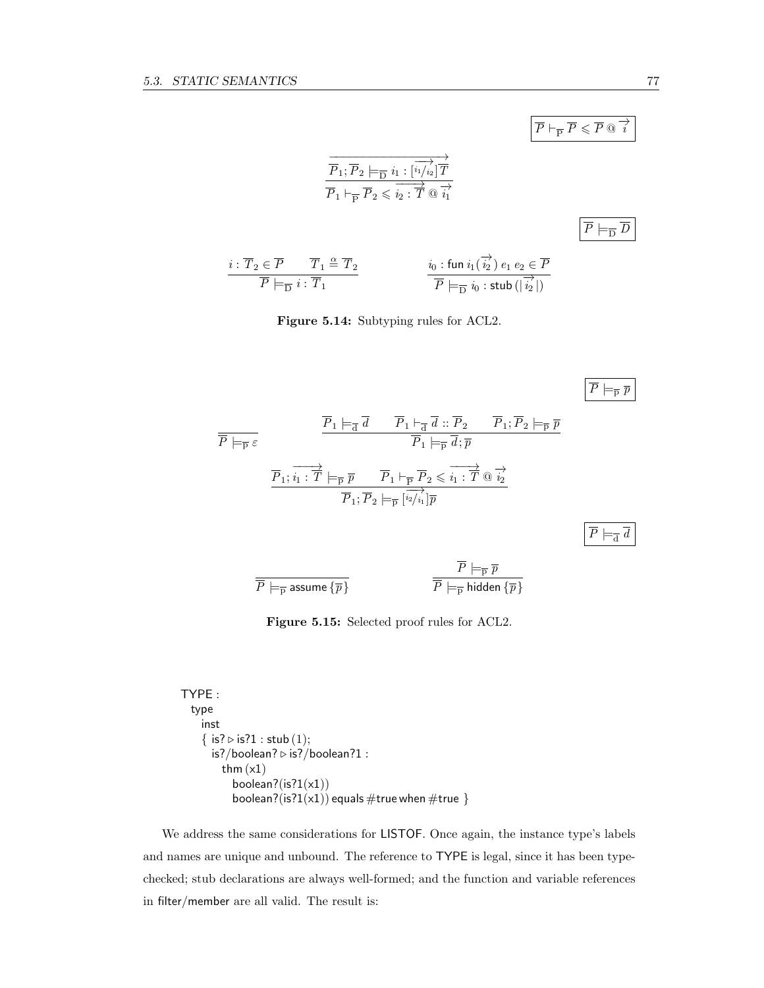$$
\begin{array}{c}\n\overrightarrow{P_1; P_2 \models_{\overline{D}} i_1 : [\overrightarrow{i_1}/\overrightarrow{i_2}] \overrightarrow{T}} \\
\overrightarrow{P_1 \models_{\overline{P}} P_2 \leqslant i_2 : \overrightarrow{T} \text{ @ } \overrightarrow{i_1}} \\
\overrightarrow{P_1 \models_{\overline{D}} P_2 \leqslant i_2 : \overrightarrow{T} \text{ @ } \overrightarrow{i_1}} \\
\overrightarrow{P \models_{\overline{D}} \overrightarrow{D}} \\
\overrightarrow{P \models_{\overline{D}} i : \overrightarrow{T_1}} \\
\end{array}\n\qquad\n\begin{array}{c}\n\overrightarrow{P \models_{\overline{D}} \overrightarrow{D}} \\
\overrightarrow{P \models_{\overline{D}} \overrightarrow{D}} \\
\overrightarrow{P \models_{\overline{D}} i_0 : \text{ stub } (\overrightarrow{i_2})}\n\end{array}
$$

<span id="page-86-0"></span>Figure 5.14: Subtyping rules for ACL2.

$$
\frac{\overline{P}_1 \models_{\overline{d}} \overline{d} \qquad \overline{P}_1 \models_{\overline{d}} \overline{d} \ :: \overline{P}_2 \qquad \overline{P}_1; \overline{P}_2 \models_{\overline{p}} \overline{p}}{\overline{P}_1; \overline{i}_1 : \overline{T} \models_{\overline{p}} \overline{p} \qquad \overline{P}_1 \models_{\overline{p}} \overline{d}; \overline{p}}
$$
\n
$$
\frac{\overline{P}_1; \overrightarrow{i}_1 : \overrightarrow{T} \models_{\overline{p}} \overline{p} \qquad \overrightarrow{P}_1 \models_{\overline{p}} \overline{P}_2 \leq \overrightarrow{i}_1 : \overrightarrow{T} \otimes \overrightarrow{i}_2}{\overrightarrow{P}_1; \overrightarrow{P}_2 \models_{\overline{p}} [\overrightarrow{i}_2 / \overrightarrow{i}_1] \overline{p}}
$$
\n
$$
\frac{\overline{P} \models_{\overline{p}} \overline{p}}{\overline{P} \models_{\overline{d}} \overline{d}} \qquad \qquad \overline{\overline{P} \models_{\overline{p}} \overline{p}}
$$
\n
$$
\frac{\overline{P} \models_{\overline{p}} \overline{p}}{\overline{P} \models_{\overline{p}} \text{ assume } \{\overline{p}\}} \qquad \qquad \overline{\overline{P} \models_{\overline{p}} \text{ hidden } \{\overline{p}\}}
$$

<span id="page-86-1"></span>Figure 5.15: Selected proof rules for ACL2.

```
TYPE :
  type
    inst
    { is? \triangleright is?1 : stub (1);
      is?/boolean? \triangleright is?/boolean?1 :
         thm (x1)boolean?(is?1(x1))
           boolean?(is?1(x1)) equals \#true when \#true \}
```
We address the same considerations for LISTOF. Once again, the instance type's labels and names are unique and unbound. The reference to TYPE is legal, since it has been typechecked; stub declarations are always well-formed; and the function and variable references in filter/member are all valid. The result is:

 $\overline{P} \vdash_{\overline{P}} \overline{P} \leqslant \overline{P} \circledcirc \overrightarrow{i}$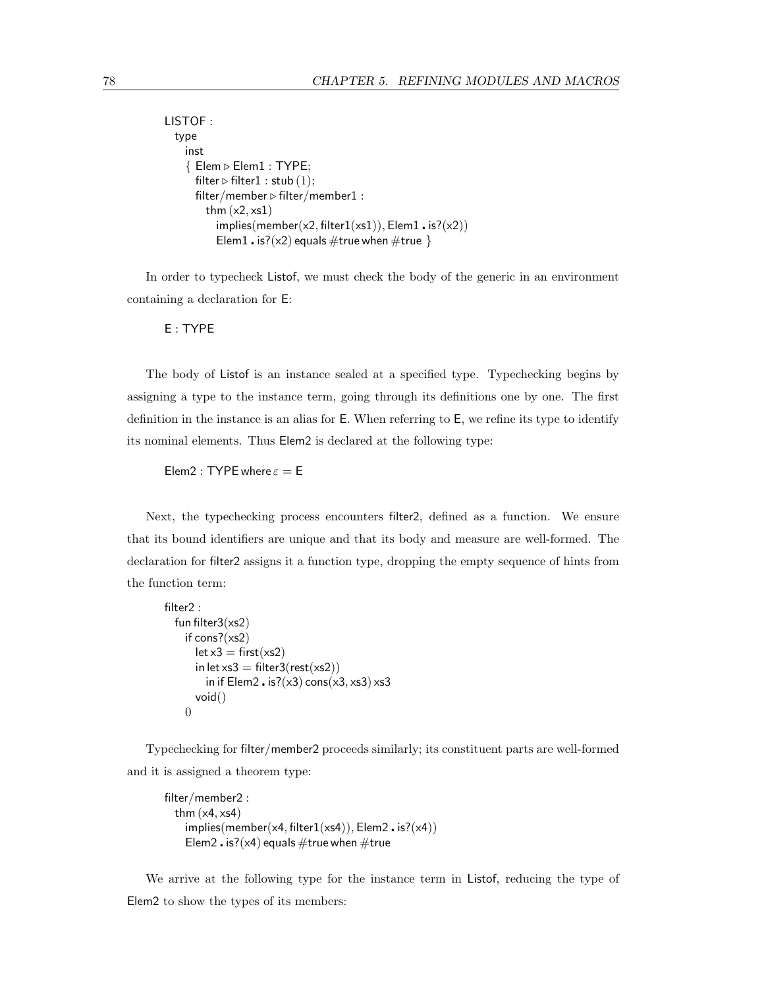```
LISTOF :
  type
     inst
     \{ Elem \triangleright Elem1 : TYPE;
       filter \triangleright filter1 : stub (1);
       filter/member \triangleright filter/member1 :
          thm (x2, xs1)implies(member(x2, filter1(xs1)), Element \cdot is? (x2))Elem1 . is?(x2) equals \#true when \#true }
```
In order to typecheck Listof, we must check the body of the generic in an environment containing a declaration for E:

E : TYPE

The body of Listof is an instance sealed at a specified type. Typechecking begins by assigning a type to the instance term, going through its definitions one by one. The first definition in the instance is an alias for E. When referring to E, we refine its type to identify its nominal elements. Thus Elem2 is declared at the following type:

Elem2 : TYPE where  $\varepsilon =$  E

Next, the typechecking process encounters filter2, defined as a function. We ensure that its bound identifiers are unique and that its body and measure are well-formed. The declaration for filter2 assigns it a function type, dropping the empty sequence of hints from the function term:

```
filter2 :
  fun filter3(xs2)
     if cons?(xs2)
        let x3 = first(xs2)in let xs3 = \text{filter3}(\text{rest}(xs2))in if Elem2 . is?(\times3) cons(\times3, \timess3) \timess3
        void()
     \theta
```
Typechecking for filter/member2 proceeds similarly; its constituent parts are well-formed and it is assigned a theorem type:

```
filter/member2 :
 thm (x4, xs4)implies(member(x4, filter1(xs4)), Element2 \cdot is? (x4))Elem2. is?(\times4) equals #true when #true
```
We arrive at the following type for the instance term in Listof, reducing the type of Elem2 to show the types of its members: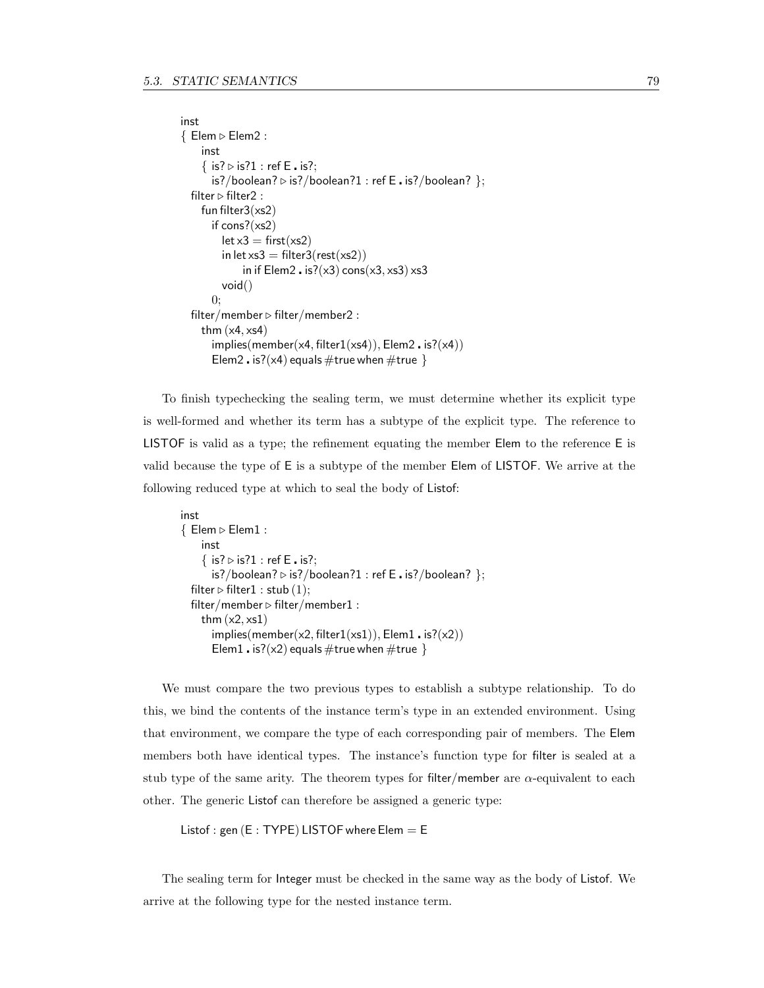```
inst
\{ Elem \triangleright Elem2 :
     inst
     \{ is? \triangleright is?1 : ref E is?;is?/boolean? \triangleright is?/boolean?1 : ref E is?/boolean? };
  filter \triangleright filter2 :
     fun filter3(xs2)
       if cons?(xs2)
          let x3 = first(xs2)in let xs3 = \text{filter3}(\text{rest}(xs2))in if Elem2 \cdot is?(x3) cons(x3, xs3) xs3
          void()
       0;
  filter/member \triangleright filter/member2 :
     thm (x4, xs4)implies(member(x4, filter1(xs4)), Element2, is? (x4))Elem2 . is?(\times4) equals #true when #true }
```
To finish typechecking the sealing term, we must determine whether its explicit type is well-formed and whether its term has a subtype of the explicit type. The reference to LISTOF is valid as a type; the refinement equating the member Elem to the reference E is valid because the type of E is a subtype of the member Elem of LISTOF. We arrive at the following reduced type at which to seal the body of Listof:

```
inst
\{ Elem \triangleright Elem1 :
     inst
     \{ is? \triangleright is?1 : ref E is?;
        is?/boolean? \triangleright is?/boolean?1 : ref E . is?/boolean? };
   filter \triangleright filter1 : stub (1);
   filter/member \triangleright filter/member1 :
     thm (x2, xs1)implies(member(x2, filter1(xs1)), Element \cdot is? (x2))Elem1 . is?(\times2) equals #true when #true }
```
We must compare the two previous types to establish a subtype relationship. To do this, we bind the contents of the instance term's type in an extended environment. Using that environment, we compare the type of each corresponding pair of members. The Elem members both have identical types. The instance's function type for filter is sealed at a stub type of the same arity. The theorem types for filter/member are  $\alpha$ -equivalent to each other. The generic Listof can therefore be assigned a generic type:

```
Listof : gen (E : TYPE) LISTOF where Elem = E
```
The sealing term for Integer must be checked in the same way as the body of Listof. We arrive at the following type for the nested instance term.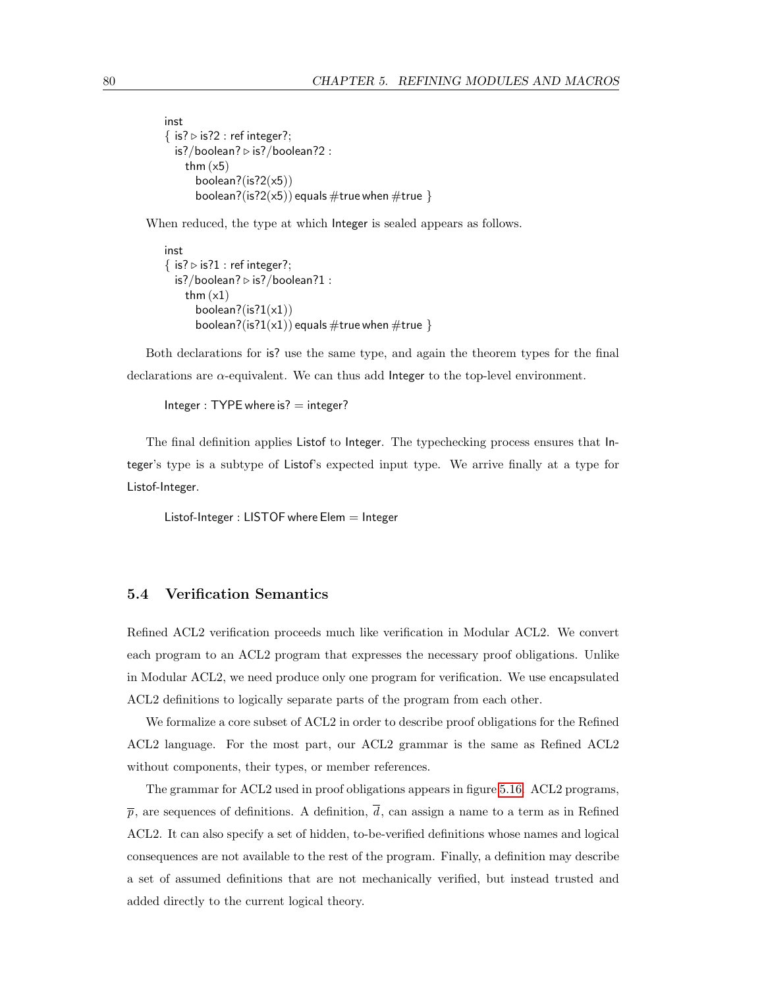```
inst
\{ is? \triangleright is?2 : ref integer?;
  is?/boolean? \triangleright is?/boolean?2 :
     thm (x5)boolean?(is?2(x5))
        boolean?(is?2(x5)) equals \#\mathsf{true} when \#\mathsf{true} }
```
When reduced, the type at which Integer is sealed appears as follows.

```
inst
\{ is? \triangleright is?1 : ref integer?;
  is?/boolean? \triangleright is?/boolean?1 :
     thm (x1)boolean?(is?1(x1))
        boolean?(is?1(x1)) equals \#\mathsf{true} when \#\mathsf{true} }
```
Both declarations for is? use the same type, and again the theorem types for the final declarations are  $\alpha$ -equivalent. We can thus add Integer to the top-level environment.

```
Integer : TYPE where is? = integer?
```
The final definition applies Listof to Integer. The typechecking process ensures that Integer's type is a subtype of Listof's expected input type. We arrive finally at a type for Listof-Integer.

Listof-Integer : LISTOF where  $E$ lem  $=$  Integer

## 5.4 Verification Semantics

Refined ACL2 verification proceeds much like verification in Modular ACL2. We convert each program to an ACL2 program that expresses the necessary proof obligations. Unlike in Modular ACL2, we need produce only one program for verification. We use encapsulated ACL2 definitions to logically separate parts of the program from each other.

We formalize a core subset of ACL2 in order to describe proof obligations for the Refined ACL2 language. For the most part, our ACL2 grammar is the same as Refined ACL2 without components, their types, or member references.

The grammar for ACL2 used in proof obligations appears in figure [5.16.](#page-90-0) ACL2 programs,  $\bar{p}$ , are sequences of definitions. A definition,  $\bar{d}$ , can assign a name to a term as in Refined ACL2. It can also specify a set of hidden, to-be-verified definitions whose names and logical consequences are not available to the rest of the program. Finally, a definition may describe a set of assumed definitions that are not mechanically verified, but instead trusted and added directly to the current logical theory.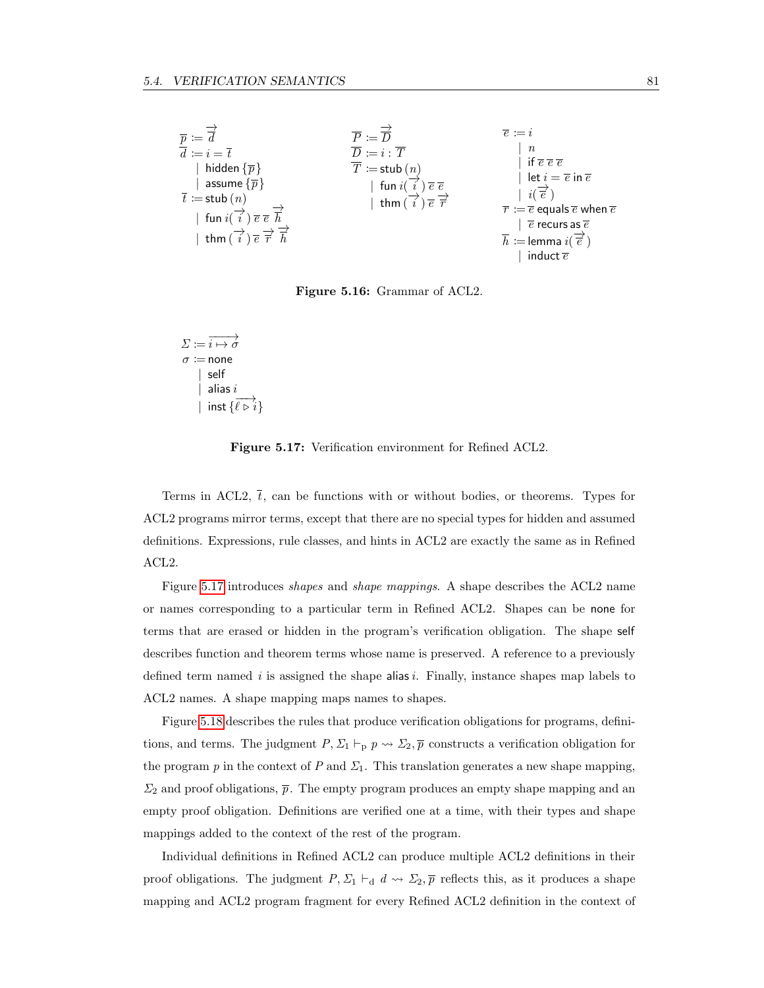

<span id="page-90-0"></span>Figure 5.16: Grammar of ACL2.

 $\Sigma \coloneqq \overrightarrow{i \mapsto \sigma}$  $\sigma \coloneqq$  none | self alias  $i$ | inst  $\{\overrightarrow{e} \mapsto i\}$ 

<span id="page-90-1"></span>Figure 5.17: Verification environment for Refined ACL2.

Terms in ACL2,  $\bar{t}$ , can be functions with or without bodies, or theorems. Types for ACL2 programs mirror terms, except that there are no special types for hidden and assumed definitions. Expressions, rule classes, and hints in ACL2 are exactly the same as in Refined ACL2.

Figure [5.17](#page-90-1) introduces *shapes* and *shape mappings*. A shape describes the ACL2 name or names corresponding to a particular term in Refined ACL2. Shapes can be none for terms that are erased or hidden in the program's verification obligation. The shape self describes function and theorem terms whose name is preserved. A reference to a previously defined term named i is assigned the shape alias i. Finally, instance shapes map labels to ACL2 names. A shape mapping maps names to shapes.

Figure [5.18](#page-91-0) describes the rules that produce verification obligations for programs, definitions, and terms. The judgment  $P, \Sigma_1 \vdash_p p \leadsto \Sigma_2, \overline{p}$  constructs a verification obligation for the program p in the context of P and  $\Sigma_1$ . This translation generates a new shape mapping,  $\Sigma_2$  and proof obligations,  $\bar{p}$ . The empty program produces an empty shape mapping and an empty proof obligation. Definitions are verified one at a time, with their types and shape mappings added to the context of the rest of the program.

Individual definitions in Refined ACL2 can produce multiple ACL2 definitions in their proof obligations. The judgment  $P, \Sigma_1 \vdash_d d \rightsquigarrow \Sigma_2, \overline{p}$  reflects this, as it produces a shape mapping and ACL2 program fragment for every Refined ACL2 definition in the context of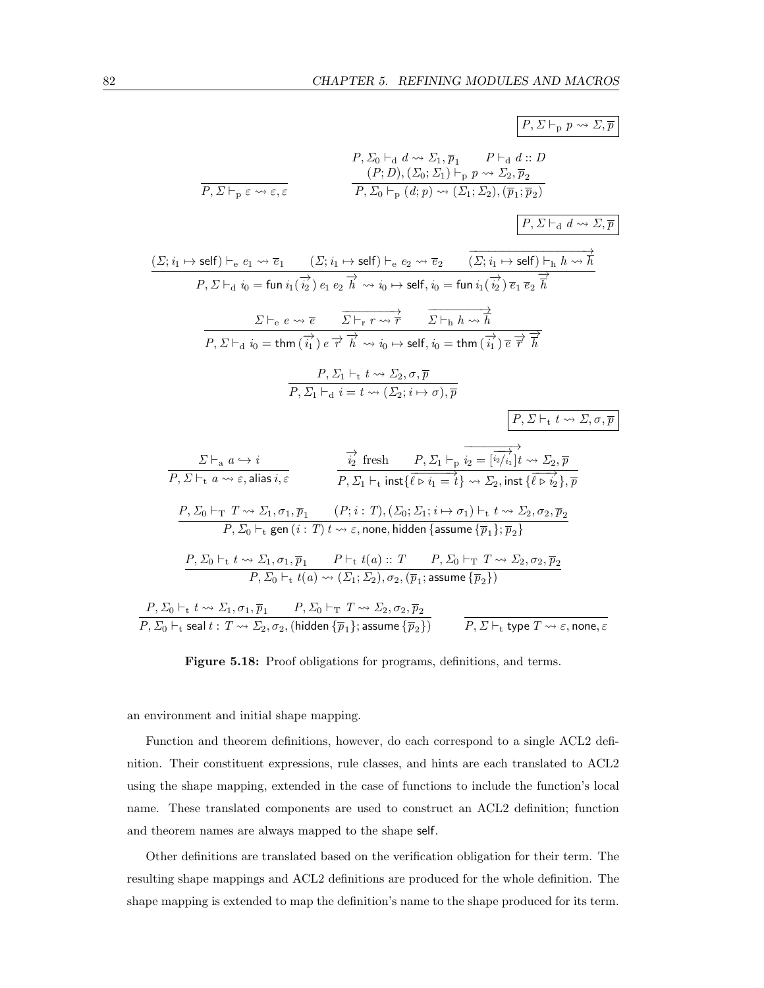$$
P, \Sigma_{0} \vdash_{d} d \rightsquigarrow \Sigma_{1}, \overline{p}_{1} \qquad P \vdash_{d} d::D
$$
\n
$$
\overline{P, \Sigma \vdash_{p} \varepsilon \rightsquigarrow \varepsilon, \varepsilon}
$$
\n
$$
\overline{P, \Sigma \vdash_{p} \varepsilon \rightsquigarrow \varepsilon, \varepsilon}
$$
\n
$$
\overline{P, \Sigma_{0} \vdash_{p} (d; p) \rightsquigarrow (\Sigma_{1}; \Sigma_{2}), (\overline{p}_{1}; \overline{p}_{2})}
$$
\n
$$
\overline{P, \Sigma \vdash_{d} d \rightsquigarrow \Sigma, \overline{p}}
$$
\n
$$
\underline{(\Sigma; i_{1} \mapsto \text{self}) \vdash_{e} e_{1} \rightsquigarrow \overline{e_{1}} \qquad (\Sigma; i_{1} \mapsto \text{self}) \vdash_{e} e_{2} \rightsquigarrow \overline{e_{2}} \qquad \overline{(\Sigma; i_{1} \mapsto \text{self}) \vdash_{h} h \rightsquigarrow \overline{h}}
$$
\n
$$
\overline{P, \Sigma \vdash_{d} i_{0}} = \text{fun } i_{1}(\overrightarrow{i_{2}}) e_{1} e_{2} \overrightarrow{h} \rightsquigarrow i_{0} \mapsto \text{self}, i_{0} = \text{fun } i_{1}(\overrightarrow{i_{2}}) \overrightarrow{e_{1}} \overrightarrow{e_{2}} \overrightarrow{h}
$$
\n
$$
\overline{P, \Sigma \vdash_{d} i_{0}} = \text{tim } (\overrightarrow{i_{1}}) e \overrightarrow{h} \overrightarrow{h} \rightsquigarrow i_{0} \mapsto \text{self}, i_{0} = \text{fun } (i_{1} \overrightarrow{h}) \overrightarrow{e} \overrightarrow{h}
$$
\n
$$
\overline{P, \Sigma \vdash_{d} i_{0}} = \text{tim } (\overrightarrow{i_{1}}) e \overrightarrow{h} \overrightarrow{h} \rightsquigarrow i_{0} \mapsto \text{self}, i_{0} = \text{tim } (\overrightarrow{i_{1}}) \overrightarrow{e} \overrightarrow{h} \overrightarrow{h}
$$
\n
$$
\overline{P, \Sigma \vdash_{d} i_{0}} = \text{tim } (\overrightarrow{i_{1}}) e \overrightarrow{h} \rightsquigarrow i_{0} \mapsto \text{self}, i_{0} = \text{tim }
$$

#### <span id="page-91-0"></span>Figure 5.18: Proof obligations for programs, definitions, and terms.

an environment and initial shape mapping.

Function and theorem definitions, however, do each correspond to a single ACL2 definition. Their constituent expressions, rule classes, and hints are each translated to ACL2 using the shape mapping, extended in the case of functions to include the function's local name. These translated components are used to construct an ACL2 definition; function and theorem names are always mapped to the shape self.

Other definitions are translated based on the verification obligation for their term. The resulting shape mappings and ACL2 definitions are produced for the whole definition. The shape mapping is extended to map the definition's name to the shape produced for its term.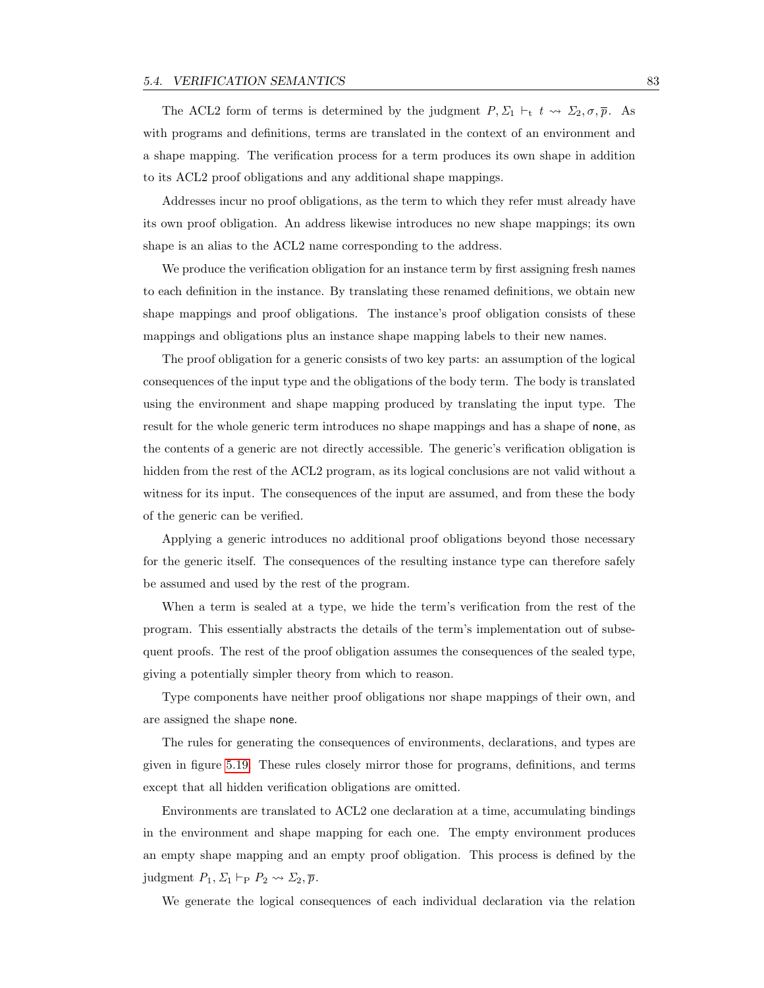The ACL2 form of terms is determined by the judgment  $P, \Sigma_1 \vdash_t t \leadsto \Sigma_2, \sigma, \overline{p}$ . As with programs and definitions, terms are translated in the context of an environment and a shape mapping. The verification process for a term produces its own shape in addition to its ACL2 proof obligations and any additional shape mappings.

Addresses incur no proof obligations, as the term to which they refer must already have its own proof obligation. An address likewise introduces no new shape mappings; its own shape is an alias to the ACL2 name corresponding to the address.

We produce the verification obligation for an instance term by first assigning fresh names to each definition in the instance. By translating these renamed definitions, we obtain new shape mappings and proof obligations. The instance's proof obligation consists of these mappings and obligations plus an instance shape mapping labels to their new names.

The proof obligation for a generic consists of two key parts: an assumption of the logical consequences of the input type and the obligations of the body term. The body is translated using the environment and shape mapping produced by translating the input type. The result for the whole generic term introduces no shape mappings and has a shape of none, as the contents of a generic are not directly accessible. The generic's verification obligation is hidden from the rest of the ACL2 program, as its logical conclusions are not valid without a witness for its input. The consequences of the input are assumed, and from these the body of the generic can be verified.

Applying a generic introduces no additional proof obligations beyond those necessary for the generic itself. The consequences of the resulting instance type can therefore safely be assumed and used by the rest of the program.

When a term is sealed at a type, we hide the term's verification from the rest of the program. This essentially abstracts the details of the term's implementation out of subsequent proofs. The rest of the proof obligation assumes the consequences of the sealed type, giving a potentially simpler theory from which to reason.

Type components have neither proof obligations nor shape mappings of their own, and are assigned the shape none.

The rules for generating the consequences of environments, declarations, and types are given in figure [5.19.](#page-93-0) These rules closely mirror those for programs, definitions, and terms except that all hidden verification obligations are omitted.

Environments are translated to ACL2 one declaration at a time, accumulating bindings in the environment and shape mapping for each one. The empty environment produces an empty shape mapping and an empty proof obligation. This process is defined by the judgment  $P_1, \Sigma_1 \vdash_{\mathbf{P}} P_2 \leadsto \Sigma_2, \overline{p}$ .

We generate the logical consequences of each individual declaration via the relation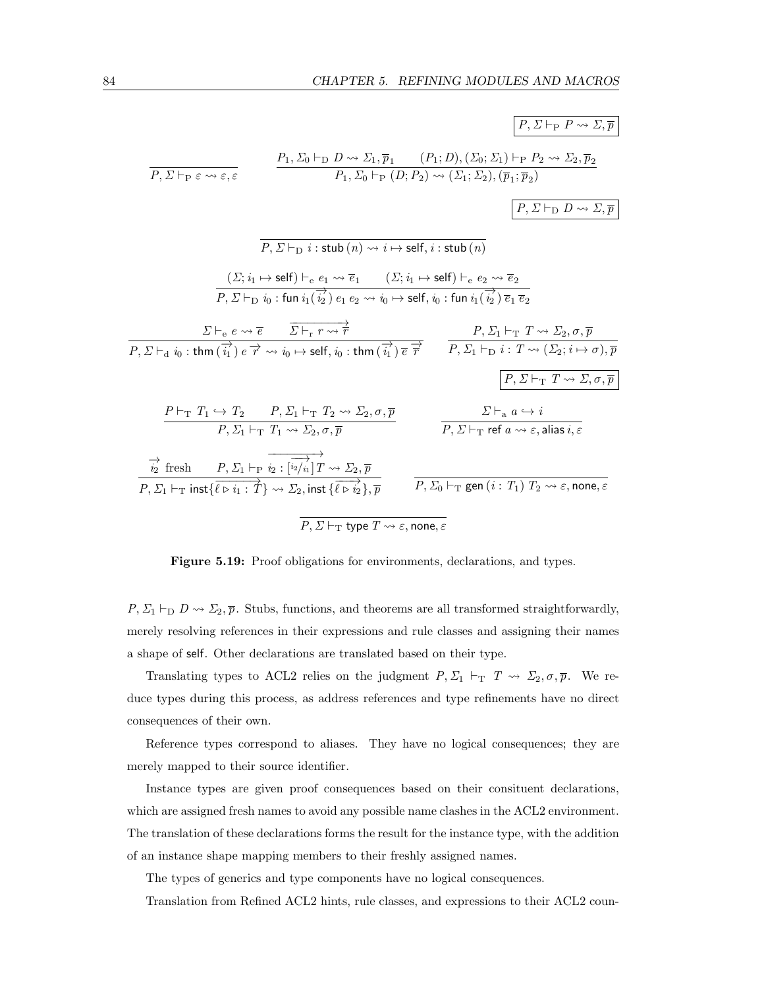

<span id="page-93-0"></span>Figure 5.19: Proof obligations for environments, declarations, and types.

 $P, \Sigma_1 \vdash_D D \leadsto \Sigma_2, \overline{p}$ . Stubs, functions, and theorems are all transformed straightforwardly, merely resolving references in their expressions and rule classes and assigning their names a shape of self. Other declarations are translated based on their type.

Translating types to ACL2 relies on the judgment  $P, \Sigma_1 \vdash_T T \leadsto \Sigma_2, \sigma, \overline{p}$ . We reduce types during this process, as address references and type refinements have no direct consequences of their own.

Reference types correspond to aliases. They have no logical consequences; they are merely mapped to their source identifier.

Instance types are given proof consequences based on their consituent declarations, which are assigned fresh names to avoid any possible name clashes in the ACL2 environment. The translation of these declarations forms the result for the instance type, with the addition of an instance shape mapping members to their freshly assigned names.

The types of generics and type components have no logical consequences.

Translation from Refined ACL2 hints, rule classes, and expressions to their ACL2 coun-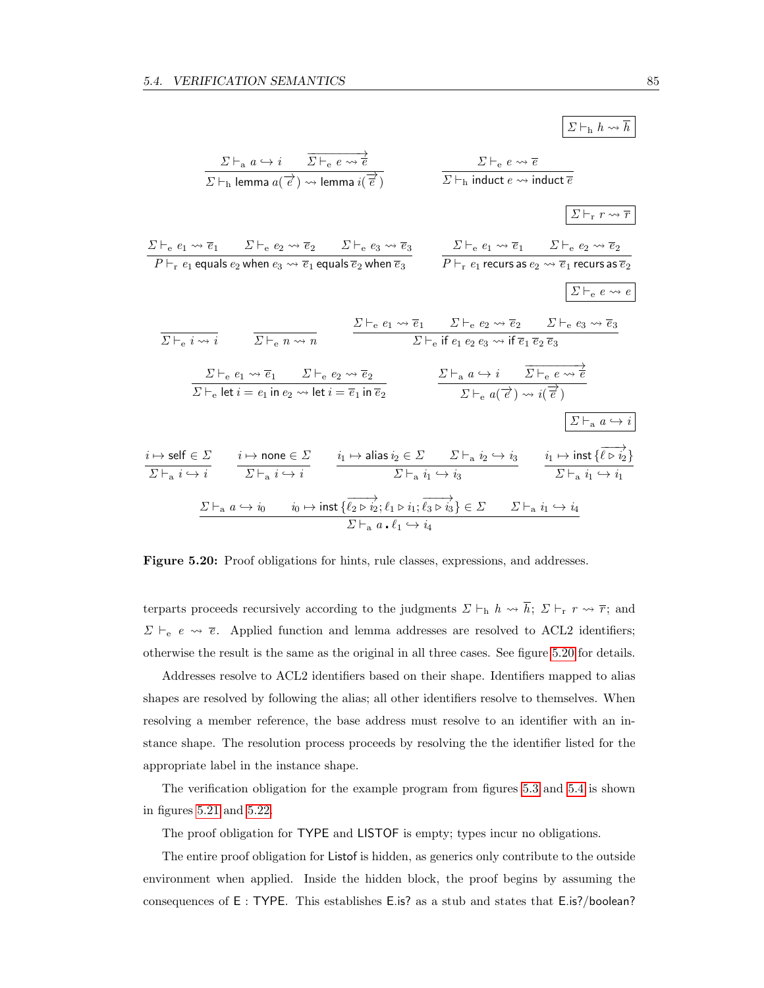$$
\frac{\sum\vdash_{a} a \hookrightarrow i \quad \overline{\sum\vdash_{e} e \rightsquigarrow \overline{e}}}{\sum\vdash_{h} \text{ lemma } a(\overrightarrow{e}) \rightsquigarrow \text{ lemma } i(\overrightarrow{e})} \qquad \frac{\sum\vdash_{e} e \rightsquigarrow \overline{e}}{\sum\vdash_{h} \text{ induced } e \rightsquigarrow \text{ if } e \rightsquigarrow \overline{e}}}
$$
\n
$$
\frac{\sum\vdash_{e} e_{1} \rightsquigarrow \overline{e_{1}}}{P \vdash_{r} e_{1} \text{ equals } e_{2} \text{ when } e_{3} \rightsquigarrow \overline{e_{2}} \qquad \sum\vdash_{e} e_{3} \rightsquigarrow \overline{e_{3}}}{\sum\vdash_{e} e_{1} \rightsquigarrow \overline{e_{1}} \text{ equals } \overline{e_{2}} \text{ when } \overline{e_{3}}} \qquad \frac{\sum\vdash_{e} e_{1} \rightsquigarrow \overline{e_{1}} \quad \sum\vdash_{e} e_{2} \rightsquigarrow \overline{e_{2}}}{P \vdash_{r} e_{1} \text{ recurs as } e_{2} \rightsquigarrow \overline{e_{1}} \text{ recurs as } \overline{e_{2}}}
$$
\n
$$
\frac{\sum\vdash_{e} e_{1} \rightsquigarrow \overline{e_{1}}}{\sum\vdash_{e} i \rightsquigarrow i} \qquad \frac{\sum\vdash_{e} e_{1} \rightsquigarrow \overline{e_{1}} \quad \sum\vdash_{e} e_{2} \rightsquigarrow \overline{e_{2}}}{\sum\vdash_{e} e_{1} \rightsquigarrow \overline{e_{1}} \quad \sum\vdash_{e} e_{2} \rightsquigarrow \overline{e_{2}}}
$$
\n
$$
\frac{\sum\vdash_{e} e_{1} \rightsquigarrow \overline{e_{1}} \quad \sum\vdash_{e} e_{2} \rightsquigarrow \overline{e_{2}}}{\sum\vdash_{e} e_{1} \rightsquigarrow \overline{e_{1}} \quad \sum\vdash_{e} e_{2} \rightsquigarrow \overline{e_{2}}}{\sum\vdash_{e} e_{1} \rightsquigarrow \overline{e_{1}} \quad \sum\vdash_{e} a \rightsquigarrow \overline{e_{2}}}
$$
\n
$$
\frac{\sum\vdash_{e} e_{1} \rightsqu
$$

<span id="page-94-0"></span>Figure 5.20: Proof obligations for hints, rule classes, expressions, and addresses.

terparts proceeds recursively according to the judgments  $\Sigma \vdash_h h \leadsto \overline{h}; \ \Sigma \vdash_r r \leadsto \overline{r};$  and  $\Sigma \vdash_e e \leadsto \overline{e}$ . Applied function and lemma addresses are resolved to ACL2 identifiers; otherwise the result is the same as the original in all three cases. See figure [5.20](#page-94-0) for details.

Addresses resolve to ACL2 identifiers based on their shape. Identifiers mapped to alias shapes are resolved by following the alias; all other identifiers resolve to themselves. When resolving a member reference, the base address must resolve to an identifier with an instance shape. The resolution process proceeds by resolving the the identifier listed for the appropriate label in the instance shape.

The verification obligation for the example program from figures [5.3](#page-74-0) and [5.4](#page-75-0) is shown in figures [5.21](#page-95-0) and [5.22.](#page-96-0)

The proof obligation for TYPE and LISTOF is empty; types incur no obligations.

The entire proof obligation for Listof is hidden, as generics only contribute to the outside environment when applied. Inside the hidden block, the proof begins by assuming the consequences of E : TYPE. This establishes E.is? as a stub and states that E.is?/boolean?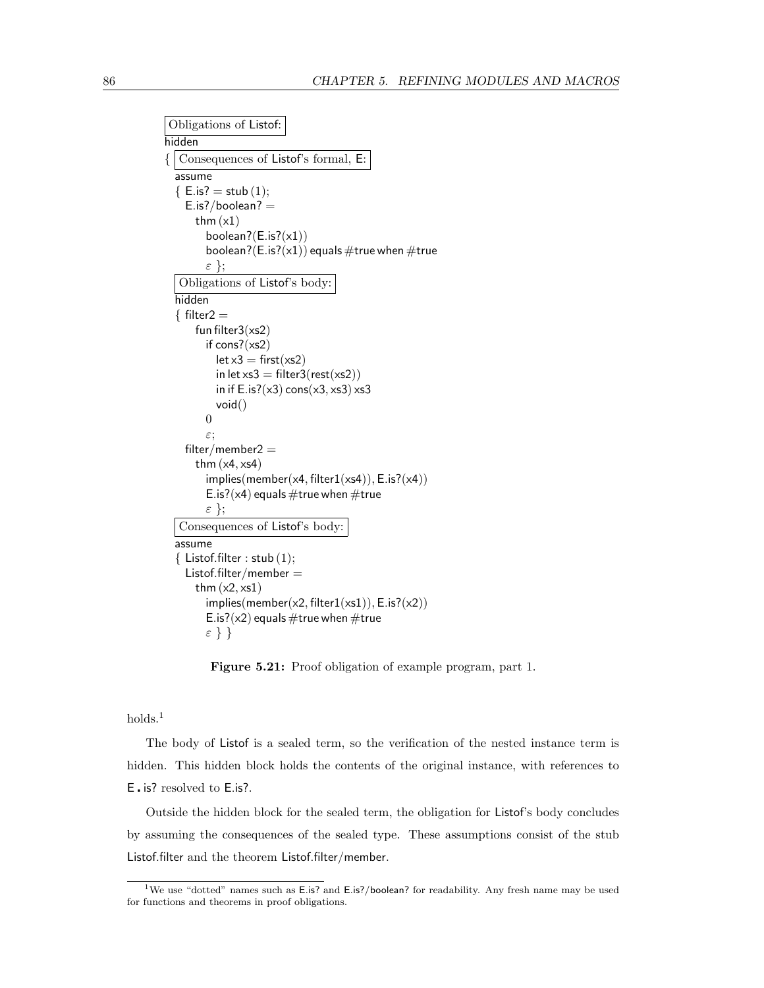```
Obligations of Listof:
hidden
\{\vert Consequences of Listof's formal, E:
  assume
  {E.is?} = stub(1);E.is?/boolean? =thm (x1)boolean?(E.is?(x1))
        boolean?(E.is?(x1)) equals #true when #true
        ε };
  Obligations of Listof's body:
  hidden
  \{ filter2 =
      fun filter3(xs2)
        if cons?(xs2)
          let x3 = first(xs2)in let xs3 = \text{filter3}(\text{rest}(xs2))in if E.is?(x3) cons(x3, xs3) xs3void()
        0
        ε;
    filter/member2 =
      thm (x4, xs4)implies(member(x4, filter1(xs4)), E.is?(x4))E.is?(\times4) equals #true when #true
        ε };
  Consequences of Listof's body:
  assume
  \{ Listof.filter : stub (1);Listof.filter/member =thm (x2, xs1)implies(member(x2, filter1(xs1)), E.is?(x2))
        E.is?(\times2) equals #true when #true
        ε } }
```
<span id="page-95-0"></span>Figure 5.21: Proof obligation of example program, part 1.

 $holds<sup>1</sup>$ 

The body of Listof is a sealed term, so the verification of the nested instance term is hidden. This hidden block holds the contents of the original instance, with references to E is? resolved to E.is?.

Outside the hidden block for the sealed term, the obligation for Listof's body concludes by assuming the consequences of the sealed type. These assumptions consist of the stub Listof.filter and the theorem Listof.filter/member.

<sup>&</sup>lt;sup>1</sup>We use "dotted" names such as E.is? and E.is?/boolean? for readability. Any fresh name may be used for functions and theorems in proof obligations.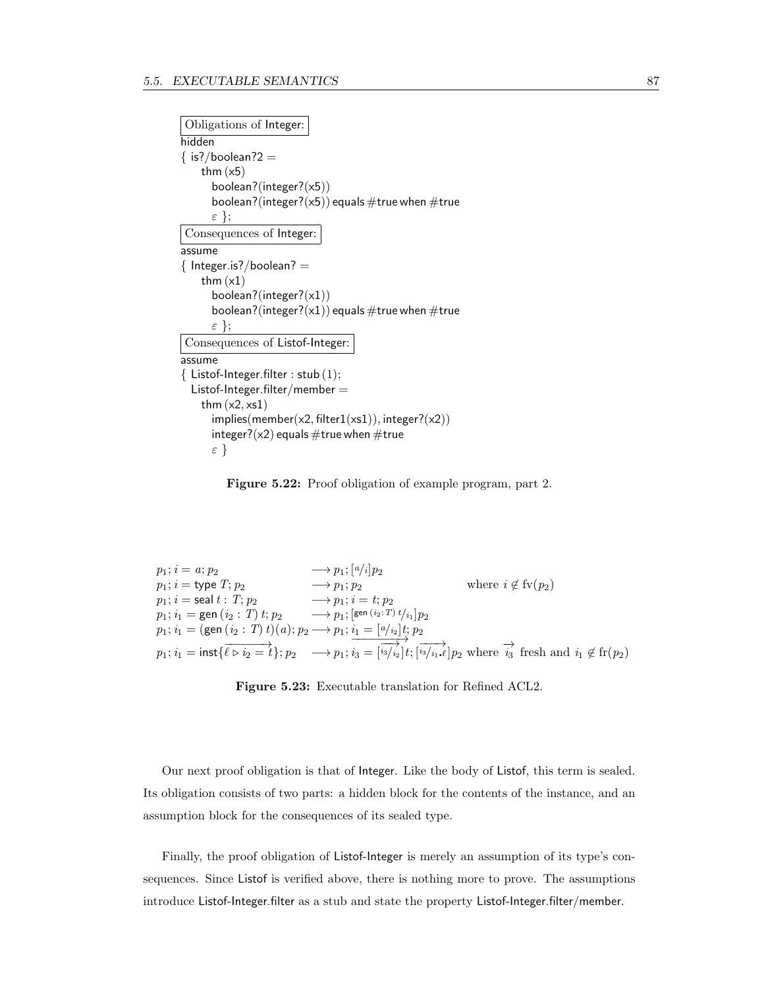```
Obligations of Integer:
hidden
\{ is?/boolean?2 =
   thm (x5)boolean?(integer?(x5))
     boolean?(integer?(x5)) equals #true when #true
     ε };
Consequences of Integer:
assume
\{ Integer.is?/boolean? =
   thm (x1)boolean?(integer?(x1))
     boolean?(integer?(x1)) equals #true when #true
     ε };
Consequences of Listof-Integer:
assume
\{ Listof-Integer.filter : stub (1);List of-Integer.filter/member =thm (x2, xs1)implies(member(x2, filter1(xs1)), integer? (x2))integer?(x2) equals \#true when \#true
     ε }
```
<span id="page-96-0"></span>Figure 5.22: Proof obligation of example program, part 2.

$$
p_1; i = a; p_2 \longrightarrow p_1; [a/i]p_2
$$
  
\n
$$
p_1; i = \text{type } T; p_2 \longrightarrow p_1; p_2 \qquad \text{where } i \notin f_v(p_2)
$$
  
\n
$$
p_1; i = \text{seal } t: T; p_2 \longrightarrow p_1; i = t; p_2
$$
  
\n
$$
p_1; i_1 = \text{gen } (i_2: T) t; p_2 \longrightarrow p_1; \underbrace{[e^{en (i_2:T)} t / i_1]}_{i_1 = (gen (i_2: T) t)} p_2
$$
  
\n
$$
p_1; i_1 = (\text{gen } (i_2: T) t)(a); p_2 \longrightarrow p_1; \underbrace{i_1 = [a/i_2]t; p_2}_{i_1 = \overrightarrow{[i_2/i_2]}t; \overrightarrow{[i_3/i_1,\ell]}p_2} \text{ where } \overrightarrow{i_3} \text{ fresh and } i_1 \notin f_v(p_2)
$$

<span id="page-96-1"></span>

Our next proof obligation is that of Integer. Like the body of Listof, this term is sealed. Its obligation consists of two parts: a hidden block for the contents of the instance, and an assumption block for the consequences of its sealed type.

Finally, the proof obligation of Listof-Integer is merely an assumption of its type's consequences. Since Listof is verified above, there is nothing more to prove. The assumptions introduce Listof-Integer.filter as a stub and state the property Listof-Integer.filter/member.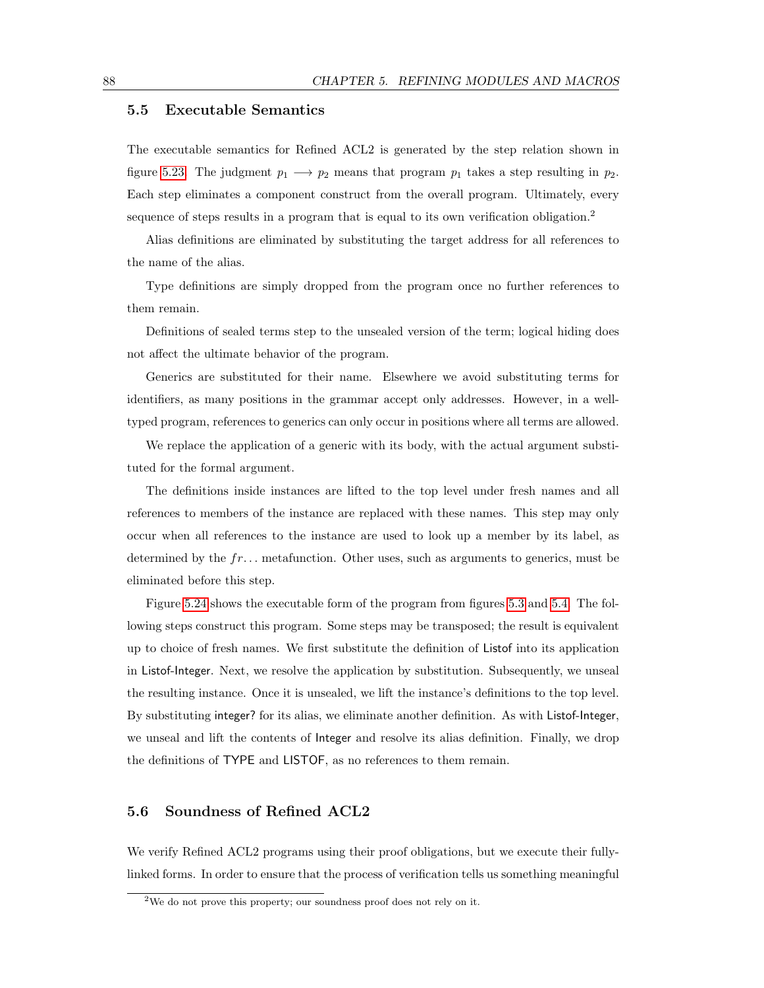### 5.5 Executable Semantics

The executable semantics for Refined ACL2 is generated by the step relation shown in figure [5.23.](#page-96-1) The judgment  $p_1 \longrightarrow p_2$  means that program  $p_1$  takes a step resulting in  $p_2$ . Each step eliminates a component construct from the overall program. Ultimately, every sequence of steps results in a program that is equal to its own verification obligation.<sup>2</sup>

Alias definitions are eliminated by substituting the target address for all references to the name of the alias.

Type definitions are simply dropped from the program once no further references to them remain.

Definitions of sealed terms step to the unsealed version of the term; logical hiding does not affect the ultimate behavior of the program.

Generics are substituted for their name. Elsewhere we avoid substituting terms for identifiers, as many positions in the grammar accept only addresses. However, in a welltyped program, references to generics can only occur in positions where all terms are allowed.

We replace the application of a generic with its body, with the actual argument substituted for the formal argument.

The definitions inside instances are lifted to the top level under fresh names and all references to members of the instance are replaced with these names. This step may only occur when all references to the instance are used to look up a member by its label, as determined by the  $fr...$  metafunction. Other uses, such as arguments to generics, must be eliminated before this step.

Figure [5.24](#page-98-0) shows the executable form of the program from figures [5.3](#page-74-0) and [5.4.](#page-75-0) The following steps construct this program. Some steps may be transposed; the result is equivalent up to choice of fresh names. We first substitute the definition of Listof into its application in Listof-Integer. Next, we resolve the application by substitution. Subsequently, we unseal the resulting instance. Once it is unsealed, we lift the instance's definitions to the top level. By substituting integer? for its alias, we eliminate another definition. As with Listof-Integer, we unseal and lift the contents of Integer and resolve its alias definition. Finally, we drop the definitions of TYPE and LISTOF, as no references to them remain.

### 5.6 Soundness of Refined ACL2

We verify Refined ACL2 programs using their proof obligations, but we execute their fullylinked forms. In order to ensure that the process of verification tells us something meaningful

<sup>&</sup>lt;sup>2</sup>We do not prove this property; our soundness proof does not rely on it.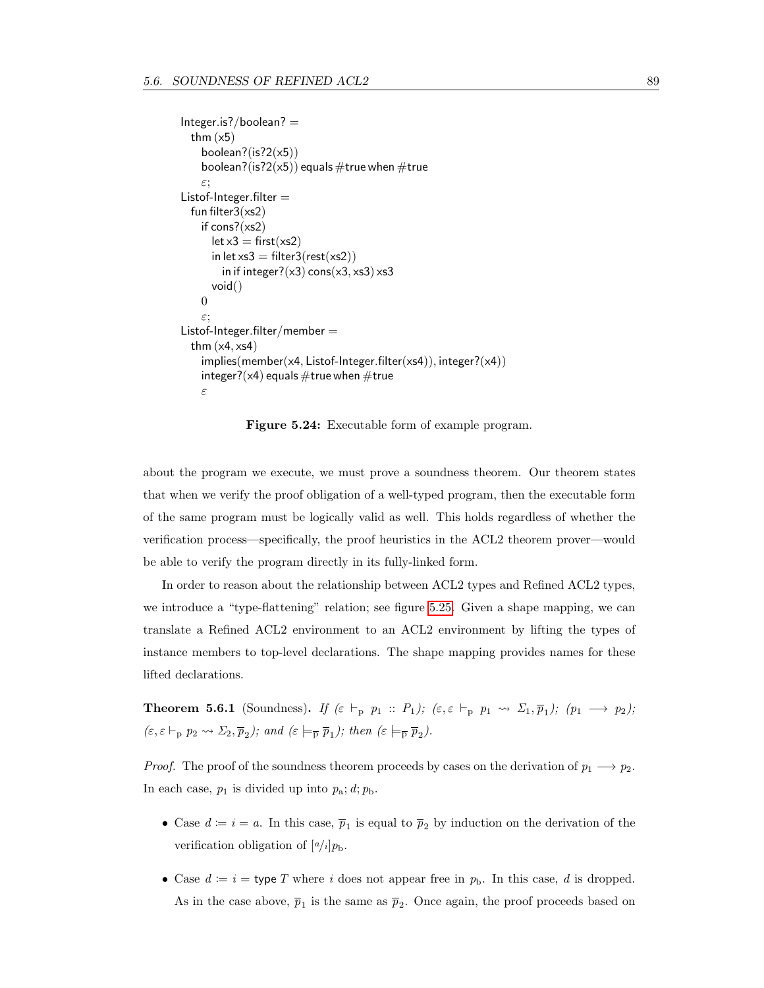```
Integer.is?/boolean? =thm (x5)boolean?(is?2(x5))
    boolean?(is?2(x5)) equals \#true when \#true
    ε;
Listof-Integer.filter =fun filter3(xs2)
    if cons?(xs2)
      let x3 = first(xs2)in let xs3 = \text{filter3}(\text{rest}(xs2))in if integer?(x3) cons(x3, x53) x53void()
    \thetaε;
Listof-Integer.filter/member =thm (x4, xs4)implies(member(x4, Listof-Integer.file(r(xs4)), integer?(x4))integer?(\times4) equals \#true when \#true
    ε
```
<span id="page-98-0"></span>Figure 5.24: Executable form of example program.

about the program we execute, we must prove a soundness theorem. Our theorem states that when we verify the proof obligation of a well-typed program, then the executable form of the same program must be logically valid as well. This holds regardless of whether the verification process—specifically, the proof heuristics in the ACL2 theorem prover—would be able to verify the program directly in its fully-linked form.

In order to reason about the relationship between ACL2 types and Refined ACL2 types, we introduce a "type-flattening" relation; see figure [5.25.](#page-99-0) Given a shape mapping, we can translate a Refined ACL2 environment to an ACL2 environment by lifting the types of instance members to top-level declarations. The shape mapping provides names for these lifted declarations.

**Theorem 5.6.1** (Soundness). If  $(\varepsilon \vdash_{p} p_{1} :: P_{1}); (\varepsilon, \varepsilon \vdash_{p} p_{1} \leadsto \Sigma_{1}, \overline{p}_{1}); (p_{1} \longrightarrow p_{2});$  $(\varepsilon, \varepsilon \vdash_{\mathbf{p}} p_2 \leadsto \Sigma_2, \overline{p}_2)$ ; and  $(\varepsilon \models_{\overline{\mathbf{p}}} \overline{p}_1)$ ; then  $(\varepsilon \models_{\overline{\mathbf{p}}} \overline{p}_2)$ .

*Proof.* The proof of the soundness theorem proceeds by cases on the derivation of  $p_1 \longrightarrow p_2$ . In each case,  $p_1$  is divided up into  $p_a$ ;  $d$ ;  $p_b$ .

- Case  $d \coloneqq i = a$ . In this case,  $\overline{p}_1$  is equal to  $\overline{p}_2$  by induction on the derivation of the verification obligation of  $\left[a/i\right]p_{\rm b}$ .
- Case  $d := i =$  type T where i does not appear free in  $p<sub>b</sub>$ . In this case, i is dropped. As in the case above,  $\overline{p}_1$  is the same as  $\overline{p}_2$ . Once again, the proof proceeds based on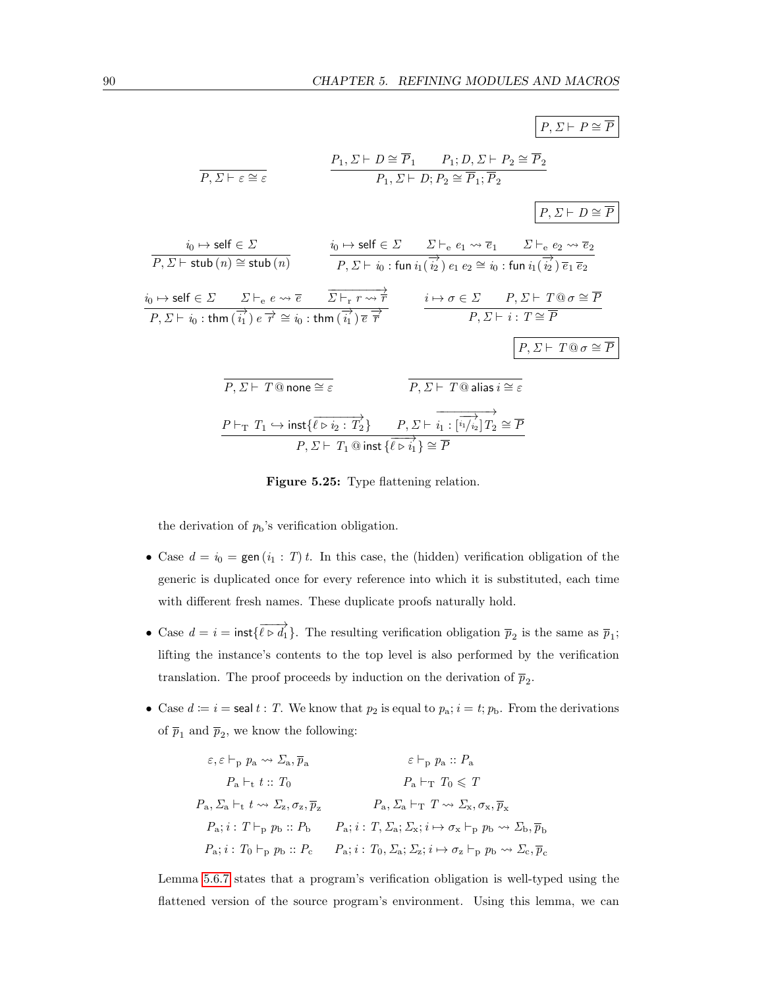

<span id="page-99-0"></span>Figure 5.25: Type flattening relation.

the derivation of  $p<sub>b</sub>$ 's verification obligation.

- Case  $d = i_0 = \text{gen}(i_1 : T) t$ . In this case, the (hidden) verification obligation of the generic is duplicated once for every reference into which it is substituted, each time with different fresh names. These duplicate proofs naturally hold.
- Case  $d = i = \text{inst}\{\overrightarrow{\ell \rhd d_1}\}\.$  The resulting verification obligation  $\overline{p}_2$  is the same as  $\overline{p}_1$ ; lifting the instance's contents to the top level is also performed by the verification translation. The proof proceeds by induction on the derivation of  $\bar{p}_2$ .
- Case  $d := i = \text{seal } t : T$ . We know that  $p_2$  is equal to  $p_a$ ;  $i = t$ ;  $p_b$ . From the derivations of  $\bar{p}_1$  and  $\bar{p}_2$ , we know the following:

$$
\varepsilon, \varepsilon \vdash_{\mathbf{p}} p_{\mathbf{a}} \leadsto \Sigma_{\mathbf{a}}, \overline{p}_{\mathbf{a}} \qquad \varepsilon \vdash_{\mathbf{p}} p_{\mathbf{a}} :: P_{\mathbf{a}}
$$
  
\n
$$
P_{\mathbf{a}} \vdash_{\mathbf{t}} t :: T_0 \qquad P_{\mathbf{a}} \vdash_{\mathbf{T}} T_0 \leq T
$$
  
\n
$$
P_{\mathbf{a}}, \Sigma_{\mathbf{a}} \vdash_{\mathbf{t}} t \leadsto \Sigma_{\mathbf{z}}, \sigma_{\mathbf{z}}, \overline{p}_{\mathbf{z}} \qquad P_{\mathbf{a}}, \Sigma_{\mathbf{a}} \vdash_{\mathbf{T}} T \leadsto \Sigma_{\mathbf{x}}, \sigma_{\mathbf{x}}, \overline{p}_{\mathbf{x}}
$$
  
\n
$$
P_{\mathbf{a}}; i : T \vdash_{\mathbf{p}} p_{\mathbf{b}} :: P_{\mathbf{b}} \qquad P_{\mathbf{a}}; i : T, \Sigma_{\mathbf{a}}; \Sigma_{\mathbf{x}}; i \mapsto \sigma_{\mathbf{x}} \vdash_{\mathbf{p}} p_{\mathbf{b}} \leadsto \Sigma_{\mathbf{b}}, \overline{p}_{\mathbf{b}}
$$
  
\n
$$
P_{\mathbf{a}}; i : T_0 \vdash_{\mathbf{p}} p_{\mathbf{b}} :: P_{\mathbf{c}} \qquad P_{\mathbf{a}}; i : T_0, \Sigma_{\mathbf{a}}; \Sigma_{\mathbf{z}}; i \mapsto \sigma_{\mathbf{z}} \vdash_{\mathbf{p}} p_{\mathbf{b}} \leadsto \Sigma_{\mathbf{c}}, \overline{p}_{\mathbf{c}}
$$

Lemma [5.6.7](#page-105-0) states that a program's verification obligation is well-typed using the flattened version of the source program's environment. Using this lemma, we can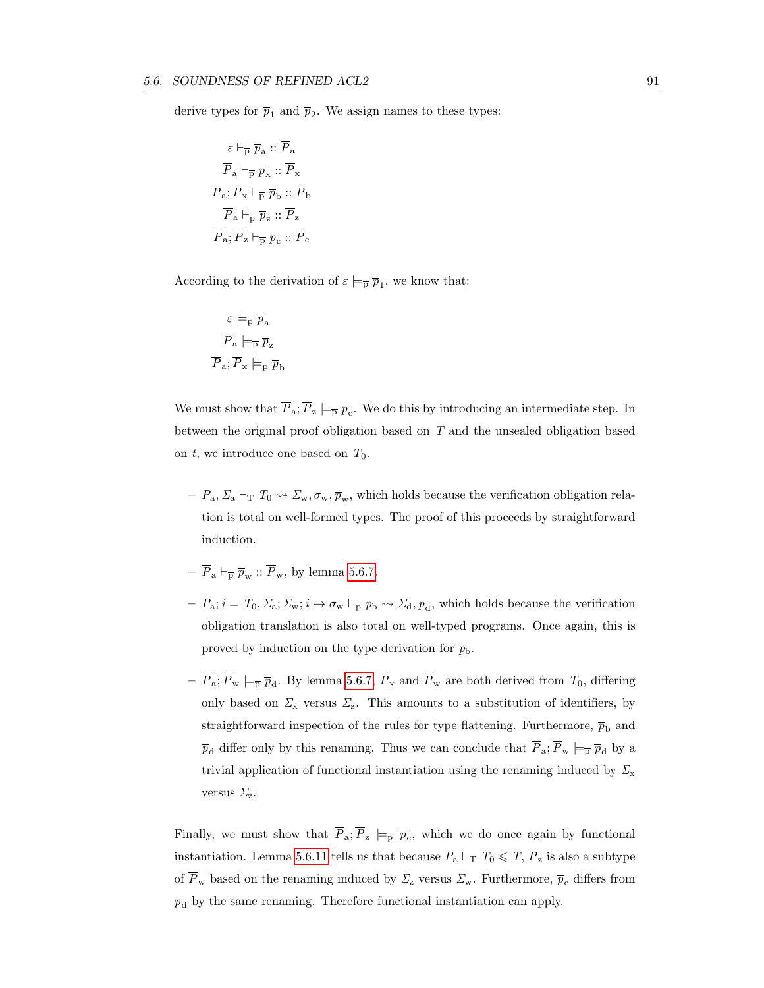derive types for  $\bar{p}_1$  and  $\bar{p}_2$ . We assign names to these types:

$$
\varepsilon \vdash_{\overline{p}} \overline{p}_a :: \overline{P}_a
$$

$$
\overline{P}_a \vdash_{\overline{p}} \overline{p}_x :: \overline{P}_x
$$

$$
\overline{P}_a; \overline{P}_x \vdash_{\overline{p}} \overline{p}_b :: \overline{P}_b
$$

$$
\overline{P}_a \vdash_{\overline{p}} \overline{p}_z :: \overline{P}_z
$$

$$
\overline{P}_a; \overline{P}_z \vdash_{\overline{p}} \overline{p}_c :: \overline{P}_c
$$

According to the derivation of  $\varepsilon \models_{\overline{p}} \overline{p}_1$ , we know that:

$$
\varepsilon \models_{\overline{p}} \overline{p}_a
$$

$$
\overline{P}_a \models_{\overline{p}} \overline{p}_z
$$

$$
\overline{P}_a; \overline{P}_x \models_{\overline{p}} \overline{p}_b
$$

We must show that  $\overline{P}_a$ ;  $\overline{P}_z \models_{\overline{P}} \overline{p}_c$ . We do this by introducing an intermediate step. In between the original proof obligation based on T and the unsealed obligation based on t, we introduce one based on  $T_0$ .

- $P_a, \Sigma_a \vdash_T T_0 \leadsto \Sigma_w, \sigma_w, \overline{p}_w$ , which holds because the verification obligation relation is total on well-formed types. The proof of this proceeds by straightforward induction.
- $-\overline{P}_a \vdash_{\overline{p}} \overline{p}_w :: \overline{P}_w$ , by lemma [5.6.7.](#page-105-0)
- $-P_a; i = T_0, \Sigma_a; \Sigma_w; i \mapsto \sigma_w \vdash_p p_b \leadsto \Sigma_d, \overline{p}_d$ , which holds because the verification obligation translation is also total on well-typed programs. Once again, this is proved by induction on the type derivation for  $p_{\rm b}$ .
- $P_a$ ;  $P_w \models_{\overline{p}} \overline{p}_d$ . By lemma [5.6.7,](#page-105-0)  $P_x$  and  $P_w$  are both derived from  $T_0$ , differing only based on  $\Sigma_{\rm x}$  versus  $\Sigma_{\rm z}$ . This amounts to a substitution of identifiers, by straightforward inspection of the rules for type flattening. Furthermore,  $\bar{p}_{\rm b}$  and  $\overline{p}_d$  differ only by this renaming. Thus we can conclude that  $\overline{P}_a$ ;  $\overline{P}_w \models_{\overline{P}} \overline{p}_d$  by a trivial application of functional instantiation using the renaming induced by  $\Sigma_{\rm x}$ versus  $\Sigma_z$ .

Finally, we must show that  $P_a$ ;  $P_z \models_{\overline{p}} \overline{p}_c$ , which we do once again by functional instantiation. Lemma [5.6.11](#page-106-0) tells us that because  $P_a \vdash_T T_0 \leq T, \overline{P}_z$  is also a subtype of  $\overline{P}_{w}$  based on the renaming induced by  $\Sigma_{z}$  versus  $\Sigma_{w}$ . Furthermore,  $\overline{p}_{c}$  differs from  $\overline{p}_{\text{d}}$  by the same renaming. Therefore functional instantiation can apply.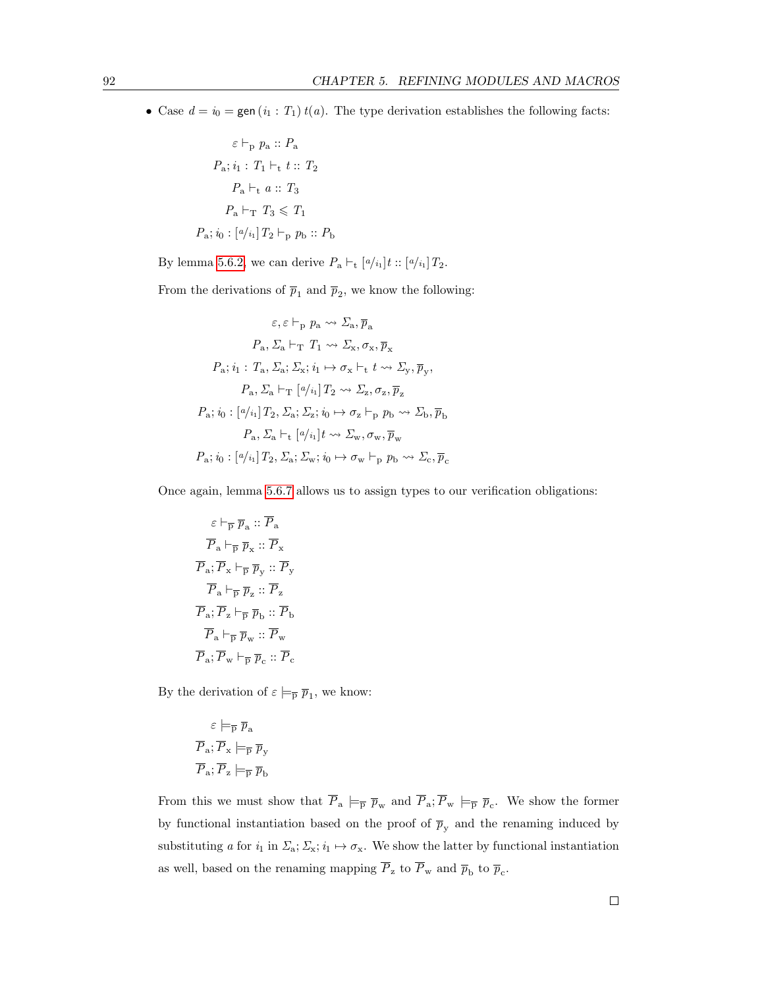• Case  $d = i_0 =$  gen  $(i_1 : T_1) t(a)$ . The type derivation establishes the following facts:

$$
\varepsilon \vdash_{p} p_{a} :: P_{a}
$$

$$
P_{a}; i_{1} : T_{1} \vdash_{t} t :: T_{2}
$$

$$
P_{a} \vdash_{t} a :: T_{3}
$$

$$
P_{a} \vdash_{T} T_{3} \leqslant T_{1}
$$

$$
P_{a}; i_{0} : [a/i_{1}] T_{2} \vdash_{p} p_{b} :: P_{b}
$$

By lemma [5.6.2,](#page-102-0) we can derive  $P_a \vdash_t [a_{i_1}]t :: [a_{i_1}]T_2$ .

From the derivations of  $\bar{p}_1$  and  $\bar{p}_2$ , we know the following:

$$
\varepsilon, \varepsilon \vdash_{p} p_{a} \leadsto \Sigma_{a}, \overline{p}_{a}
$$
\n
$$
P_{a}, \Sigma_{a} \vdash_{T} T_{1} \leadsto \Sigma_{x}, \sigma_{x}, \overline{p}_{x}
$$
\n
$$
P_{a}; i_{1}: T_{a}, \Sigma_{a}; \Sigma_{x}; i_{1} \mapsto \sigma_{x} \vdash_{t} t \leadsto \Sigma_{y}, \overline{p}_{y},
$$
\n
$$
P_{a}, \Sigma_{a} \vdash_{T} [a/i_{1}] T_{2} \leadsto \Sigma_{z}, \sigma_{z}, \overline{p}_{z}
$$
\n
$$
P_{a}; i_{0}: [a/i_{1}] T_{2}, \Sigma_{a}; \Sigma_{z}; i_{0} \mapsto \sigma_{z} \vdash_{p} p_{b} \leadsto \Sigma_{b}, \overline{p}_{b}
$$
\n
$$
P_{a}, \Sigma_{a} \vdash_{t} [a/i_{1}] t \leadsto \Sigma_{w}, \sigma_{w}, \overline{p}_{w}
$$
\n
$$
P_{a}; i_{0}: [a/i_{1}] T_{2}, \Sigma_{a}; \Sigma_{w}; i_{0} \mapsto \sigma_{w} \vdash_{p} p_{b} \leadsto \Sigma_{c}, \overline{p}_{c}
$$

Once again, lemma [5.6.7](#page-105-0) allows us to assign types to our verification obligations:

$$
\varepsilon \vdash_{\overline{p}} \overline{p}_a :: \overline{P}_a
$$

$$
\overline{P}_a \vdash_{\overline{p}} \overline{p}_x :: \overline{P}_x
$$

$$
\overline{P}_a : \overline{P}_x \vdash_{\overline{p}} \overline{p}_y :: \overline{P}_y
$$

$$
\overline{P}_a \vdash_{\overline{p}} \overline{p}_z :: \overline{P}_z
$$

$$
\overline{P}_a : \overline{P}_z \vdash_{\overline{p}} \overline{p}_b :: \overline{P}_b
$$

$$
\overline{P}_a \vdash_{\overline{p}} \overline{p}_w :: \overline{P}_w
$$

$$
\overline{P}_a : \overline{P}_w \vdash_{\overline{p}} \overline{p}_c :: \overline{P}_c
$$

By the derivation of  $\varepsilon \models_{\overline{p}} \overline{p}_1$ , we know:

$$
\varepsilon \models_{\overline{P}} \overline{p}_a
$$

$$
\overline{P}_a; \overline{P}_x \models_{\overline{P}} \overline{p}_y
$$

$$
\overline{P}_a; \overline{P}_z \models_{\overline{P}} \overline{p}_b
$$

From this we must show that  $\overline{P}_{a} \models_{\overline{p}} \overline{p}_{w}$  and  $\overline{P}_{a}$ ;  $\overline{P}_{w} \models_{\overline{p}} \overline{p}_{c}$ . We show the former by functional instantiation based on the proof of  $\bar{p}_y$  and the renaming induced by substituting a for  $i_1$  in  $\Sigma_a$ ;  $\Sigma_x$ ;  $i_1 \mapsto \sigma_x$ . We show the latter by functional instantiation as well, based on the renaming mapping  $P_z$  to  $P_w$  and  $\overline{p}_b$  to  $\overline{p}_c$ .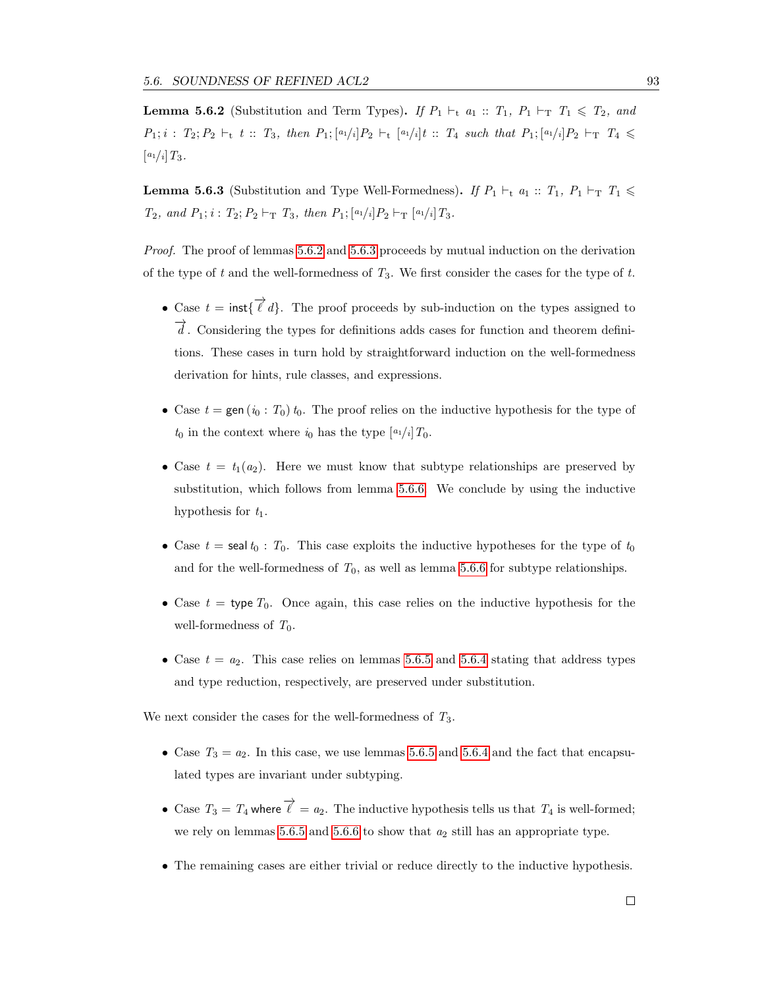<span id="page-102-0"></span>**Lemma 5.6.2** (Substitution and Term Types). If  $P_1 \vdash_t a_1 :: T_1, P_1 \vdash_T T_1 \leq T_2$ , and  $P_1; i : T_2; P_2 \vdash_t t :: T_3$ , then  $P_1; [a_1/i]P_2 \vdash_t [a_1/i]t :: T_4$  such that  $P_1; [a_1/i]P_2 \vdash_T T_4 \le$  $[a_1/i]T_3.$ 

<span id="page-102-1"></span>**Lemma 5.6.3** (Substitution and Type Well-Formedness). If  $P_1 \vdash_t a_1 :: T_1, P_1 \vdash_T T_1 \le$  $T_2$ , and  $P_1$ ;  $i$ :  $T_2$ ;  $P_2 \vdash_{\mathrm{T}} T_3$ , then  $P_1$ ;  $[a_1/i]P_2 \vdash_{\mathrm{T}} [a_1/i]T_3$ .

Proof. The proof of lemmas [5.6.2](#page-102-0) and [5.6.3](#page-102-1) proceeds by mutual induction on the derivation of the type of t and the well-formedness of  $T_3$ . We first consider the cases for the type of t.

- Case  $t = \text{inst}\{\overrightarrow{\ell} d\}$ . The proof proceeds by sub-induction on the types assigned to  $\overline{d}$ . Considering the types for definitions adds cases for function and theorem definitions. These cases in turn hold by straightforward induction on the well-formedness derivation for hints, rule classes, and expressions.
- Case  $t = \text{gen}(i_0 : T_0)$  t<sub>0</sub>. The proof relies on the inductive hypothesis for the type of  $t_0$  in the context where  $i_0$  has the type  $\left[a_1/i\right]T_0$ .
- Case  $t = t_1(a_2)$ . Here we must know that subtype relationships are preserved by substitution, which follows from lemma [5.6.6.](#page-104-0) We conclude by using the inductive hypothesis for  $t_1$ .
- Case  $t =$  seal  $t_0 : T_0$ . This case exploits the inductive hypotheses for the type of  $t_0$ and for the well-formedness of  $T_0$ , as well as lemma [5.6.6](#page-104-0) for subtype relationships.
- Case  $t =$  type  $T_0$ . Once again, this case relies on the inductive hypothesis for the well-formedness of  $T_0$ .
- Case  $t = a_2$ . This case relies on lemmas [5.6.5](#page-103-0) and [5.6.4](#page-103-1) stating that address types and type reduction, respectively, are preserved under substitution.

We next consider the cases for the well-formedness of  $T_3$ .

- Case  $T_3 = a_2$ . In this case, we use lemmas [5.6.5](#page-103-0) and [5.6.4](#page-103-1) and the fact that encapsulated types are invariant under subtyping.
- Case  $T_3 = T_4$  where  $\overrightarrow{\ell} = a_2$ . The inductive hypothesis tells us that  $T_4$  is well-formed; we rely on lemmas [5.6.5](#page-103-0) and [5.6.6](#page-104-0) to show that  $a_2$  still has an appropriate type.
- The remaining cases are either trivial or reduce directly to the inductive hypothesis.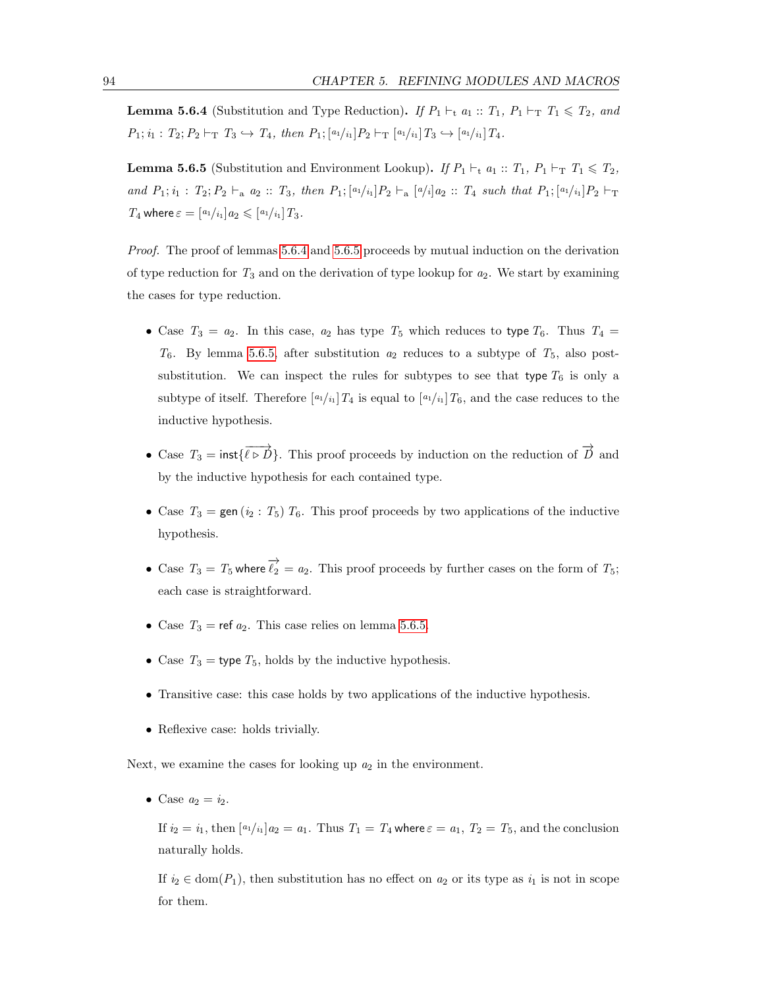<span id="page-103-1"></span>**Lemma 5.6.4** (Substitution and Type Reduction). If  $P_1 \vdash_t a_1 :: T_1$ ,  $P_1 \vdash_T T_1 \leq T_2$ , and  $P_1; i_1 : T_2; P_2 \vdash_{\mathrm{T}} T_3 \hookrightarrow T_4$ , then  $P_1; [a_1/i_1]P_2 \vdash_{\mathrm{T}} [a_1/i_1]T_3 \hookrightarrow [a_1/i_1]T_4$ .

<span id="page-103-0"></span>**Lemma 5.6.5** (Substitution and Environment Lookup). If  $P_1 \vdash_t a_1 :: T_1, P_1 \vdash_T T_1 \leq T_2$ , and  $P_1; i_1 : T_2; P_2 \vdash_a a_2 :: T_3$ , then  $P_1; [a_1/i_1]P_2 \vdash_a [a/i]a_2 :: T_4$  such that  $P_1; [a_1/i_1]P_2 \vdash_T a_2 :: T_4$  $T_4$  where  $\varepsilon = \frac{a_1}{i_1} a_2 \leqslant \frac{a_1}{i_1} T_3$ .

Proof. The proof of lemmas [5.6.4](#page-103-1) and [5.6.5](#page-103-0) proceeds by mutual induction on the derivation of type reduction for  $T_3$  and on the derivation of type lookup for  $a_2$ . We start by examining the cases for type reduction.

- Case  $T_3 = a_2$ . In this case,  $a_2$  has type  $T_5$  which reduces to type  $T_6$ . Thus  $T_4$  =  $T_6$ . By lemma [5.6.5,](#page-103-0) after substitution  $a_2$  reduces to a subtype of  $T_5$ , also postsubstitution. We can inspect the rules for subtypes to see that type  $T_6$  is only a subtype of itself. Therefore  $\lceil a_1/i_1 \rceil T_4$  is equal to  $\lceil a_1/i_1 \rceil T_6$ , and the case reduces to the inductive hypothesis.
- Case  $T_3 = \text{inst}\{\overrightarrow{\ell \rhd D}\}\.$  This proof proceeds by induction on the reduction of  $\overrightarrow{D}$  and by the inductive hypothesis for each contained type.
- Case  $T_3$  = gen (i<sub>2</sub>:  $T_5$ )  $T_6$ . This proof proceeds by two applications of the inductive hypothesis.
- Case  $T_3 = T_5$  where  $\overrightarrow{\ell_2} = a_2$ . This proof proceeds by further cases on the form of  $T_5$ ; each case is straightforward.
- Case  $T_3$  = ref  $a_2$ . This case relies on lemma [5.6.5.](#page-103-0)
- Case  $T_3$  = type  $T_5$ , holds by the inductive hypothesis.
- Transitive case: this case holds by two applications of the inductive hypothesis.
- Reflexive case: holds trivially.

Next, we examine the cases for looking up  $a_2$  in the environment.

• Case  $a_2 = i_2$ .

If  $i_2 = i_1$ , then  $[a_1/i_1]a_2 = a_1$ . Thus  $T_1 = T_4$  where  $\varepsilon = a_1$ ,  $T_2 = T_5$ , and the conclusion naturally holds.

If  $i_2 \in \text{dom}(P_1)$ , then substitution has no effect on  $a_2$  or its type as  $i_1$  is not in scope for them.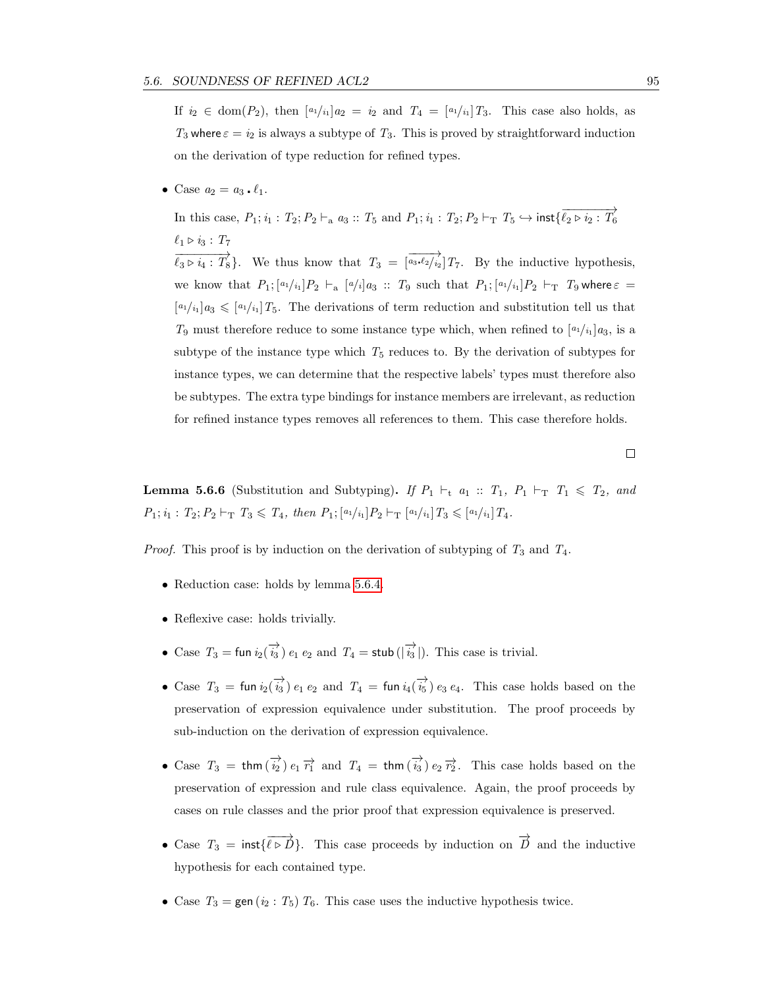If  $i_2 \in \text{dom}(P_2)$ , then  $[a_1i_1]a_2 = i_2$  and  $T_4 = [a_1i_1]T_3$ . This case also holds, as T<sub>3</sub> where  $\varepsilon = i_2$  is always a subtype of T<sub>3</sub>. This is proved by straightforward induction on the derivation of type reduction for refined types.

• Case  $a_2 = a_3 \cdot \ell_1$ .

In this case,  $P_1; i_1 : T_2; P_2 \vdash_a a_3 :: T_5 \text{ and } P_1; i_1 : T_2; P_2 \vdash_T T_5 \hookrightarrow \text{inst}\{\overline{\ell_2 \rhd i_2 : T_6}$  $\ell_1 \triangleright i_3 : T_7$  $\overrightarrow{\ell_3 \rhd i_4 : T_8}$ . We thus know that  $T_3 = \overrightarrow{a_3 \cdot \ell_2/i_2}$   $T_7$ . By the inductive hypothesis, we know that  $P_1; [a_1/i_1]P_2 \vdash_{a} [a/i]a_3 :: T_9$  such that  $P_1; [a_1/i_1]P_2 \vdash_T T_9$  where  $\varepsilon =$  $[a_1/i_1]a_3 \leq a_1/i_1]T_5$ . The derivations of term reduction and substitution tell us that  $T_9$  must therefore reduce to some instance type which, when refined to  $\left[\frac{a_1}{i_1}\right]a_3$ , is a subtype of the instance type which  $T_5$  reduces to. By the derivation of subtypes for instance types, we can determine that the respective labels' types must therefore also be subtypes. The extra type bindings for instance members are irrelevant, as reduction for refined instance types removes all references to them. This case therefore holds.

<span id="page-104-0"></span>**Lemma 5.6.6** (Substitution and Subtyping). If  $P_1 \vdash_t a_1 :: T_1$ ,  $P_1 \vdash_T T_1 \leq T_2$ , and  $P_1; i_1 : T_2; P_2 \vdash_{\mathrm{T}} T_3 \leqslant T_4$ , then  $P_1; [a_1/i_1]P_2 \vdash_{\mathrm{T}} [a_1/i_1]T_3 \leqslant [a_1/i_1]T_4$ .

*Proof.* This proof is by induction on the derivation of subtyping of  $T_3$  and  $T_4$ .

- Reduction case: holds by lemma [5.6.4.](#page-103-1)
- Reflexive case: holds trivially.
- Case  $T_3 = \text{fun } i_2(\overrightarrow{i_3}) e_1 e_2$  and  $T_4 = \text{stab } (\vert \overrightarrow{i_3} \vert)$ . This case is trivial.
- Case  $T_3$  = fun  $i_2(\vec{i}_3)$   $e_1$   $e_2$  and  $T_4$  = fun  $i_4(\vec{i}_5)$   $e_3$   $e_4$ . This case holds based on the preservation of expression equivalence under substitution. The proof proceeds by sub-induction on the derivation of expression equivalence.
- Case  $T_3 = \text{thm}(\overrightarrow{i_2}) e_1 \overrightarrow{r_1}$  and  $T_4 = \text{thm}(\overrightarrow{i_3}) e_2 \overrightarrow{r_2}$ . This case holds based on the preservation of expression and rule class equivalence. Again, the proof proceeds by cases on rule classes and the prior proof that expression equivalence is preserved.
- Case  $T_3 = \text{inst} {\overline{\ell \rhd \Delta}}$ . This case proceeds by induction on  $\overrightarrow{D}$  and the inductive hypothesis for each contained type.
- Case  $T_3 = \text{gen}(i_2 : T_5) T_6$ . This case uses the inductive hypothesis twice.

 $\Box$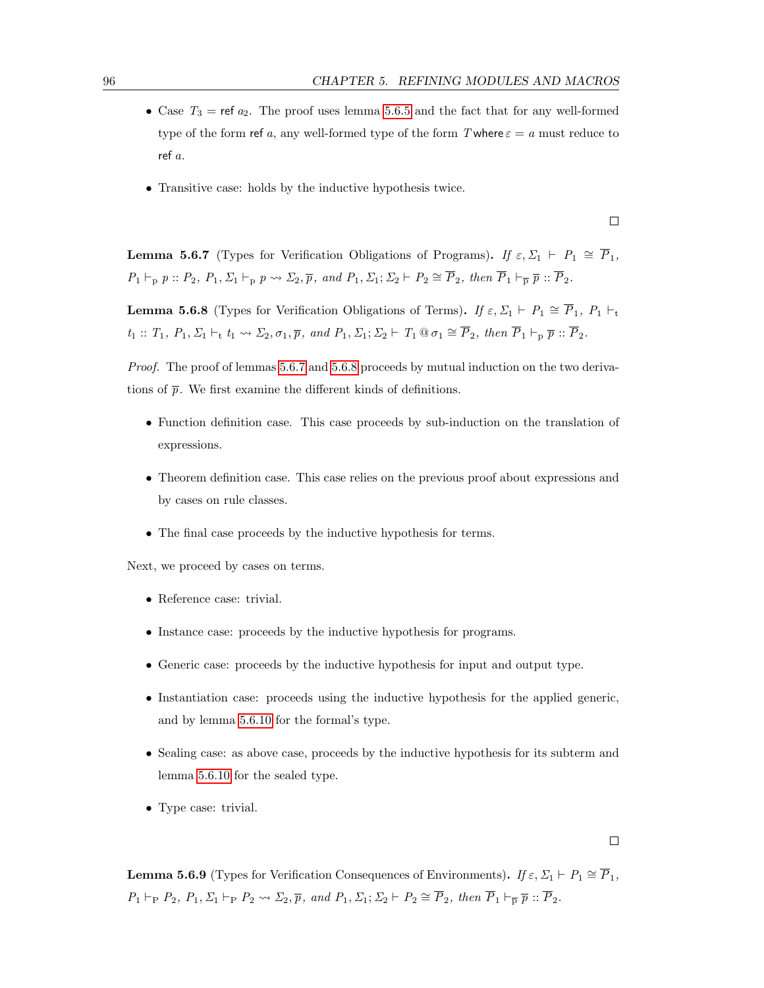- Case  $T_3$  = ref  $a_2$ . The proof uses lemma [5.6.5](#page-103-0) and the fact that for any well-formed type of the form ref a, any well-formed type of the form T where  $\varepsilon = a$  must reduce to ref a.
- Transitive case: holds by the inductive hypothesis twice.

<span id="page-105-0"></span>**Lemma 5.6.7** (Types for Verification Obligations of Programs). If  $\varepsilon, \Sigma_1 \vdash P_1 \cong \overline{P}_1$ ,  $P_1 \vdash_{p} p :: P_2, P_1, \Sigma_1 \vdash_{p} p \leadsto \Sigma_2, \overline{p}, \text{ and } P_1, \Sigma_1; \Sigma_2 \vdash P_2 \cong \overline{P}_2, \text{ then } \overline{P}_1 \vdash_{\overline{p}} \overline{p} :: \overline{P}_2.$ 

<span id="page-105-1"></span>**Lemma 5.6.8** (Types for Verification Obligations of Terms). If  $\varepsilon, \Sigma_1 \vdash P_1 \cong \overline{P}_1$ ,  $P_1 \vdash_t$  $t_1 :: T_1, P_1, \Sigma_1 \vdash_t t_1 \leadsto \Sigma_2, \sigma_1, \overline{p}, \text{ and } P_1, \Sigma_1; \Sigma_2 \vdash T_1 \tbinom{\otimes \sigma_1}{\sigma_1} \cong \overline{P}_2, \text{ then } \overline{P}_1 \vdash_p \overline{p} :: \overline{P}_2.$ 

Proof. The proof of lemmas [5.6.7](#page-105-0) and [5.6.8](#page-105-1) proceeds by mutual induction on the two derivations of  $\bar{p}$ . We first examine the different kinds of definitions.

- Function definition case. This case proceeds by sub-induction on the translation of expressions.
- Theorem definition case. This case relies on the previous proof about expressions and by cases on rule classes.
- The final case proceeds by the inductive hypothesis for terms.

Next, we proceed by cases on terms.

- Reference case: trivial.
- Instance case: proceeds by the inductive hypothesis for programs.
- Generic case: proceeds by the inductive hypothesis for input and output type.
- Instantiation case: proceeds using the inductive hypothesis for the applied generic, and by lemma [5.6.10](#page-106-1) for the formal's type.
- Sealing case: as above case, proceeds by the inductive hypothesis for its subterm and lemma [5.6.10](#page-106-1) for the sealed type.
- Type case: trivial.

 $\Box$ 

**Lemma 5.6.9** (Types for Verification Consequences of Environments). If  $\varepsilon$ ,  $\Sigma_1 \vdash P_1 \cong \overline{P}_1$ ,  $P_1 \vdash_P P_2, P_1, \Sigma_1 \vdash_P P_2 \leadsto \Sigma_2, \overline{p}, \text{ and } P_1, \Sigma_1; \Sigma_2 \vdash P_2 \cong \overline{P}_2, \text{ then } \overline{P}_1 \vdash_{\overline{P}} \overline{p} :: \overline{P}_2.$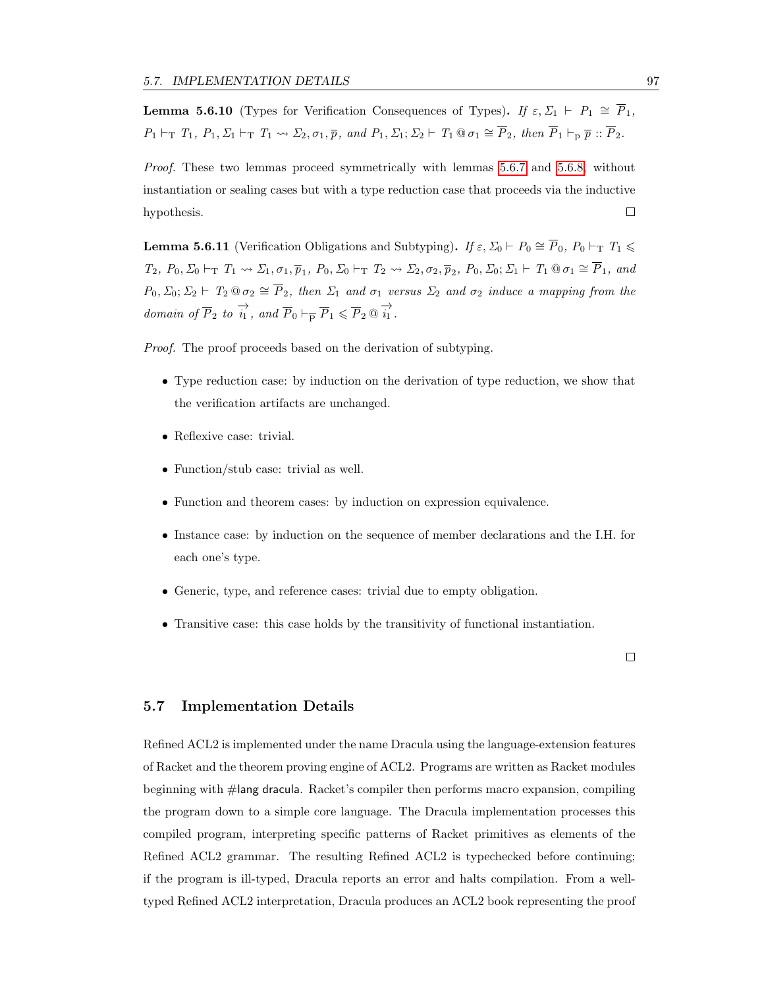<span id="page-106-1"></span>**Lemma 5.6.10** (Types for Verification Consequences of Types). If  $\varepsilon, \Sigma_1 \vdash P_1 \cong \overline{P}_1$ ,  $P_1 \vdash_T T_1, P_1, \Sigma_1 \vdash_T T_1 \leadsto \Sigma_2, \sigma_1, \overline{p}, \text{ and } P_1, \Sigma_1; \Sigma_2 \vdash T_1 \t\t\t\t\t\t\t\t\t\t\t\t\t\t\t\t\t\t\t\t\t\t\t\t\t\overline{P}_2, \text{ then } \overline{P}_1 \vdash_p \overline{p} :: \overline{P}_2.$ 

Proof. These two lemmas proceed symmetrically with lemmas [5.6.7](#page-105-0) and [5.6.8,](#page-105-1) without instantiation or sealing cases but with a type reduction case that proceeds via the inductive hypothesis.  $\Box$ 

<span id="page-106-0"></span>**Lemma 5.6.11** (Verification Obligations and Subtyping). If  $\varepsilon$ ,  $\Sigma_0 \vdash P_0 \cong \overline{P}_0$ ,  $P_0 \vdash_T T_1 \leq$ T2, P0, Σ<sup>0</sup> `<sup>T</sup> T<sup>1</sup> Σ1, σ1, p<sup>1</sup> , P0, Σ<sup>0</sup> `<sup>T</sup> T<sup>2</sup> Σ2, σ2, p<sup>2</sup> , P0, Σ0; Σ<sup>1</sup> ` T<sup>1</sup> @ σ<sup>1</sup> ∼= P1, and  $P_0, \Sigma_0; \Sigma_2 \vdash T_2 \otimes \sigma_2 \cong \overline{P}_2$ , then  $\Sigma_1$  and  $\sigma_1$  versus  $\Sigma_2$  and  $\sigma_2$  induce a mapping from the domain of  $\overrightarrow{P}_2$  to  $\overrightarrow{i_1}$ , and  $\overrightarrow{P}_0 \vdash_{\overrightarrow{P}} \overrightarrow{P}_1 \leq \overrightarrow{P}_2 \circledast \overrightarrow{i_1}$ .

Proof. The proof proceeds based on the derivation of subtyping.

- Type reduction case: by induction on the derivation of type reduction, we show that the verification artifacts are unchanged.
- Reflexive case: trivial.
- Function/stub case: trivial as well.
- Function and theorem cases: by induction on expression equivalence.
- Instance case: by induction on the sequence of member declarations and the I.H. for each one's type.
- Generic, type, and reference cases: trivial due to empty obligation.
- Transitive case: this case holds by the transitivity of functional instantiation.

 $\Box$ 

### 5.7 Implementation Details

Refined ACL2 is implemented under the name Dracula using the language-extension features of Racket and the theorem proving engine of ACL2. Programs are written as Racket modules beginning with #lang dracula. Racket's compiler then performs macro expansion, compiling the program down to a simple core language. The Dracula implementation processes this compiled program, interpreting specific patterns of Racket primitives as elements of the Refined ACL2 grammar. The resulting Refined ACL2 is typechecked before continuing; if the program is ill-typed, Dracula reports an error and halts compilation. From a welltyped Refined ACL2 interpretation, Dracula produces an ACL2 book representing the proof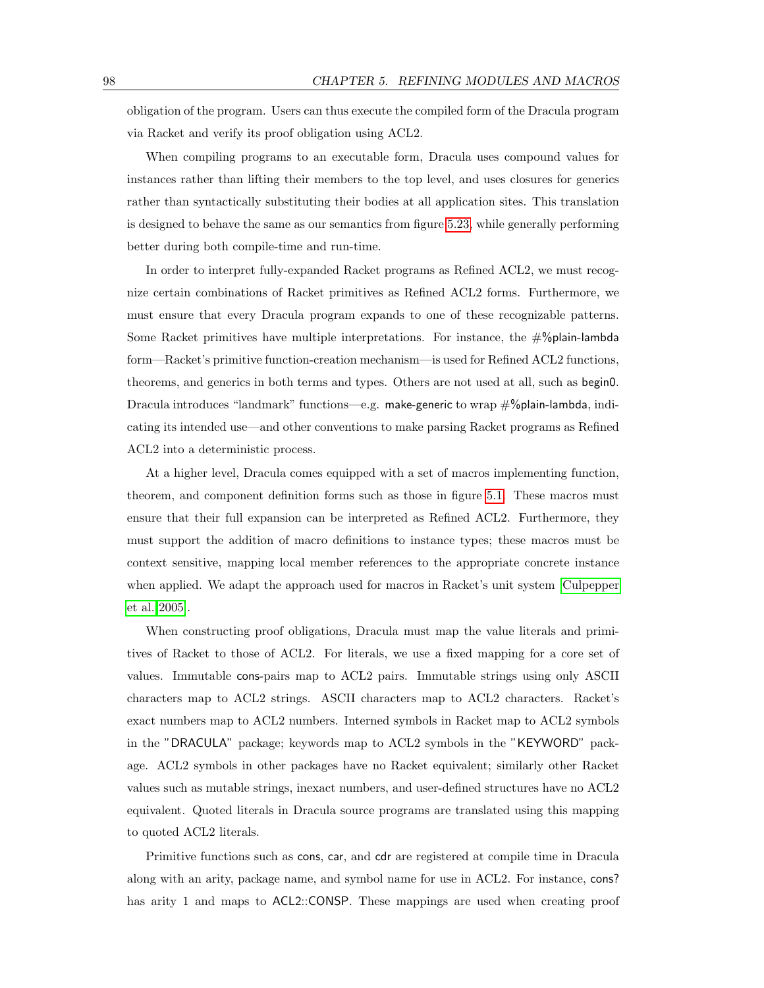obligation of the program. Users can thus execute the compiled form of the Dracula program via Racket and verify its proof obligation using ACL2.

When compiling programs to an executable form, Dracula uses compound values for instances rather than lifting their members to the top level, and uses closures for generics rather than syntactically substituting their bodies at all application sites. This translation is designed to behave the same as our semantics from figure [5.23,](#page-96-1) while generally performing better during both compile-time and run-time.

In order to interpret fully-expanded Racket programs as Refined ACL2, we must recognize certain combinations of Racket primitives as Refined ACL2 forms. Furthermore, we must ensure that every Dracula program expands to one of these recognizable patterns. Some Racket primitives have multiple interpretations. For instance, the  $\#%$  plain-lambda form—Racket's primitive function-creation mechanism—is used for Refined ACL2 functions, theorems, and generics in both terms and types. Others are not used at all, such as begin0. Dracula introduces "landmark" functions—e.g. make-generic to wrap #%plain-lambda, indicating its intended use—and other conventions to make parsing Racket programs as Refined ACL2 into a deterministic process.

At a higher level, Dracula comes equipped with a set of macros implementing function, theorem, and component definition forms such as those in figure [5.1.](#page-71-0) These macros must ensure that their full expansion can be interpreted as Refined ACL2. Furthermore, they must support the addition of macro definitions to instance types; these macros must be context sensitive, mapping local member references to the appropriate concrete instance when applied. We adapt the approach used for macros in Racket's unit system [\[Culpepper](#page-124-0) [et al. 2005\]](#page-124-0).

When constructing proof obligations, Dracula must map the value literals and primitives of Racket to those of ACL2. For literals, we use a fixed mapping for a core set of values. Immutable cons-pairs map to ACL2 pairs. Immutable strings using only ASCII characters map to ACL2 strings. ASCII characters map to ACL2 characters. Racket's exact numbers map to ACL2 numbers. Interned symbols in Racket map to ACL2 symbols in the "DRACULA" package; keywords map to ACL2 symbols in the "KEYWORD" package. ACL2 symbols in other packages have no Racket equivalent; similarly other Racket values such as mutable strings, inexact numbers, and user-defined structures have no ACL2 equivalent. Quoted literals in Dracula source programs are translated using this mapping to quoted ACL2 literals.

Primitive functions such as cons, car, and cdr are registered at compile time in Dracula along with an arity, package name, and symbol name for use in ACL2. For instance, cons? has arity 1 and maps to ACL2::CONSP. These mappings are used when creating proof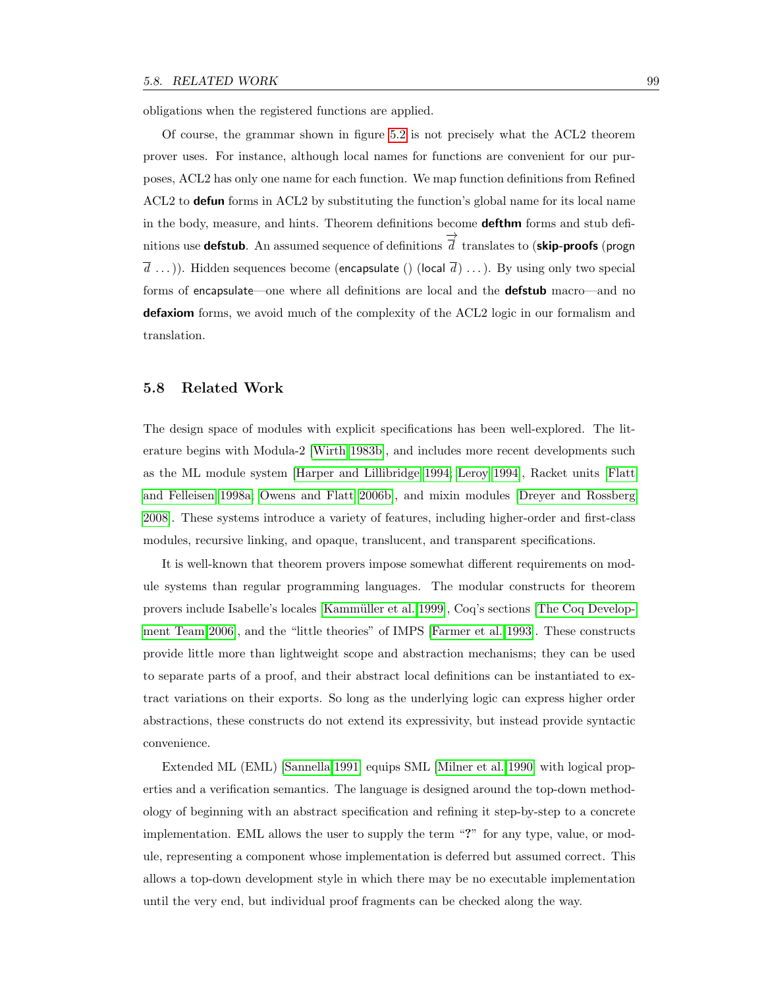obligations when the registered functions are applied.

Of course, the grammar shown in figure [5.2](#page-72-0) is not precisely what the ACL2 theorem prover uses. For instance, although local names for functions are convenient for our purposes, ACL2 has only one name for each function. We map function definitions from Refined ACL2 to **defun** forms in ACL2 by substituting the function's global name for its local name in the body, measure, and hints. Theorem definitions become **defthm** forms and stub definitions use **defstub**. An assumed sequence of definitions −→  $d$  translates to (skip-proofs (progn  $\overline{d}$  ...)). Hidden sequences become (encapsulate () (local  $\overline{d}$ ) ...). By using only two special forms of encapsulate—one where all definitions are local and the **defstub** macro—and no defaxiom forms, we avoid much of the complexity of the ACL2 logic in our formalism and translation.

#### 5.8 Related Work

The design space of modules with explicit specifications has been well-explored. The literature begins with Modula-2 [\[Wirth 1983b\]](#page-127-0), and includes more recent developments such as the ML module system [\[Harper and Lillibridge 1994;](#page-125-0) [Leroy 1994\]](#page-126-0), Racket units [\[Flatt](#page-125-1) [and Felleisen 1998a;](#page-125-1) [Owens and Flatt 2006b\]](#page-126-1), and mixin modules [\[Dreyer and Rossberg](#page-124-0) [2008\]](#page-124-0). These systems introduce a variety of features, including higher-order and first-class modules, recursive linking, and opaque, translucent, and transparent specifications.

It is well-known that theorem provers impose somewhat different requirements on module systems than regular programming languages. The modular constructs for theorem provers include Isabelle's locales [Kammüller et al. 1999], Coq's sections [\[The Coq Develop](#page-127-1)[ment Team 2006\]](#page-127-1), and the "little theories" of IMPS [\[Farmer et al. 1993\]](#page-124-1). These constructs provide little more than lightweight scope and abstraction mechanisms; they can be used to separate parts of a proof, and their abstract local definitions can be instantiated to extract variations on their exports. So long as the underlying logic can express higher order abstractions, these constructs do not extend its expressivity, but instead provide syntactic convenience.

Extended ML (EML) [\[Sannella 1991\]](#page-126-2) equips SML [\[Milner et al. 1990\]](#page-126-3) with logical properties and a verification semantics. The language is designed around the top-down methodology of beginning with an abstract specification and refining it step-by-step to a concrete implementation. EML allows the user to supply the term "?" for any type, value, or module, representing a component whose implementation is deferred but assumed correct. This allows a top-down development style in which there may be no executable implementation until the very end, but individual proof fragments can be checked along the way.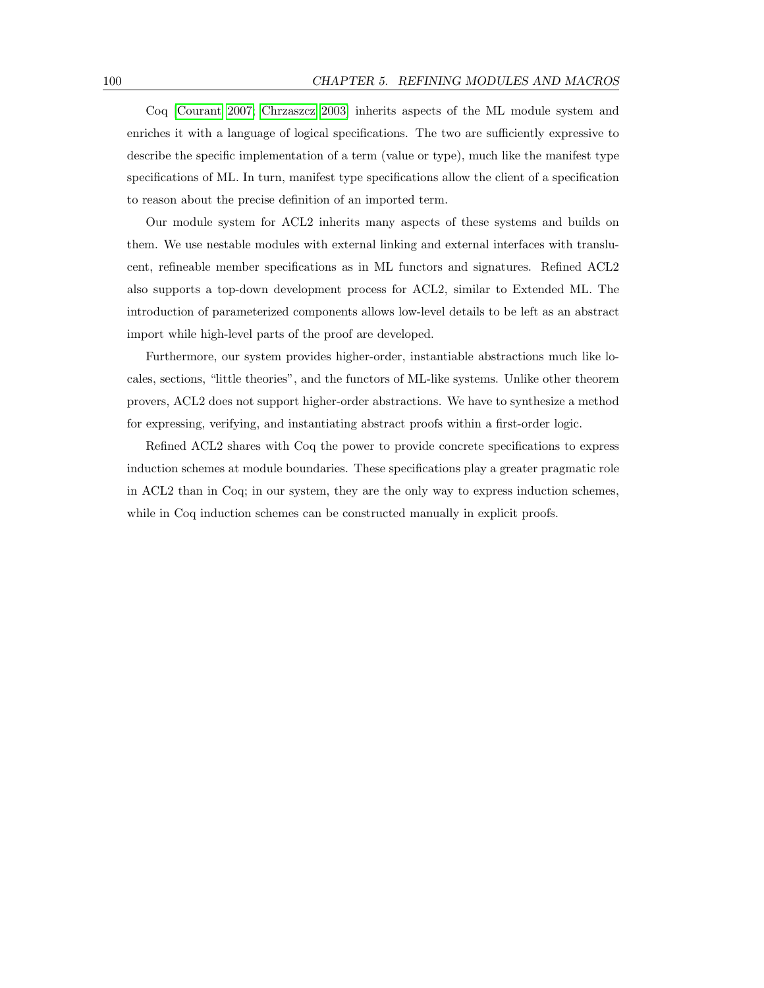Coq [\[Courant 2007;](#page-124-2) [Chrzaszcz 2003\]](#page-124-3) inherits aspects of the ML module system and enriches it with a language of logical specifications. The two are sufficiently expressive to describe the specific implementation of a term (value or type), much like the manifest type specifications of ML. In turn, manifest type specifications allow the client of a specification to reason about the precise definition of an imported term.

Our module system for ACL2 inherits many aspects of these systems and builds on them. We use nestable modules with external linking and external interfaces with translucent, refineable member specifications as in ML functors and signatures. Refined ACL2 also supports a top-down development process for ACL2, similar to Extended ML. The introduction of parameterized components allows low-level details to be left as an abstract import while high-level parts of the proof are developed.

Furthermore, our system provides higher-order, instantiable abstractions much like locales, sections, "little theories", and the functors of ML-like systems. Unlike other theorem provers, ACL2 does not support higher-order abstractions. We have to synthesize a method for expressing, verifying, and instantiating abstract proofs within a first-order logic.

Refined ACL2 shares with Coq the power to provide concrete specifications to express induction schemes at module boundaries. These specifications play a greater pragmatic role in ACL2 than in Coq; in our system, they are the only way to express induction schemes, while in Coq induction schemes can be constructed manually in explicit proofs.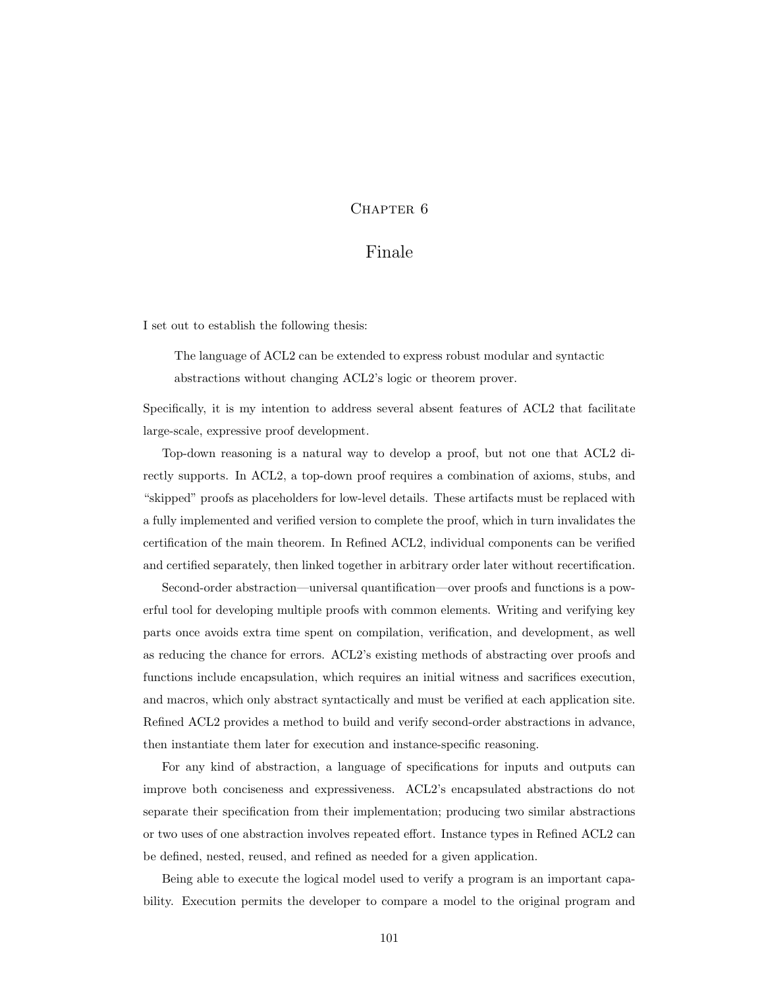### CHAPTER<sub>6</sub>

## Finale

I set out to establish the following thesis:

The language of ACL2 can be extended to express robust modular and syntactic abstractions without changing ACL2's logic or theorem prover.

Specifically, it is my intention to address several absent features of ACL2 that facilitate large-scale, expressive proof development.

Top-down reasoning is a natural way to develop a proof, but not one that ACL2 directly supports. In ACL2, a top-down proof requires a combination of axioms, stubs, and "skipped" proofs as placeholders for low-level details. These artifacts must be replaced with a fully implemented and verified version to complete the proof, which in turn invalidates the certification of the main theorem. In Refined ACL2, individual components can be verified and certified separately, then linked together in arbitrary order later without recertification.

Second-order abstraction—universal quantification—over proofs and functions is a powerful tool for developing multiple proofs with common elements. Writing and verifying key parts once avoids extra time spent on compilation, verification, and development, as well as reducing the chance for errors. ACL2's existing methods of abstracting over proofs and functions include encapsulation, which requires an initial witness and sacrifices execution, and macros, which only abstract syntactically and must be verified at each application site. Refined ACL2 provides a method to build and verify second-order abstractions in advance, then instantiate them later for execution and instance-specific reasoning.

For any kind of abstraction, a language of specifications for inputs and outputs can improve both conciseness and expressiveness. ACL2's encapsulated abstractions do not separate their specification from their implementation; producing two similar abstractions or two uses of one abstraction involves repeated effort. Instance types in Refined ACL2 can be defined, nested, reused, and refined as needed for a given application.

Being able to execute the logical model used to verify a program is an important capability. Execution permits the developer to compare a model to the original program and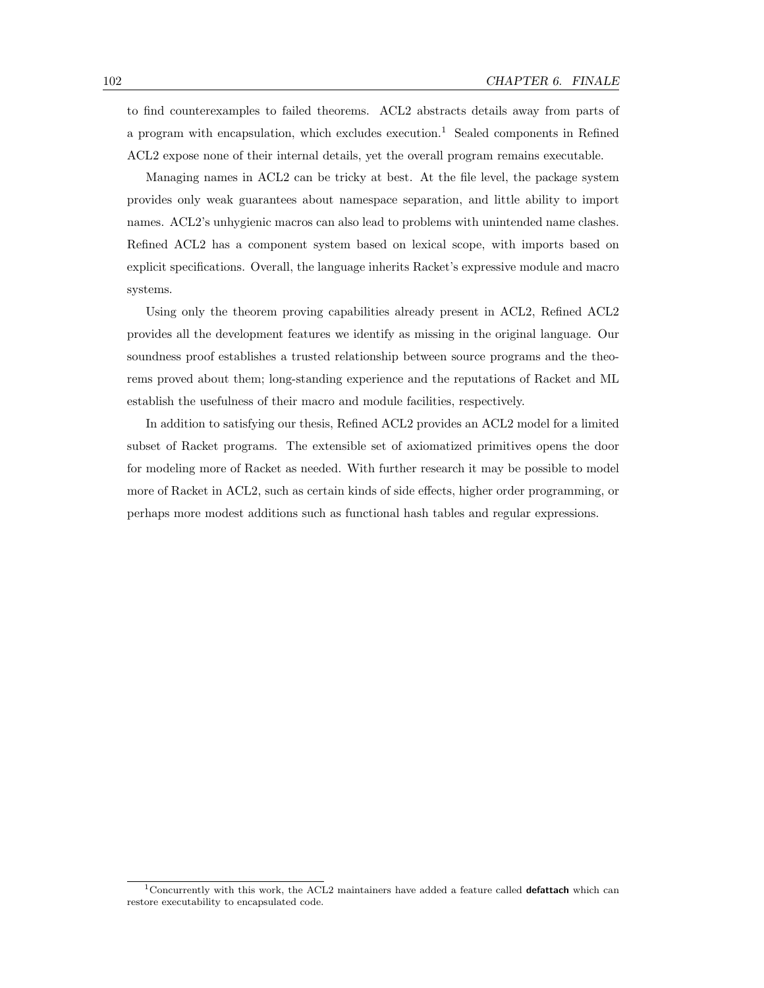to find counterexamples to failed theorems. ACL2 abstracts details away from parts of a program with encapsulation, which excludes execution.<sup>1</sup> Sealed components in Refined ACL2 expose none of their internal details, yet the overall program remains executable.

Managing names in ACL2 can be tricky at best. At the file level, the package system provides only weak guarantees about namespace separation, and little ability to import names. ACL2's unhygienic macros can also lead to problems with unintended name clashes. Refined ACL2 has a component system based on lexical scope, with imports based on explicit specifications. Overall, the language inherits Racket's expressive module and macro systems.

Using only the theorem proving capabilities already present in ACL2, Refined ACL2 provides all the development features we identify as missing in the original language. Our soundness proof establishes a trusted relationship between source programs and the theorems proved about them; long-standing experience and the reputations of Racket and ML establish the usefulness of their macro and module facilities, respectively.

In addition to satisfying our thesis, Refined ACL2 provides an ACL2 model for a limited subset of Racket programs. The extensible set of axiomatized primitives opens the door for modeling more of Racket as needed. With further research it may be possible to model more of Racket in ACL2, such as certain kinds of side effects, higher order programming, or perhaps more modest additions such as functional hash tables and regular expressions.

<sup>&</sup>lt;sup>1</sup>Concurrently with this work, the ACL2 maintainers have added a feature called **defattach** which can restore executability to encapsulated code.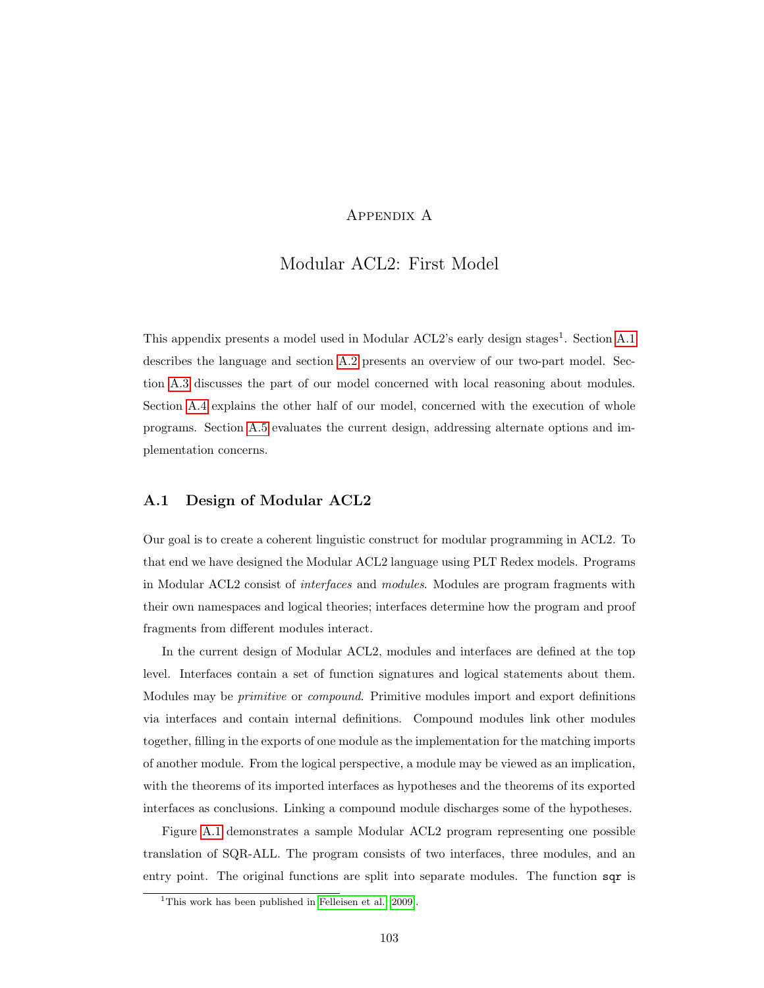## Appendix A

## Modular ACL2: First Model

This appendix presents a model used in Modular ACL2's early design stages<sup>1</sup>. Section [A.1](#page-112-0) describes the language and section [A.2](#page-114-0) presents an overview of our two-part model. Section [A.3](#page-115-0) discusses the part of our model concerned with local reasoning about modules. Section [A.4](#page-118-0) explains the other half of our model, concerned with the execution of whole programs. Section [A.5](#page-120-0) evaluates the current design, addressing alternate options and implementation concerns.

#### <span id="page-112-0"></span>A.1 Design of Modular ACL2

Our goal is to create a coherent linguistic construct for modular programming in ACL2. To that end we have designed the Modular ACL2 language using PLT Redex models. Programs in Modular ACL2 consist of interfaces and modules. Modules are program fragments with their own namespaces and logical theories; interfaces determine how the program and proof fragments from different modules interact.

In the current design of Modular ACL2, modules and interfaces are defined at the top level. Interfaces contain a set of function signatures and logical statements about them. Modules may be primitive or compound. Primitive modules import and export definitions via interfaces and contain internal definitions. Compound modules link other modules together, filling in the exports of one module as the implementation for the matching imports of another module. From the logical perspective, a module may be viewed as an implication, with the theorems of its imported interfaces as hypotheses and the theorems of its exported interfaces as conclusions. Linking a compound module discharges some of the hypotheses.

Figure [A.1](#page-113-0) demonstrates a sample Modular ACL2 program representing one possible translation of SQR-ALL. The program consists of two interfaces, three modules, and an entry point. The original functions are split into separate modules. The function sqr is

<sup>&</sup>lt;sup>1</sup>This work has been published in [Felleisen et al.](#page-125-3) [\[2009\]](#page-125-3).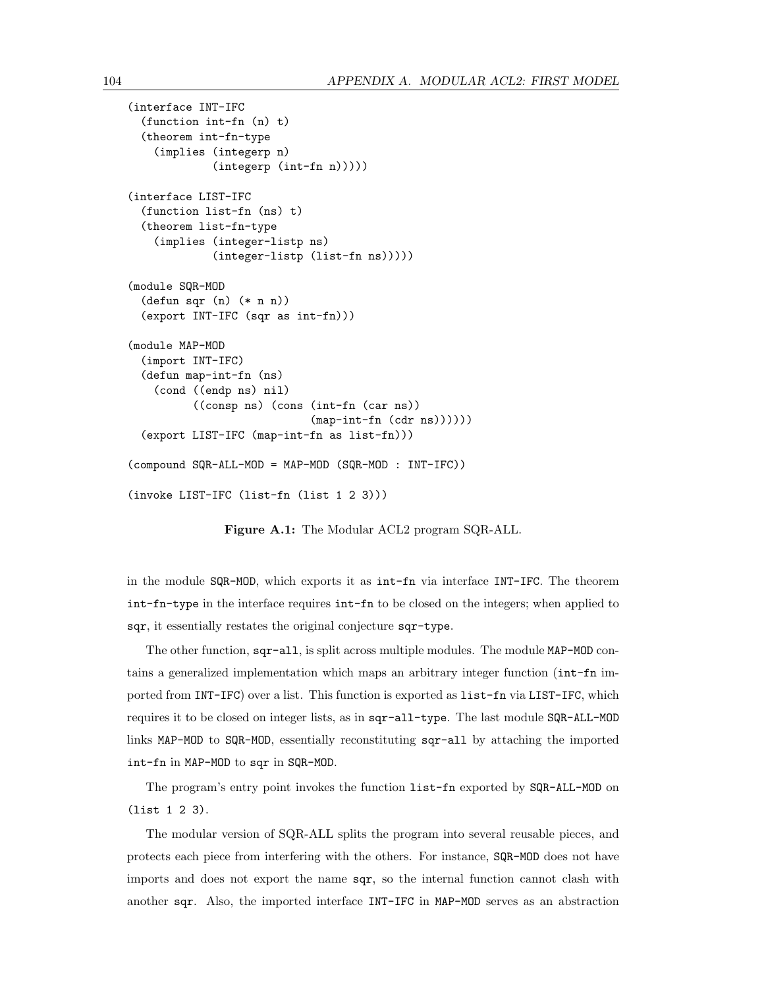```
(interface INT-IFC
  (function int-fn (n) t)
  (theorem int-fn-type
    (implies (integerp n)
             (integerp (int-fn n)))))
(interface LIST-IFC
  (function list-fn (ns) t)
  (theorem list-fn-type
    (implies (integer-listp ns)
             (integer-listp (list-fn ns)))))
(module SQR-MOD
  (defun sqr (n) (* n n))
  (export INT-IFC (sqr as int-fn)))
(module MAP-MOD
  (import INT-IFC)
  (defun map-int-fn (ns)
    (cond ((endp ns) nil)
          ((consp ns) (cons (int-fn (car ns))
                             (\text{map-int-fn } (cdr ns))))(export LIST-IFC (map-int-fn as list-fn)))
(compound SQR-ALL-MOD = MAP-MOD (SQR-MOD : INT-IFC))
(invoke LIST-IFC (list-fn (list 1 2 3)))
```
<span id="page-113-0"></span>Figure A.1: The Modular ACL2 program SQR-ALL.

in the module SQR-MOD, which exports it as int-fn via interface INT-IFC. The theorem int-fn-type in the interface requires int-fn to be closed on the integers; when applied to sqr, it essentially restates the original conjecture sqr-type.

The other function, sqr-all, is split across multiple modules. The module MAP-MOD contains a generalized implementation which maps an arbitrary integer function (int-fn imported from INT-IFC) over a list. This function is exported as list-fn via LIST-IFC, which requires it to be closed on integer lists, as in sqr-all-type. The last module SQR-ALL-MOD links MAP-MOD to SQR-MOD, essentially reconstituting sqr-all by attaching the imported int-fn in MAP-MOD to sqr in SQR-MOD.

The program's entry point invokes the function list-fn exported by SQR-ALL-MOD on (list 1 2 3).

The modular version of SQR-ALL splits the program into several reusable pieces, and protects each piece from interfering with the others. For instance, SQR-MOD does not have imports and does not export the name sqr, so the internal function cannot clash with another sqr. Also, the imported interface INT-IFC in MAP-MOD serves as an abstraction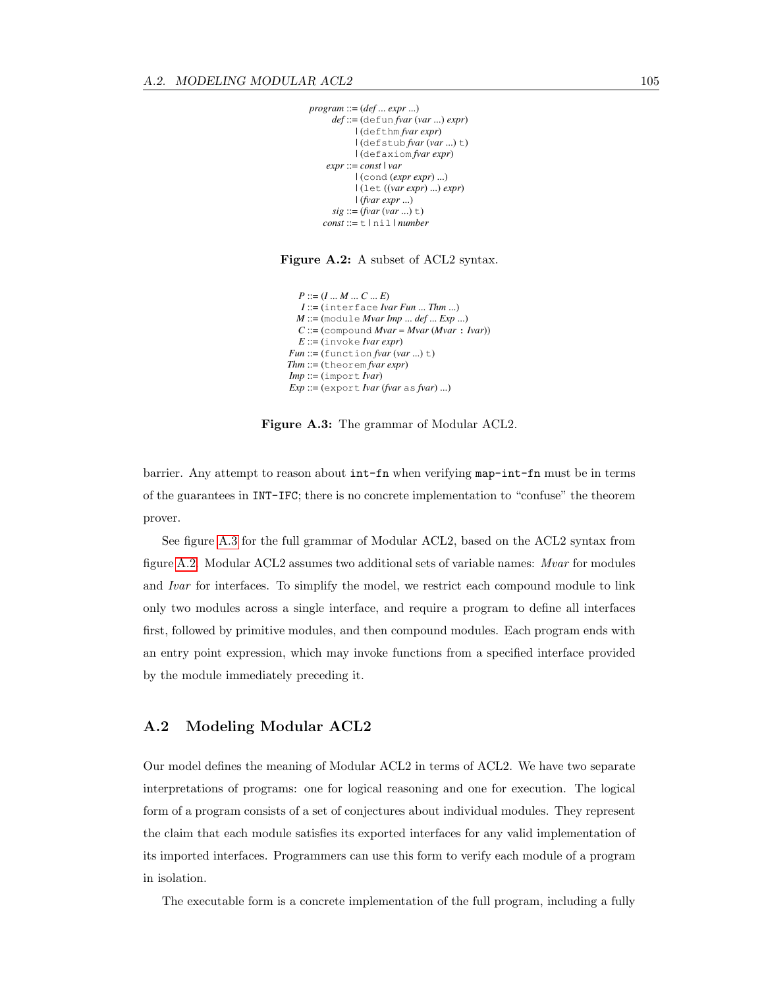```
program ::= (def ... expr ...)
     def ::= (defun fvar (var ...) expr)
            | (defthm fvar expr)
            | (defstub fvar (var ...) t)
            | (defaxiom fvar expr)
    expr ::= const | var
             | (cond (expr expr) ...)
            | (let ((var expr) ...) expr)
            | (fvar expr ...)
     sig ::= (fvar (var ... ) t)const ::= t | nil | number
```
<span id="page-114-2"></span>Figure A.2: A subset of ACL2 syntax.

```
P ::= (I ... M ... C ... E)
  I ::= (interface Ivar Fun ... Thm ...)
 M ::= (module Mvar Imp ... def ... Exp ...)
  C ::= (compound Mvar = Mvar (Mvar : Ivar))
  E ::= (invoke Ivar expr)
Fun ::= (function fvar (var ...) t)
Thm ::= (theorem fvar expr)
Imp ::= (import Ivar)Exp ::= (export Ivar (fvar as fvar) ...)
```
<span id="page-114-1"></span>Figure A.3: The grammar of Modular ACL2.

barrier. Any attempt to reason about int-fn when verifying map-int-fn must be in terms of the guarantees in INT-IFC; there is no concrete implementation to "confuse" the theorem prover.

See figure [A.3](#page-114-1) for the full grammar of Modular ACL2, based on the ACL2 syntax from figure [A.2.](#page-114-2) Modular ACL2 assumes two additional sets of variable names: Mvar for modules and Ivar for interfaces. To simplify the model, we restrict each compound module to link only two modules across a single interface, and require a program to define all interfaces first, followed by primitive modules, and then compound modules. Each program ends with an entry point expression, which may invoke functions from a specified interface provided by the module immediately preceding it.

#### <span id="page-114-0"></span>A.2 Modeling Modular ACL2

Our model defines the meaning of Modular ACL2 in terms of ACL2. We have two separate interpretations of programs: one for logical reasoning and one for execution. The logical form of a program consists of a set of conjectures about individual modules. They represent the claim that each module satisfies its exported interfaces for any valid implementation of its imported interfaces. Programmers can use this form to verify each module of a program in isolation.

The executable form is a concrete implementation of the full program, including a fully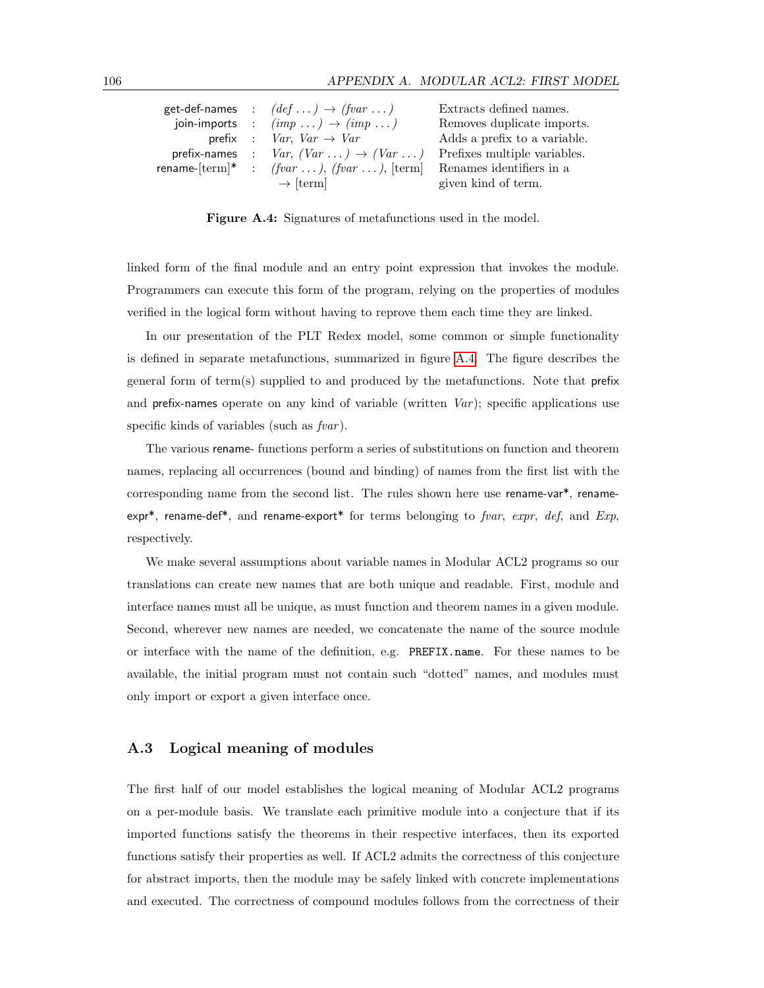|  | get-def-names : $(\text{def} \dots) \rightarrow (\text{fvar} \dots)$ | Extracts defined names.      |
|--|----------------------------------------------------------------------|------------------------------|
|  | join-imports : $(imp \dots) \rightarrow (imp \dots)$                 | Removes duplicate imports.   |
|  | prefix : $Var$ , $Var \rightarrow Var$                               | Adds a prefix to a variable. |
|  | prefix-names : $Var$ , $(Var \dots) \rightarrow (Var \dots)$         | Prefixes multiple variables. |
|  | rename-[term]* : $(fvar \dots)$ , $(fvar \dots)$ , [term]            | Renames identifiers in a     |
|  | $\rightarrow$ [term]                                                 | given kind of term.          |

<span id="page-115-1"></span>Figure A.4: Signatures of metafunctions used in the model.

linked form of the final module and an entry point expression that invokes the module. Programmers can execute this form of the program, relying on the properties of modules verified in the logical form without having to reprove them each time they are linked.

In our presentation of the PLT Redex model, some common or simple functionality is defined in separate metafunctions, summarized in figure [A.4.](#page-115-1) The figure describes the general form of term(s) supplied to and produced by the metafunctions. Note that prefix and prefix-names operate on any kind of variable (written  $Var$ ); specific applications use specific kinds of variables (such as  $fvar$ ).

The various rename- functions perform a series of substitutions on function and theorem names, replacing all occurrences (bound and binding) of names from the first list with the corresponding name from the second list. The rules shown here use rename-var<sup>\*</sup>, renameexpr<sup>\*</sup>, rename-def<sup>\*</sup>, and rename-export<sup>\*</sup> for terms belonging to fvar, expr, def, and Exp, respectively.

We make several assumptions about variable names in Modular ACL2 programs so our translations can create new names that are both unique and readable. First, module and interface names must all be unique, as must function and theorem names in a given module. Second, wherever new names are needed, we concatenate the name of the source module or interface with the name of the definition, e.g. PREFIX.name. For these names to be available, the initial program must not contain such "dotted" names, and modules must only import or export a given interface once.

#### <span id="page-115-0"></span>A.3 Logical meaning of modules

The first half of our model establishes the logical meaning of Modular ACL2 programs on a per-module basis. We translate each primitive module into a conjecture that if its imported functions satisfy the theorems in their respective interfaces, then its exported functions satisfy their properties as well. If ACL2 admits the correctness of this conjecture for abstract imports, then the module may be safely linked with concrete implementations and executed. The correctness of compound modules follows from the correctness of their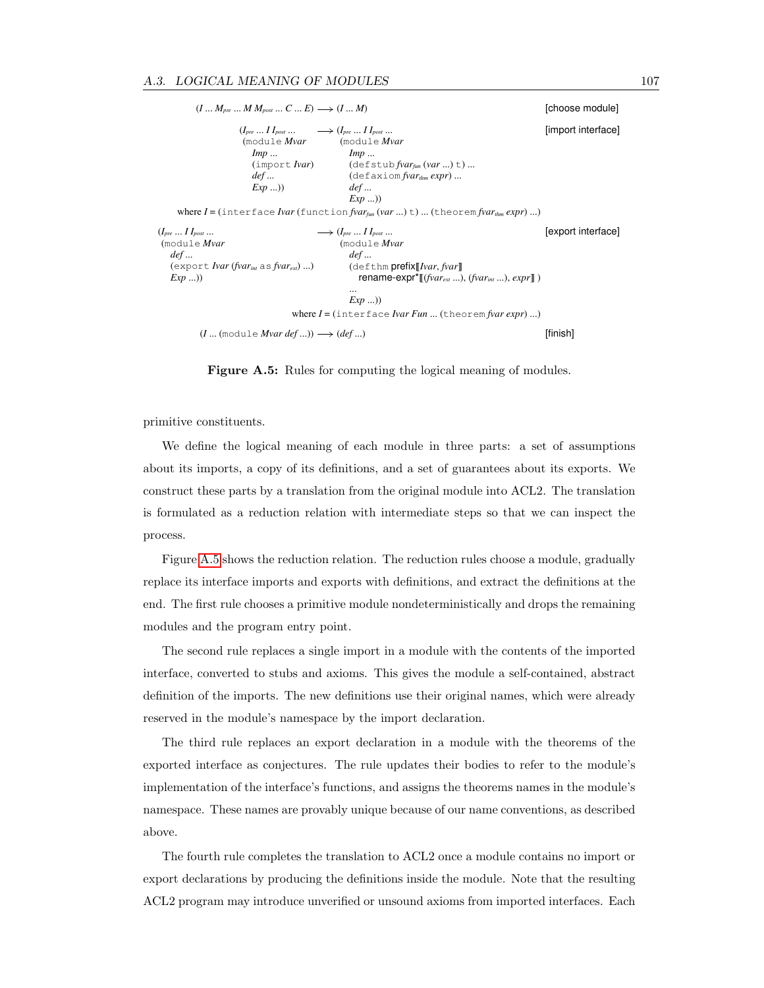$(I \dots M_{pre} \dots M M_{post} \dots C \dots E) \longrightarrow (I \dots M)$  [choose module] (*Ipre* ... *I Ipost* ... (module *Mvar Imp* ... (import *Ivar*) *def* ... *Exp* ...))  $\longrightarrow (I_{pre} \dots I I_{post} \dots)$ (module *Mvar Imp* ... (defstub *fvarfun* (*var* ...) t) ... (defaxiom *fvarthm expr*) ... *def* ... *Exp* ...)) [import interface] where *I* = (interface *Ivar* (function *fvarfun* (*var* ...) t) ... (theorem *fvarthm expr*) ...) (*Ipre* ... *I Ipost* ... (module *Mvar def* ... (export *Ivar* (*fvarint* as *fvarext*) ...) *Exp* ...))  $\longrightarrow (I_{pre} \dots I I_{post} \dots)$ (module *Mvar def* ... (defthm prefix[[*Ivar*, *fvar*]] rename-expr\*[[(*fvarext* ...), (*fvarint* ...), *expr*]] ) ... *Exp* ...)) [export interface] where *I* = (interface *Ivar Fun* ... (theorem *fvar expr*) ...)  $(I \dots \text{(module } Mvar \text{ def } ...)) \longrightarrow \text{(def } ...)$  [finish]

<span id="page-116-0"></span>Figure A.5: Rules for computing the logical meaning of modules.

primitive constituents.

We define the logical meaning of each module in three parts: a set of assumptions about its imports, a copy of its definitions, and a set of guarantees about its exports. We construct these parts by a translation from the original module into ACL2. The translation is formulated as a reduction relation with intermediate steps so that we can inspect the process.

Figure [A.5](#page-116-0) shows the reduction relation. The reduction rules choose a module, gradually replace its interface imports and exports with definitions, and extract the definitions at the end. The first rule chooses a primitive module nondeterministically and drops the remaining modules and the program entry point.

The second rule replaces a single import in a module with the contents of the imported interface, converted to stubs and axioms. This gives the module a self-contained, abstract definition of the imports. The new definitions use their original names, which were already reserved in the module's namespace by the import declaration.

The third rule replaces an export declaration in a module with the theorems of the exported interface as conjectures. The rule updates their bodies to refer to the module's implementation of the interface's functions, and assigns the theorems names in the module's namespace. These names are provably unique because of our name conventions, as described above.

The fourth rule completes the translation to ACL2 once a module contains no import or export declarations by producing the definitions inside the module. Note that the resulting ACL2 program may introduce unverified or unsound axioms from imported interfaces. Each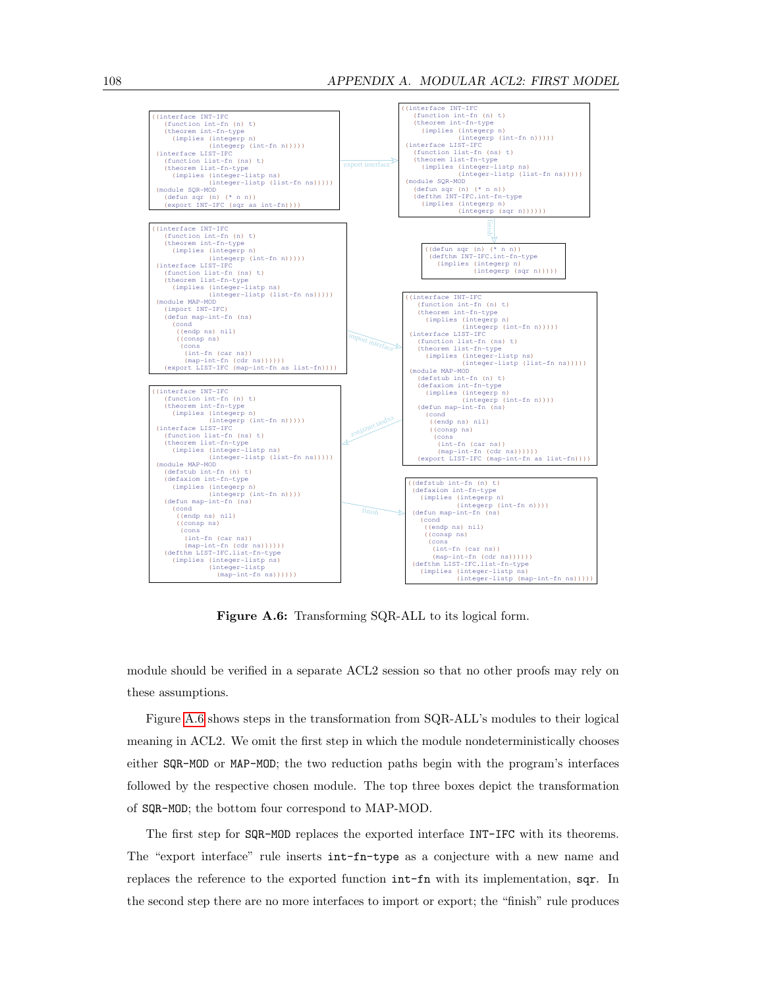

<span id="page-117-0"></span>Figure A.6: Transforming SQR-ALL to its logical form.

module should be verified in a separate ACL2 session so that no other proofs may rely on these assumptions.

Figure [A.6](#page-117-0) shows steps in the transformation from SQR-ALL's modules to their logical meaning in ACL2. We omit the first step in which the module nondeterministically chooses either SQR-MOD or MAP-MOD; the two reduction paths begin with the program's interfaces followed by the respective chosen module. The top three boxes depict the transformation of SQR-MOD; the bottom four correspond to MAP-MOD.

The first step for SQR-MOD replaces the exported interface INT-IFC with its theorems. The "export interface" rule inserts int-fn-type as a conjecture with a new name and replaces the reference to the exported function int-fn with its implementation, sqr. In the second step there are no more interfaces to import or export; the "finish" rule produces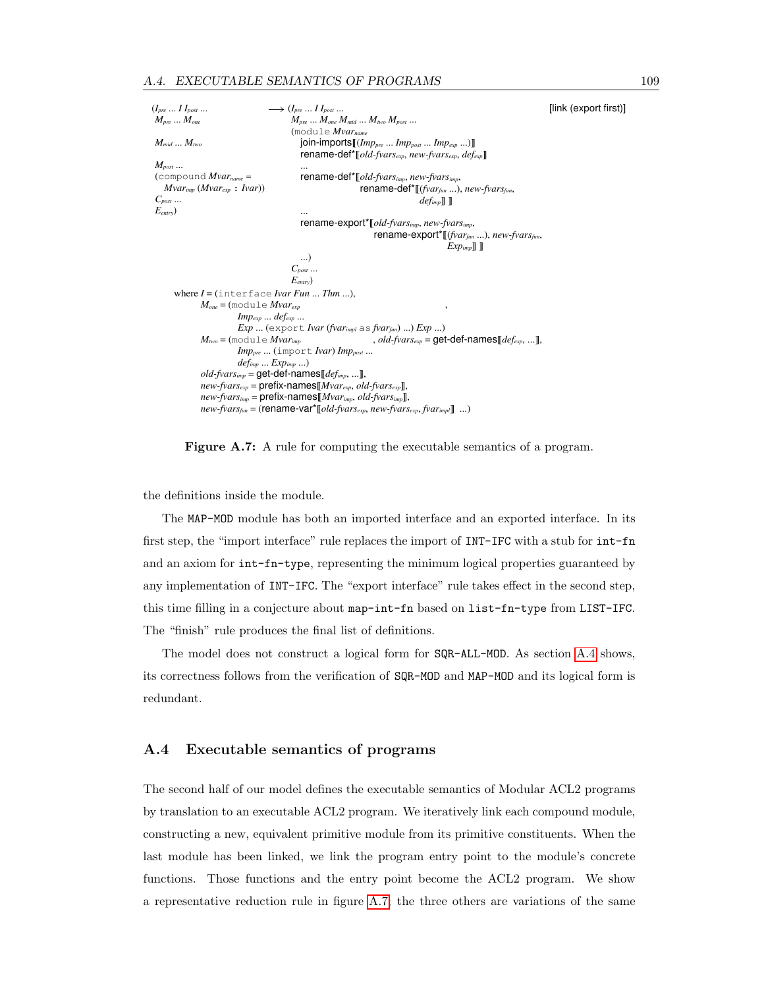(*Ipre* ... *I Ipost* ... *Mpre* ... *Mone Mmid* ... *Mtwo Mpost* ... (compound *Mvarname* = *Mvarimp* (*Mvarexp* : *Ivar*)) *Cpost* ... *Eentry*)  $\longrightarrow$  (*I<sub>pre</sub>* ... *I I<sub>post</sub>* ...  $M_{pre}$  ...  $M_{one}$   $M_{mid}$  ...  $M_{two}$   $M_{post}$  ... (module *Mvarname* join-imports[[(*Imppre* ... *Imppost* ... *Impexp* ...)]] rename-def\*[[*old-fvarsexp*, *new-fvarsexp*, *defexp*]] ... rename-def\*[[*old-fvarsimp*, *new-fvarsimp*, rename-def\*[[(*fvarfun* ...), *new-fvarsfun*, *defimp*]] ]] ... rename-export\*[[*old-fvarsimp*, *new-fvarsimp*, rename-export\*[[(*fvarfun* ...), *new-fvarsfun*, *Expimp*]] ]] ...) *Cpost* ... *Eentry*) [link (export first)] where *I* = (interface *Ivar Fun* ... *Thm* ...), *Mone* = (module *Mvarexp Impexp* ... *defexp* ... *Exp* ... (export *Ivar* (*fvarimpl* as *fvarfun*) ...) *Exp* ...) ,  $M_{\text{two}} = (\text{module }Mvar_{\text{imp}})$ *Imppre* ... (import *Ivar*) *Imppost* ... *defimp* ... *Expimp* ...)  $\ldots$ , *old-fvars* $_{exp}$  = get-def-names  $[$ *def* $_{exp}$ , ...] *old-fvarsimp* = get-def-names[[*defimp*, ...]], *new-fvarsexp* = prefix-names[[*Mvarexp*, *old-fvarsexp*]], *new-fvarsimp* = prefix-names[[*Mvarimp*, *old-fvarsimp*]], *new-fvarsfun* = (rename-var\*[[*old-fvarsexp*, *new-fvarsexp*, *fvarimpl*]] ...)

<span id="page-118-1"></span>Figure A.7: A rule for computing the executable semantics of a program.

the definitions inside the module.

The MAP-MOD module has both an imported interface and an exported interface. In its first step, the "import interface" rule replaces the import of INT-IFC with a stub for int-fn and an axiom for int-fn-type, representing the minimum logical properties guaranteed by any implementation of INT-IFC. The "export interface" rule takes effect in the second step, this time filling in a conjecture about map-int-fn based on list-fn-type from LIST-IFC. The "finish" rule produces the final list of definitions.

The model does not construct a logical form for SQR-ALL-MOD. As section [A.4](#page-118-0) shows, its correctness follows from the verification of SQR-MOD and MAP-MOD and its logical form is redundant.

#### <span id="page-118-0"></span>A.4 Executable semantics of programs

The second half of our model defines the executable semantics of Modular ACL2 programs by translation to an executable ACL2 program. We iteratively link each compound module, constructing a new, equivalent primitive module from its primitive constituents. When the last module has been linked, we link the program entry point to the module's concrete functions. Those functions and the entry point become the ACL2 program. We show a representative reduction rule in figure [A.7;](#page-118-1) the three others are variations of the same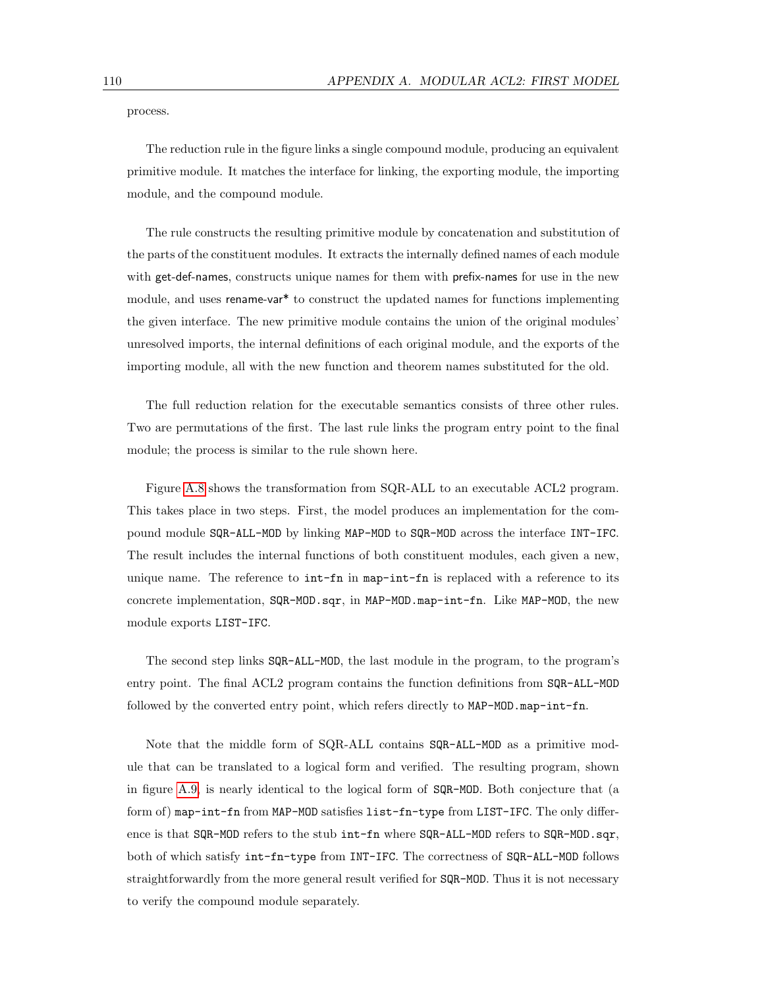process.

The reduction rule in the figure links a single compound module, producing an equivalent primitive module. It matches the interface for linking, the exporting module, the importing module, and the compound module.

The rule constructs the resulting primitive module by concatenation and substitution of the parts of the constituent modules. It extracts the internally defined names of each module with get-def-names, constructs unique names for them with prefix-names for use in the new module, and uses rename-var<sup>\*</sup> to construct the updated names for functions implementing the given interface. The new primitive module contains the union of the original modules' unresolved imports, the internal definitions of each original module, and the exports of the importing module, all with the new function and theorem names substituted for the old.

The full reduction relation for the executable semantics consists of three other rules. Two are permutations of the first. The last rule links the program entry point to the final module; the process is similar to the rule shown here.

Figure [A.8](#page-120-1) shows the transformation from SQR-ALL to an executable ACL2 program. This takes place in two steps. First, the model produces an implementation for the compound module SQR-ALL-MOD by linking MAP-MOD to SQR-MOD across the interface INT-IFC. The result includes the internal functions of both constituent modules, each given a new, unique name. The reference to  $int-fn$  in map-int-fn is replaced with a reference to its concrete implementation, SQR-MOD.sqr, in MAP-MOD.map-int-fn. Like MAP-MOD, the new module exports LIST-IFC.

The second step links SQR-ALL-MOD, the last module in the program, to the program's entry point. The final ACL2 program contains the function definitions from SQR-ALL-MOD followed by the converted entry point, which refers directly to MAP-MOD.map-int-fn.

Note that the middle form of SQR-ALL contains SQR-ALL-MOD as a primitive module that can be translated to a logical form and verified. The resulting program, shown in figure [A.9,](#page-121-0) is nearly identical to the logical form of SQR-MOD. Both conjecture that (a form of) map-int-fn from MAP-MOD satisfies list-fn-type from LIST-IFC. The only difference is that SQR-MOD refers to the stub int-fn where SQR-ALL-MOD refers to SQR-MOD.sqr, both of which satisfy int-fn-type from INT-IFC. The correctness of SQR-ALL-MOD follows straightforwardly from the more general result verified for  $SQR-MOD$ . Thus it is not necessary to verify the compound module separately.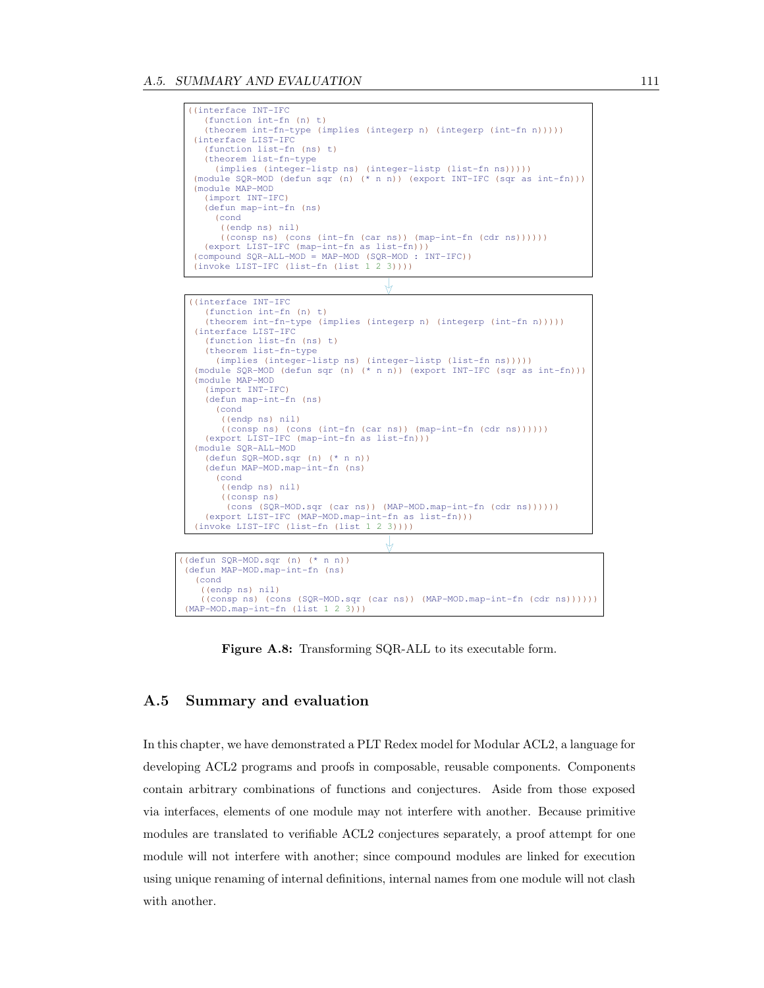```
((interface INT-IFC
   (function int-fn (n) t)
   (theorem int-fn-type (implies (integerp n) (integerp (int-fn n)))))
(interface LIST-IFC
   (function list-fn (ns) t)
   (theorem list-fn-type
     (implies (integer-listp ns) (integer-listp (list-fn ns)))))
(module SQR-MOD (defun sqr (n) (* n n)) (export INT-IFC (sqr as int-fn)))
(module MAP-MOD
   (import INT-IFC)
   (defun map-int-fn (ns)
     (cond
       ((endp ns) nil)
       ((consp ns) (cons (int-fn (car ns)) (map-int-fn (cdr ns))))))
   (export LIST-IFC (map-int-fn as list-fn)))
(compound SQR-ALL-MOD = MAP-MOD (SQR-MOD : INT-IFC))
(invoke LIST-IFC (list-fn (list 1 2 3))))
```

```
J
```


(defun MAP-MOD.map-int-fn (ns) (cond ((endp ns) nil) ((consp ns) (cons (SQR-MOD.sqr (car ns)) (MAP-MOD.map-int-fn (cdr ns))))))  $(MAP-MOD.\overline{map-int-fn}$   $(list 1 2 3))$ 

<span id="page-120-1"></span>Figure A.8: Transforming SQR-ALL to its executable form.

#### <span id="page-120-0"></span>A.5 Summary and evaluation

In this chapter, we have demonstrated a PLT Redex model for Modular ACL2, a language for developing ACL2 programs and proofs in composable, reusable components. Components contain arbitrary combinations of functions and conjectures. Aside from those exposed via interfaces, elements of one module may not interfere with another. Because primitive modules are translated to verifiable ACL2 conjectures separately, a proof attempt for one module will not interfere with another; since compound modules are linked for execution using unique renaming of internal definitions, internal names from one module will not clash with another.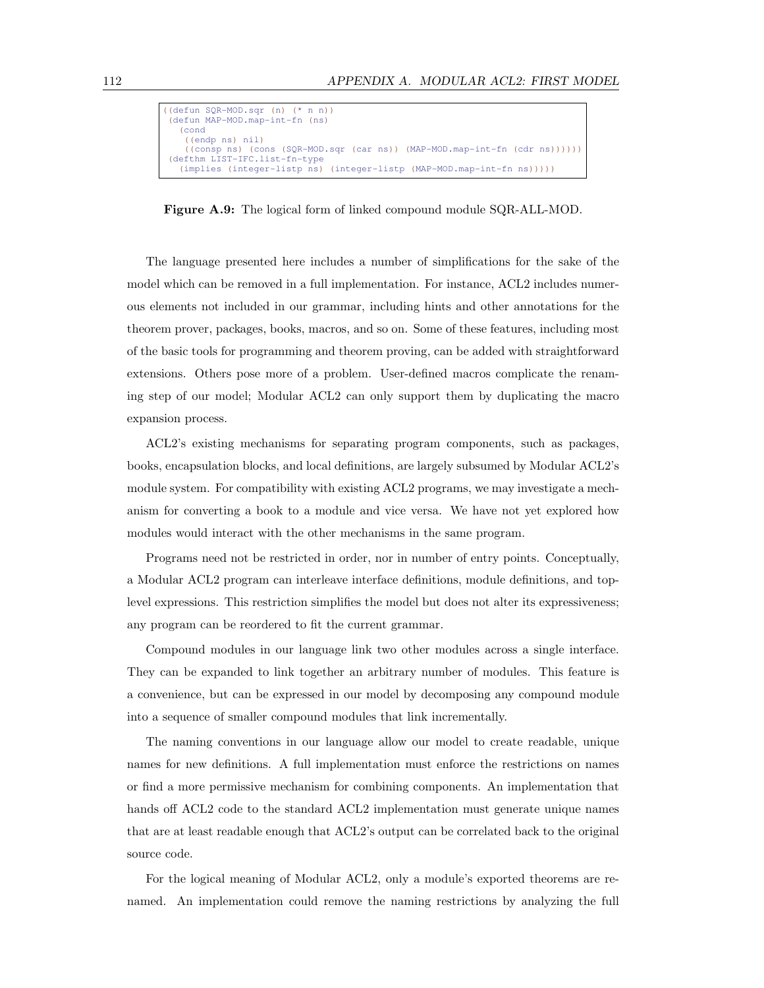```
((defun SQR-MOD.sqr (n) (* n n))
(defun MAP-MOD.map-int-fn (ns)
   (cond
     ((endp ns) nil)
     ((consp ns) (cons (SQR-MOD.sqr (car ns)) (MAP-MOD.map-int-fn (cdr ns))))))
(defthm LIST-IFC.list-fn-type<br>(implies (integer-listp ns)
                                   (integer-listp (MAP-MOD.map-int-fn ns))))
```
<span id="page-121-0"></span>Figure A.9: The logical form of linked compound module SQR-ALL-MOD.

The language presented here includes a number of simplifications for the sake of the model which can be removed in a full implementation. For instance, ACL2 includes numerous elements not included in our grammar, including hints and other annotations for the theorem prover, packages, books, macros, and so on. Some of these features, including most of the basic tools for programming and theorem proving, can be added with straightforward extensions. Others pose more of a problem. User-defined macros complicate the renaming step of our model; Modular ACL2 can only support them by duplicating the macro expansion process.

ACL2's existing mechanisms for separating program components, such as packages, books, encapsulation blocks, and local definitions, are largely subsumed by Modular ACL2's module system. For compatibility with existing ACL2 programs, we may investigate a mechanism for converting a book to a module and vice versa. We have not yet explored how modules would interact with the other mechanisms in the same program.

Programs need not be restricted in order, nor in number of entry points. Conceptually, a Modular ACL2 program can interleave interface definitions, module definitions, and toplevel expressions. This restriction simplifies the model but does not alter its expressiveness; any program can be reordered to fit the current grammar.

Compound modules in our language link two other modules across a single interface. They can be expanded to link together an arbitrary number of modules. This feature is a convenience, but can be expressed in our model by decomposing any compound module into a sequence of smaller compound modules that link incrementally.

The naming conventions in our language allow our model to create readable, unique names for new definitions. A full implementation must enforce the restrictions on names or find a more permissive mechanism for combining components. An implementation that hands off ACL2 code to the standard ACL2 implementation must generate unique names that are at least readable enough that ACL2's output can be correlated back to the original source code.

For the logical meaning of Modular ACL2, only a module's exported theorems are renamed. An implementation could remove the naming restrictions by analyzing the full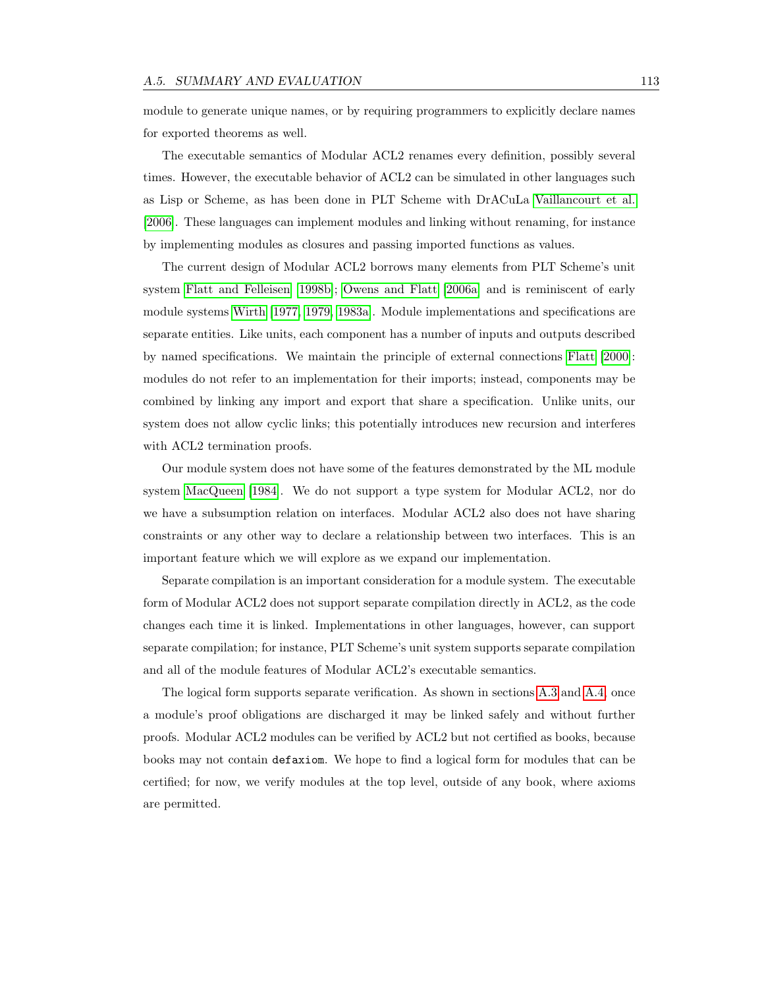module to generate unique names, or by requiring programmers to explicitly declare names for exported theorems as well.

The executable semantics of Modular ACL2 renames every definition, possibly several times. However, the executable behavior of ACL2 can be simulated in other languages such as Lisp or Scheme, as has been done in PLT Scheme with DrACuLa [Vaillancourt et al.](#page-127-2) [\[2006\]](#page-127-2). These languages can implement modules and linking without renaming, for instance by implementing modules as closures and passing imported functions as values.

The current design of Modular ACL2 borrows many elements from PLT Scheme's unit system [Flatt and Felleisen \[1998b\]](#page-125-4); [Owens and Flatt \[2006a\]](#page-126-4) and is reminiscent of early module systems [Wirth \[1977,](#page-127-3) [1979,](#page-127-4) [1983a\]](#page-127-5). Module implementations and specifications are separate entities. Like units, each component has a number of inputs and outputs described by named specifications. We maintain the principle of external connections [Flatt \[2000\]](#page-125-5): modules do not refer to an implementation for their imports; instead, components may be combined by linking any import and export that share a specification. Unlike units, our system does not allow cyclic links; this potentially introduces new recursion and interferes with ACL2 termination proofs.

Our module system does not have some of the features demonstrated by the ML module system [MacQueen \[1984\]](#page-126-5). We do not support a type system for Modular ACL2, nor do we have a subsumption relation on interfaces. Modular ACL2 also does not have sharing constraints or any other way to declare a relationship between two interfaces. This is an important feature which we will explore as we expand our implementation.

Separate compilation is an important consideration for a module system. The executable form of Modular ACL2 does not support separate compilation directly in ACL2, as the code changes each time it is linked. Implementations in other languages, however, can support separate compilation; for instance, PLT Scheme's unit system supports separate compilation and all of the module features of Modular ACL2's executable semantics.

The logical form supports separate verification. As shown in sections [A.3](#page-115-0) and [A.4,](#page-118-0) once a module's proof obligations are discharged it may be linked safely and without further proofs. Modular ACL2 modules can be verified by ACL2 but not certified as books, because books may not contain defaxiom. We hope to find a logical form for modules that can be certified; for now, we verify modules at the top level, outside of any book, where axioms are permitted.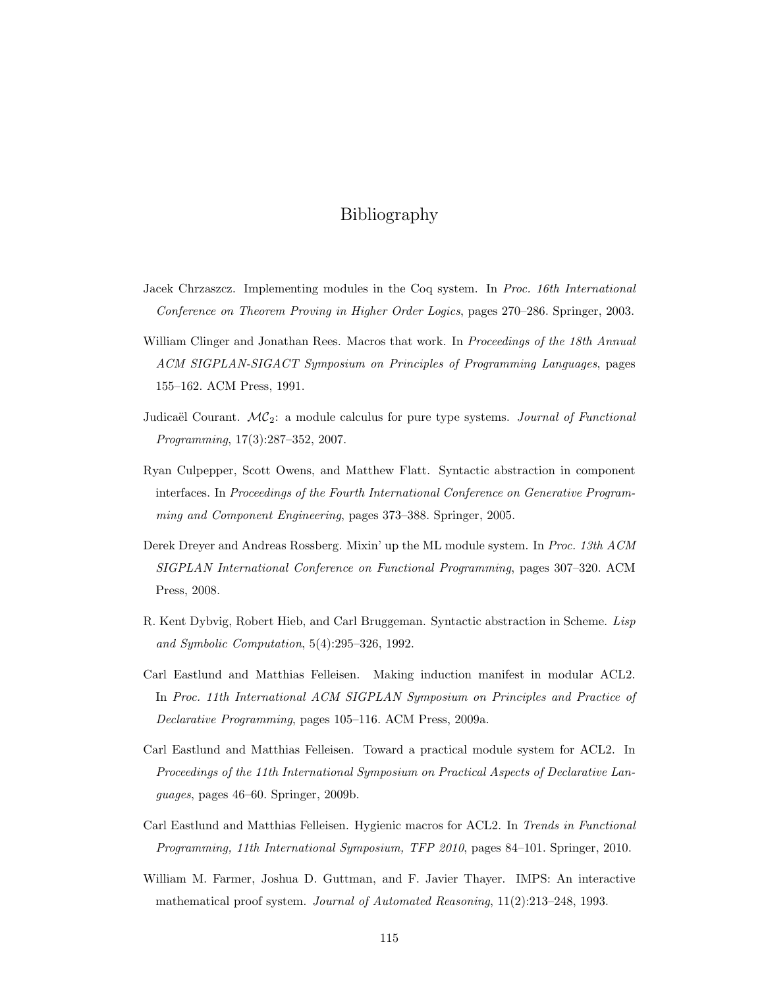# Bibliography

- <span id="page-124-3"></span>Jacek Chrzaszcz. Implementing modules in the Coq system. In Proc. 16th International Conference on Theorem Proving in Higher Order Logics, pages 270–286. Springer, 2003.
- William Clinger and Jonathan Rees. Macros that work. In Proceedings of the 18th Annual ACM SIGPLAN-SIGACT Symposium on Principles of Programming Languages, pages 155–162. ACM Press, 1991.
- <span id="page-124-2"></span>Judicaël Courant.  $MC_2$ : a module calculus for pure type systems. Journal of Functional Programming, 17(3):287–352, 2007.
- Ryan Culpepper, Scott Owens, and Matthew Flatt. Syntactic abstraction in component interfaces. In Proceedings of the Fourth International Conference on Generative Programming and Component Engineering, pages 373–388. Springer, 2005.
- <span id="page-124-0"></span>Derek Dreyer and Andreas Rossberg. Mixin' up the ML module system. In Proc. 13th ACM SIGPLAN International Conference on Functional Programming, pages 307–320. ACM Press, 2008.
- R. Kent Dybvig, Robert Hieb, and Carl Bruggeman. Syntactic abstraction in Scheme. Lisp and Symbolic Computation, 5(4):295–326, 1992.
- Carl Eastlund and Matthias Felleisen. Making induction manifest in modular ACL2. In Proc. 11th International ACM SIGPLAN Symposium on Principles and Practice of Declarative Programming, pages 105–116. ACM Press, 2009a.
- Carl Eastlund and Matthias Felleisen. Toward a practical module system for ACL2. In Proceedings of the 11th International Symposium on Practical Aspects of Declarative Languages, pages 46–60. Springer, 2009b.
- Carl Eastlund and Matthias Felleisen. Hygienic macros for ACL2. In Trends in Functional Programming, 11th International Symposium, TFP 2010, pages 84–101. Springer, 2010.
- <span id="page-124-1"></span>William M. Farmer, Joshua D. Guttman, and F. Javier Thayer. IMPS: An interactive mathematical proof system. Journal of Automated Reasoning, 11(2):213–248, 1993.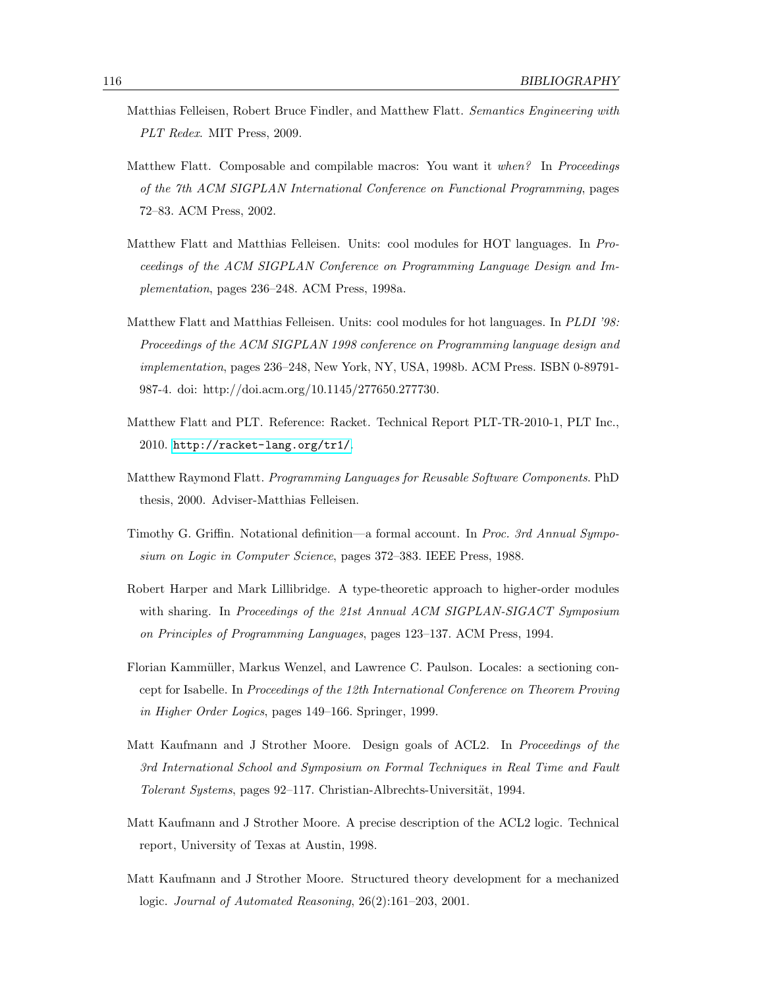- <span id="page-125-3"></span>Matthias Felleisen, Robert Bruce Findler, and Matthew Flatt. Semantics Engineering with PLT Redex. MIT Press, 2009.
- Matthew Flatt. Composable and compilable macros: You want it when? In Proceedings of the 7th ACM SIGPLAN International Conference on Functional Programming, pages 72–83. ACM Press, 2002.
- <span id="page-125-1"></span>Matthew Flatt and Matthias Felleisen. Units: cool modules for HOT languages. In Proceedings of the ACM SIGPLAN Conference on Programming Language Design and Implementation, pages 236–248. ACM Press, 1998a.
- <span id="page-125-4"></span>Matthew Flatt and Matthias Felleisen. Units: cool modules for hot languages. In PLDI '98: Proceedings of the ACM SIGPLAN 1998 conference on Programming language design and implementation, pages 236–248, New York, NY, USA, 1998b. ACM Press. ISBN 0-89791- 987-4. doi: http://doi.acm.org/10.1145/277650.277730.
- Matthew Flatt and PLT. Reference: Racket. Technical Report PLT-TR-2010-1, PLT Inc., 2010. <http://racket-lang.org/tr1/>.
- <span id="page-125-5"></span>Matthew Raymond Flatt. Programming Languages for Reusable Software Components. PhD thesis, 2000. Adviser-Matthias Felleisen.
- Timothy G. Griffin. Notational definition—a formal account. In Proc. 3rd Annual Symposium on Logic in Computer Science, pages 372–383. IEEE Press, 1988.
- <span id="page-125-0"></span>Robert Harper and Mark Lillibridge. A type-theoretic approach to higher-order modules with sharing. In Proceedings of the 21st Annual ACM SIGPLAN-SIGACT Symposium on Principles of Programming Languages, pages 123–137. ACM Press, 1994.
- <span id="page-125-2"></span>Florian Kammüller, Markus Wenzel, and Lawrence C. Paulson. Locales: a sectioning concept for Isabelle. In Proceedings of the 12th International Conference on Theorem Proving in Higher Order Logics, pages 149–166. Springer, 1999.
- Matt Kaufmann and J Strother Moore. Design goals of ACL2. In Proceedings of the 3rd International School and Symposium on Formal Techniques in Real Time and Fault Tolerant Systems, pages 92–117. Christian-Albrechts-Universität, 1994.
- Matt Kaufmann and J Strother Moore. A precise description of the ACL2 logic. Technical report, University of Texas at Austin, 1998.
- Matt Kaufmann and J Strother Moore. Structured theory development for a mechanized logic. Journal of Automated Reasoning, 26(2):161–203, 2001.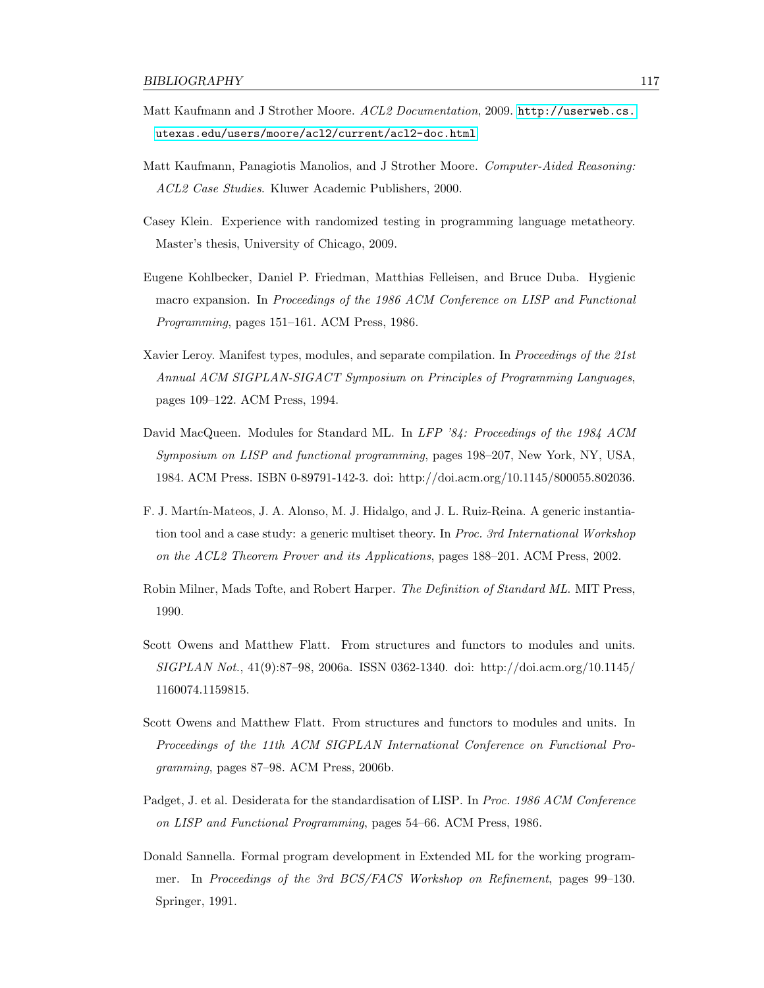- Matt Kaufmann and J Strother Moore. ACL2 Documentation, 2009. [http://userweb.cs.](http://userweb.cs.utexas.edu/users/moore/acl2/current/acl2-doc.html) [utexas.edu/users/moore/acl2/current/acl2-doc.html](http://userweb.cs.utexas.edu/users/moore/acl2/current/acl2-doc.html).
- Matt Kaufmann, Panagiotis Manolios, and J Strother Moore. Computer-Aided Reasoning: ACL2 Case Studies. Kluwer Academic Publishers, 2000.
- Casey Klein. Experience with randomized testing in programming language metatheory. Master's thesis, University of Chicago, 2009.
- Eugene Kohlbecker, Daniel P. Friedman, Matthias Felleisen, and Bruce Duba. Hygienic macro expansion. In Proceedings of the 1986 ACM Conference on LISP and Functional Programming, pages 151–161. ACM Press, 1986.
- <span id="page-126-0"></span>Xavier Leroy. Manifest types, modules, and separate compilation. In Proceedings of the 21st Annual ACM SIGPLAN-SIGACT Symposium on Principles of Programming Languages, pages 109–122. ACM Press, 1994.
- <span id="page-126-5"></span>David MacQueen. Modules for Standard ML. In LFP '84: Proceedings of the 1984 ACM Symposium on LISP and functional programming, pages 198–207, New York, NY, USA, 1984. ACM Press. ISBN 0-89791-142-3. doi: http://doi.acm.org/10.1145/800055.802036.
- F. J. Mart´ın-Mateos, J. A. Alonso, M. J. Hidalgo, and J. L. Ruiz-Reina. A generic instantiation tool and a case study: a generic multiset theory. In Proc. 3rd International Workshop on the ACL2 Theorem Prover and its Applications, pages 188–201. ACM Press, 2002.
- <span id="page-126-3"></span>Robin Milner, Mads Tofte, and Robert Harper. The Definition of Standard ML. MIT Press, 1990.
- <span id="page-126-4"></span>Scott Owens and Matthew Flatt. From structures and functors to modules and units. SIGPLAN Not., 41(9):87–98, 2006a. ISSN 0362-1340. doi: http://doi.acm.org/10.1145/ 1160074.1159815.
- <span id="page-126-1"></span>Scott Owens and Matthew Flatt. From structures and functors to modules and units. In Proceedings of the 11th ACM SIGPLAN International Conference on Functional Programming, pages 87–98. ACM Press, 2006b.
- Padget, J. et al. Desiderata for the standardisation of LISP. In Proc. 1986 ACM Conference on LISP and Functional Programming, pages 54–66. ACM Press, 1986.
- <span id="page-126-2"></span>Donald Sannella. Formal program development in Extended ML for the working programmer. In Proceedings of the 3rd BCS/FACS Workshop on Refinement, pages 99-130. Springer, 1991.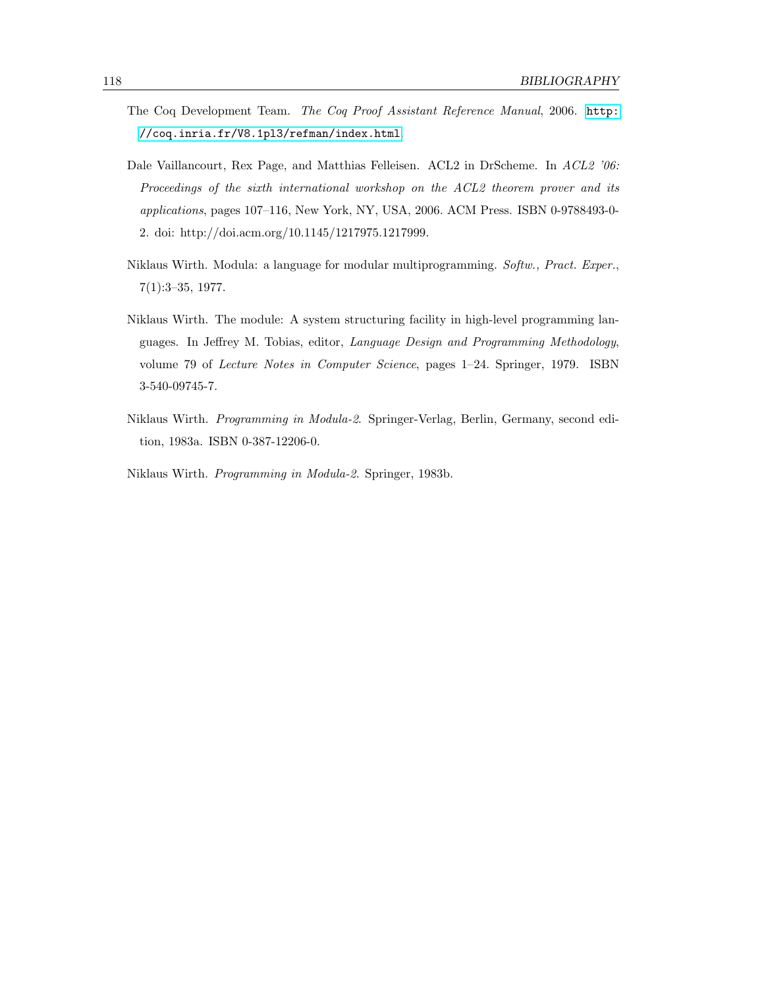- <span id="page-127-1"></span>The Coq Development Team. The Coq Proof Assistant Reference Manual, 2006. [http:](http://coq.inria.fr/V8.1pl3/refman/index.html) [//coq.inria.fr/V8.1pl3/refman/index.html](http://coq.inria.fr/V8.1pl3/refman/index.html).
- <span id="page-127-2"></span>Dale Vaillancourt, Rex Page, and Matthias Felleisen. ACL2 in DrScheme. In ACL2 '06: Proceedings of the sixth international workshop on the ACL2 theorem prover and its applications, pages 107–116, New York, NY, USA, 2006. ACM Press. ISBN 0-9788493-0- 2. doi: http://doi.acm.org/10.1145/1217975.1217999.
- <span id="page-127-3"></span>Niklaus Wirth. Modula: a language for modular multiprogramming. Softw., Pract. Exper., 7(1):3–35, 1977.
- <span id="page-127-4"></span>Niklaus Wirth. The module: A system structuring facility in high-level programming languages. In Jeffrey M. Tobias, editor, Language Design and Programming Methodology, volume 79 of Lecture Notes in Computer Science, pages 1–24. Springer, 1979. ISBN 3-540-09745-7.
- <span id="page-127-5"></span>Niklaus Wirth. Programming in Modula-2. Springer-Verlag, Berlin, Germany, second edition, 1983a. ISBN 0-387-12206-0.
- <span id="page-127-0"></span>Niklaus Wirth. Programming in Modula-2. Springer, 1983b.